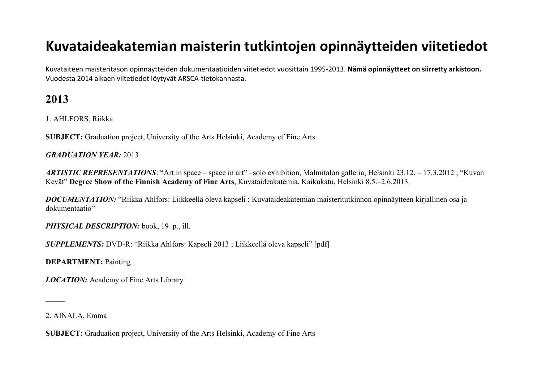# **Kuvataideakatemian maisterin tutkintojen opinnäytteiden viitetiedot**

Kuvataiteen maisteritason opinnäytteiden dokumentaatioiden viitetiedot vuosittain 1995-2013. **Nämä opinnäytteet on siirretty arkistoon.**  Vuodesta 2014 alkaen viitetiedot löytyvät ARSCA-tietokannasta.

## **2013**

1. AHLFORS, Riikka

**SUBJECT:** Graduation project, University of the Arts Helsinki, Academy of Fine Arts

## *GRADUATION YEAR:* 2013

*ARTISTIC REPRESENTATIONS*: "Art in space – space in art" –solo exhibition, Malmitalon galleria, Helsinki 23.12. – 17.3.2012 ; "Kuvan Kevät" **Degree Show of the Finnish Academy of Fine Arts**, Kuvataideakatemia, Kaikukatu, Helsinki 8.5.–2.6.2013.

*DOCUMENTATION:* "Riikka Ahlfors: Liikkeellä oleva kapseli ; Kuvataideakatemian maisteritutkinnon opinnäytteen kirjallinen osa ja dokumentaatio"

*PHYSICAL DESCRIPTION:* book, 19 p., ill.

*SUPPLEMENTS:* DVD-R: "Riikka Ahlfors: Kapseli 2013 ; Liikkeellä oleva kapseli" [pdf]

**DEPARTMENT:** Painting

*LOCATION:* Academy of Fine Arts Library

2. AINALA, Emma

 $\overline{\phantom{a}}$ 

**SUBJECT:** Graduation project, University of the Arts Helsinki, Academy of Fine Arts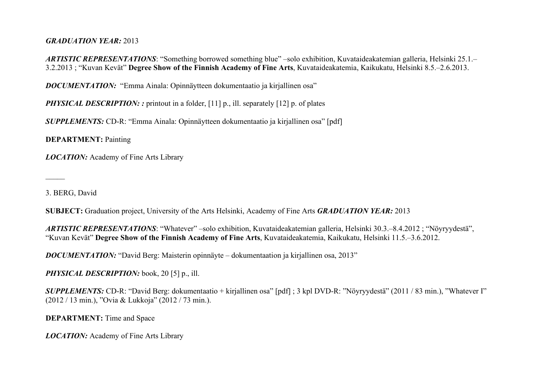#### *GRADUATION YEAR:* 2013

*ARTISTIC REPRESENTATIONS*: "Something borrowed something blue" –solo exhibition, Kuvataideakatemian galleria, Helsinki 25.1.– 3.2.2013 ; "Kuvan Kevät" **Degree Show of the Finnish Academy of Fine Arts**, Kuvataideakatemia, Kaikukatu, Helsinki 8.5.–2.6.2013.

*DOCUMENTATION:* "Emma Ainala: Opinnäytteen dokumentaatio ja kirjallinen osa"

*PHYSICAL DESCRIPTION:* : printout in a folder, [11] p., ill. separately [12] p. of plates

*SUPPLEMENTS:* CD-R: "Emma Ainala: Opinnäytteen dokumentaatio ja kirjallinen osa" [pdf]

**DEPARTMENT:** Painting

*LOCATION:* Academy of Fine Arts Library

3. BERG, David

 $\overline{\phantom{a}}$ 

**SUBJECT:** Graduation project, University of the Arts Helsinki, Academy of Fine Arts *GRADUATION YEAR:* 2013

*ARTISTIC REPRESENTATIONS*: "Whatever" –solo exhibition, Kuvataideakatemian galleria, Helsinki 30.3.–8.4.2012 ; "Nöyryydestä", "Kuvan Kevät" **Degree Show of the Finnish Academy of Fine Arts**, Kuvataideakatemia, Kaikukatu, Helsinki 11.5.–3.6.2012.

*DOCUMENTATION:* "David Berg: Maisterin opinnäyte – dokumentaation ja kirjallinen osa, 2013"

*PHYSICAL DESCRIPTION:* book, 20 [5] p., ill.

*SUPPLEMENTS:* CD-R: "David Berg: dokumentaatio + kirjallinen osa" [pdf] ; 3 kpl DVD-R: "Nöyryydestä" (2011 / 83 min.), "Whatever I" (2012 / 13 min.), "Ovia & Lukkoja" (2012 / 73 min.).

**DEPARTMENT:** Time and Space

*LOCATION:* Academy of Fine Arts Library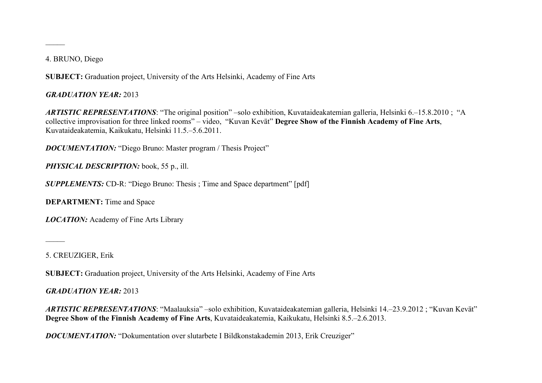4. BRUNO, Diego

 $\overline{\phantom{a}}$ 

**SUBJECT:** Graduation project, University of the Arts Helsinki, Academy of Fine Arts

*GRADUATION YEAR:* 2013

*ARTISTIC REPRESENTATIONS*: "The original position" –solo exhibition, Kuvataideakatemian galleria, Helsinki 6.–15.8.2010 ; "A collective improvisation for three linked rooms" – video, "Kuvan Kevät" **Degree Show of the Finnish Academy of Fine Arts**, Kuvataideakatemia, Kaikukatu, Helsinki 11.5.–5.6.2011.

*DOCUMENTATION:* "Diego Bruno: Master program / Thesis Project"

*PHYSICAL DESCRIPTION:* book, 55 p., ill.

*SUPPLEMENTS:* CD-R: "Diego Bruno: Thesis ; Time and Space department" [pdf]

**DEPARTMENT:** Time and Space

*LOCATION:* Academy of Fine Arts Library

5. CREUZIGER, Erik

 $\overline{\phantom{a}}$ 

**SUBJECT:** Graduation project, University of the Arts Helsinki, Academy of Fine Arts

*GRADUATION YEAR:* 2013

*ARTISTIC REPRESENTATIONS*: "Maalauksia" –solo exhibition, Kuvataideakatemian galleria, Helsinki 14.–23.9.2012 ; "Kuvan Kevät" **Degree Show of the Finnish Academy of Fine Arts**, Kuvataideakatemia, Kaikukatu, Helsinki 8.5.–2.6.2013.

**DOCUMENTATION:** "Dokumentation over slutarbete I Bildkonstakademin 2013, Erik Creuziger"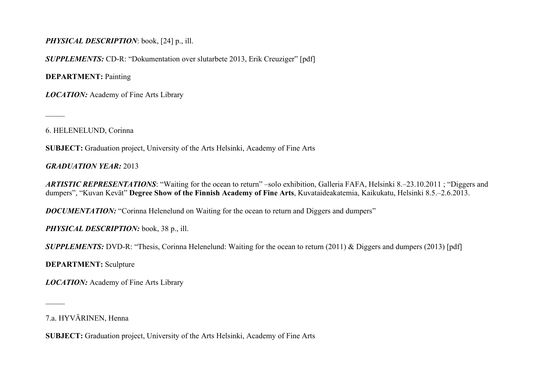## *PHYSICAL DESCRIPTION*: book, [24] p., ill.

*SUPPLEMENTS:* CD-R: "Dokumentation over slutarbete 2013, Erik Creuziger" [pdf]

**DEPARTMENT:** Painting

*LOCATION:* Academy of Fine Arts Library

6. HELENELUND, Corinna

 $\overline{\phantom{a}}$ 

**SUBJECT:** Graduation project, University of the Arts Helsinki, Academy of Fine Arts

*GRADUATION YEAR:* 2013

*ARTISTIC REPRESENTATIONS*: "Waiting for the ocean to return" –solo exhibition, Galleria FAFA, Helsinki 8.–23.10.2011 ; "Diggers and dumpers", "Kuvan Kevät" **Degree Show of the Finnish Academy of Fine Arts**, Kuvataideakatemia, Kaikukatu, Helsinki 8.5.–2.6.2013.

**DOCUMENTATION:** "Corinna Helenelund on Waiting for the ocean to return and Diggers and dumpers"

*PHYSICAL DESCRIPTION:* book, 38 p., ill.

*SUPPLEMENTS: DVD-R:* "Thesis, Corinna Helenelund: Waiting for the ocean to return (2011) & Diggers and dumpers (2013) [pdf]

**DEPARTMENT:** Sculpture

*LOCATION:* Academy of Fine Arts Library

 $\mathcal{L}$ 

**SUBJECT:** Graduation project, University of the Arts Helsinki, Academy of Fine Arts

<sup>7.</sup>a. HYVÄRINEN, Henna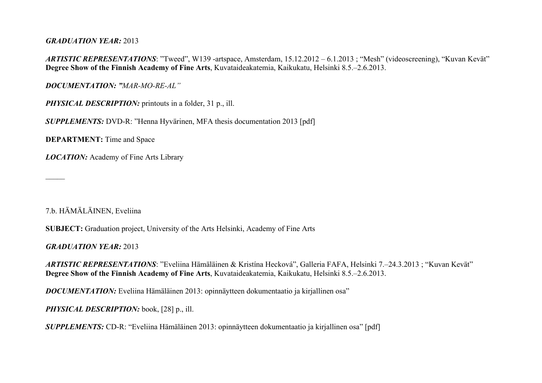#### *GRADUATION YEAR:* 2013

*ARTISTIC REPRESENTATIONS*: "Tweed", W139 -artspace, Amsterdam, 15.12.2012 – 6.1.2013; "Mesh" (videoscreening), "Kuvan Kevät" **Degree Show of the Finnish Academy of Fine Arts**, Kuvataideakatemia, Kaikukatu, Helsinki 8.5.–2.6.2013.

*DOCUMENTATION: "MAR-MO-RE-AL"*

*PHYSICAL DESCRIPTION:* printouts in a folder, 31 p., ill.

*SUPPLEMENTS:* DVD-R: "Henna Hyvärinen, MFA thesis documentation 2013 [pdf]

**DEPARTMENT:** Time and Space

*LOCATION:* Academy of Fine Arts Library

7.b. HÄMÄLÄINEN, Eveliina

 $\overline{\phantom{a}}$ 

**SUBJECT:** Graduation project, University of the Arts Helsinki, Academy of Fine Arts

*GRADUATION YEAR:* 2013

*ARTISTIC REPRESENTATIONS*: "Eveliina Hämäläinen & Kristína Hecková", Galleria FAFA, Helsinki 7.–24.3.2013 ; "Kuvan Kevät" **Degree Show of the Finnish Academy of Fine Arts**, Kuvataideakatemia, Kaikukatu, Helsinki 8.5.–2.6.2013.

*DOCUMENTATION:* Eveliina Hämäläinen 2013: opinnäytteen dokumentaatio ja kirjallinen osa"

*PHYSICAL DESCRIPTION:* book, [28] p., ill.

*SUPPLEMENTS:* CD-R: "Eveliina Hämäläinen 2013: opinnäytteen dokumentaatio ja kirjallinen osa" [pdf]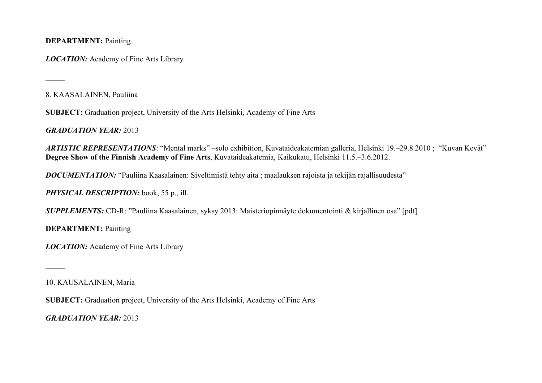**DEPARTMENT:** Painting

*LOCATION:* Academy of Fine Arts Library

8. KAASALAINEN, Pauliina

 $\overline{\phantom{a}}$ 

 $\mathcal{L}$ 

**SUBJECT:** Graduation project, University of the Arts Helsinki, Academy of Fine Arts

*GRADUATION YEAR:* 2013

*ARTISTIC REPRESENTATIONS*: "Mental marks" –solo exhibition, Kuvataideakatemian galleria, Helsinki 19.–29.8.2010 ; "Kuvan Kevät" **Degree Show of the Finnish Academy of Fine Arts**, Kuvataideakatemia, Kaikukatu, Helsinki 11.5.–3.6.2012.

*DOCUMENTATION:* "Pauliina Kaasalainen: Siveltimistä tehty aita ; maalauksen rajoista ja tekijän rajallisuudesta"

*PHYSICAL DESCRIPTION:* book, 55 p., ill.

*SUPPLEMENTS:* CD-R: "Pauliina Kaasalainen, syksy 2013: Maisteriopinnäyte dokumentointi & kirjallinen osa" [pdf]

**DEPARTMENT:** Painting

*LOCATION:* Academy of Fine Arts Library

10. KAUSALAINEN, Maria

**SUBJECT:** Graduation project, University of the Arts Helsinki, Academy of Fine Arts

*GRADUATION YEAR:* 2013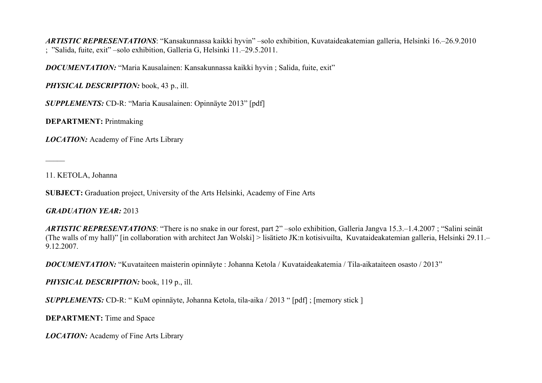*ARTISTIC REPRESENTATIONS*: "Kansakunnassa kaikki hyvin" –solo exhibition, Kuvataideakatemian galleria, Helsinki 16.–26.9.2010 ; "Salida, fuite, exit" –solo exhibition, Galleria G, Helsinki 11.–29.5.2011.

*DOCUMENTATION:* "Maria Kausalainen: Kansakunnassa kaikki hyvin ; Salida, fuite, exit"

*PHYSICAL DESCRIPTION:* book, 43 p., ill.

*SUPPLEMENTS:* CD-R: "Maria Kausalainen: Opinnäyte 2013" [pdf]

**DEPARTMENT:** Printmaking

*LOCATION:* Academy of Fine Arts Library

11. KETOLA, Johanna

 $\mathcal{L}$ 

**SUBJECT:** Graduation project, University of the Arts Helsinki, Academy of Fine Arts

#### *GRADUATION YEAR:* 2013

*ARTISTIC REPRESENTATIONS*: "There is no snake in our forest, part 2" –solo exhibition, Galleria Jangva 15.3.–1.4.2007 ; "Salini seinät (The walls of my hall)" [in collaboration with architect Jan Wolski] > lisätieto JK:n kotisivuilta, Kuvataideakatemian galleria, Helsinki 29.11.– 9.12.2007.

*DOCUMENTATION:* "Kuvataiteen maisterin opinnäyte : Johanna Ketola / Kuvataideakatemia / Tila-aikataiteen osasto / 2013"

*PHYSICAL DESCRIPTION:* book, 119 p., ill.

*SUPPLEMENTS:* CD-R: " KuM opinnäyte, Johanna Ketola, tila-aika / 2013 " [pdf] ; [memory stick ]

**DEPARTMENT:** Time and Space

*LOCATION:* Academy of Fine Arts Library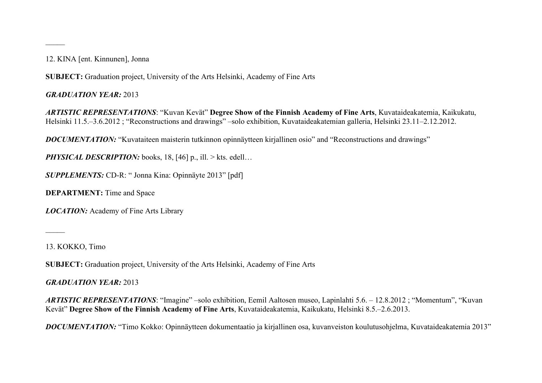12. KINA [ent. Kinnunen], Jonna

 $\overline{\phantom{a}}$ 

**SUBJECT:** Graduation project, University of the Arts Helsinki, Academy of Fine Arts

*GRADUATION YEAR:* 2013

*ARTISTIC REPRESENTATIONS*: "Kuvan Kevät" **Degree Show of the Finnish Academy of Fine Arts**, Kuvataideakatemia, Kaikukatu, Helsinki 11.5.–3.6.2012 ; "Reconstructions and drawings" –solo exhibition, Kuvataideakatemian galleria, Helsinki 23.11–2.12.2012.

*DOCUMENTATION:* "Kuvataiteen maisterin tutkinnon opinnäytteen kirjallinen osio" and "Reconstructions and drawings"

*PHYSICAL DESCRIPTION:* books, 18, [46] p., ill. > kts. edell...

*SUPPLEMENTS:* CD-R: " Jonna Kina: Opinnäyte 2013" [pdf]

**DEPARTMENT:** Time and Space

*LOCATION:* Academy of Fine Arts Library

13. KOKKO, Timo

 $\overline{\phantom{a}}$ 

**SUBJECT:** Graduation project, University of the Arts Helsinki, Academy of Fine Arts

*GRADUATION YEAR:* 2013

*ARTISTIC REPRESENTATIONS*: "Imagine" –solo exhibition, Eemil Aaltosen museo, Lapinlahti 5.6. – 12.8.2012 ; "Momentum", "Kuvan Kevät" **Degree Show of the Finnish Academy of Fine Arts**, Kuvataideakatemia, Kaikukatu, Helsinki 8.5.–2.6.2013.

*DOCUMENTATION:* "Timo Kokko: Opinnäytteen dokumentaatio ja kirjallinen osa, kuvanveiston koulutusohjelma, Kuvataideakatemia 2013"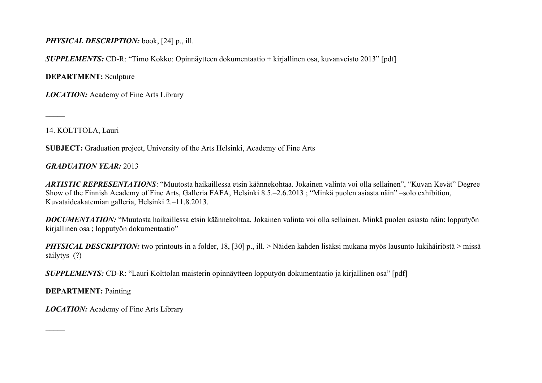## *PHYSICAL DESCRIPTION:* book, [24] p., ill.

*SUPPLEMENTS:* CD-R: "Timo Kokko: Opinnäytteen dokumentaatio + kirjallinen osa, kuvanveisto 2013" [pdf]

**DEPARTMENT:** Sculpture

*LOCATION:* Academy of Fine Arts Library

14. KOLTTOLA, Lauri

 $\overline{\phantom{a}}$ 

**SUBJECT:** Graduation project, University of the Arts Helsinki, Academy of Fine Arts

#### *GRADUATION YEAR:* 2013

*ARTISTIC REPRESENTATIONS*: "Muutosta haikaillessa etsin käännekohtaa. Jokainen valinta voi olla sellainen", "Kuvan Kevät" Degree Show of the Finnish Academy of Fine Arts, Galleria FAFA, Helsinki 8.5.–2.6.2013 ; "Minkä puolen asiasta näin" –solo exhibition, Kuvataideakatemian galleria, Helsinki 2.–11.8.2013.

*DOCUMENTATION:* "Muutosta haikaillessa etsin käännekohtaa. Jokainen valinta voi olla sellainen. Minkä puolen asiasta näin: lopputyön kirjallinen osa ; lopputyön dokumentaatio"

*PHYSICAL DESCRIPTION*: two printouts in a folder, 18, [30] p., ill. > Näiden kahden lisäksi mukana myös lausunto lukihäiriöstä > missä säilytys (?)

*SUPPLEMENTS:* CD-R: "Lauri Kolttolan maisterin opinnäytteen lopputyön dokumentaatio ja kirjallinen osa" [pdf]

**DEPARTMENT:** Painting

 $\overline{\phantom{a}}$ 

*LOCATION:* Academy of Fine Arts Library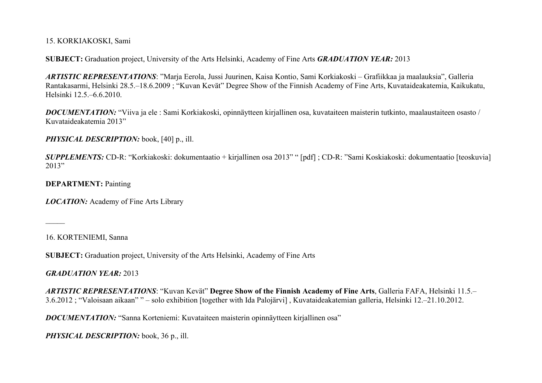15. KORKIAKOSKI, Sami

**SUBJECT:** Graduation project, University of the Arts Helsinki, Academy of Fine Arts *GRADUATION YEAR:* 2013

*ARTISTIC REPRESENTATIONS*: "Marja Eerola, Jussi Juurinen, Kaisa Kontio, Sami Korkiakoski – Grafiikkaa ja maalauksia", Galleria Rantakasarmi, Helsinki 28.5.–18.6.2009 ; "Kuvan Kevät" Degree Show of the Finnish Academy of Fine Arts, Kuvataideakatemia, Kaikukatu, Helsinki 12.5.–6.6.2010.

*DOCUMENTATION:* "Viiva ja ele : Sami Korkiakoski, opinnäytteen kirjallinen osa, kuvataiteen maisterin tutkinto, maalaustaiteen osasto / Kuvataideakatemia 2013"

*PHYSICAL DESCRIPTION:* book, [40] p., ill.

*SUPPLEMENTS:* CD-R: "Korkiakoski: dokumentaatio + kirjallinen osa 2013" " [pdf] ; CD-R: "Sami Koskiakoski: dokumentaatio [teoskuvia] 2013"

**DEPARTMENT:** Painting

*LOCATION:* Academy of Fine Arts Library

16. KORTENIEMI, Sanna

 $\mathcal{L}$ 

**SUBJECT:** Graduation project, University of the Arts Helsinki, Academy of Fine Arts

*GRADUATION YEAR:* 2013

*ARTISTIC REPRESENTATIONS*: "Kuvan Kevät" **Degree Show of the Finnish Academy of Fine Arts**, Galleria FAFA, Helsinki 11.5.– 3.6.2012 ; "Valoisaan aikaan" " – solo exhibition [together with Ida Palojärvi] , Kuvataideakatemian galleria, Helsinki 12.–21.10.2012.

*DOCUMENTATION:* "Sanna Korteniemi: Kuvataiteen maisterin opinnäytteen kirjallinen osa"

*PHYSICAL DESCRIPTION:* book, 36 p., ill.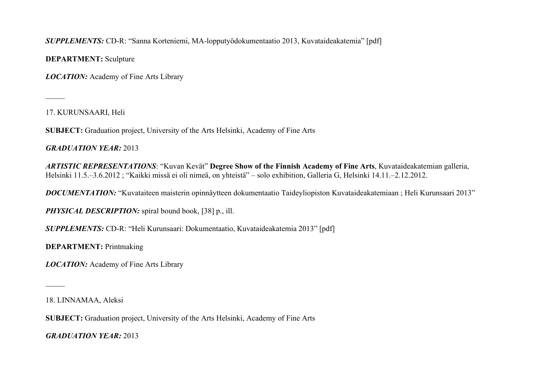*SUPPLEMENTS:* CD-R: "Sanna Korteniemi, MA-lopputyödokumentaatio 2013, Kuvataideakatemia" [pdf]

**DEPARTMENT:** Sculpture

*LOCATION:* Academy of Fine Arts Library

17. KURUNSAARI, Heli

 $\overline{\phantom{a}}$ 

**SUBJECT:** Graduation project, University of the Arts Helsinki, Academy of Fine Arts

*GRADUATION YEAR:* 2013

*ARTISTIC REPRESENTATIONS*: "Kuvan Kevät" **Degree Show of the Finnish Academy of Fine Arts**, Kuvataideakatemian galleria, Helsinki 11.5.–3.6.2012 ; "Kaikki missä ei oli nimeä, on yhteistä" – solo exhibition, Galleria G, Helsinki 14.11.–2.12.2012.

*DOCUMENTATION:* "Kuvataiteen maisterin opinnäytteen dokumentaatio Taideyliopiston Kuvataideakatemiaan ; Heli Kurunsaari 2013"

*PHYSICAL DESCRIPTION:* spiral bound book, [38] p., ill.

*SUPPLEMENTS:* CD-R: "Heli Kurunsaari: Dokumentaatio, Kuvataideakatemia 2013" [pdf]

**DEPARTMENT:** Printmaking

*LOCATION:* Academy of Fine Arts Library

18. LINNAMAA, Aleksi

 $\mathcal{L}$ 

**SUBJECT:** Graduation project, University of the Arts Helsinki, Academy of Fine Arts

*GRADUATION YEAR:* 2013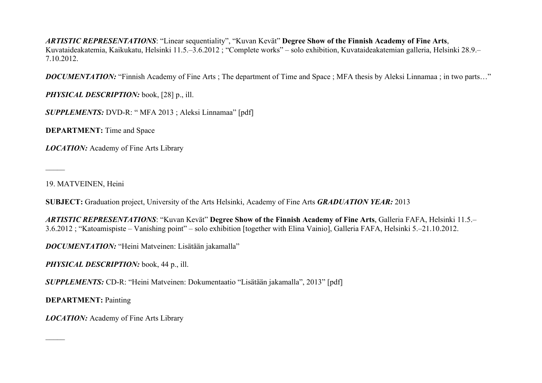*ARTISTIC REPRESENTATIONS*: "Linear sequentiality", "Kuvan Kevät" **Degree Show of the Finnish Academy of Fine Arts**, Kuvataideakatemia, Kaikukatu, Helsinki 11.5.–3.6.2012 ; "Complete works" – solo exhibition, Kuvataideakatemian galleria, Helsinki 28.9.– 7.10.2012.

**DOCUMENTATION:** "Finnish Academy of Fine Arts ; The department of Time and Space ; MFA thesis by Aleksi Linnamaa; in two parts..."

*PHYSICAL DESCRIPTION:* book, [28] p., ill.

*SUPPLEMENTS:* DVD-R: " MFA 2013 ; Aleksi Linnamaa" [pdf]

**DEPARTMENT:** Time and Space

*LOCATION:* Academy of Fine Arts Library

19. MATVEINEN, Heini

 $\overline{\phantom{a}}$ 

 $\mathcal{L}$ 

**SUBJECT:** Graduation project, University of the Arts Helsinki, Academy of Fine Arts *GRADUATION YEAR:* 2013

*ARTISTIC REPRESENTATIONS*: "Kuvan Kevät" **Degree Show of the Finnish Academy of Fine Arts**, Galleria FAFA, Helsinki 11.5.– 3.6.2012 ; "Katoamispiste – Vanishing point" – solo exhibition [together with Elina Vainio], Galleria FAFA, Helsinki 5.–21.10.2012.

*DOCUMENTATION:* "Heini Matveinen: Lisätään jakamalla"

*PHYSICAL DESCRIPTION:* book, 44 p., ill.

*SUPPLEMENTS:* CD-R: "Heini Matveinen: Dokumentaatio "Lisätään jakamalla", 2013" [pdf]

**DEPARTMENT:** Painting

*LOCATION:* Academy of Fine Arts Library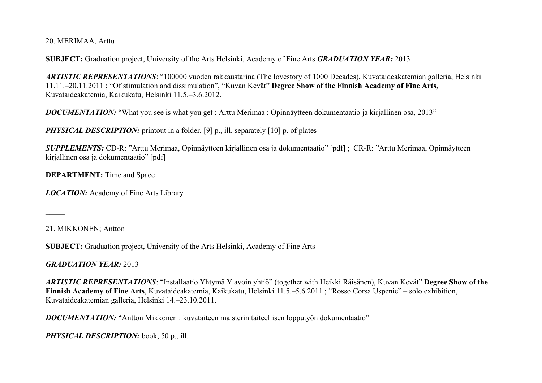20. MERIMAA, Arttu

**SUBJECT:** Graduation project, University of the Arts Helsinki, Academy of Fine Arts *GRADUATION YEAR:* 2013

*ARTISTIC REPRESENTATIONS*: "100000 vuoden rakkaustarina (The lovestory of 1000 Decades), Kuvataideakatemian galleria, Helsinki 11.11.–20.11.2011 ; "Of stimulation and dissimulation", "Kuvan Kevät" **Degree Show of the Finnish Academy of Fine Arts**, Kuvataideakatemia, Kaikukatu, Helsinki 11.5.–3.6.2012.

*DOCUMENTATION:* "What you see is what you get : Arttu Merimaa ; Opinnäytteen dokumentaatio ja kirjallinen osa, 2013"

*PHYSICAL DESCRIPTION:* printout in a folder, [9] p., ill. separately [10] p. of plates

*SUPPLEMENTS:* CD-R: "Arttu Merimaa, Opinnäytteen kirjallinen osa ja dokumentaatio" [pdf] ; CR-R: "Arttu Merimaa, Opinnäytteen kirjallinen osa ja dokumentaatio" [pdf]

**DEPARTMENT:** Time and Space

*LOCATION:* Academy of Fine Arts Library

21. MIKKONEN; Antton

 $\mathcal{L}$ 

**SUBJECT:** Graduation project, University of the Arts Helsinki, Academy of Fine Arts

*GRADUATION YEAR:* 2013

*ARTISTIC REPRESENTATIONS*: "Installaatio Yhtymä Y avoin yhtiö" (together with Heikki Räisänen), Kuvan Kevät" **Degree Show of the Finnish Academy of Fine Arts**, Kuvataideakatemia, Kaikukatu, Helsinki 11.5.–5.6.2011 ; "Rosso Corsa Uspenie" – solo exhibition, Kuvataideakatemian galleria, Helsinki 14.–23.10.2011.

*DOCUMENTATION:* "Antton Mikkonen : kuvataiteen maisterin taiteellisen lopputyön dokumentaatio"

*PHYSICAL DESCRIPTION:* book, 50 p., ill.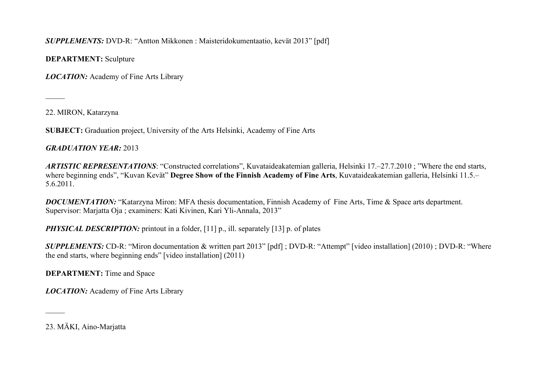*SUPPLEMENTS:* DVD-R: "Antton Mikkonen : Maisteridokumentaatio, kevät 2013" [pdf]

**DEPARTMENT:** Sculpture

*LOCATION:* Academy of Fine Arts Library

22. MIRON, Katarzyna

 $\overline{\phantom{a}}$ 

**SUBJECT:** Graduation project, University of the Arts Helsinki, Academy of Fine Arts

*GRADUATION YEAR:* 2013

*ARTISTIC REPRESENTATIONS*: "Constructed correlations", Kuvataideakatemian galleria, Helsinki 17.–27.7.2010 ; "Where the end starts, where beginning ends", "Kuvan Kevät" **Degree Show of the Finnish Academy of Fine Arts**, Kuvataideakatemian galleria, Helsinki 11.5.– 5.6.2011.

*DOCUMENTATION:* "Katarzyna Miron: MFA thesis documentation, Finnish Academy of Fine Arts, Time & Space arts department. Supervisor: Marjatta Oja ; examiners: Kati Kivinen, Kari Yli-Annala, 2013"

*PHYSICAL DESCRIPTION:* printout in a folder, [11] p., ill. separately [13] p. of plates

*SUPPLEMENTS:* CD-R: "Miron documentation & written part 2013" [pdf] ; DVD-R: "Attempt" [video installation] (2010) ; DVD-R: "Where the end starts, where beginning ends" [video installation] (2011)

**DEPARTMENT:** Time and Space

*LOCATION:* Academy of Fine Arts Library

23. MÄKI, Aino-Marjatta

 $\mathcal{L}$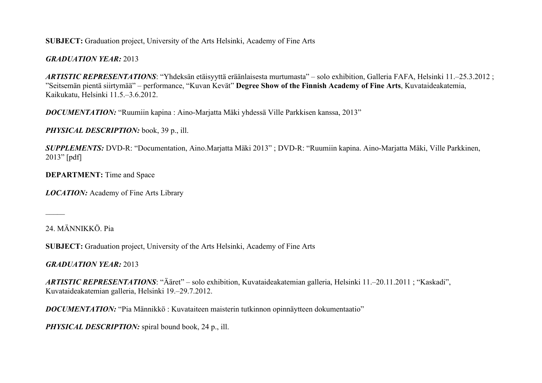**SUBJECT:** Graduation project, University of the Arts Helsinki, Academy of Fine Arts

## *GRADUATION YEAR:* 2013

*ARTISTIC REPRESENTATIONS*: "Yhdeksän etäisyyttä eräänlaisesta murtumasta" – solo exhibition, Galleria FAFA, Helsinki 11.–25.3.2012 ; "Seitsemän pientä siirtymää" – performance, "Kuvan Kevät" **Degree Show of the Finnish Academy of Fine Arts**, Kuvataideakatemia, Kaikukatu, Helsinki 11.5.–3.6.2012.

*DOCUMENTATION:* "Ruumiin kapina : Aino-Marjatta Mäki yhdessä Ville Parkkisen kanssa, 2013"

*PHYSICAL DESCRIPTION:* book, 39 p., ill.

*SUPPLEMENTS:* DVD-R: "Documentation, Aino.Marjatta Mäki 2013" ; DVD-R: "Ruumiin kapina. Aino-Marjatta Mäki, Ville Parkkinen, 2013" [pdf]

**DEPARTMENT:** Time and Space

*LOCATION:* Academy of Fine Arts Library

24. MÄNNIKKÖ. Pia

 $\mathcal{L}$ 

**SUBJECT:** Graduation project, University of the Arts Helsinki, Academy of Fine Arts

*GRADUATION YEAR:* 2013

*ARTISTIC REPRESENTATIONS*: "Ääret" – solo exhibition, Kuvataideakatemian galleria, Helsinki 11.–20.11.2011 ; "Kaskadi", Kuvataideakatemian galleria, Helsinki 19.–29.7.2012.

*DOCUMENTATION:* "Pia Männikkö : Kuvataiteen maisterin tutkinnon opinnäytteen dokumentaatio"

*PHYSICAL DESCRIPTION:* spiral bound book, 24 p., ill.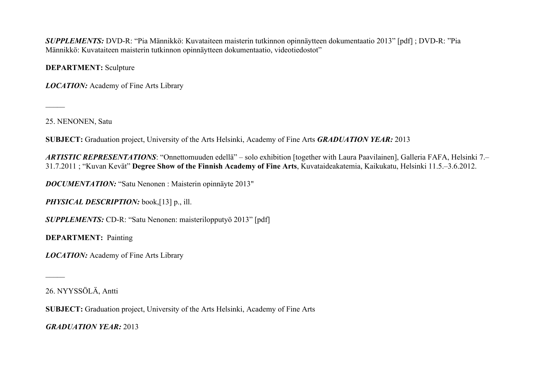*SUPPLEMENTS:* DVD-R: "Pia Männikkö: Kuvataiteen maisterin tutkinnon opinnäytteen dokumentaatio 2013" [pdf] ; DVD-R: "Pia Männikkö: Kuvataiteen maisterin tutkinnon opinnäytteen dokumentaatio, videotiedostot"

**DEPARTMENT:** Sculpture

*LOCATION:* Academy of Fine Arts Library

25. NENONEN, Satu

 $\overline{\phantom{a}}$ 

**SUBJECT:** Graduation project, University of the Arts Helsinki, Academy of Fine Arts *GRADUATION YEAR:* 2013

*ARTISTIC REPRESENTATIONS*: "Onnettomuuden edellä" – solo exhibition [together with Laura Paavilainen], Galleria FAFA, Helsinki 7.– 31.7.2011 ; "Kuvan Kevät" **Degree Show of the Finnish Academy of Fine Arts**, Kuvataideakatemia, Kaikukatu, Helsinki 11.5.–3.6.2012.

*DOCUMENTATION:* "Satu Nenonen : Maisterin opinnäyte 2013"

*PHYSICAL DESCRIPTION:* book,[13] p., ill.

*SUPPLEMENTS:* CD-R: "Satu Nenonen: maisterilopputyö 2013" [pdf]

**DEPARTMENT:** Painting

*LOCATION:* Academy of Fine Arts Library

26. NYYSSÖLÄ, Antti

 $\overline{\phantom{a}}$ 

**SUBJECT:** Graduation project, University of the Arts Helsinki, Academy of Fine Arts

*GRADUATION YEAR:* 2013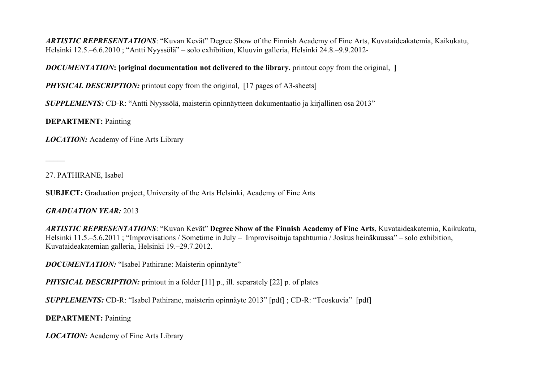*ARTISTIC REPRESENTATIONS*: "Kuvan Kevät" Degree Show of the Finnish Academy of Fine Arts, Kuvataideakatemia, Kaikukatu, Helsinki 12.5.–6.6.2010 ; "Antti Nyyssölä" – solo exhibition, Kluuvin galleria, Helsinki 24.8.–9.9.2012-

#### *DOCUMENTATION***: [original documentation not delivered to the library.** printout copy from the original, **]**

*PHYSICAL DESCRIPTION:* printout copy from the original, [17 pages of A3-sheets]

*SUPPLEMENTS:* CD-R: "Antti Nyyssölä, maisterin opinnäytteen dokumentaatio ja kirjallinen osa 2013"

**DEPARTMENT:** Painting

*LOCATION:* Academy of Fine Arts Library

27. PATHIRANE, Isabel

 $\mathcal{L}$ 

**SUBJECT:** Graduation project, University of the Arts Helsinki, Academy of Fine Arts

#### *GRADUATION YEAR:* 2013

*ARTISTIC REPRESENTATIONS*: "Kuvan Kevät" **Degree Show of the Finnish Academy of Fine Arts**, Kuvataideakatemia, Kaikukatu, Helsinki 11.5.–5.6.2011 ; "Improvisations / Sometime in July – Improvisoituja tapahtumia / Joskus heinäkuussa" – solo exhibition, Kuvataideakatemian galleria, Helsinki 19.–29.7.2012.

*DOCUMENTATION:* "Isabel Pathirane: Maisterin opinnäyte"

*PHYSICAL DESCRIPTION:* printout in a folder [11] p., ill. separately [22] p. of plates

*SUPPLEMENTS:* CD-R: "Isabel Pathirane, maisterin opinnäyte 2013" [pdf] ; CD-R: "Teoskuvia" [pdf]

**DEPARTMENT:** Painting

*LOCATION:* Academy of Fine Arts Library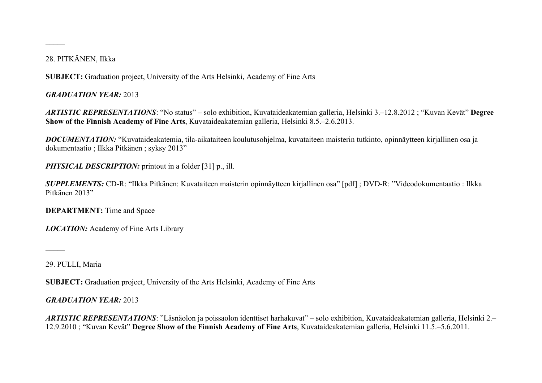## 28. PITKÄNEN, Ilkka

 $\overline{\phantom{a}}$ 

**SUBJECT:** Graduation project, University of the Arts Helsinki, Academy of Fine Arts

## *GRADUATION YEAR:* 2013

*ARTISTIC REPRESENTATIONS*: "No status" – solo exhibition, Kuvataideakatemian galleria, Helsinki 3.–12.8.2012 ; "Kuvan Kevät" **Degree Show of the Finnish Academy of Fine Arts**, Kuvataideakatemian galleria, Helsinki 8.5.–2.6.2013.

*DOCUMENTATION:* "Kuvataideakatemia, tila-aikataiteen koulutusohjelma, kuvataiteen maisterin tutkinto, opinnäytteen kirjallinen osa ja dokumentaatio ; Ilkka Pitkänen ; syksy 2013"

## *PHYSICAL DESCRIPTION:* printout in a folder [31] p., ill.

*SUPPLEMENTS:* CD-R: "Ilkka Pitkänen: Kuvataiteen maisterin opinnäytteen kirjallinen osa" [pdf] ; DVD-R: "Videodokumentaatio : Ilkka Pitkänen 2013"

### **DEPARTMENT:** Time and Space

*LOCATION:* Academy of Fine Arts Library

29. PULLI, Maria

 $\mathcal{L}$ 

**SUBJECT:** Graduation project, University of the Arts Helsinki, Academy of Fine Arts

## *GRADUATION YEAR:* 2013

*ARTISTIC REPRESENTATIONS*: "Läsnäolon ja poissaolon identtiset harhakuvat" – solo exhibition, Kuvataideakatemian galleria, Helsinki 2.– 12.9.2010 ; "Kuvan Kevät" **Degree Show of the Finnish Academy of Fine Arts**, Kuvataideakatemian galleria, Helsinki 11.5.–5.6.2011.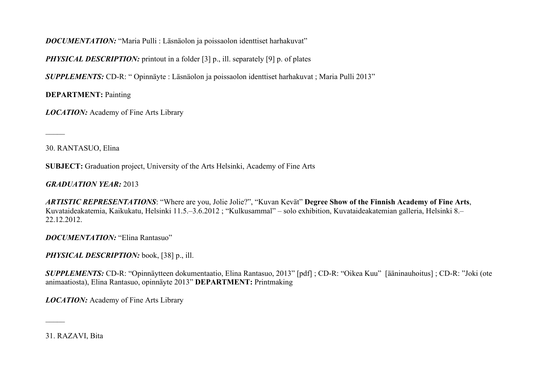## *DOCUMENTATION:* "Maria Pulli : Läsnäolon ja poissaolon identtiset harhakuvat"

*PHYSICAL DESCRIPTION:* printout in a folder [3] p., ill. separately [9] p. of plates

*SUPPLEMENTS:* CD-R: " Opinnäyte : Läsnäolon ja poissaolon identtiset harhakuvat ; Maria Pulli 2013"

**DEPARTMENT:** Painting

*LOCATION:* Academy of Fine Arts Library

30. RANTASUO, Elina

 $\overline{\phantom{a}}$ 

**SUBJECT:** Graduation project, University of the Arts Helsinki, Academy of Fine Arts

*GRADUATION YEAR:* 2013

*ARTISTIC REPRESENTATIONS*: "Where are you, Jolie Jolie?", "Kuvan Kevät" **Degree Show of the Finnish Academy of Fine Arts**, Kuvataideakatemia, Kaikukatu, Helsinki 11.5.–3.6.2012 ; "Kulkusammal" – solo exhibition, Kuvataideakatemian galleria, Helsinki 8.– 22.12.2012.

*DOCUMENTATION:* "Elina Rantasuo"

*PHYSICAL DESCRIPTION:* book, [38] p., ill.

*SUPPLEMENTS:* CD-R: "Opinnäytteen dokumentaatio, Elina Rantasuo, 2013" [pdf] ; CD-R: "Oikea Kuu" [ääninauhoitus] ; CD-R: "Joki (ote animaatiosta), Elina Rantasuo, opinnäyte 2013" **DEPARTMENT:** Printmaking

*LOCATION:* Academy of Fine Arts Library

31. RAZAVI, Bita

 $\mathcal{L}$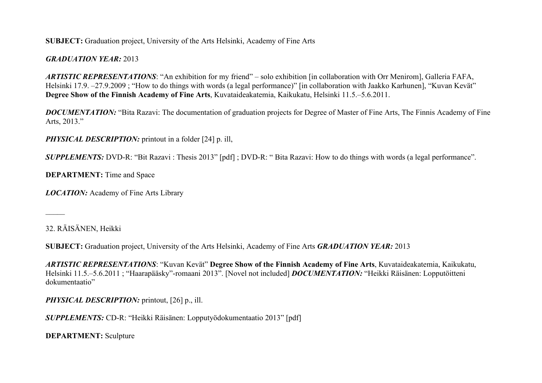#### **SUBJECT:** Graduation project, University of the Arts Helsinki, Academy of Fine Arts

## *GRADUATION YEAR:* 2013

*ARTISTIC REPRESENTATIONS*: "An exhibition for my friend" – solo exhibition [in collaboration with Orr Menirom], Galleria FAFA, Helsinki 17.9. –27.9.2009 ; "How to do things with words (a legal performance)" [in collaboration with Jaakko Karhunen], "Kuvan Kevät" **Degree Show of the Finnish Academy of Fine Arts**, Kuvataideakatemia, Kaikukatu, Helsinki 11.5.–5.6.2011.

*DOCUMENTATION:* "Bita Razavi: The documentation of graduation projects for Degree of Master of Fine Arts, The Finnis Academy of Fine Arts, 2013."

*PHYSICAL DESCRIPTION:* printout in a folder [24] p. ill,

*SUPPLEMENTS: DVD-R:* "Bit Razavi : Thesis 2013" [pdf] ; DVD-R: "Bita Razavi: How to do things with words (a legal performance".

**DEPARTMENT:** Time and Space

*LOCATION:* Academy of Fine Arts Library

32. RÄISÄNEN, Heikki

 $\mathcal{L}$ 

**SUBJECT:** Graduation project, University of the Arts Helsinki, Academy of Fine Arts *GRADUATION YEAR:* 2013

*ARTISTIC REPRESENTATIONS*: "Kuvan Kevät" **Degree Show of the Finnish Academy of Fine Arts**, Kuvataideakatemia, Kaikukatu, Helsinki 11.5.–5.6.2011 ; "Haarapääsky"-romaani 2013". [Novel not included] *DOCUMENTATION:* "Heikki Räisänen: Lopputöitteni dokumentaatio"

*PHYSICAL DESCRIPTION:* printout, [26] p., ill.

*SUPPLEMENTS:* CD-R: "Heikki Räisänen: Lopputyödokumentaatio 2013" [pdf]

**DEPARTMENT:** Sculpture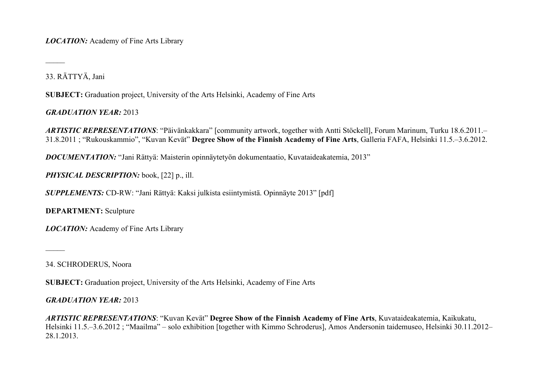*LOCATION:* Academy of Fine Arts Library

33. RÄTTYÄ, Jani

 $\overline{\phantom{a}}$ 

**SUBJECT:** Graduation project, University of the Arts Helsinki, Academy of Fine Arts

*GRADUATION YEAR:* 2013

*ARTISTIC REPRESENTATIONS*: "Päivänkakkara" [community artwork, together with Antti Stöckell], Forum Marinum, Turku 18.6.2011.– 31.8.2011 ; "Rukouskammio", "Kuvan Kevät" **Degree Show of the Finnish Academy of Fine Arts**, Galleria FAFA, Helsinki 11.5.–3.6.2012.

*DOCUMENTATION:* "Jani Rättyä: Maisterin opinnäytetyön dokumentaatio, Kuvataideakatemia, 2013"

*PHYSICAL DESCRIPTION:* book, [22] p., ill.

*SUPPLEMENTS:* CD-RW: "Jani Rättyä: Kaksi julkista esiintymistä. Opinnäyte 2013" [pdf]

**DEPARTMENT:** Sculpture

*LOCATION:* Academy of Fine Arts Library

34. SCHRODERUS, Noora

 $\mathcal{L}$ 

**SUBJECT:** Graduation project, University of the Arts Helsinki, Academy of Fine Arts

*GRADUATION YEAR:* 2013

*ARTISTIC REPRESENTATIONS*: "Kuvan Kevät" **Degree Show of the Finnish Academy of Fine Arts**, Kuvataideakatemia, Kaikukatu, Helsinki 11.5.–3.6.2012 ; "Maailma" – solo exhibition [together with Kimmo Schroderus], Amos Andersonin taidemuseo, Helsinki 30.11.2012– 28.1.2013.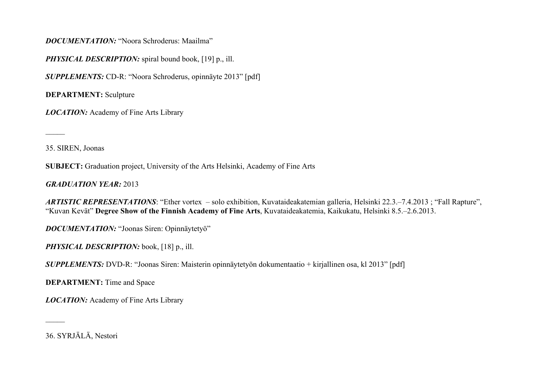#### *DOCUMENTATION:* "Noora Schroderus: Maailma"

*PHYSICAL DESCRIPTION:* spiral bound book, [19] p., ill.

*SUPPLEMENTS:* CD-R: "Noora Schroderus, opinnäyte 2013" [pdf]

**DEPARTMENT:** Sculpture

*LOCATION:* Academy of Fine Arts Library

35. SIREN, Joonas

 $\overline{\phantom{a}}$ 

**SUBJECT:** Graduation project, University of the Arts Helsinki, Academy of Fine Arts

*GRADUATION YEAR:* 2013

*ARTISTIC REPRESENTATIONS*: "Ether vortex – solo exhibition, Kuvataideakatemian galleria, Helsinki 22.3.–7.4.2013 ; "Fall Rapture", "Kuvan Kevät" **Degree Show of the Finnish Academy of Fine Arts**, Kuvataideakatemia, Kaikukatu, Helsinki 8.5.–2.6.2013.

*DOCUMENTATION:* "Joonas Siren: Opinnäytetyö"

*PHYSICAL DESCRIPTION:* book, [18] p., ill.

*SUPPLEMENTS:* DVD-R: "Joonas Siren: Maisterin opinnäytetyön dokumentaatio + kirjallinen osa, kl 2013" [pdf]

**DEPARTMENT:** Time and Space

*LOCATION:* Academy of Fine Arts Library

36. SYRJÄLÄ, Nestori

 $\mathcal{L}$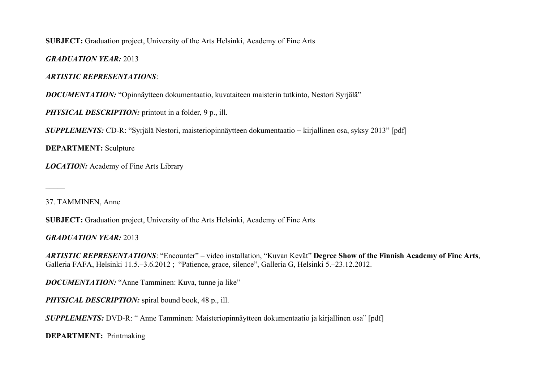**SUBJECT:** Graduation project, University of the Arts Helsinki, Academy of Fine Arts

*GRADUATION YEAR:* 2013

#### *ARTISTIC REPRESENTATIONS*:

*DOCUMENTATION:* "Opinnäytteen dokumentaatio, kuvataiteen maisterin tutkinto, Nestori Syrjälä"

*PHYSICAL DESCRIPTION:* printout in a folder, 9 p., ill.

*SUPPLEMENTS:* CD-R: "Syrjälä Nestori, maisteriopinnäytteen dokumentaatio + kirjallinen osa, syksy 2013" [pdf]

**DEPARTMENT:** Sculpture

*LOCATION:* Academy of Fine Arts Library

37. TAMMINEN, Anne

 $\overline{\phantom{a}}$ 

**SUBJECT:** Graduation project, University of the Arts Helsinki, Academy of Fine Arts

*GRADUATION YEAR:* 2013

*ARTISTIC REPRESENTATIONS*: "Encounter" – video installation, "Kuvan Kevät" **Degree Show of the Finnish Academy of Fine Arts**, Galleria FAFA, Helsinki 11.5.–3.6.2012 ; "Patience, grace, silence", Galleria G, Helsinki 5.–23.12.2012.

*DOCUMENTATION:* "Anne Tamminen: Kuva, tunne ja like"

*PHYSICAL DESCRIPTION:* spiral bound book, 48 p., ill.

*SUPPLEMENTS:* DVD-R: " Anne Tamminen: Maisteriopinnäytteen dokumentaatio ja kirjallinen osa" [pdf]

**DEPARTMENT:** Printmaking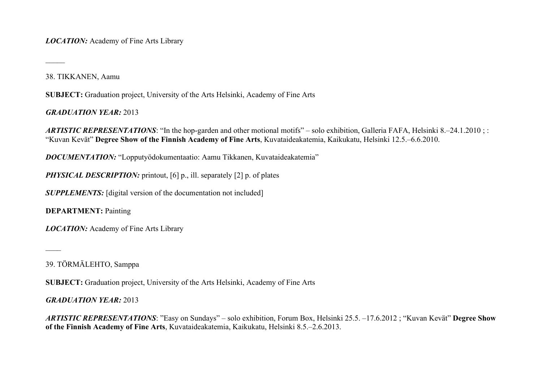*LOCATION:* Academy of Fine Arts Library

38. TIKKANEN, Aamu

 $\overline{\phantom{a}}$ 

 $\overline{\phantom{a}}$ 

**SUBJECT:** Graduation project, University of the Arts Helsinki, Academy of Fine Arts

*GRADUATION YEAR:* 2013

*ARTISTIC REPRESENTATIONS*: "In the hop-garden and other motional motifs" – solo exhibition, Galleria FAFA, Helsinki 8.–24.1.2010; : "Kuvan Kevät" **Degree Show of the Finnish Academy of Fine Arts**, Kuvataideakatemia, Kaikukatu, Helsinki 12.5.–6.6.2010.

*DOCUMENTATION:* "Lopputyödokumentaatio: Aamu Tikkanen, Kuvataideakatemia"

*PHYSICAL DESCRIPTION:* printout, [6] p., ill. separately [2] p. of plates

**SUPPLEMENTS:** [digital version of the documentation not included]

**DEPARTMENT:** Painting

*LOCATION:* Academy of Fine Arts Library

39. TÖRMÄLEHTO, Samppa

**SUBJECT:** Graduation project, University of the Arts Helsinki, Academy of Fine Arts

*GRADUATION YEAR:* 2013

*ARTISTIC REPRESENTATIONS*: "Easy on Sundays" – solo exhibition, Forum Box, Helsinki 25.5. –17.6.2012 ; "Kuvan Kevät" **Degree Show of the Finnish Academy of Fine Arts**, Kuvataideakatemia, Kaikukatu, Helsinki 8.5.–2.6.2013.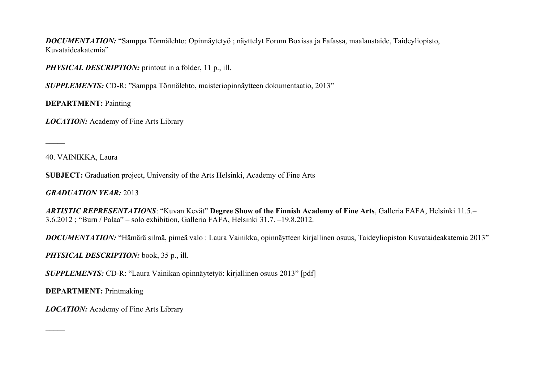*DOCUMENTATION:* "Samppa Törmälehto: Opinnäytetyö ; näyttelyt Forum Boxissa ja Fafassa, maalaustaide, Taideyliopisto, Kuvataideakatemia"

*PHYSICAL DESCRIPTION:* printout in a folder, 11 p., ill.

*SUPPLEMENTS:* CD-R: "Samppa Törmälehto, maisteriopinnäytteen dokumentaatio, 2013"

**DEPARTMENT:** Painting

*LOCATION:* Academy of Fine Arts Library

40. VAINIKKA, Laura

 $\overline{\phantom{a}}$ 

 $\mathcal{L}$ 

**SUBJECT:** Graduation project, University of the Arts Helsinki, Academy of Fine Arts

*GRADUATION YEAR:* 2013

*ARTISTIC REPRESENTATIONS*: "Kuvan Kevät" **Degree Show of the Finnish Academy of Fine Arts**, Galleria FAFA, Helsinki 11.5.– 3.6.2012 ; "Burn / Palaa" – solo exhibition, Galleria FAFA, Helsinki 31.7. –19.8.2012.

*DOCUMENTATION:* "Hämärä silmä, pimeä valo : Laura Vainikka, opinnäytteen kirjallinen osuus, Taideyliopiston Kuvataideakatemia 2013"

*PHYSICAL DESCRIPTION:* book, 35 p., ill.

*SUPPLEMENTS:* CD-R: "Laura Vainikan opinnäytetyö: kirjallinen osuus 2013" [pdf]

**DEPARTMENT:** Printmaking

*LOCATION:* Academy of Fine Arts Library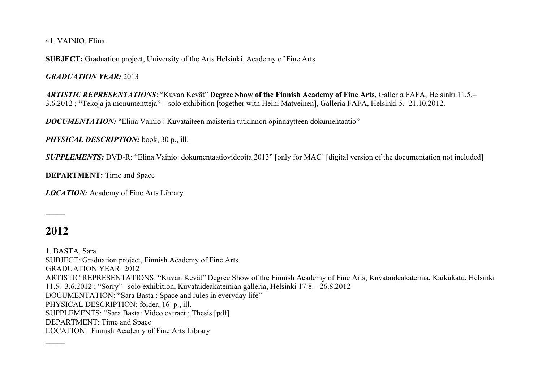41. VAINIO, Elina

**SUBJECT:** Graduation project, University of the Arts Helsinki, Academy of Fine Arts

*GRADUATION YEAR:* 2013

*ARTISTIC REPRESENTATIONS*: "Kuvan Kevät" **Degree Show of the Finnish Academy of Fine Arts**, Galleria FAFA, Helsinki 11.5.– 3.6.2012 ; "Tekoja ja monumentteja" – solo exhibition [together with Heini Matveinen], Galleria FAFA, Helsinki 5.–21.10.2012.

*DOCUMENTATION:* "Elina Vainio : Kuvataiteen maisterin tutkinnon opinnäytteen dokumentaatio"

*PHYSICAL DESCRIPTION:* book, 30 p., ill.

*SUPPLEMENTS: DVD-R:* "Elina Vainio: dokumentaatiovideoita 2013" [only for MAC] [digital version of the documentation not included]

**DEPARTMENT:** Time and Space

*LOCATION:* Academy of Fine Arts Library

**2012**

 $\mathcal{L}$ 

 $\overline{\phantom{a}}$ 

1. BASTA, Sara SUBJECT: Graduation project, Finnish Academy of Fine Arts GRADUATION YEAR: 2012 ARTISTIC REPRESENTATIONS: "Kuvan Kevät" Degree Show of the Finnish Academy of Fine Arts, Kuvataideakatemia, Kaikukatu, Helsinki 11.5.–3.6.2012 ; "Sorry" –solo exhibition, Kuvataideakatemian galleria, Helsinki 17.8.– 26.8.2012 DOCUMENTATION: "Sara Basta : Space and rules in everyday life" PHYSICAL DESCRIPTION: folder, 16 p., ill. SUPPLEMENTS: "Sara Basta: Video extract ; Thesis [pdf] DEPARTMENT: Time and Space LOCATION: Finnish Academy of Fine Arts Library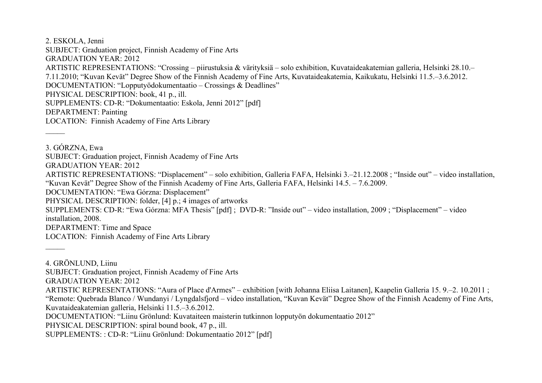2. ESKOLA, Jenni SUBJECT: Graduation project, Finnish Academy of Fine Arts GRADUATION YEAR: 2012 ARTISTIC REPRESENTATIONS: "Crossing – piirustuksia & värityksiä – solo exhibition, Kuvataideakatemian galleria, Helsinki 28.10.– 7.11.2010; "Kuvan Kevät" Degree Show of the Finnish Academy of Fine Arts, Kuvataideakatemia, Kaikukatu, Helsinki 11.5.–3.6.2012. DOCUMENTATION: "Lopputyödokumentaatio – Crossings & Deadlines" PHYSICAL DESCRIPTION: book, 41 p., ill. SUPPLEMENTS: CD-R: "Dokumentaatio: Eskola, Jenni 2012" [pdf] DEPARTMENT: Painting LOCATION: Finnish Academy of Fine Arts Library  $\overline{\phantom{a}}$ 3. GÓRZNA, Ewa SUBJECT: Graduation project, Finnish Academy of Fine Arts GRADUATION YEAR: 2012 ARTISTIC REPRESENTATIONS: "Displacement" – solo exhibition, Galleria FAFA, Helsinki 3.–21.12.2008 ; "Inside out" – video installation, "Kuvan Kevät" Degree Show of the Finnish Academy of Fine Arts, Galleria FAFA, Helsinki 14.5. – 7.6.2009.

DOCUMENTATION: "Ewa Górzna: Displacement"

PHYSICAL DESCRIPTION: folder, [4] p.; 4 images of artworks

SUPPLEMENTS: CD-R: "Ewa Górzna: MFA Thesis" [pdf] ; DVD-R: "Inside out" – video installation, 2009 ; "Displacement" – video installation, 2008.

DEPARTMENT: Time and Space

 $\overline{\phantom{a}}$ 

LOCATION: Finnish Academy of Fine Arts Library

4. GRÖNLUND, Liinu SUBJECT: Graduation project, Finnish Academy of Fine Arts GRADUATION YEAR: 2012 ARTISTIC REPRESENTATIONS: "Aura of Place d'Armes" – exhibition [with Johanna Eliisa Laitanen], Kaapelin Galleria 15. 9.–2. 10.2011 ; "Remote: Quebrada Blanco / Wundanyi / Lyngdalsfjord – video installation, "Kuvan Kevät" Degree Show of the Finnish Academy of Fine Arts, Kuvataideakatemian galleria, Helsinki 11.5.–3.6.2012. DOCUMENTATION: "Liinu Grönlund: Kuvataiteen maisterin tutkinnon lopputyön dokumentaatio 2012" PHYSICAL DESCRIPTION: spiral bound book, 47 p., ill.

SUPPLEMENTS: : CD-R: "Liinu Grönlund: Dokumentaatio 2012" [pdf]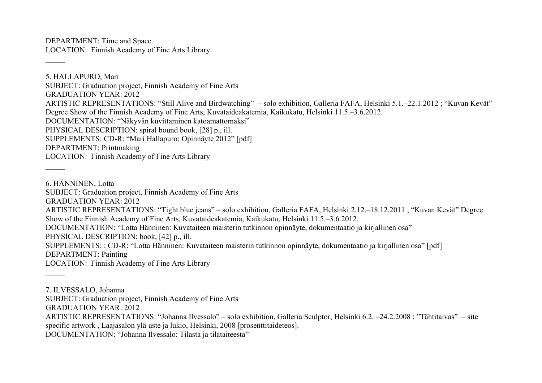DEPARTMENT: Time and Space LOCATION: Finnish Academy of Fine Arts Library

 $\overline{\phantom{a}}$ 

 $\overline{\phantom{a}}$ 

5. HALLAPURO, Mari SUBJECT: Graduation project, Finnish Academy of Fine Arts GRADUATION YEAR: 2012 ARTISTIC REPRESENTATIONS: "Still Alive and Birdwatching" – solo exhibition, Galleria FAFA, Helsinki 5.1.–22.1.2012 ; "Kuvan Kevät" Degree Show of the Finnish Academy of Fine Arts, Kuvataideakatemia, Kaikukatu, Helsinki 11.5.–3.6.2012. DOCUMENTATION: "Näkyvän kuvittaminen katoamattomaksi" PHYSICAL DESCRIPTION: spiral bound book, [28] p., ill. SUPPLEMENTS: CD-R: "Mari Hallapuro: Opinnäyte 2012" [pdf] DEPARTMENT: Printmaking LOCATION: Finnish Academy of Fine Arts Library

6. HÄNNINEN, Lotta SUBJECT: Graduation project, Finnish Academy of Fine Arts GRADUATION YEAR: 2012 ARTISTIC REPRESENTATIONS: "Tight blue jeans" – solo exhibition, Galleria FAFA, Helsinki 2.12.–18.12.2011 ; "Kuvan Kevät" Degree Show of the Finnish Academy of Fine Arts, Kuvataideakatemia, Kaikukatu, Helsinki 11.5.–3.6.2012. DOCUMENTATION: "Lotta Hänninen: Kuvataiteen maisterin tutkinnon opinnäyte, dokumentaatio ja kirjallinen osa" PHYSICAL DESCRIPTION: book, [42] p., ill. SUPPLEMENTS: : CD-R: "Lotta Hänninen: Kuvataiteen maisterin tutkinnon opinnäyte, dokumentaatio ja kirjallinen osa" [pdf] DEPARTMENT: Painting LOCATION: Finnish Academy of Fine Arts Library  $\overline{\phantom{a}}$ 

7. ILVESSALO, Johanna

SUBJECT: Graduation project, Finnish Academy of Fine Arts

GRADUATION YEAR: 2012

ARTISTIC REPRESENTATIONS: "Johanna Ilvessalo" – solo exhibition, Galleria Sculptor, Helsinki 6.2. –24.2.2008 ; "Tähtitaivas" – site specific artwork , Laajasalon ylä-aste ja lukio, Helsinki, 2008 [prosenttitaideteos].

DOCUMENTATION: "Johanna Ilvessalo: Tilasta ja tilataiteesta"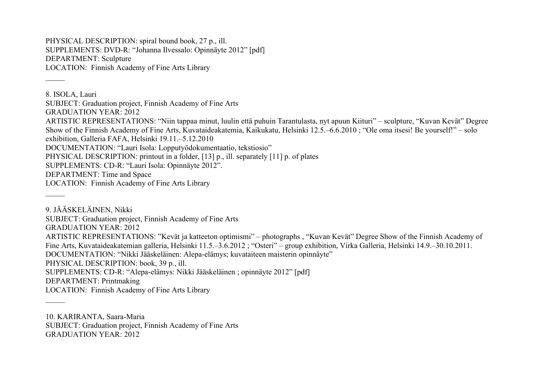PHYSICAL DESCRIPTION: spiral bound book, 27 p., ill. SUPPLEMENTS: DVD-R: "Johanna Ilvessalo: Opinnäyte 2012" [pdf] DEPARTMENT: Sculpture LOCATION: Finnish Academy of Fine Arts Library

 $\overline{\phantom{a}}$ 

 $\overline{\phantom{a}}$ 

 $\mathcal{L}$ 

8. ISOLA, Lauri SUBJECT: Graduation project, Finnish Academy of Fine Arts GRADUATION YEAR: 2012 ARTISTIC REPRESENTATIONS: "Niin tappaa minut, luulin että puhuin Tarantulasta, nyt apuun Kiituri" – sculpture, "Kuvan Kevät" Degree Show of the Finnish Academy of Fine Arts, Kuvataideakatemia, Kaikukatu, Helsinki 12.5.–6.6.2010 ; "Ole oma itsesi! Be yourself!" – solo exhibition, Galleria FAFA, Helsinki 19.11.–5.12.2010 DOCUMENTATION: "Lauri Isola: Lopputyödokumentaatio, tekstiosio" PHYSICAL DESCRIPTION: printout in a folder, [13] p., ill. separately [11] p. of plates SUPPLEMENTS: CD-R: "Lauri Isola: Opinnäyte 2012". DEPARTMENT: Time and Space LOCATION: Finnish Academy of Fine Arts Library

9. JÄÄSKELÄINEN, Nikki SUBJECT: Graduation project, Finnish Academy of Fine Arts GRADUATION YEAR: 2012 ARTISTIC REPRESENTATIONS: "Kevät ja katteeton optimismi" – photographs , "Kuvan Kevät" Degree Show of the Finnish Academy of Fine Arts, Kuvataideakatemian galleria, Helsinki 11.5.–3.6.2012 ; "Osteri" – group exhibition, Virka Galleria, Helsinki 14.9.–30.10.2011. DOCUMENTATION: "Nikki Jääskeläinen: Alepa-elämys; kuvataiteen maisterin opinnäyte" PHYSICAL DESCRIPTION: book, 39 p., ill. SUPPLEMENTS: CD-R: "Alepa-elämys: Nikki Jääskeläinen ; opinnäyte 2012" [pdf] DEPARTMENT: Printmaking LOCATION: Finnish Academy of Fine Arts Library

10. KARIRANTA, Saara-Maria SUBJECT: Graduation project, Finnish Academy of Fine Arts GRADUATION YEAR: 2012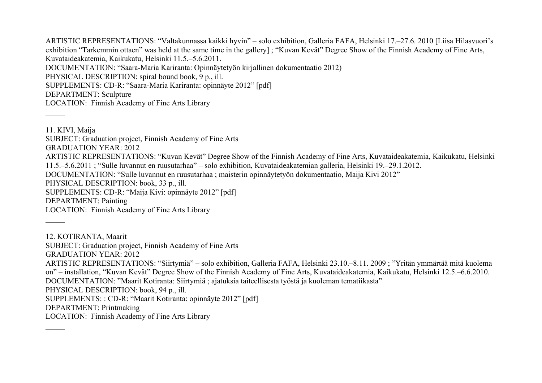ARTISTIC REPRESENTATIONS: "Valtakunnassa kaikki hyvin" – solo exhibition, Galleria FAFA, Helsinki 17.–27.6. 2010 [Liisa Hilasvuori's exhibition "Tarkemmin ottaen" was held at the same time in the gallery] ; "Kuvan Kevät" Degree Show of the Finnish Academy of Fine Arts, Kuvataideakatemia, Kaikukatu, Helsinki 11.5.–5.6.2011. DOCUMENTATION: "Saara-Maria Kariranta: Opinnäytetyön kirjallinen dokumentaatio 2012) PHYSICAL DESCRIPTION: spiral bound book, 9 p., ill. SUPPLEMENTS: CD-R: "Saara-Maria Kariranta: opinnäyte 2012" [pdf] DEPARTMENT: Sculpture LOCATION: Finnish Academy of Fine Arts Library

 $\overline{\phantom{a}}$ 

 $\mathcal{L}$ 

11. KIVI, Maija SUBJECT: Graduation project, Finnish Academy of Fine Arts GRADUATION YEAR: 2012 ARTISTIC REPRESENTATIONS: "Kuvan Kevät" Degree Show of the Finnish Academy of Fine Arts, Kuvataideakatemia, Kaikukatu, Helsinki 11.5.–5.6.2011 ; "Sulle luvannut en ruusutarhaa" – solo exhibition, Kuvataideakatemian galleria, Helsinki 19.–29.1.2012. DOCUMENTATION: "Sulle luvannut en ruusutarhaa ; maisterin opinnäytetyön dokumentaatio, Maija Kivi 2012" PHYSICAL DESCRIPTION: book, 33 p., ill. SUPPLEMENTS: CD-R: "Maija Kivi: opinnäyte 2012" [pdf] DEPARTMENT: Painting LOCATION: Finnish Academy of Fine Arts Library

12. KOTIRANTA, Maarit SUBJECT: Graduation project, Finnish Academy of Fine Arts GRADUATION YEAR: 2012 ARTISTIC REPRESENTATIONS: "Siirtymiä" – solo exhibition, Galleria FAFA, Helsinki 23.10.–8.11. 2009 ; "Yritän ymmärtää mitä kuolema on" – installation, "Kuvan Kevät" Degree Show of the Finnish Academy of Fine Arts, Kuvataideakatemia, Kaikukatu, Helsinki 12.5.–6.6.2010. DOCUMENTATION: "Maarit Kotiranta: Siirtymiä ; ajatuksia taiteellisesta työstä ja kuoleman tematiikasta" PHYSICAL DESCRIPTION: book, 94 p., ill. SUPPLEMENTS: : CD-R: "Maarit Kotiranta: opinnäyte 2012" [pdf] DEPARTMENT: Printmaking LOCATION: Finnish Academy of Fine Arts Library  $\mathcal{L}$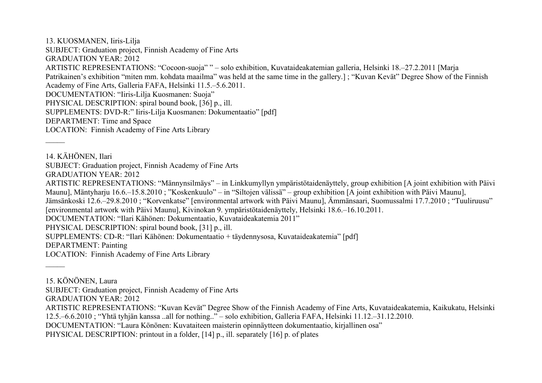13. KUOSMANEN, Iiris-Lilja SUBJECT: Graduation project, Finnish Academy of Fine Arts GRADUATION YEAR: 2012 ARTISTIC REPRESENTATIONS: "Cocoon-suoja" " – solo exhibition, Kuvataideakatemian galleria, Helsinki 18.–27.2.2011 [Marja Patrikainen's exhibition "miten mm. kohdata maailma" was held at the same time in the gallery.] ; "Kuvan Kevät" Degree Show of the Finnish Academy of Fine Arts, Galleria FAFA, Helsinki 11.5.–5.6.2011. DOCUMENTATION: "Iiris-Lilja Kuosmanen: Suoja" PHYSICAL DESCRIPTION: spiral bound book, [36] p., ill. SUPPLEMENTS: DVD-R:" Iiris-Lilja Kuosmanen: Dokumentaatio" [pdf] DEPARTMENT: Time and Space LOCATION: Finnish Academy of Fine Arts Library  $\overline{\phantom{a}}$ 14. KÄHÖNEN, Ilari SUBJECT: Graduation project, Finnish Academy of Fine Arts GRADUATION YEAR: 2012 ARTISTIC REPRESENTATIONS: "Männynsilmäys" – in Linkkumyllyn ympäristötaidenäyttely, group exhibition [A joint exhibition with Päivi Maunu], Mäntyharju 16.6.–15.8.2010 ; "Koskenkuulo" – in "Siltojen välissä" – group exhibition [A joint exhibition with Päivi Maunu], Jämsänkoski 12.6.–29.8.2010 ; "Korvenkatse" [environmental artwork with Päivi Maunu], Ämmänsaari, Suomussalmi 17.7.2010 ; "Tuuliruusu" [environmental artwork with Päivi Maunu], Kivinokan 9. ympäristötaidenäyttely, Helsinki 18.6.–16.10.2011. DOCUMENTATION: "Ilari Kähönen: Dokumentaatio, Kuvataideakatemia 2011" PHYSICAL DESCRIPTION: spiral bound book, [31] p., ill. SUPPLEMENTS: CD-R: "Ilari Kähönen: Dokumentaatio + täydennysosa, Kuvataideakatemia" [pdf] DEPARTMENT: Painting LOCATION: Finnish Academy of Fine Arts Library  $\mathcal{L}$ 15. KÖNÖNEN, Laura SUBJECT: Graduation project, Finnish Academy of Fine Arts

GRADUATION YEAR: 2012

ARTISTIC REPRESENTATIONS: "Kuvan Kevät" Degree Show of the Finnish Academy of Fine Arts, Kuvataideakatemia, Kaikukatu, Helsinki

12.5.–6.6.2010 ; "Yhtä tyhjän kanssa ..all for nothing.." – solo exhibition, Galleria FAFA, Helsinki 11.12.–31.12.2010.

DOCUMENTATION: "Laura Könönen: Kuvataiteen maisterin opinnäytteen dokumentaatio, kirjallinen osa"

PHYSICAL DESCRIPTION: printout in a folder, [14] p., ill. separately [16] p. of plates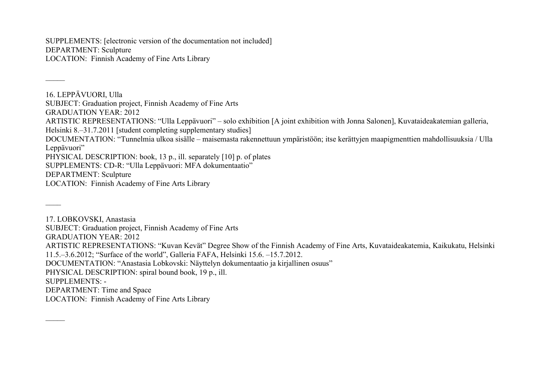SUPPLEMENTS: [electronic version of the documentation not included] DEPARTMENT: Sculpture LOCATION: Finnish Academy of Fine Arts Library

 $\overline{\phantom{a}}$ 

 $\mathcal{L}$ 

16. LEPPÄVUORI, Ulla SUBJECT: Graduation project, Finnish Academy of Fine Arts GRADUATION YEAR: 2012 ARTISTIC REPRESENTATIONS: "Ulla Leppävuori" – solo exhibition [A joint exhibition with Jonna Salonen], Kuvataideakatemian galleria, Helsinki 8.–31.7.2011 [student completing supplementary studies] DOCUMENTATION: "Tunnelmia ulkoa sisälle – maisemasta rakennettuun ympäristöön; itse kerättyjen maapigmenttien mahdollisuuksia / Ulla Leppävuori" PHYSICAL DESCRIPTION: book, 13 p., ill. separately [10] p. of plates SUPPLEMENTS: CD-R: "Ulla Leppävuori: MFA dokumentaatio" DEPARTMENT: Sculpture LOCATION: Finnish Academy of Fine Arts Library  $\overline{\phantom{a}}$ 

17. LOBKOVSKI, Anastasia SUBJECT: Graduation project, Finnish Academy of Fine Arts GRADUATION YEAR: 2012 ARTISTIC REPRESENTATIONS: "Kuvan Kevät" Degree Show of the Finnish Academy of Fine Arts, Kuvataideakatemia, Kaikukatu, Helsinki 11.5.–3.6.2012; "Surface of the world", Galleria FAFA, Helsinki 15.6. –15.7.2012. DOCUMENTATION: "Anastasia Lobkovski: Näyttelyn dokumentaatio ja kirjallinen osuus" PHYSICAL DESCRIPTION: spiral bound book, 19 p., ill. SUPPLEMENTS: - DEPARTMENT: Time and Space LOCATION: Finnish Academy of Fine Arts Library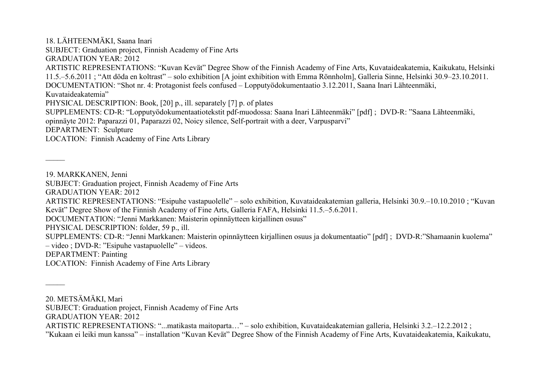18. LÄHTEENMÄKI, Saana Inari SUBJECT: Graduation project, Finnish Academy of Fine Arts GRADUATION YEAR: 2012 ARTISTIC REPRESENTATIONS: "Kuvan Kevät" Degree Show of the Finnish Academy of Fine Arts, Kuvataideakatemia, Kaikukatu, Helsinki 11.5.–5.6.2011 ; "Att döda en koltrast" – solo exhibition [A joint exhibition with Emma Rönnholm], Galleria Sinne, Helsinki 30.9–23.10.2011. DOCUMENTATION: "Shot nr. 4: Protagonist feels confused – Lopputyödokumentaatio 3.12.2011, Saana Inari Lähteenmäki, Kuvataideakatemia" PHYSICAL DESCRIPTION: Book, [20] p., ill. separately [7] p. of plates SUPPLEMENTS: CD-R: "Lopputyödokumentaatiotekstit pdf-muodossa: Saana Inari Lähteenmäki" [pdf] ; DVD-R: "Saana Lähteenmäki, opinnäyte 2012: Paparazzi 01, Paparazzi 02, Noicy silence, Self-portrait with a deer, Varpusparvi" DEPARTMENT: Sculpture LOCATION: Finnish Academy of Fine Arts Library

19. MARKKANEN, Jenni

 $\overline{\phantom{a}}$ 

 $\overline{\phantom{a}}$ 

SUBJECT: Graduation project, Finnish Academy of Fine Arts

GRADUATION YEAR: 2012

ARTISTIC REPRESENTATIONS: "Esipuhe vastapuolelle" – solo exhibition, Kuvataideakatemian galleria, Helsinki 30.9.–10.10.2010 ; "Kuvan Kevät" Degree Show of the Finnish Academy of Fine Arts, Galleria FAFA, Helsinki 11.5.–5.6.2011.

DOCUMENTATION: "Jenni Markkanen: Maisterin opinnäytteen kirjallinen osuus"

PHYSICAL DESCRIPTION: folder, 59 p., ill.

SUPPLEMENTS: CD-R: "Jenni Markkanen: Maisterin opinnäytteen kirjallinen osuus ja dokumentaatio" [pdf] ; DVD-R:"Shamaanin kuolema" – video ; DVD-R: "Esipuhe vastapuolelle" – videos.

DEPARTMENT: Painting

LOCATION: Finnish Academy of Fine Arts Library

20. METSÄMÄKI, Mari

SUBJECT: Graduation project, Finnish Academy of Fine Arts

GRADUATION YEAR: 2012

ARTISTIC REPRESENTATIONS: "...matikasta maitoparta…" – solo exhibition, Kuvataideakatemian galleria, Helsinki 3.2.–12.2.2012 ;

"Kukaan ei leiki mun kanssa" – installation "Kuvan Kevät" Degree Show of the Finnish Academy of Fine Arts, Kuvataideakatemia, Kaikukatu,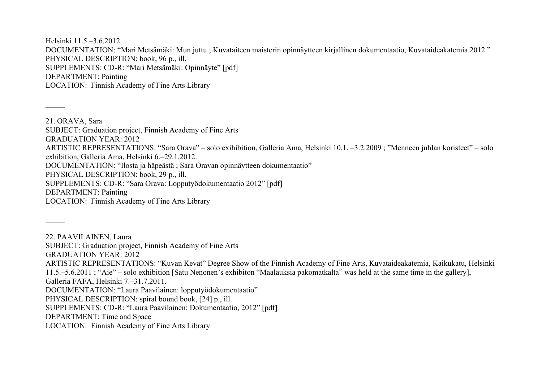Helsinki 11.5.–3.6.2012. DOCUMENTATION: "Mari Metsämäki: Mun juttu ; Kuvataiteen maisterin opinnäytteen kirjallinen dokumentaatio, Kuvataideakatemia 2012." PHYSICAL DESCRIPTION: book, 96 p., ill. SUPPLEMENTS: CD-R: "Mari Metsämäki: Opinnäyte" [pdf] DEPARTMENT: Painting LOCATION: Finnish Academy of Fine Arts Library

21. ORAVA, Sara SUBJECT: Graduation project, Finnish Academy of Fine Arts GRADUATION YEAR: 2012 ARTISTIC REPRESENTATIONS: "Sara Orava" – solo exihibition, Galleria Ama, Helsinki 10.1. –3.2.2009 ; "Menneen juhlan koristeet" – solo exhibition, Galleria Ama, Helsinki 6.–29.1.2012. DOCUMENTATION: "Ilosta ja häpeästä ; Sara Oravan opinnäytteen dokumentaatio" PHYSICAL DESCRIPTION: book, 29 p., ill. SUPPLEMENTS: CD-R: "Sara Orava: Lopputyödokumentaatio 2012" [pdf] DEPARTMENT: Painting LOCATION: Finnish Academy of Fine Arts Library

22. PAAVILAINEN, Laura

 $\overline{\phantom{a}}$ 

 $\mathcal{L}$ 

SUBJECT: Graduation project, Finnish Academy of Fine Arts

GRADUATION YEAR: 2012

ARTISTIC REPRESENTATIONS: "Kuvan Kevät" Degree Show of the Finnish Academy of Fine Arts, Kuvataideakatemia, Kaikukatu, Helsinki 11.5.–5.6.2011 ; "Aie" – solo exhibition [Satu Nenonen's exhibiton "Maalauksia pakomatkalta" was held at the same time in the gallery], Galleria FAFA, Helsinki 7.–31.7.2011.

DOCUMENTATION: "Laura Paavilainen: lopputyödokumentaatio"

PHYSICAL DESCRIPTION: spiral bound book, [24] p., ill.

SUPPLEMENTS: CD-R: "Laura Paavilainen: Dokumentaatio, 2012" [pdf]

DEPARTMENT: Time and Space

LOCATION: Finnish Academy of Fine Arts Library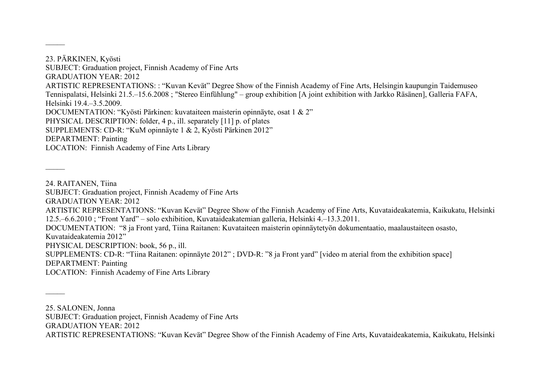23. PÄRKINEN, Kyösti SUBJECT: Graduation project, Finnish Academy of Fine Arts GRADUATION YEAR: 2012 ARTISTIC REPRESENTATIONS: : "Kuvan Kevät" Degree Show of the Finnish Academy of Fine Arts, Helsingin kaupungin Taidemuseo Tennispalatsi, Helsinki 21.5.–15.6.2008 ; "Stereo Einfühlung" – group exhibition [A joint exhibition with Jarkko Räsänen], Galleria FAFA, Helsinki 19.4.–3.5.2009. DOCUMENTATION: "Kyösti Pärkinen: kuvataiteen maisterin opinnäyte, osat 1 & 2" PHYSICAL DESCRIPTION: folder, 4 p., ill. separately [11] p. of plates SUPPLEMENTS: CD-R: "KuM opinnäyte 1 & 2, Kyösti Pärkinen 2012" DEPARTMENT: Painting LOCATION: Finnish Academy of Fine Arts Library

24. RAITANEN, Tiina SUBJECT: Graduation project, Finnish Academy of Fine Arts GRADUATION YEAR: 2012 ARTISTIC REPRESENTATIONS: "Kuvan Kevät" Degree Show of the Finnish Academy of Fine Arts, Kuvataideakatemia, Kaikukatu, Helsinki 12.5.–6.6.2010 ; "Front Yard" – solo exhibition, Kuvataideakatemian galleria, Helsinki 4.–13.3.2011. DOCUMENTATION: "8 ja Front yard, Tiina Raitanen: Kuvataiteen maisterin opinnäytetyön dokumentaatio, maalaustaiteen osasto, Kuvataideakatemia 2012" PHYSICAL DESCRIPTION: book, 56 p., ill. SUPPLEMENTS: CD-R: "Tiina Raitanen: opinnäyte 2012" ; DVD-R: "8 ja Front yard" [video m aterial from the exhibition space] DEPARTMENT: Painting LOCATION: Finnish Academy of Fine Arts Library

25. SALONEN, Jonna

 $\overline{\phantom{a}}$ 

 $\overline{\phantom{a}}$ 

 $\mathcal{L}$ 

SUBJECT: Graduation project, Finnish Academy of Fine Arts

GRADUATION YEAR: 2012

ARTISTIC REPRESENTATIONS: "Kuvan Kevät" Degree Show of the Finnish Academy of Fine Arts, Kuvataideakatemia, Kaikukatu, Helsinki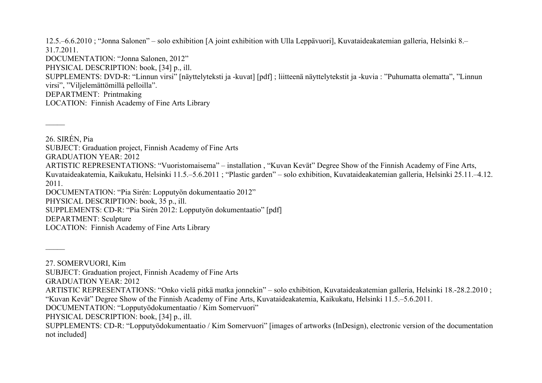12.5.–6.6.2010 ; "Jonna Salonen" – solo exhibition [A joint exhibition with Ulla Leppävuori], Kuvataideakatemian galleria, Helsinki 8.– 31.7.2011. DOCUMENTATION: "Jonna Salonen, 2012" PHYSICAL DESCRIPTION: book, [34] p., ill. SUPPLEMENTS: DVD-R: "Linnun virsi" [näyttelyteksti ja -kuvat] [pdf] ; liitteenä näyttelytekstit ja -kuvia : "Puhumatta olematta", "Linnun virsi", "Viljelemättömillä pelloilla". DEPARTMENT: Printmaking LOCATION: Finnish Academy of Fine Arts Library

26. SIRÉN, Pia SUBJECT: Graduation project, Finnish Academy of Fine Arts GRADUATION YEAR: 2012 ARTISTIC REPRESENTATIONS: "Vuoristomaisema" – installation , "Kuvan Kevät" Degree Show of the Finnish Academy of Fine Arts, Kuvataideakatemia, Kaikukatu, Helsinki 11.5.–5.6.2011 ; "Plastic garden" – solo exhibition, Kuvataideakatemian galleria, Helsinki 25.11.–4.12. 2011. DOCUMENTATION: "Pia Sirén: Lopputyön dokumentaatio 2012" PHYSICAL DESCRIPTION: book, 35 p., ill. SUPPLEMENTS: CD-R: "Pia Sirén 2012: Lopputyön dokumentaatio" [pdf] DEPARTMENT: Sculpture LOCATION: Finnish Academy of Fine Arts Library

27. SOMERVUORI, Kim

 $\overline{\phantom{a}}$ 

 $\overline{\phantom{a}}$ 

SUBJECT: Graduation project, Finnish Academy of Fine Arts

GRADUATION YEAR: 2012

ARTISTIC REPRESENTATIONS: "Onko vielä pitkä matka jonnekin" – solo exhibition, Kuvataideakatemian galleria, Helsinki 18.-28.2.2010 ; "Kuvan Kevät" Degree Show of the Finnish Academy of Fine Arts, Kuvataideakatemia, Kaikukatu, Helsinki 11.5.–5.6.2011.

DOCUMENTATION: "Lopputyödokumentaatio / Kim Somervuori"

PHYSICAL DESCRIPTION: book, [34] p., ill.

SUPPLEMENTS: CD-R: "Lopputyödokumentaatio / Kim Somervuori" [images of artworks (InDesign), electronic version of the documentation not included]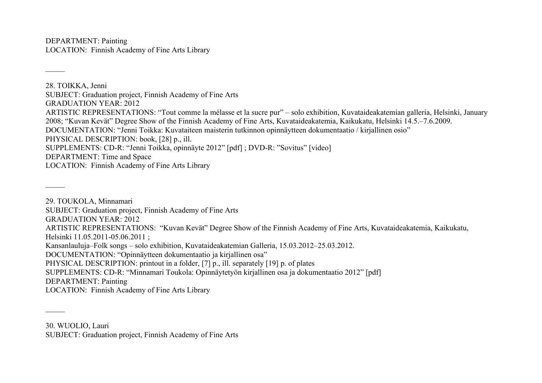DEPARTMENT: Painting LOCATION: Finnish Academy of Fine Arts Library

 $\overline{\phantom{a}}$ 

 $\overline{\phantom{a}}$ 

 $\mathcal{L}$ 

28. TOIKKA, Jenni SUBJECT: Graduation project, Finnish Academy of Fine Arts GRADUATION YEAR: 2012 ARTISTIC REPRESENTATIONS: "Tout comme la mélasse et la sucre pur" – solo exhibition, Kuvataideakatemian galleria, Helsinki, January 2008; "Kuvan Kevät" Degree Show of the Finnish Academy of Fine Arts, Kuvataideakatemia, Kaikukatu, Helsinki 14.5.–7.6.2009. DOCUMENTATION: "Jenni Toikka: Kuvataiteen maisterin tutkinnon opinnäytteen dokumentaatio / kirjallinen osio" PHYSICAL DESCRIPTION: book, [28] p., ill. SUPPLEMENTS: CD-R: "Jenni Toikka, opinnäyte 2012" [pdf] ; DVD-R: "Sovitus" [video] DEPARTMENT: Time and Space LOCATION: Finnish Academy of Fine Arts Library

29. TOUKOLA, Minnamari SUBJECT: Graduation project, Finnish Academy of Fine Arts GRADUATION YEAR: 2012 ARTISTIC REPRESENTATIONS: "Kuvan Kevät" Degree Show of the Finnish Academy of Fine Arts, Kuvataideakatemia, Kaikukatu, Helsinki 11.05.2011-05.06.2011 ; Kansanlauluja–Folk songs – solo exhibition, Kuvataideakatemian Galleria, 15.03.2012–25.03.2012. DOCUMENTATION: "Opinnäytteen dokumentaatio ja kirjallinen osa" PHYSICAL DESCRIPTION: printout in a folder, [7] p., ill. separately [19] p. of plates SUPPLEMENTS: CD-R: "Minnamari Toukola: Opinnäytetyön kirjallinen osa ja dokumentaatio 2012" [pdf] DEPARTMENT: Painting LOCATION: Finnish Academy of Fine Arts Library

30. WUOLIO, Lauri SUBJECT: Graduation project, Finnish Academy of Fine Arts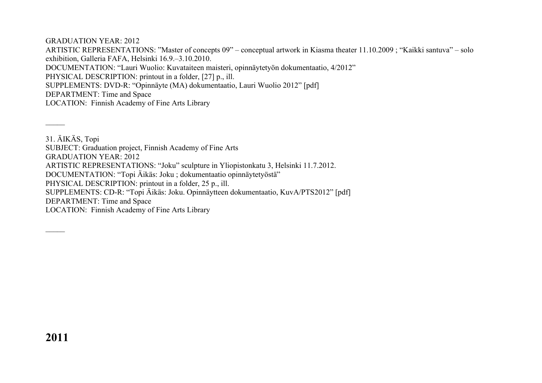GRADUATION YEAR: 2012

ARTISTIC REPRESENTATIONS: "Master of concepts 09" – conceptual artwork in Kiasma theater 11.10.2009 ; "Kaikki santuva" – solo exhibition, Galleria FAFA, Helsinki 16.9.–3.10.2010. DOCUMENTATION: "Lauri Wuolio: Kuvataiteen maisteri, opinnäytetyön dokumentaatio, 4/2012" PHYSICAL DESCRIPTION: printout in a folder, [27] p., ill. SUPPLEMENTS: DVD-R: "Opinnäyte (MA) dokumentaatio, Lauri Wuolio 2012" [pdf] DEPARTMENT: Time and Space LOCATION: Finnish Academy of Fine Arts Library

31. ÄIKÄS, Topi SUBJECT: Graduation project, Finnish Academy of Fine Arts GRADUATION YEAR: 2012 ARTISTIC REPRESENTATIONS: "Joku" sculpture in Yliopistonkatu 3, Helsinki 11.7.2012. DOCUMENTATION: "Topi Äikäs: Joku ; dokumentaatio opinnäytetyöstä" PHYSICAL DESCRIPTION: printout in a folder, 25 p., ill. SUPPLEMENTS: CD-R: "Topi Äikäs: Joku. Opinnäytteen dokumentaatio, KuvA/PTS2012" [pdf] DEPARTMENT: Time and Space LOCATION: Finnish Academy of Fine Arts Library

 $\overline{\phantom{a}}$ 

 $\overline{\phantom{a}}$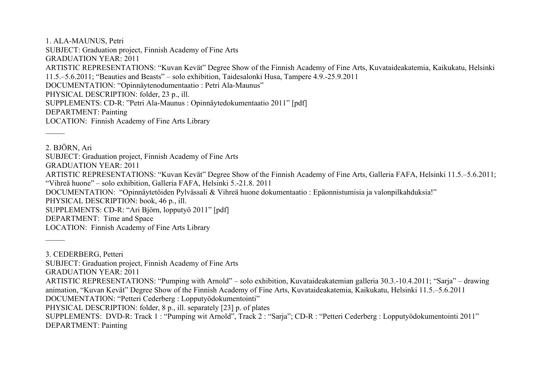1. ALA-MAUNUS, Petri SUBJECT: Graduation project, Finnish Academy of Fine Arts GRADUATION YEAR: 2011 ARTISTIC REPRESENTATIONS: "Kuvan Kevät" Degree Show of the Finnish Academy of Fine Arts, Kuvataideakatemia, Kaikukatu, Helsinki 11.5.–5.6.2011; "Beauties and Beasts" – solo exhibition, Taidesalonki Husa, Tampere 4.9.-25.9.2011 DOCUMENTATION: "Opinnäytenodumentaatio : Petri Ala-Maunus" PHYSICAL DESCRIPTION: folder, 23 p., ill. SUPPLEMENTS: CD-R: "Petri Ala-Maunus : Opinnäytedokumentaatio 2011" [pdf] DEPARTMENT: Painting LOCATION: Finnish Academy of Fine Arts Library  $\overline{\phantom{a}}$ 

2. BJÖRN, Ari SUBJECT: Graduation project, Finnish Academy of Fine Arts GRADUATION YEAR: 2011 ARTISTIC REPRESENTATIONS: "Kuvan Kevät" Degree Show of the Finnish Academy of Fine Arts, Galleria FAFA, Helsinki 11.5.–5.6.2011; "Vihreä huone" – solo exhibition, Galleria FAFA, Helsinki 5.-21.8. 2011 DOCUMENTATION: "Opinnäytetöiden Pylvässali & Vihreä huone dokumentaatio : Epäonnistumisia ja valonpilkahduksia!" PHYSICAL DESCRIPTION: book, 46 p., ill. SUPPLEMENTS: CD-R: "Ari Björn, lopputyö 2011" [pdf] DEPARTMENT: Time and Space LOCATION: Finnish Academy of Fine Arts Library  $\overline{\phantom{a}}$ 

3. CEDERBERG, Petteri

SUBJECT: Graduation project, Finnish Academy of Fine Arts

GRADUATION YEAR: 2011

ARTISTIC REPRESENTATIONS: "Pumping with Arnold" – solo exhibition, Kuvataideakatemian galleria 30.3.-10.4.2011; "Sarja" – drawing animation, "Kuvan Kevät" Degree Show of the Finnish Academy of Fine Arts, Kuvataideakatemia, Kaikukatu, Helsinki 11.5.–5.6.2011

DOCUMENTATION: "Petteri Cederberg : Lopputyödokumentointi"

PHYSICAL DESCRIPTION: folder, 8 p., ill. separately [23] p. of plates

SUPPLEMENTS: DVD-R: Track 1 : "Pumping wit Arnold", Track 2 : "Sarja"; CD-R : "Petteri Cederberg : Lopputyödokumentointi 2011" DEPARTMENT: Painting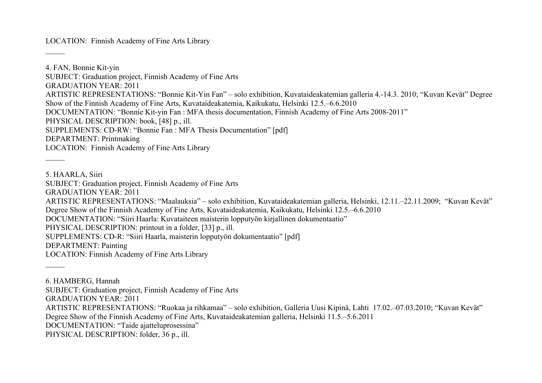LOCATION: Finnish Academy of Fine Arts Library

4. FAN, Bonnie Kit-yin SUBJECT: Graduation project, Finnish Academy of Fine Arts GRADUATION YEAR: 2011 ARTISTIC REPRESENTATIONS: "Bonnie Kit-Yin Fan" – solo exhibition, Kuvataideakatemian galleria 4.-14.3. 2010; "Kuvan Kevät" Degree Show of the Finnish Academy of Fine Arts, Kuvataideakatemia, Kaikukatu, Helsinki 12.5.–6.6.2010 DOCUMENTATION: "Bonnie Kit-yin Fan : MFA thesis documentation, Finnish Academy of Fine Arts 2008-2011" PHYSICAL DESCRIPTION: book, [48] p., ill. SUPPLEMENTS: CD-RW: "Bonnie Fan : MFA Thesis Documentation" [pdf] DEPARTMENT: Printmaking LOCATION: Finnish Academy of Fine Arts Library  $\overline{\phantom{a}}$ 

5. HAARLA, Siiri

 $\overline{\phantom{a}}$ 

SUBJECT: Graduation project, Finnish Academy of Fine Arts

GRADUATION YEAR: 2011

ARTISTIC REPRESENTATIONS: "Maalauksia" – solo exhibition, Kuvataideakatemian galleria, Helsinki, 12.11.–22.11.2009; "Kuvan Kevät"

Degree Show of the Finnish Academy of Fine Arts, Kuvataideakatemia, Kaikukatu, Helsinki 12.5.–6.6.2010

DOCUMENTATION: "Siiri Haarla: Kuvataiteen maisterin lopputyön kirjallinen dokumentaatio"

PHYSICAL DESCRIPTION: printout in a folder, [33] p., ill.

SUPPLEMENTS: CD-R: "Siiri Haarla, maisterin lopputyön dokumentaatio" [pdf]

DEPARTMENT: Painting

 $\overline{\phantom{a}}$ 

LOCATION: Finnish Academy of Fine Arts Library

6. HAMBERG, Hannah SUBJECT: Graduation project, Finnish Academy of Fine Arts GRADUATION YEAR: 2011 ARTISTIC REPRESENTATIONS: "Ruokaa ja rihkamaa" – solo exhibition, Galleria Uusi Kipinä, Lahti 17.02.–07.03.2010; "Kuvan Kevät" Degree Show of the Finnish Academy of Fine Arts, Kuvataideakatemian galleria, Helsinki 11.5.–5.6.2011 DOCUMENTATION: "Taide ajatteluprosessina" PHYSICAL DESCRIPTION: folder, 36 p., ill.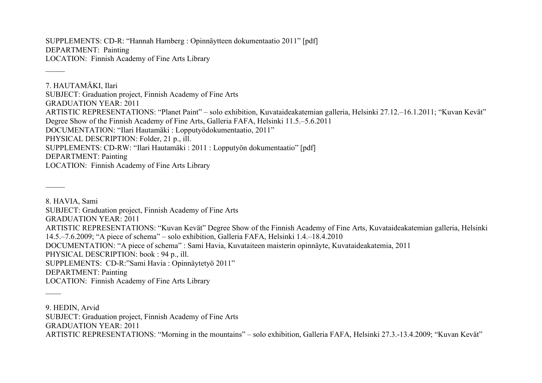SUPPLEMENTS: CD-R: "Hannah Hamberg : Opinnäytteen dokumentaatio 2011" [pdf] DEPARTMENT: Painting LOCATION: Finnish Academy of Fine Arts Library

 $\overline{\phantom{a}}$ 

 $\overline{\phantom{a}}$ 

7. HAUTAMÄKI, Ilari SUBJECT: Graduation project, Finnish Academy of Fine Arts GRADUATION YEAR: 2011 ARTISTIC REPRESENTATIONS: "Planet Paint" – solo exhibition, Kuvataideakatemian galleria, Helsinki 27.12.–16.1.2011; "Kuvan Kevät" Degree Show of the Finnish Academy of Fine Arts, Galleria FAFA, Helsinki 11.5.–5.6.2011 DOCUMENTATION: "Ilari Hautamäki : Lopputyödokumentaatio, 2011" PHYSICAL DESCRIPTION: Folder, 21 p., ill. SUPPLEMENTS: CD-RW: "Ilari Hautamäki : 2011 : Lopputyön dokumentaatio" [pdf] DEPARTMENT: Painting LOCATION: Finnish Academy of Fine Arts Library

8. HAVIA, Sami SUBJECT: Graduation project, Finnish Academy of Fine Arts GRADUATION YEAR: 2011 ARTISTIC REPRESENTATIONS: "Kuvan Kevät" Degree Show of the Finnish Academy of Fine Arts, Kuvataideakatemian galleria, Helsinki 14.5.–7.6.2009; "A piece of schema" – solo exhibition, Galleria FAFA, Helsinki 1.4.–18.4.2010 DOCUMENTATION: "A piece of schema" : Sami Havia, Kuvataiteen maisterin opinnäyte, Kuvataideakatemia, 2011 PHYSICAL DESCRIPTION: book : 94 p., ill. SUPPLEMENTS: CD-R:"Sami Havia : Opinnäytetyö 2011" DEPARTMENT: Painting LOCATION: Finnish Academy of Fine Arts Library

9. HEDIN, Arvid SUBJECT: Graduation project, Finnish Academy of Fine Arts GRADUATION YEAR: 2011 ARTISTIC REPRESENTATIONS: "Morning in the mountains" – solo exhibition, Galleria FAFA, Helsinki 27.3.-13.4.2009; "Kuvan Kevät"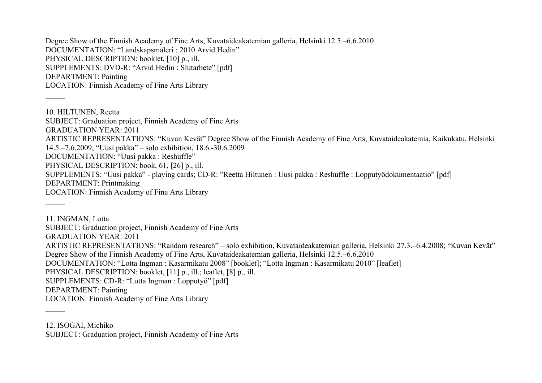Degree Show of the Finnish Academy of Fine Arts, Kuvataideakatemian galleria, Helsinki 12.5.–6.6.2010 DOCUMENTATION: "Landskapsmåleri : 2010 Arvid Hedin" PHYSICAL DESCRIPTION: booklet, [10] p., ill. SUPPLEMENTS: DVD-R: "Arvid Hedin : Slutarbete" [pdf] DEPARTMENT: Painting LOCATION: Finnish Academy of Fine Arts Library

10. HILTUNEN, Reetta SUBJECT: Graduation project, Finnish Academy of Fine Arts GRADUATION YEAR: 2011 ARTISTIC REPRESENTATIONS: "Kuvan Kevät" Degree Show of the Finnish Academy of Fine Arts, Kuvataideakatemia, Kaikukatu, Helsinki 14.5.–7.6.2009; "Uusi pakka" – solo exhibition, 18.6.-30.6.2009 DOCUMENTATION: "Uusi pakka : Reshuffle" PHYSICAL DESCRIPTION: book, 61, [26] p., ill. SUPPLEMENTS: "Uusi pakka" - playing cards; CD-R: "Reetta Hiltunen : Uusi pakka : Reshuffle : Lopputyödokumentaatio" [pdf] DEPARTMENT: Printmaking LOCATION: Finnish Academy of Fine Arts Library

11. INGMAN, Lotta SUBJECT: Graduation project, Finnish Academy of Fine Arts GRADUATION YEAR: 2011 ARTISTIC REPRESENTATIONS: "Random research" – solo exhibition, Kuvataideakatemian galleria, Helsinki 27.3.–6.4.2008; "Kuvan Kevät" Degree Show of the Finnish Academy of Fine Arts, Kuvataideakatemian galleria, Helsinki 12.5.–6.6.2010 DOCUMENTATION: "Lotta Ingman : Kasarmikatu 2008" [booklet]; "Lotta Ingman : Kasarmikatu 2010" [leaflet] PHYSICAL DESCRIPTION: booklet, [11] p., ill.; leaflet, [8] p., ill. SUPPLEMENTS: CD-R: "Lotta Ingman : Lopputyö" [pdf] DEPARTMENT: Painting LOCATION: Finnish Academy of Fine Arts Library

12. ISOGAI, Michiko SUBJECT: Graduation project, Finnish Academy of Fine Arts

 $\overline{\phantom{a}}$ 

 $\overline{\phantom{a}}$ 

 $\overline{\phantom{a}}$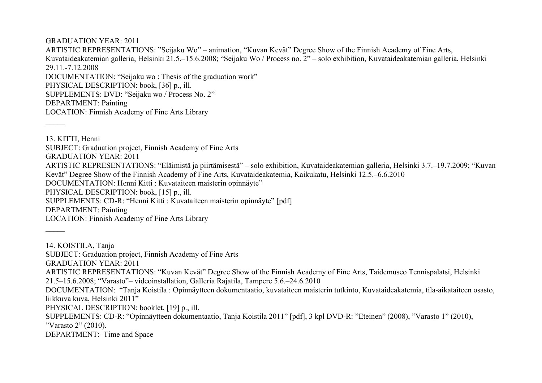## GRADUATION YEAR: 2011

 $\overline{\phantom{a}}$ 

 $\mathcal{L}$ 

ARTISTIC REPRESENTATIONS: "Seijaku Wo" – animation, "Kuvan Kevät" Degree Show of the Finnish Academy of Fine Arts, Kuvataideakatemian galleria, Helsinki 21.5.–15.6.2008; "Seijaku Wo / Process no. 2" – solo exhibition, Kuvataideakatemian galleria, Helsinki 29.11.-7.12.2008 DOCUMENTATION: "Seijaku wo : Thesis of the graduation work" PHYSICAL DESCRIPTION: book, [36] p., ill. SUPPLEMENTS: DVD: "Seijaku wo / Process No. 2" DEPARTMENT: Painting LOCATION: Finnish Academy of Fine Arts Library

13. KITTI, Henni SUBJECT: Graduation project, Finnish Academy of Fine Arts GRADUATION YEAR: 2011 ARTISTIC REPRESENTATIONS: "Eläimistä ja piirtämisestä" – solo exhibition, Kuvataideakatemian galleria, Helsinki 3.7.–19.7.2009; "Kuvan Kevät" Degree Show of the Finnish Academy of Fine Arts, Kuvataideakatemia, Kaikukatu, Helsinki 12.5.–6.6.2010 DOCUMENTATION: Henni Kitti : Kuvataiteen maisterin opinnäyte" PHYSICAL DESCRIPTION: book, [15] p., ill. SUPPLEMENTS: CD-R: "Henni Kitti : Kuvataiteen maisterin opinnäyte" [pdf] DEPARTMENT: Painting LOCATION: Finnish Academy of Fine Arts Library

14. KOISTILA, Tanja SUBJECT: Graduation project, Finnish Academy of Fine Arts GRADUATION YEAR: 2011 ARTISTIC REPRESENTATIONS: "Kuvan Kevät" Degree Show of the Finnish Academy of Fine Arts, Taidemuseo Tennispalatsi, Helsinki 21.5–15.6.2008; "Varasto"– videoinstallation, Galleria Rajatila, Tampere 5.6.–24.6.2010 DOCUMENTATION: "Tanja Koistila : Opinnäytteen dokumentaatio, kuvataiteen maisterin tutkinto, Kuvataideakatemia, tila-aikataiteen osasto, liikkuva kuva, Helsinki 2011" PHYSICAL DESCRIPTION: booklet, [19] p., ill. SUPPLEMENTS: CD-R: "Opinnäytteen dokumentaatio, Tanja Koistila 2011" [pdf], 3 kpl DVD-R: "Eteinen" (2008), "Varasto 1" (2010), "Varasto 2" (2010). DEPARTMENT: Time and Space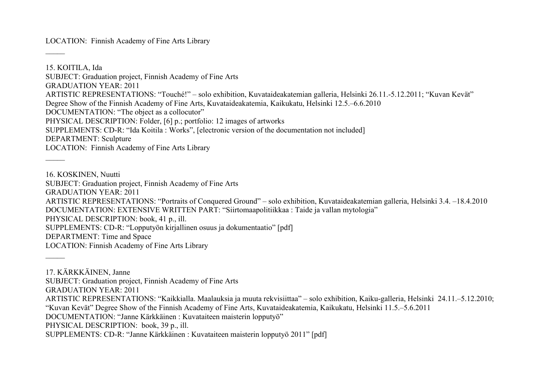LOCATION: Finnish Academy of Fine Arts Library

 $\overline{\phantom{a}}$ 

 $\mathcal{L}$ 

15. KOITILA, Ida SUBJECT: Graduation project, Finnish Academy of Fine Arts GRADUATION YEAR: 2011 ARTISTIC REPRESENTATIONS: "Touché!" – solo exhibition, Kuvataideakatemian galleria, Helsinki 26.11.-5.12.2011; "Kuvan Kevät" Degree Show of the Finnish Academy of Fine Arts, Kuvataideakatemia, Kaikukatu, Helsinki 12.5.–6.6.2010 DOCUMENTATION: "The object as a collocutor" PHYSICAL DESCRIPTION: Folder, [6] p.; portfolio: 12 images of artworks SUPPLEMENTS: CD-R: "Ida Koitila : Works", [electronic version of the documentation not included] DEPARTMENT: Sculpture LOCATION: Finnish Academy of Fine Arts Library  $\overline{\phantom{a}}$ 

16. KOSKINEN, Nuutti SUBJECT: Graduation project, Finnish Academy of Fine Arts GRADUATION YEAR: 2011 ARTISTIC REPRESENTATIONS: "Portraits of Conquered Ground" – solo exhibition, Kuvataideakatemian galleria, Helsinki 3.4. –18.4.2010 DOCUMENTATION: EXTENSIVE WRITTEN PART: "Siirtomaapolitiikkaa : Taide ja vallan mytologia" PHYSICAL DESCRIPTION: book, 41 p., ill. SUPPLEMENTS: CD-R: "Lopputyön kirjallinen osuus ja dokumentaatio" [pdf] DEPARTMENT: Time and Space LOCATION: Finnish Academy of Fine Arts Library

17. KÄRKKÄINEN, Janne SUBJECT: Graduation project, Finnish Academy of Fine Arts GRADUATION YEAR: 2011 ARTISTIC REPRESENTATIONS: "Kaikkialla. Maalauksia ja muuta rekvisiittaa" – solo exhibition, Kaiku-galleria, Helsinki 24.11.–5.12.2010; "Kuvan Kevät" Degree Show of the Finnish Academy of Fine Arts, Kuvataideakatemia, Kaikukatu, Helsinki 11.5.–5.6.2011 DOCUMENTATION: "Janne Kärkkäinen : Kuvataiteen maisterin lopputyö" PHYSICAL DESCRIPTION: book, 39 p., ill. SUPPLEMENTS: CD-R: "Janne Kärkkäinen : Kuvataiteen maisterin lopputyö 2011" [pdf]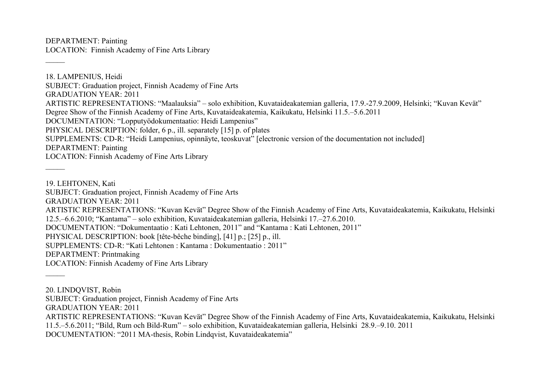DEPARTMENT: Painting LOCATION: Finnish Academy of Fine Arts Library

18. LAMPENIUS, Heidi SUBJECT: Graduation project, Finnish Academy of Fine Arts GRADUATION YEAR: 2011 ARTISTIC REPRESENTATIONS: "Maalauksia" – solo exhibition, Kuvataideakatemian galleria, 17.9.-27.9.2009, Helsinki; "Kuvan Kevät" Degree Show of the Finnish Academy of Fine Arts, Kuvataideakatemia, Kaikukatu, Helsinki 11.5.–5.6.2011 DOCUMENTATION: "Lopputyödokumentaatio: Heidi Lampenius" PHYSICAL DESCRIPTION: folder, 6 p., ill. separately [15] p. of plates SUPPLEMENTS: CD-R: "Heidi Lampenius, opinnäyte, teoskuvat" [electronic version of the documentation not included] DEPARTMENT: Painting LOCATION: Finnish Academy of Fine Arts Library

19. LEHTONEN, Kati SUBJECT: Graduation project, Finnish Academy of Fine Arts GRADUATION YEAR: 2011 ARTISTIC REPRESENTATIONS: "Kuvan Kevät" Degree Show of the Finnish Academy of Fine Arts, Kuvataideakatemia, Kaikukatu, Helsinki 12.5.–6.6.2010; "Kantama" – solo exhibition, Kuvataideakatemian galleria, Helsinki 17.–27.6.2010. DOCUMENTATION: "Dokumentaatio : Kati Lehtonen, 2011" and "Kantama : Kati Lehtonen, 2011" PHYSICAL DESCRIPTION: book [tête-bêche binding], [41] p.; [25] p., ill. SUPPLEMENTS: CD-R: "Kati Lehtonen : Kantama : Dokumentaatio : 2011" DEPARTMENT: Printmaking LOCATION: Finnish Academy of Fine Arts Library  $\overline{\phantom{a}}$ 

20. LINDQVIST, Robin

 $\overline{\phantom{a}}$ 

 $\overline{\phantom{a}}$ 

SUBJECT: Graduation project, Finnish Academy of Fine Arts

GRADUATION YEAR: 2011

ARTISTIC REPRESENTATIONS: "Kuvan Kevät" Degree Show of the Finnish Academy of Fine Arts, Kuvataideakatemia, Kaikukatu, Helsinki 11.5.–5.6.2011; "Bild, Rum och Bild-Rum" – solo exhibition, Kuvataideakatemian galleria, Helsinki 28.9.–9.10. 2011

DOCUMENTATION: "2011 MA-thesis, Robin Lindqvist, Kuvataideakatemia"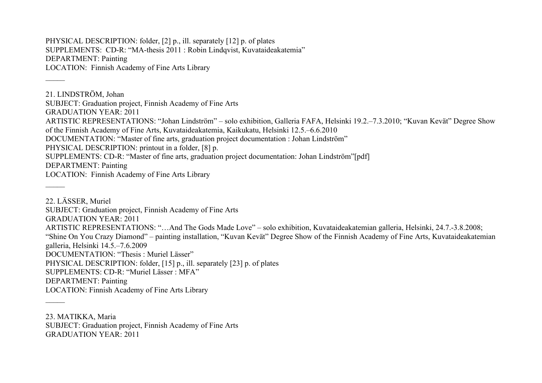PHYSICAL DESCRIPTION: folder, [2] p., ill. separately [12] p. of plates SUPPLEMENTS: CD-R: "MA-thesis 2011 : Robin Lindqvist, Kuvataideakatemia" DEPARTMENT: Painting LOCATION: Finnish Academy of Fine Arts Library

 $\overline{\phantom{a}}$ 

21. LINDSTRÖM, Johan SUBJECT: Graduation project, Finnish Academy of Fine Arts GRADUATION YEAR: 2011 ARTISTIC REPRESENTATIONS: "Johan Lindström" – solo exhibition, Galleria FAFA, Helsinki 19.2.–7.3.2010; "Kuvan Kevät" Degree Show of the Finnish Academy of Fine Arts, Kuvataideakatemia, Kaikukatu, Helsinki 12.5.–6.6.2010 DOCUMENTATION: "Master of fine arts, graduation project documentation : Johan Lindström" PHYSICAL DESCRIPTION: printout in a folder, [8] p. SUPPLEMENTS: CD-R: "Master of fine arts, graduation project documentation: Johan Lindström"[pdf] DEPARTMENT: Painting LOCATION: Finnish Academy of Fine Arts Library  $\overline{\phantom{a}}$ 

22. LÄSSER, Muriel SUBJECT: Graduation project, Finnish Academy of Fine Arts GRADUATION YEAR: 2011 ARTISTIC REPRESENTATIONS: "…And The Gods Made Love" – solo exhibition, Kuvataideakatemian galleria, Helsinki, 24.7.-3.8.2008; "Shine On You Crazy Diamond" – painting installation, "Kuvan Kevät" Degree Show of the Finnish Academy of Fine Arts, Kuvataideakatemian galleria, Helsinki 14.5.–7.6.2009 DOCUMENTATION: "Thesis : Muriel Lässer" PHYSICAL DESCRIPTION: folder, [15] p., ill. separately [23] p. of plates SUPPLEMENTS: CD-R: "Muriel Lässer : MFA" DEPARTMENT: Painting LOCATION: Finnish Academy of Fine Arts Library  $\mathcal{L}$ 

23. MATIKKA, Maria SUBJECT: Graduation project, Finnish Academy of Fine Arts GRADUATION YEAR: 2011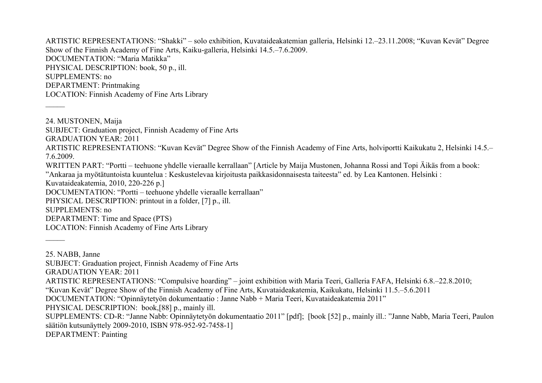ARTISTIC REPRESENTATIONS: "Shakki" – solo exhibition, Kuvataideakatemian galleria, Helsinki 12.–23.11.2008; "Kuvan Kevät" Degree Show of the Finnish Academy of Fine Arts, Kaiku-galleria, Helsinki 14.5.–7.6.2009. DOCUMENTATION: "Maria Matikka" PHYSICAL DESCRIPTION: book, 50 p., ill. SUPPLEMENTS: no DEPARTMENT: Printmaking LOCATION: Finnish Academy of Fine Arts Library

24. MUSTONEN, Maija SUBJECT: Graduation project, Finnish Academy of Fine Arts GRADUATION YEAR: 2011 ARTISTIC REPRESENTATIONS: "Kuvan Kevät" Degree Show of the Finnish Academy of Fine Arts, holviportti Kaikukatu 2, Helsinki 14.5.– 7.6.2009. WRITTEN PART: "Portti – teehuone yhdelle vieraalle kerrallaan" [Article by Maija Mustonen, Johanna Rossi and Topi Äikäs from a book: "Ankaraa ja myötätuntoista kuuntelua : Keskustelevaa kirjoitusta paikkasidonnaisesta taiteesta" ed. by Lea Kantonen. Helsinki : Kuvataideakatemia, 2010, 220-226 p.] DOCUMENTATION: "Portti – teehuone yhdelle vieraalle kerrallaan" PHYSICAL DESCRIPTION: printout in a folder, [7] p., ill. SUPPLEMENTS: no DEPARTMENT: Time and Space (PTS) LOCATION: Finnish Academy of Fine Arts Library  $\overline{\phantom{a}}$ 

25. NABB, Janne SUBJECT: Graduation project, Finnish Academy of Fine Arts GRADUATION YEAR: 2011 ARTISTIC REPRESENTATIONS: "Compulsive hoarding" – joint exhibition with Maria Teeri, Galleria FAFA, Helsinki 6.8.–22.8.2010; "Kuvan Kevät" Degree Show of the Finnish Academy of Fine Arts, Kuvataideakatemia, Kaikukatu, Helsinki 11.5.–5.6.2011 DOCUMENTATION: "Opinnäytetyön dokumentaatio : Janne Nabb + Maria Teeri, Kuvataideakatemia 2011" PHYSICAL DESCRIPTION: book,[88] p., mainly ill. SUPPLEMENTS: CD-R: "Janne Nabb: Opinnäytetyön dokumentaatio 2011" [pdf]; [book [52] p., mainly ill.: "Janne Nabb, Maria Teeri, Paulon säätiön kutsunäyttely 2009-2010, ISBN 978-952-92-7458-1]

DEPARTMENT: Painting

 $\overline{\phantom{a}}$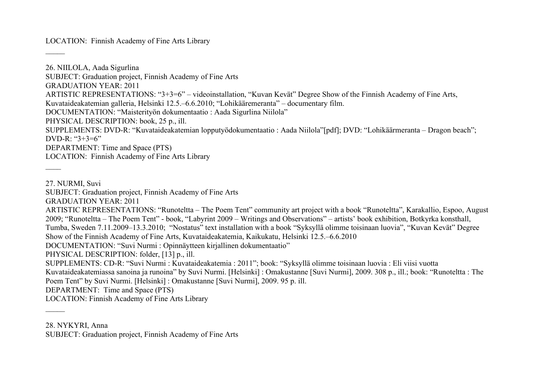LOCATION: Finnish Academy of Fine Arts Library

26. NIILOLA, Aada Sigurlina SUBJECT: Graduation project, Finnish Academy of Fine Arts GRADUATION YEAR: 2011 ARTISTIC REPRESENTATIONS: "3+3=6" – videoinstallation, "Kuvan Kevät" Degree Show of the Finnish Academy of Fine Arts, Kuvataideakatemian galleria, Helsinki 12.5.–6.6.2010; "Lohikääremeranta" – documentary film. DOCUMENTATION: "Maisterityön dokumentaatio : Aada Sigurlina Niilola" PHYSICAL DESCRIPTION: book, 25 p., ill. SUPPLEMENTS: DVD-R: "Kuvataideakatemian lopputyödokumentaatio : Aada Niilola"[pdf]; DVD: "Lohikäärmeranta – Dragon beach"; DVD-R: "3+3=6" DEPARTMENT: Time and Space (PTS) LOCATION: Finnish Academy of Fine Arts Library  $\overline{\phantom{a}}$ 

27. NURMI, Suvi

 $\overline{\phantom{a}}$ 

SUBJECT: Graduation project, Finnish Academy of Fine Arts

GRADUATION YEAR: 2011

ARTISTIC REPRESENTATIONS: "Runoteltta – The Poem Tent" community art project with a book "Runoteltta", Karakallio, Espoo, August 2009; "Runoteltta – The Poem Tent" - book, "Labyrint 2009 – Writings and Observations" – artists' book exhibition, Botkyrka konsthall, Tumba, Sweden 7.11.2009–13.3.2010; "Nostatus" text installation with a book "Syksyllä olimme toisinaan luovia", "Kuvan Kevät" Degree Show of the Finnish Academy of Fine Arts, Kuvataideakatemia, Kaikukatu, Helsinki 12.5.–6.6.2010

DOCUMENTATION: "Suvi Nurmi : Opinnäytteen kirjallinen dokumentaatio"

PHYSICAL DESCRIPTION: folder, [13] p., ill.

SUPPLEMENTS: CD-R: "Suvi Nurmi : Kuvataideakatemia : 2011"; book: "Syksyllä olimme toisinaan luovia : Eli viisi vuotta

Kuvataideakatemiassa sanoina ja runoina" by Suvi Nurmi. [Helsinki] : Omakustanne [Suvi Nurmi], 2009. 308 p., ill.; book: "Runoteltta : The Poem Tent" by Suvi Nurmi. [Helsinki] : Omakustanne [Suvi Nurmi], 2009. 95 p. ill.

DEPARTMENT: Time and Space (PTS)

LOCATION: Finnish Academy of Fine Arts Library

 $\overline{\phantom{a}}$ 

<sup>28.</sup> NYKYRI, Anna

SUBJECT: Graduation project, Finnish Academy of Fine Arts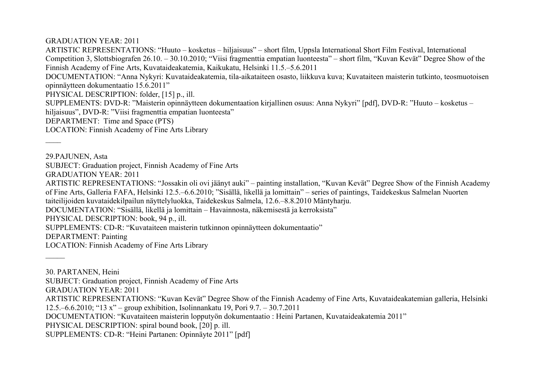GRADUATION YEAR: 2011

ARTISTIC REPRESENTATIONS: "Huuto – kosketus – hiljaisuus" – short film, Uppsla International Short Film Festival, International Competition 3, Slottsbiografen 26.10. – 30.10.2010; "Viisi fragmenttia empatian luonteesta" – short film, "Kuvan Kevät" Degree Show of the Finnish Academy of Fine Arts, Kuvataideakatemia, Kaikukatu, Helsinki 11.5.–5.6.2011

DOCUMENTATION: "Anna Nykyri: Kuvataideakatemia, tila-aikataiteen osasto, liikkuva kuva; Kuvataiteen maisterin tutkinto, teosmuotoisen opinnäytteen dokumentaatio 15.6.2011"

PHYSICAL DESCRIPTION: folder, [15] p., ill.

SUPPLEMENTS: DVD-R: "Maisterin opinnäytteen dokumentaation kirjallinen osuus: Anna Nykyri" [pdf], DVD-R: "Huuto – kosketus –

hiljaisuus", DVD-R: "Viisi fragmenttia empatian luonteesta"

DEPARTMENT: Time and Space (PTS)

LOCATION: Finnish Academy of Fine Arts Library

29.PAJUNEN, Asta

 $\overline{\phantom{a}}$ 

 $\mathcal{L}$ 

SUBJECT: Graduation project, Finnish Academy of Fine Arts

GRADUATION YEAR: 2011

ARTISTIC REPRESENTATIONS: "Jossakin oli ovi jäänyt auki" – painting installation, "Kuvan Kevät" Degree Show of the Finnish Academy of Fine Arts, Galleria FAFA, Helsinki 12.5.–6.6.2010; "Sisällä, likellä ja lomittain" – series of paintings, Taidekeskus Salmelan Nuorten

taiteilijoiden kuvataidekilpailun näyttelyluokka, Taidekeskus Salmela, 12.6.–8.8.2010 Mäntyharju.

DOCUMENTATION: "Sisällä, likellä ja lomittain – Havainnosta, näkemisestä ja kerroksista"

PHYSICAL DESCRIPTION: book, 94 p., ill.

SUPPLEMENTS: CD-R: "Kuvataiteen maisterin tutkinnon opinnäytteen dokumentaatio"

DEPARTMENT: Painting

LOCATION: Finnish Academy of Fine Arts Library

30. PARTANEN, Heini SUBJECT: Graduation project, Finnish Academy of Fine Arts GRADUATION YEAR: 2011 ARTISTIC REPRESENTATIONS: "Kuvan Kevät" Degree Show of the Finnish Academy of Fine Arts, Kuvataideakatemian galleria, Helsinki 12.5.–6.6.2010; "13 x" – group exhibition, Isolinnankatu 19, Pori 9.7. – 30.7.2011 DOCUMENTATION: "Kuvataiteen maisterin lopputyön dokumentaatio : Heini Partanen, Kuvataideakatemia 2011" PHYSICAL DESCRIPTION: spiral bound book, [20] p. ill. SUPPLEMENTS: CD-R: "Heini Partanen: Opinnäyte 2011" [pdf]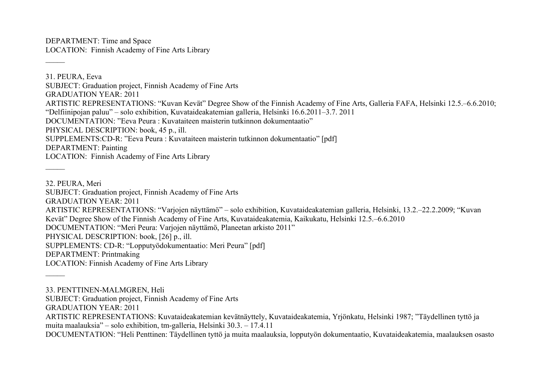DEPARTMENT: Time and Space LOCATION: Finnish Academy of Fine Arts Library

 $\overline{\phantom{a}}$ 

 $\overline{\phantom{a}}$ 

31. PEURA, Eeva SUBJECT: Graduation project, Finnish Academy of Fine Arts GRADUATION YEAR: 2011 ARTISTIC REPRESENTATIONS: "Kuvan Kevät" Degree Show of the Finnish Academy of Fine Arts, Galleria FAFA, Helsinki 12.5.–6.6.2010; "Delfiinipojan paluu" – solo exhibition, Kuvataideakatemian galleria, Helsinki 16.6.2011–3.7. 2011 DOCUMENTATION: "Eeva Peura : Kuvataiteen maisterin tutkinnon dokumentaatio" PHYSICAL DESCRIPTION: book, 45 p., ill. SUPPLEMENTS:CD-R: "Eeva Peura : Kuvataiteen maisterin tutkinnon dokumentaatio" [pdf] DEPARTMENT: Painting LOCATION: Finnish Academy of Fine Arts Library

32. PEURA, Meri SUBJECT: Graduation project, Finnish Academy of Fine Arts GRADUATION YEAR: 2011 ARTISTIC REPRESENTATIONS: "Varjojen näyttämö" – solo exhibition, Kuvataideakatemian galleria, Helsinki, 13.2.–22.2.2009; "Kuvan Kevät" Degree Show of the Finnish Academy of Fine Arts, Kuvataideakatemia, Kaikukatu, Helsinki 12.5.–6.6.2010 DOCUMENTATION: "Meri Peura: Varjojen näyttämö, Planeetan arkisto 2011" PHYSICAL DESCRIPTION: book, [26] p., ill. SUPPLEMENTS: CD-R: "Lopputyödokumentaatio: Meri Peura" [pdf] DEPARTMENT: Printmaking LOCATION: Finnish Academy of Fine Arts Library  $\overline{\phantom{a}}$ 

33. PENTTINEN-MALMGREN, Heli

SUBJECT: Graduation project, Finnish Academy of Fine Arts

GRADUATION YEAR: 2011

ARTISTIC REPRESENTATIONS: Kuvataideakatemian kevätnäyttely, Kuvataideakatemia, Yrjönkatu, Helsinki 1987; "Täydellinen tyttö ja muita maalauksia" – solo exhibition, tm-galleria, Helsinki 30.3. – 17.4.11

DOCUMENTATION: "Heli Penttinen: Täydellinen tyttö ja muita maalauksia, lopputyön dokumentaatio, Kuvataideakatemia, maalauksen osasto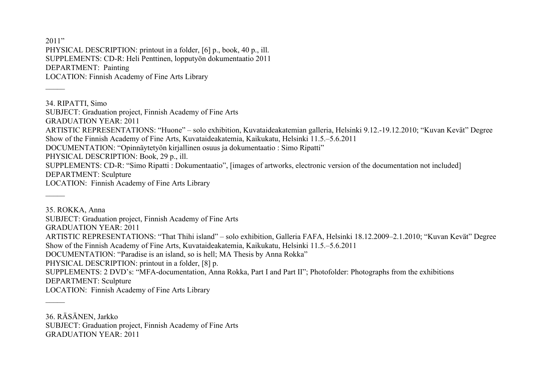$2011"$ PHYSICAL DESCRIPTION: printout in a folder, [6] p., book, 40 p., ill. SUPPLEMENTS: CD-R: Heli Penttinen, lopputyön dokumentaatio 2011 DEPARTMENT: Painting LOCATION: Finnish Academy of Fine Arts Library

 $\overline{\phantom{a}}$ 

 $\mathcal{L}$ 

34. RIPATTI, Simo SUBJECT: Graduation project, Finnish Academy of Fine Arts GRADUATION YEAR: 2011 ARTISTIC REPRESENTATIONS: "Huone" – solo exhibition, Kuvataideakatemian galleria, Helsinki 9.12.-19.12.2010; "Kuvan Kevät" Degree Show of the Finnish Academy of Fine Arts, Kuvataideakatemia, Kaikukatu, Helsinki 11.5.–5.6.2011 DOCUMENTATION: "Opinnäytetyön kirjallinen osuus ja dokumentaatio : Simo Ripatti" PHYSICAL DESCRIPTION: Book, 29 p., ill. SUPPLEMENTS: CD-R: "Simo Ripatti : Dokumentaatio", [images of artworks, electronic version of the documentation not included] DEPARTMENT: Sculpture LOCATION: Finnish Academy of Fine Arts Library  $\overline{\phantom{a}}$ 

35. ROKKA, Anna SUBJECT: Graduation project, Finnish Academy of Fine Arts GRADUATION YEAR: 2011 ARTISTIC REPRESENTATIONS: "That Thihi island" – solo exhibition, Galleria FAFA, Helsinki 18.12.2009–2.1.2010; "Kuvan Kevät" Degree Show of the Finnish Academy of Fine Arts, Kuvataideakatemia, Kaikukatu, Helsinki 11.5.–5.6.2011 DOCUMENTATION: "Paradise is an island, so is hell; MA Thesis by Anna Rokka" PHYSICAL DESCRIPTION: printout in a folder, [8] p. SUPPLEMENTS: 2 DVD's: "MFA-documentation, Anna Rokka, Part I and Part II"; Photofolder: Photographs from the exhibitions DEPARTMENT: Sculpture LOCATION: Finnish Academy of Fine Arts Library

36. RÄSÄNEN, Jarkko SUBJECT: Graduation project, Finnish Academy of Fine Arts GRADUATION YEAR: 2011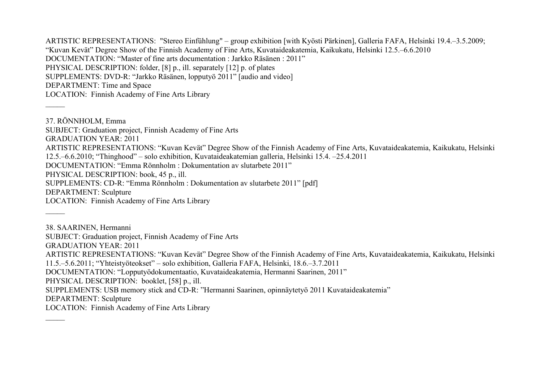ARTISTIC REPRESENTATIONS: "Stereo Einfühlung" – group exhibition [with Kyösti Pärkinen], Galleria FAFA, Helsinki 19.4.–3.5.2009; "Kuvan Kevät" Degree Show of the Finnish Academy of Fine Arts, Kuvataideakatemia, Kaikukatu, Helsinki 12.5.–6.6.2010 DOCUMENTATION: "Master of fine arts documentation : Jarkko Räsänen : 2011" PHYSICAL DESCRIPTION: folder, [8] p., ill. separately [12] p. of plates SUPPLEMENTS: DVD-R: "Jarkko Räsänen, lopputyö 2011" [audio and video] DEPARTMENT: Time and Space LOCATION: Finnish Academy of Fine Arts Library

37. RÖNNHOLM, Emma SUBJECT: Graduation project, Finnish Academy of Fine Arts GRADUATION YEAR: 2011 ARTISTIC REPRESENTATIONS: "Kuvan Kevät" Degree Show of the Finnish Academy of Fine Arts, Kuvataideakatemia, Kaikukatu, Helsinki 12.5.–6.6.2010; "Thinghood" – solo exhibition, Kuvataideakatemian galleria, Helsinki 15.4. –25.4.2011 DOCUMENTATION: "Emma Rönnholm : Dokumentation av slutarbete 2011" PHYSICAL DESCRIPTION: book, 45 p., ill. SUPPLEMENTS: CD-R: "Emma Rönnholm : Dokumentation av slutarbete 2011" [pdf] DEPARTMENT: Sculpture LOCATION: Finnish Academy of Fine Arts Library  $\mathcal{L}$ 38. SAARINEN, Hermanni SUBJECT: Graduation project, Finnish Academy of Fine Arts GRADUATION YEAR: 2011

ARTISTIC REPRESENTATIONS: "Kuvan Kevät" Degree Show of the Finnish Academy of Fine Arts, Kuvataideakatemia, Kaikukatu, Helsinki 11.5.–5.6.2011; "Yhteistyöteokset" – solo exhibition, Galleria FAFA, Helsinki, 18.6.–3.7.2011

DOCUMENTATION: "Lopputyödokumentaatio, Kuvataideakatemia, Hermanni Saarinen, 2011"

PHYSICAL DESCRIPTION: booklet, [58] p., ill.

SUPPLEMENTS: USB memory stick and CD-R: "Hermanni Saarinen, opinnäytetyö 2011 Kuvataideakatemia"

DEPARTMENT: Sculpture

 $\overline{\phantom{a}}$ 

LOCATION: Finnish Academy of Fine Arts Library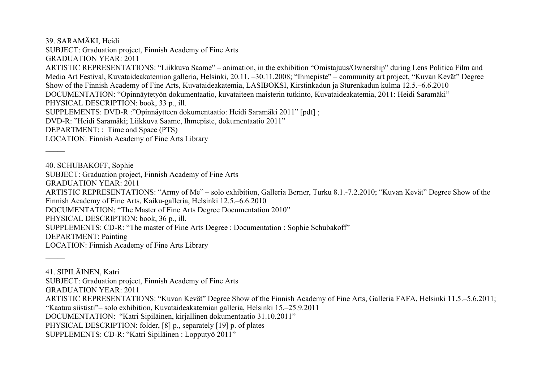39. SARAMÄKI, Heidi SUBJECT: Graduation project, Finnish Academy of Fine Arts GRADUATION YEAR: 2011 ARTISTIC REPRESENTATIONS: "Liikkuva Saame" – animation, in the exhibition "Omistajuus/Ownership" during Lens Politica Film and Media Art Festival, Kuvataideakatemian galleria, Helsinki, 20.11. –30.11.2008; "Ihmepiste" – community art project, "Kuvan Kevät" Degree Show of the Finnish Academy of Fine Arts, Kuvataideakatemia, LASIBOKSI, Kirstinkadun ja Sturenkadun kulma 12.5.–6.6.2010 DOCUMENTATION: "Opinnäytetyön dokumentaatio, kuvataiteen maisterin tutkinto, Kuvataideakatemia, 2011: Heidi Saramäki" PHYSICAL DESCRIPTION: book, 33 p., ill. SUPPLEMENTS: DVD-R :"Opinnäytteen dokumentaatio: Heidi Saramäki 2011" [pdf] ; DVD-R: "Heidi Saramäki; Liikkuva Saame, Ihmepiste, dokumentaatio 2011" DEPARTMENT: : Time and Space (PTS) LOCATION: Finnish Academy of Fine Arts Library  $\mathcal{L}$ 

40. SCHUBAKOFF, Sophie SUBJECT: Graduation project, Finnish Academy of Fine Arts GRADUATION YEAR: 2011 ARTISTIC REPRESENTATIONS: "Army of Me" – solo exhibition, Galleria Berner, Turku 8.1.-7.2.2010; "Kuvan Kevät" Degree Show of the Finnish Academy of Fine Arts, Kaiku-galleria, Helsinki 12.5.–6.6.2010 DOCUMENTATION: "The Master of Fine Arts Degree Documentation 2010" PHYSICAL DESCRIPTION: book, 36 p., ill. SUPPLEMENTS: CD-R: "The master of Fine Arts Degree : Documentation : Sophie Schubakoff" DEPARTMENT: Painting LOCATION: Finnish Academy of Fine Arts Library  $\mathcal{L}$ 

41. SIPILÄINEN, Katri SUBJECT: Graduation project, Finnish Academy of Fine Arts GRADUATION YEAR: 2011 ARTISTIC REPRESENTATIONS: "Kuvan Kevät" Degree Show of the Finnish Academy of Fine Arts, Galleria FAFA, Helsinki 11.5.–5.6.2011; "Kaatuu siististi"– solo exhibition, Kuvataideakatemian galleria, Helsinki 15.–25.9.2011 DOCUMENTATION: "Katri Sipiläinen, kirjallinen dokumentaatio 31.10.2011" PHYSICAL DESCRIPTION: folder, [8] p., separately [19] p. of plates SUPPLEMENTS: CD-R: "Katri Sipiläinen : Lopputyö 2011"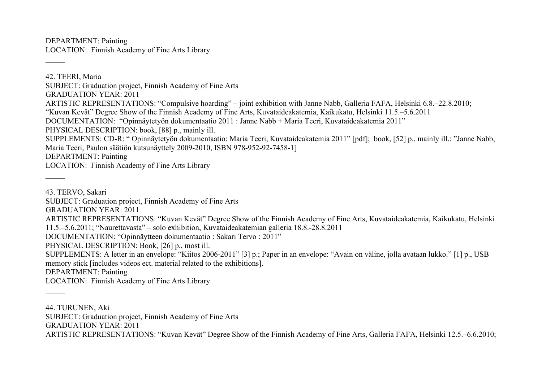DEPARTMENT: Painting LOCATION: Finnish Academy of Fine Arts Library

42. TEERI, Maria SUBJECT: Graduation project, Finnish Academy of Fine Arts GRADUATION YEAR: 2011 ARTISTIC REPRESENTATIONS: "Compulsive hoarding" – joint exhibition with Janne Nabb, Galleria FAFA, Helsinki 6.8.–22.8.2010; "Kuvan Kevät" Degree Show of the Finnish Academy of Fine Arts, Kuvataideakatemia, Kaikukatu, Helsinki 11.5.–5.6.2011 DOCUMENTATION: "Opinnäytetyön dokumentaatio 2011 : Janne Nabb + Maria Teeri, Kuvataideakatemia 2011" PHYSICAL DESCRIPTION: book, [88] p., mainly ill. SUPPLEMENTS: CD-R: " Opinnäytetyön dokumentaatio: Maria Teeri, Kuvataideakatemia 2011" [pdf]; book, [52] p., mainly ill.: "Janne Nabb, Maria Teeri, Paulon säätiön kutsunäyttely 2009-2010, ISBN 978-952-92-7458-1] DEPARTMENT: Painting LOCATION: Finnish Academy of Fine Arts Library

43. TERVO, Sakari

 $\overline{\phantom{a}}$ 

 $\mathcal{L}$ 

 $\mathcal{L}$ 

SUBJECT: Graduation project, Finnish Academy of Fine Arts

GRADUATION YEAR: 2011

ARTISTIC REPRESENTATIONS: "Kuvan Kevät" Degree Show of the Finnish Academy of Fine Arts, Kuvataideakatemia, Kaikukatu, Helsinki 11.5.–5.6.2011; "Naurettavasta" – solo exhibition, Kuvataideakatemian galleria 18.8.-28.8.2011

DOCUMENTATION: "Opinnäytteen dokumentaatio : Sakari Tervo : 2011"

PHYSICAL DESCRIPTION: Book, [26] p., most ill.

SUPPLEMENTS: A letter in an envelope: "Kiitos 2006-2011" [3] p.; Paper in an envelope: "Avain on väline, jolla avataan lukko." [1] p., USB memory stick [includes videos ect. material related to the exhibitions].

DEPARTMENT: Painting

LOCATION: Finnish Academy of Fine Arts Library

44. TURUNEN, Aki

SUBJECT: Graduation project, Finnish Academy of Fine Arts

GRADUATION YEAR: 2011

ARTISTIC REPRESENTATIONS: "Kuvan Kevät" Degree Show of the Finnish Academy of Fine Arts, Galleria FAFA, Helsinki 12.5.–6.6.2010;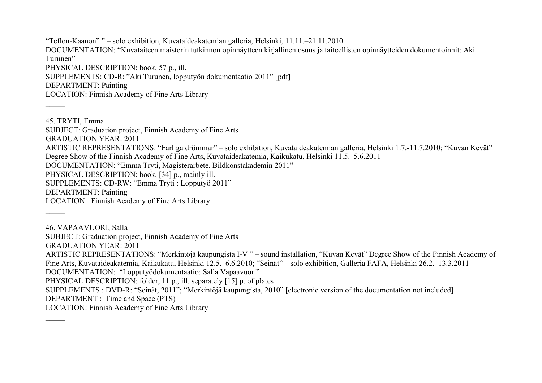"Teflon-Kaanon" " – solo exhibition, Kuvataideakatemian galleria, Helsinki, 11.11.–21.11.2010 DOCUMENTATION: "Kuvataiteen maisterin tutkinnon opinnäytteen kirjallinen osuus ja taiteellisten opinnäytteiden dokumentoinnit: Aki Turunen" PHYSICAL DESCRIPTION: book, 57 p., ill. SUPPLEMENTS: CD-R: "Aki Turunen, lopputyön dokumentaatio 2011" [pdf] DEPARTMENT: Painting LOCATION: Finnish Academy of Fine Arts Library

 $\overline{\phantom{a}}$ 

45. TRYTI, Emma SUBJECT: Graduation project, Finnish Academy of Fine Arts GRADUATION YEAR: 2011 ARTISTIC REPRESENTATIONS: "Farliga drömmar" – solo exhibition, Kuvataideakatemian galleria, Helsinki 1.7.-11.7.2010; "Kuvan Kevät" Degree Show of the Finnish Academy of Fine Arts, Kuvataideakatemia, Kaikukatu, Helsinki 11.5.–5.6.2011 DOCUMENTATION: "Emma Tryti, Magisterarbete, Bildkonstakademin 2011" PHYSICAL DESCRIPTION: book, [34] p., mainly ill. SUPPLEMENTS: CD-RW: "Emma Tryti : Lopputyö 2011" DEPARTMENT: Painting LOCATION: Finnish Academy of Fine Arts Library  $\mathcal{L}$ 

46. VAPAAVUORI, Salla SUBJECT: Graduation project, Finnish Academy of Fine Arts GRADUATION YEAR: 2011 ARTISTIC REPRESENTATIONS: "Merkintöjä kaupungista I-V " – sound installation, "Kuvan Kevät" Degree Show of the Finnish Academy of Fine Arts, Kuvataideakatemia, Kaikukatu, Helsinki 12.5.–6.6.2010; "Seinät" – solo exhibition, Galleria FAFA, Helsinki 26.2.–13.3.2011 DOCUMENTATION: "Lopputyödokumentaatio: Salla Vapaavuori" PHYSICAL DESCRIPTION: folder, 11 p., ill. separately [15] p. of plates SUPPLEMENTS : DVD-R: "Seinät, 2011"; "Merkintöjä kaupungista, 2010" [electronic version of the documentation not included] DEPARTMENT : Time and Space (PTS) LOCATION: Finnish Academy of Fine Arts Library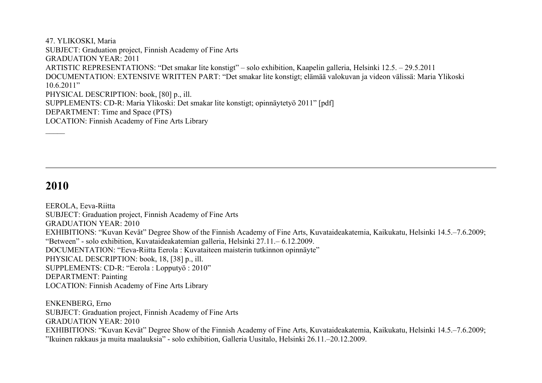47. YLIKOSKI, Maria SUBJECT: Graduation project, Finnish Academy of Fine Arts GRADUATION YEAR: 2011 ARTISTIC REPRESENTATIONS: "Det smakar lite konstigt" – solo exhibition, Kaapelin galleria, Helsinki 12.5. – 29.5.2011 DOCUMENTATION: EXTENSIVE WRITTEN PART: "Det smakar lite konstigt; elämää valokuvan ja videon välissä: Maria Ylikoski 10.6.2011" PHYSICAL DESCRIPTION: book, [80] p., ill. SUPPLEMENTS: CD-R: Maria Ylikoski: Det smakar lite konstigt; opinnäytetyö 2011" [pdf] DEPARTMENT: Time and Space (PTS) LOCATION: Finnish Academy of Fine Arts Library  $\overline{\phantom{a}}$ 

## **2010**

EEROLA, Eeva-Riitta SUBJECT: Graduation project, Finnish Academy of Fine Arts GRADUATION YEAR: 2010 EXHIBITIONS: "Kuvan Kevät" Degree Show of the Finnish Academy of Fine Arts, Kuvataideakatemia, Kaikukatu, Helsinki 14.5.–7.6.2009; "Between" - solo exhibition, Kuvataideakatemian galleria, Helsinki 27.11.– 6.12.2009. DOCUMENTATION: "Eeva-Riitta Eerola : Kuvataiteen maisterin tutkinnon opinnäyte" PHYSICAL DESCRIPTION: book, 18, [38] p., ill. SUPPLEMENTS: CD-R: "Eerola : Lopputyö : 2010" DEPARTMENT: Painting LOCATION: Finnish Academy of Fine Arts Library

ENKENBERG, Erno SUBJECT: Graduation project, Finnish Academy of Fine Arts GRADUATION YEAR: 2010 EXHIBITIONS: "Kuvan Kevät" Degree Show of the Finnish Academy of Fine Arts, Kuvataideakatemia, Kaikukatu, Helsinki 14.5.–7.6.2009; "Ikuinen rakkaus ja muita maalauksia" - solo exhibition, Galleria Uusitalo, Helsinki 26.11.–20.12.2009.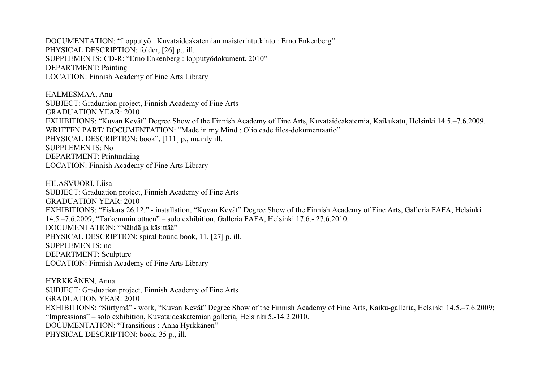DOCUMENTATION: "Lopputyö : Kuvataideakatemian maisterintutkinto : Erno Enkenberg" PHYSICAL DESCRIPTION: folder, [26] p., ill. SUPPLEMENTS: CD-R: "Erno Enkenberg : lopputyödokument. 2010" DEPARTMENT: Painting LOCATION: Finnish Academy of Fine Arts Library

HALMESMAA, Anu SUBJECT: Graduation project, Finnish Academy of Fine Arts GRADUATION YEAR: 2010 EXHIBITIONS: "Kuvan Kevät" Degree Show of the Finnish Academy of Fine Arts, Kuvataideakatemia, Kaikukatu, Helsinki 14.5.–7.6.2009. WRITTEN PART/ DOCUMENTATION: "Made in my Mind : Olio cade files-dokumentaatio" PHYSICAL DESCRIPTION: book", [111] p., mainly ill. SUPPLEMENTS: No DEPARTMENT: Printmaking LOCATION: Finnish Academy of Fine Arts Library

HILASVUORI, Liisa SUBJECT: Graduation project, Finnish Academy of Fine Arts GRADUATION YEAR: 2010 EXHIBITIONS: "Fiskars 26.12." - installation, "Kuvan Kevät" Degree Show of the Finnish Academy of Fine Arts, Galleria FAFA, Helsinki 14.5.–7.6.2009; "Tarkemmin ottaen" – solo exhibition, Galleria FAFA, Helsinki 17.6.- 27.6.2010. DOCUMENTATION: "Nähdä ja käsittää" PHYSICAL DESCRIPTION: spiral bound book, 11, [27] p. ill. SUPPLEMENTS: no DEPARTMENT: Sculpture LOCATION: Finnish Academy of Fine Arts Library

HYRKKÄNEN, Anna SUBJECT: Graduation project, Finnish Academy of Fine Arts GRADUATION YEAR: 2010 EXHIBITIONS: "Siirtymä" - work, "Kuvan Kevät" Degree Show of the Finnish Academy of Fine Arts, Kaiku-galleria, Helsinki 14.5.–7.6.2009; "Impressions" – solo exhibition, Kuvataideakatemian galleria, Helsinki 5.-14.2.2010. DOCUMENTATION: "Transitions : Anna Hyrkkänen" PHYSICAL DESCRIPTION: book, 35 p., ill.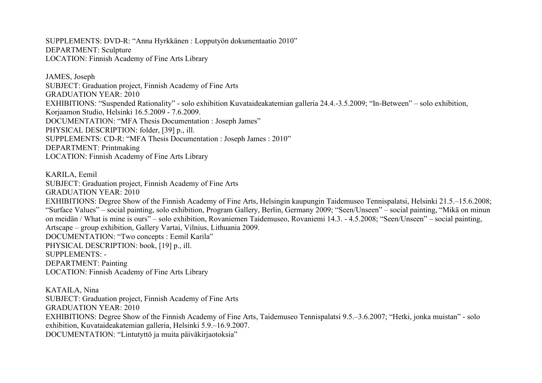SUPPLEMENTS: DVD-R: "Anna Hyrkkänen : Lopputyön dokumentaatio 2010" DEPARTMENT: Sculpture LOCATION: Finnish Academy of Fine Arts Library

JAMES, Joseph SUBJECT: Graduation project, Finnish Academy of Fine Arts GRADUATION YEAR: 2010 EXHIBITIONS: "Suspended Rationality" - solo exhibition Kuvataideakatemian galleria 24.4.-3.5.2009; "In-Between" – solo exhibition, Korjaamon Studio, Helsinki 16.5.2009 - 7.6.2009. DOCUMENTATION: "MFA Thesis Documentation : Joseph James" PHYSICAL DESCRIPTION: folder, [39] p., ill. SUPPLEMENTS: CD-R: "MFA Thesis Documentation : Joseph James : 2010" DEPARTMENT: Printmaking LOCATION: Finnish Academy of Fine Arts Library

KARILA, Eemil SUBJECT: Graduation project, Finnish Academy of Fine Arts GRADUATION YEAR: 2010 EXHIBITIONS: Degree Show of the Finnish Academy of Fine Arts, Helsingin kaupungin Taidemuseo Tennispalatsi, Helsinki 21.5.–15.6.2008; "Surface Values" – social painting, solo exhibition, Program Gallery, Berlin, Germany 2009; "Seen/Unseen" – social painting, "Mikä on minun on meidän / What is mine is ours" – solo exhibition, Rovaniemen Taidemuseo, Rovaniemi 14.3. - 4.5.2008; "Seen/Unseen" – social painting, Artscape – group exhibition, Gallery Vartai, Vilnius, Lithuania 2009. DOCUMENTATION: "Two concepts : Eemil Karila" PHYSICAL DESCRIPTION: book, [19] p., ill. SUPPLEMENTS: - DEPARTMENT: Painting LOCATION: Finnish Academy of Fine Arts Library

KATAILA, Nina SUBJECT: Graduation project, Finnish Academy of Fine Arts GRADUATION YEAR: 2010 EXHIBITIONS: Degree Show of the Finnish Academy of Fine Arts, Taidemuseo Tennispalatsi 9.5.–3.6.2007; "Hetki, jonka muistan" - solo exhibition, Kuvataideakatemian galleria, Helsinki 5.9.–16.9.2007. DOCUMENTATION: "Lintutyttö ja muita päiväkirjaotoksia"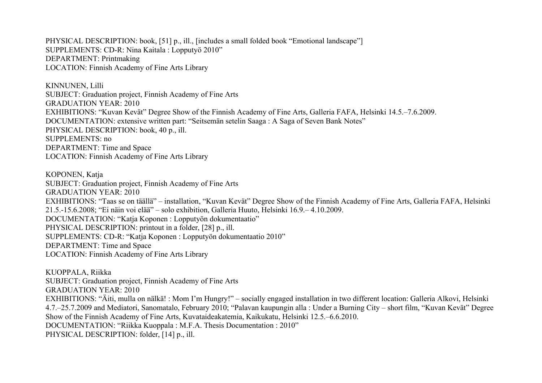PHYSICAL DESCRIPTION: book, [51] p., ill., [includes a small folded book "Emotional landscape"] SUPPLEMENTS: CD-R: Nina Kaitala : Lopputyö 2010" DEPARTMENT: Printmaking LOCATION: Finnish Academy of Fine Arts Library

KINNUNEN, Lilli SUBJECT: Graduation project, Finnish Academy of Fine Arts GRADUATION YEAR: 2010 EXHIBITIONS: "Kuvan Kevät" Degree Show of the Finnish Academy of Fine Arts, Galleria FAFA, Helsinki 14.5.–7.6.2009. DOCUMENTATION: extensive written part: "Seitsemän setelin Saaga : A Saga of Seven Bank Notes" PHYSICAL DESCRIPTION: book, 40 p., ill. SUPPLEMENTS: no DEPARTMENT: Time and Space LOCATION: Finnish Academy of Fine Arts Library

KOPONEN, Katja SUBJECT: Graduation project, Finnish Academy of Fine Arts GRADUATION YEAR: 2010 EXHIBITIONS: "Taas se on täällä" – installation, "Kuvan Kevät" Degree Show of the Finnish Academy of Fine Arts, Galleria FAFA, Helsinki 21.5.-15.6.2008; "Ei näin voi elää" – solo exhibition, Galleria Huuto, Helsinki 16.9.– 4.10.2009. DOCUMENTATION: "Katja Koponen : Lopputyön dokumentaatio" PHYSICAL DESCRIPTION: printout in a folder, [28] p., ill. SUPPLEMENTS: CD-R: "Katja Koponen : Lopputyön dokumentaatio 2010" DEPARTMENT: Time and Space LOCATION: Finnish Academy of Fine Arts Library

KUOPPALA, Riikka SUBJECT: Graduation project, Finnish Academy of Fine Arts GRADUATION YEAR: 2010 EXHIBITIONS: "Äiti, mulla on nälkä! : Mom I'm Hungry!" – socially engaged installation in two different location: Galleria Alkovi, Helsinki 4.7.–25.7.2009 and Mediatori, Sanomatalo, February 2010; "Palavan kaupungin alla : Under a Burning City – short film, "Kuvan Kevät" Degree Show of the Finnish Academy of Fine Arts, Kuvataideakatemia, Kaikukatu, Helsinki 12.5.–6.6.2010. DOCUMENTATION: "Riikka Kuoppala : M.F.A. Thesis Documentation : 2010" PHYSICAL DESCRIPTION: folder, [14] p., ill.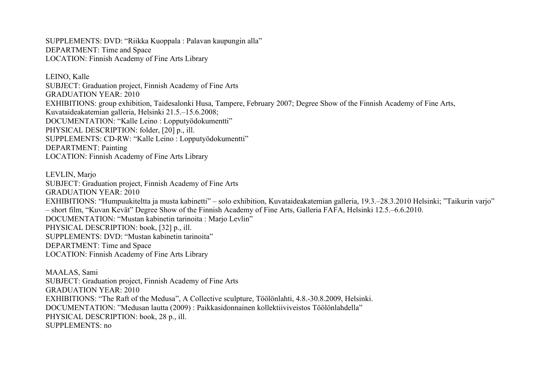SUPPLEMENTS: DVD: "Riikka Kuoppala : Palavan kaupungin alla" DEPARTMENT: Time and Space LOCATION: Finnish Academy of Fine Arts Library

LEINO, Kalle SUBJECT: Graduation project, Finnish Academy of Fine Arts GRADUATION YEAR: 2010 EXHIBITIONS: group exhibition, Taidesalonki Husa, Tampere, February 2007; Degree Show of the Finnish Academy of Fine Arts, Kuvataideakatemian galleria, Helsinki 21.5.–15.6.2008; DOCUMENTATION: "Kalle Leino : Lopputyödokumentti" PHYSICAL DESCRIPTION: folder, [20] p., ill. SUPPLEMENTS: CD-RW: "Kalle Leino : Lopputyödokumentti" DEPARTMENT: Painting LOCATION: Finnish Academy of Fine Arts Library

LEVLIN, Marjo SUBJECT: Graduation project, Finnish Academy of Fine Arts GRADUATION YEAR: 2010 EXHIBITIONS: "Humpuukiteltta ja musta kabinetti" – solo exhibition, Kuvataideakatemian galleria, 19.3.–28.3.2010 Helsinki; "Taikurin varjo" – short film, "Kuvan Kevät" Degree Show of the Finnish Academy of Fine Arts, Galleria FAFA, Helsinki 12.5.–6.6.2010. DOCUMENTATION: "Mustan kabinetin tarinoita : Marjo Levlin" PHYSICAL DESCRIPTION: book, [32] p., ill. SUPPLEMENTS: DVD: "Mustan kabinetin tarinoita" DEPARTMENT: Time and Space LOCATION: Finnish Academy of Fine Arts Library

MAALAS, Sami SUBJECT: Graduation project, Finnish Academy of Fine Arts GRADUATION YEAR: 2010 EXHIBITIONS: "The Raft of the Medusa", A Collective sculpture, Töölönlahti, 4.8.-30.8.2009, Helsinki. DOCUMENTATION: "Medusan lautta (2009) : Paikkasidonnainen kollektiiviveistos Töölönlahdella" PHYSICAL DESCRIPTION: book, 28 p., ill. SUPPLEMENTS: no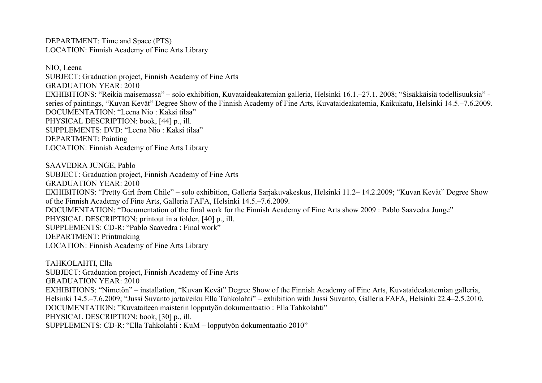DEPARTMENT: Time and Space (PTS) LOCATION: Finnish Academy of Fine Arts Library

NIO, Leena SUBJECT: Graduation project, Finnish Academy of Fine Arts GRADUATION YEAR: 2010 EXHIBITIONS: "Reikiä maisemassa" – solo exhibition, Kuvataideakatemian galleria, Helsinki 16.1.–27.1. 2008; "Sisäkkäisiä todellisuuksia" series of paintings, "Kuvan Kevät" Degree Show of the Finnish Academy of Fine Arts, Kuvataideakatemia, Kaikukatu, Helsinki 14.5.–7.6.2009. DOCUMENTATION: "Leena Nio : Kaksi tilaa" PHYSICAL DESCRIPTION: book, [44] p., ill. SUPPLEMENTS: DVD: "Leena Nio : Kaksi tilaa" DEPARTMENT: Painting LOCATION: Finnish Academy of Fine Arts Library

SAAVEDRA JUNGE, Pablo SUBJECT: Graduation project, Finnish Academy of Fine Arts GRADUATION YEAR: 2010 EXHIBITIONS: "Pretty Girl from Chile" – solo exhibition, Galleria Sarjakuvakeskus, Helsinki 11.2– 14.2.2009; "Kuvan Kevät" Degree Show of the Finnish Academy of Fine Arts, Galleria FAFA, Helsinki 14.5.–7.6.2009. DOCUMENTATION: "Documentation of the final work for the Finnish Academy of Fine Arts show 2009 : Pablo Saavedra Junge" PHYSICAL DESCRIPTION: printout in a folder, [40] p., ill. SUPPLEMENTS: CD-R: "Pablo Saavedra : Final work" DEPARTMENT: Printmaking LOCATION: Finnish Academy of Fine Arts Library

TAHKOLAHTI, Ella SUBJECT: Graduation project, Finnish Academy of Fine Arts GRADUATION YEAR: 2010 EXHIBITIONS: "Nimetön" – installation, "Kuvan Kevät" Degree Show of the Finnish Academy of Fine Arts, Kuvataideakatemian galleria, Helsinki 14.5.–7.6.2009; "Jussi Suvanto ja/tai/eiku Ella Tahkolahti" – exhibition with Jussi Suvanto, Galleria FAFA, Helsinki 22.4–2.5.2010. DOCUMENTATION: "Kuvataiteen maisterin lopputyön dokumentaatio : Ella Tahkolahti" PHYSICAL DESCRIPTION: book, [30] p., ill. SUPPLEMENTS: CD-R: "Ella Tahkolahti : KuM – lopputyön dokumentaatio 2010"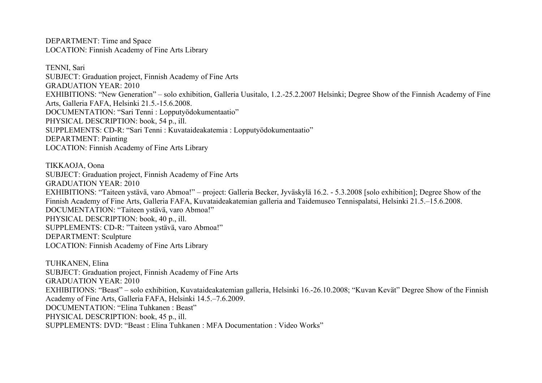DEPARTMENT: Time and Space LOCATION: Finnish Academy of Fine Arts Library

TENNI, Sari SUBJECT: Graduation project, Finnish Academy of Fine Arts GRADUATION YEAR: 2010 EXHIBITIONS: "New Generation" – solo exhibition, Galleria Uusitalo, 1.2.-25.2.2007 Helsinki; Degree Show of the Finnish Academy of Fine Arts, Galleria FAFA, Helsinki 21.5.-15.6.2008. DOCUMENTATION: "Sari Tenni : Lopputyödokumentaatio" PHYSICAL DESCRIPTION: book, 54 p., ill. SUPPLEMENTS: CD-R: "Sari Tenni : Kuvataideakatemia : Lopputyödokumentaatio" DEPARTMENT: Painting LOCATION: Finnish Academy of Fine Arts Library

TIKKAOJA, Oona SUBJECT: Graduation project, Finnish Academy of Fine Arts GRADUATION YEAR: 2010 EXHIBITIONS: "Taiteen ystävä, varo Abmoa!" – project: Galleria Becker, Jyväskylä 16.2. - 5.3.2008 [solo exhibition]; Degree Show of the Finnish Academy of Fine Arts, Galleria FAFA, Kuvataideakatemian galleria and Taidemuseo Tennispalatsi, Helsinki 21.5.–15.6.2008. DOCUMENTATION: "Taiteen ystävä, varo Abmoa!" PHYSICAL DESCRIPTION: book, 40 p., ill. SUPPLEMENTS: CD-R: "Taiteen ystävä, varo Abmoa!" DEPARTMENT: Sculpture LOCATION: Finnish Academy of Fine Arts Library

TUHKANEN, Elina SUBJECT: Graduation project, Finnish Academy of Fine Arts GRADUATION YEAR: 2010 EXHIBITIONS: "Beast" – solo exhibition, Kuvataideakatemian galleria, Helsinki 16.-26.10.2008; "Kuvan Kevät" Degree Show of the Finnish Academy of Fine Arts, Galleria FAFA, Helsinki 14.5.–7.6.2009. DOCUMENTATION: "Elina Tuhkanen : Beast" PHYSICAL DESCRIPTION: book, 45 p., ill. SUPPLEMENTS: DVD: "Beast : Elina Tuhkanen : MFA Documentation : Video Works"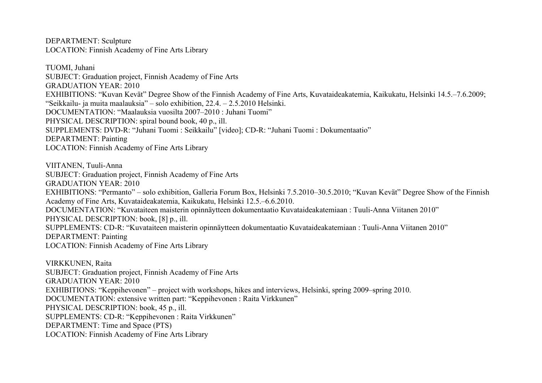DEPARTMENT: Sculpture LOCATION: Finnish Academy of Fine Arts Library

TUOMI, Juhani SUBJECT: Graduation project, Finnish Academy of Fine Arts GRADUATION YEAR: 2010 EXHIBITIONS: "Kuvan Kevät" Degree Show of the Finnish Academy of Fine Arts, Kuvataideakatemia, Kaikukatu, Helsinki 14.5.–7.6.2009; "Seikkailu- ja muita maalauksia" – solo exhibition, 22.4. – 2.5.2010 Helsinki. DOCUMENTATION: "Maalauksia vuosilta 2007–2010 : Juhani Tuomi" PHYSICAL DESCRIPTION: spiral bound book, 40 p., ill. SUPPLEMENTS: DVD-R: "Juhani Tuomi : Seikkailu" [video]; CD-R: "Juhani Tuomi : Dokumentaatio" DEPARTMENT: Painting LOCATION: Finnish Academy of Fine Arts Library

VIITANEN, Tuuli-Anna SUBJECT: Graduation project, Finnish Academy of Fine Arts GRADUATION YEAR: 2010 EXHIBITIONS: "Permanto" – solo exhibition, Galleria Forum Box, Helsinki 7.5.2010–30.5.2010; "Kuvan Kevät" Degree Show of the Finnish Academy of Fine Arts, Kuvataideakatemia, Kaikukatu, Helsinki 12.5.–6.6.2010. DOCUMENTATION: "Kuvataiteen maisterin opinnäytteen dokumentaatio Kuvataideakatemiaan : Tuuli-Anna Viitanen 2010" PHYSICAL DESCRIPTION: book, [8] p., ill. SUPPLEMENTS: CD-R: "Kuvataiteen maisterin opinnäytteen dokumentaatio Kuvataideakatemiaan : Tuuli-Anna Viitanen 2010" DEPARTMENT: Painting LOCATION: Finnish Academy of Fine Arts Library

VIRKKUNEN, Raita SUBJECT: Graduation project, Finnish Academy of Fine Arts GRADUATION YEAR: 2010 EXHIBITIONS: "Keppihevonen" – project with workshops, hikes and interviews, Helsinki, spring 2009–spring 2010. DOCUMENTATION: extensive written part: "Keppihevonen : Raita Virkkunen" PHYSICAL DESCRIPTION: book, 45 p., ill. SUPPLEMENTS: CD-R: "Keppihevonen : Raita Virkkunen" DEPARTMENT: Time and Space (PTS) LOCATION: Finnish Academy of Fine Arts Library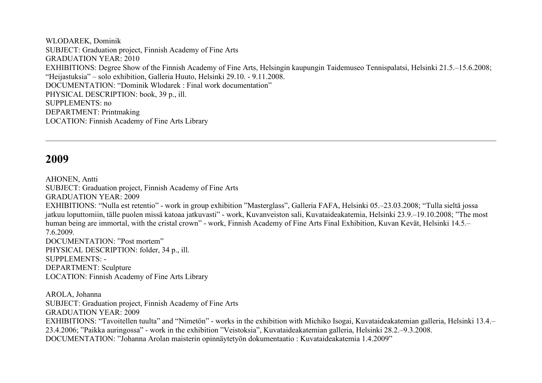WLODAREK, Dominik SUBJECT: Graduation project, Finnish Academy of Fine Arts GRADUATION YEAR: 2010 EXHIBITIONS: Degree Show of the Finnish Academy of Fine Arts, Helsingin kaupungin Taidemuseo Tennispalatsi, Helsinki 21.5.–15.6.2008; "Heijastuksia" – solo exhibition, Galleria Huuto, Helsinki 29.10. - 9.11.2008. DOCUMENTATION: "Dominik Wlodarek : Final work documentation" PHYSICAL DESCRIPTION: book, 39 p., ill. SUPPLEMENTS: no DEPARTMENT: Printmaking LOCATION: Finnish Academy of Fine Arts Library

## **2009**

AHONEN, Antti SUBJECT: Graduation project, Finnish Academy of Fine Arts GRADUATION YEAR: 2009 EXHIBITIONS: "Nulla est retentio" - work in group exhibition "Masterglass", Galleria FAFA, Helsinki 05.–23.03.2008; "Tulla sieltä jossa jatkuu loputtomiin, tälle puolen missä katoaa jatkuvasti" - work, Kuvanveiston sali, Kuvataideakatemia, Helsinki 23.9.–19.10.2008; "The most human being are immortal, with the cristal crown" - work, Finnish Academy of Fine Arts Final Exhibition, Kuvan Kevät, Helsinki 14.5.– 7.6.2009. DOCUMENTATION: "Post mortem" PHYSICAL DESCRIPTION: folder, 34 p., ill. SUPPLEMENTS: - DEPARTMENT: Sculpture LOCATION: Finnish Academy of Fine Arts Library AROLA, Johanna SUBJECT: Graduation project, Finnish Academy of Fine Arts

GRADUATION YEAR: 2009

EXHIBITIONS: "Tavoitellen tuulta" and "Nimetön" - works in the exhibition with Michiko Isogai, Kuvataideakatemian galleria, Helsinki 13.4.– 23.4.2006; "Paikka auringossa" - work in the exhibition "Veistoksia", Kuvataideakatemian galleria, Helsinki 28.2.–9.3.2008. DOCUMENTATION: "Johanna Arolan maisterin opinnäytetyön dokumentaatio : Kuvataideakatemia 1.4.2009"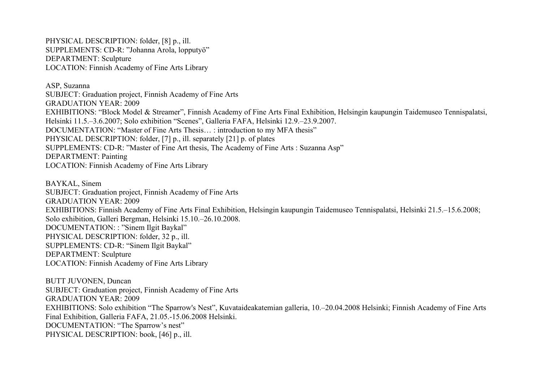PHYSICAL DESCRIPTION: folder, [8] p., ill. SUPPLEMENTS: CD-R: "Johanna Arola, lopputyö" DEPARTMENT: Sculpture LOCATION: Finnish Academy of Fine Arts Library

ASP, Suzanna SUBJECT: Graduation project, Finnish Academy of Fine Arts GRADUATION YEAR: 2009 EXHIBITIONS: "Block Model & Streamer", Finnish Academy of Fine Arts Final Exhibition, Helsingin kaupungin Taidemuseo Tennispalatsi, Helsinki 11.5.–3.6.2007; Solo exhibition "Scenes", Galleria FAFA, Helsinki 12.9.–23.9.2007. DOCUMENTATION: "Master of Fine Arts Thesis… : introduction to my MFA thesis" PHYSICAL DESCRIPTION: folder, [7] p., ill. separately [21] p. of plates SUPPLEMENTS: CD-R: "Master of Fine Art thesis, The Academy of Fine Arts : Suzanna Asp" DEPARTMENT: Painting LOCATION: Finnish Academy of Fine Arts Library

BAYKAL, Sinem SUBJECT: Graduation project, Finnish Academy of Fine Arts GRADUATION YEAR: 2009 EXHIBITIONS: Finnish Academy of Fine Arts Final Exhibition, Helsingin kaupungin Taidemuseo Tennispalatsi, Helsinki 21.5.–15.6.2008; Solo exhibition, Galleri Bergman, Helsinki 15.10.–26.10.2008. DOCUMENTATION: : "Sinem Ilgit Baykal" PHYSICAL DESCRIPTION: folder, 32 p., ill. SUPPLEMENTS: CD-R: "Sinem Ilgit Baykal" DEPARTMENT: Sculpture LOCATION: Finnish Academy of Fine Arts Library

BUTT JUVONEN, Duncan SUBJECT: Graduation project, Finnish Academy of Fine Arts GRADUATION YEAR: 2009 EXHIBITIONS: Solo exhibition "The Sparrow's Nest", Kuvataideakatemian galleria, 10.–20.04.2008 Helsinki; Finnish Academy of Fine Arts Final Exhibition, Galleria FAFA, 21.05.-15.06.2008 Helsinki. DOCUMENTATION: "The Sparrow's nest" PHYSICAL DESCRIPTION: book, [46] p., ill.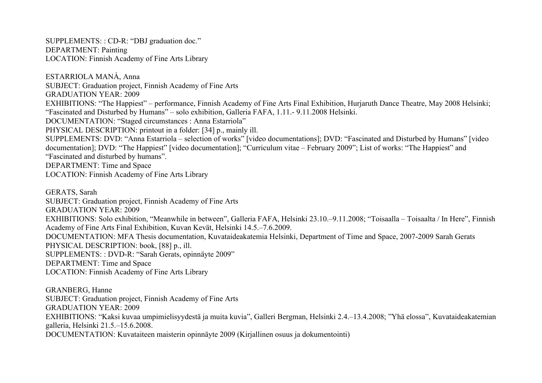SUPPLEMENTS: : CD-R: "DBJ graduation doc." DEPARTMENT: Painting LOCATION: Finnish Academy of Fine Arts Library

ESTARRIOLA MANÀ, Anna SUBJECT: Graduation project, Finnish Academy of Fine Arts GRADUATION YEAR: 2009 EXHIBITIONS: "The Happiest" – performance, Finnish Academy of Fine Arts Final Exhibition, Hurjaruth Dance Theatre, May 2008 Helsinki; "Fascinated and Disturbed by Humans" – solo exhibition, Galleria FAFA, 1.11.- 9.11.2008 Helsinki. DOCUMENTATION: "Staged circumstances : Anna Estarriola" PHYSICAL DESCRIPTION: printout in a folder: [34] p., mainly ill. SUPPLEMENTS: DVD: "Anna Estarriola – selection of works" [video documentations]; DVD: "Fascinated and Disturbed by Humans" [video documentation]; DVD: "The Happiest" [video documentation]; "Curriculum vitae – February 2009"; List of works: "The Happiest" and "Fascinated and disturbed by humans". DEPARTMENT: Time and Space LOCATION: Finnish Academy of Fine Arts Library GERATS, Sarah SUBJECT: Graduation project, Finnish Academy of Fine Arts GRADUATION YEAR: 2009 EXHIBITIONS: Solo exhibition, "Meanwhile in between", Galleria FAFA, Helsinki 23.10.–9.11.2008; "Toisaalla – Toisaalta / In Here", Finnish

Academy of Fine Arts Final Exhibition, Kuvan Kevät, Helsinki 14.5.–7.6.2009.

DOCUMENTATION: MFA Thesis documentation, Kuvataideakatemia Helsinki, Department of Time and Space, 2007-2009 Sarah Gerats PHYSICAL DESCRIPTION: book, [88] p., ill.

SUPPLEMENTS: : DVD-R: "Sarah Gerats, opinnäyte 2009"

DEPARTMENT: Time and Space

LOCATION: Finnish Academy of Fine Arts Library

GRANBERG, Hanne SUBJECT: Graduation project, Finnish Academy of Fine Arts GRADUATION YEAR: 2009 EXHIBITIONS: "Kaksi kuvaa umpimielisyydestä ja muita kuvia", Galleri Bergman, Helsinki 2.4.–13.4.2008; "Yhä elossa", Kuvataideakatemian galleria, Helsinki 21.5.–15.6.2008. DOCUMENTATION: Kuvataiteen maisterin opinnäyte 2009 (Kirjallinen osuus ja dokumentointi)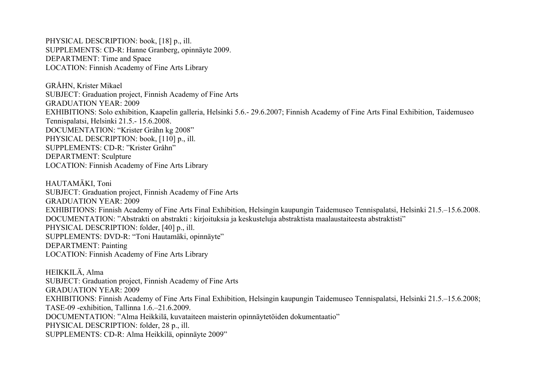PHYSICAL DESCRIPTION: book, [18] p., ill. SUPPLEMENTS: CD-R: Hanne Granberg, opinnäyte 2009. DEPARTMENT: Time and Space LOCATION: Finnish Academy of Fine Arts Library

GRÅHN, Krister Mikael SUBJECT: Graduation project, Finnish Academy of Fine Arts GRADUATION YEAR: 2009 EXHIBITIONS: Solo exhibition, Kaapelin galleria, Helsinki 5.6.- 29.6.2007; Finnish Academy of Fine Arts Final Exhibition, Taidemuseo Tennispalatsi, Helsinki 21.5.- 15.6.2008. DOCUMENTATION: "Krister Gråhn kg 2008" PHYSICAL DESCRIPTION: book, [110] p., ill. SUPPLEMENTS: CD-R: "Krister Gråhn" DEPARTMENT: Sculpture LOCATION: Finnish Academy of Fine Arts Library

HAUTAMÄKI, Toni SUBJECT: Graduation project, Finnish Academy of Fine Arts GRADUATION YEAR: 2009 EXHIBITIONS: Finnish Academy of Fine Arts Final Exhibition, Helsingin kaupungin Taidemuseo Tennispalatsi, Helsinki 21.5.–15.6.2008. DOCUMENTATION: "Abstrakti on abstrakti : kirjoituksia ja keskusteluja abstraktista maalaustaiteesta abstraktisti" PHYSICAL DESCRIPTION: folder, [40] p., ill. SUPPLEMENTS: DVD-R: "Toni Hautamäki, opinnäyte" DEPARTMENT: Painting LOCATION: Finnish Academy of Fine Arts Library

HEIKKILÄ, Alma SUBJECT: Graduation project, Finnish Academy of Fine Arts GRADUATION YEAR: 2009 EXHIBITIONS: Finnish Academy of Fine Arts Final Exhibition, Helsingin kaupungin Taidemuseo Tennispalatsi, Helsinki 21.5.–15.6.2008; TASE-09 -exhibition, Tallinna 1.6.–21.6.2009. DOCUMENTATION: "Alma Heikkilä, kuvataiteen maisterin opinnäytetöiden dokumentaatio" PHYSICAL DESCRIPTION: folder, 28 p., ill. SUPPLEMENTS: CD-R: Alma Heikkilä, opinnäyte 2009"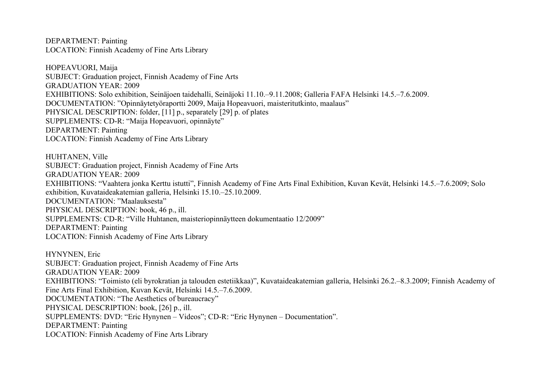DEPARTMENT: Painting LOCATION: Finnish Academy of Fine Arts Library

HOPEAVUORI, Maija SUBJECT: Graduation project, Finnish Academy of Fine Arts GRADUATION YEAR: 2009 EXHIBITIONS: Solo exhibition, Seinäjoen taidehalli, Seinäjoki 11.10.–9.11.2008; Galleria FAFA Helsinki 14.5.–7.6.2009. DOCUMENTATION: "Opinnäytetyöraportti 2009, Maija Hopeavuori, maisteritutkinto, maalaus" PHYSICAL DESCRIPTION: folder, [11] p., separately [29] p. of plates SUPPLEMENTS: CD-R: "Maija Hopeavuori, opinnäyte" DEPARTMENT: Painting LOCATION: Finnish Academy of Fine Arts Library

HUHTANEN, Ville SUBJECT: Graduation project, Finnish Academy of Fine Arts GRADUATION YEAR: 2009 EXHIBITIONS: "Vaahtera jonka Kerttu istutti", Finnish Academy of Fine Arts Final Exhibition, Kuvan Kevät, Helsinki 14.5.–7.6.2009; Solo exhibition, Kuvataideakatemian galleria, Helsinki 15.10.–25.10.2009. DOCUMENTATION: "Maalauksesta" PHYSICAL DESCRIPTION: book, 46 p., ill. SUPPLEMENTS: CD-R: "Ville Huhtanen, maisteriopinnäytteen dokumentaatio 12/2009" DEPARTMENT: Painting LOCATION: Finnish Academy of Fine Arts Library

HYNYNEN, Eric SUBJECT: Graduation project, Finnish Academy of Fine Arts GRADUATION YEAR: 2009 EXHIBITIONS: "Toimisto (eli byrokratian ja talouden estetiikkaa)", Kuvataideakatemian galleria, Helsinki 26.2.–8.3.2009; Finnish Academy of Fine Arts Final Exhibition, Kuvan Kevät, Helsinki 14.5.–7.6.2009. DOCUMENTATION: "The Aesthetics of bureaucracy" PHYSICAL DESCRIPTION: book, [26] p., ill. SUPPLEMENTS: DVD: "Eric Hynynen – Videos"; CD-R: "Eric Hynynen – Documentation". DEPARTMENT: Painting LOCATION: Finnish Academy of Fine Arts Library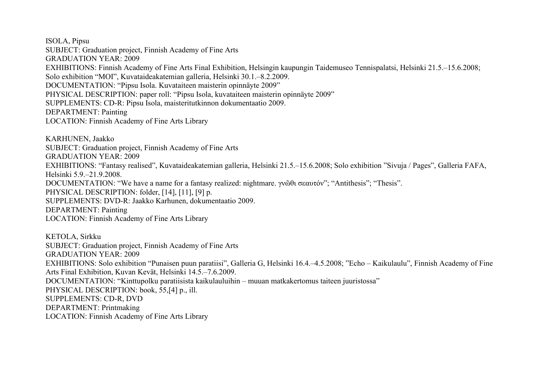ISOLA, Pipsu SUBJECT: Graduation project, Finnish Academy of Fine Arts GRADUATION YEAR: 2009 EXHIBITIONS: Finnish Academy of Fine Arts Final Exhibition, Helsingin kaupungin Taidemuseo Tennispalatsi, Helsinki 21.5.–15.6.2008; Solo exhibition "MOI", Kuvataideakatemian galleria, Helsinki 30.1.–8.2.2009. DOCUMENTATION: "Pipsu Isola. Kuvataiteen maisterin opinnäyte 2009" PHYSICAL DESCRIPTION: paper roll: "Pipsu Isola, kuvataiteen maisterin opinnäyte 2009" SUPPLEMENTS: CD-R: Pipsu Isola, maisteritutkinnon dokumentaatio 2009. DEPARTMENT: Painting LOCATION: Finnish Academy of Fine Arts Library

KARHUNEN, Jaakko SUBJECT: Graduation project, Finnish Academy of Fine Arts GRADUATION YEAR: 2009 EXHIBITIONS: "Fantasy realised", Kuvataideakatemian galleria, Helsinki 21.5.–15.6.2008; Solo exhibition "Sivuja / Pages", Galleria FAFA, Helsinki 5.9.–21.9.2008. DOCUMENTATION: "We have a name for a fantasy realized: nightmare. γνῶθι σεαυτόν"; "Antithesis"; "Thesis". PHYSICAL DESCRIPTION: folder, [14], [11], [9] p. SUPPLEMENTS: DVD-R: Jaakko Karhunen, dokumentaatio 2009. DEPARTMENT: Painting LOCATION: Finnish Academy of Fine Arts Library

KETOLA, Sirkku SUBJECT: Graduation project, Finnish Academy of Fine Arts GRADUATION YEAR: 2009 EXHIBITIONS: Solo exhibition "Punaisen puun paratiisi", Galleria G, Helsinki 16.4.–4.5.2008; "Echo – Kaikulaulu", Finnish Academy of Fine Arts Final Exhibition, Kuvan Kevät, Helsinki 14.5.–7.6.2009. DOCUMENTATION: "Kinttupolku paratiisista kaikulauluihin – muuan matkakertomus taiteen juuristossa" PHYSICAL DESCRIPTION: book, 55, [4] p., ill. SUPPLEMENTS: CD-R, DVD DEPARTMENT: Printmaking LOCATION: Finnish Academy of Fine Arts Library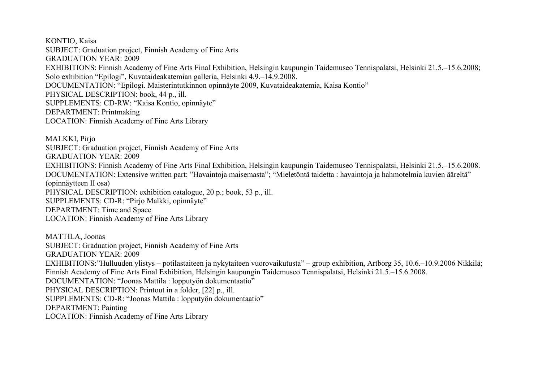KONTIO, Kaisa SUBJECT: Graduation project, Finnish Academy of Fine Arts GRADUATION YEAR: 2009 EXHIBITIONS: Finnish Academy of Fine Arts Final Exhibition, Helsingin kaupungin Taidemuseo Tennispalatsi, Helsinki 21.5.–15.6.2008; Solo exhibition "Epilogi", Kuvataideakatemian galleria, Helsinki 4.9.–14.9.2008. DOCUMENTATION: "Epilogi. Maisterintutkinnon opinnäyte 2009, Kuvataideakatemia, Kaisa Kontio" PHYSICAL DESCRIPTION: book, 44 p., ill. SUPPLEMENTS: CD-RW: "Kaisa Kontio, opinnäyte" DEPARTMENT: Printmaking LOCATION: Finnish Academy of Fine Arts Library

MALKKI, Pirjo SUBJECT: Graduation project, Finnish Academy of Fine Arts GRADUATION YEAR: 2009 EXHIBITIONS: Finnish Academy of Fine Arts Final Exhibition, Helsingin kaupungin Taidemuseo Tennispalatsi, Helsinki 21.5.–15.6.2008. DOCUMENTATION: Extensive written part: "Havaintoja maisemasta"; "Mieletöntä taidetta : havaintoja ja hahmotelmia kuvien ääreltä" (opinnäytteen II osa) PHYSICAL DESCRIPTION: exhibition catalogue, 20 p.; book, 53 p., ill. SUPPLEMENTS: CD-R: "Pirjo Malkki, opinnäyte" DEPARTMENT: Time and Space LOCATION: Finnish Academy of Fine Arts Library

MATTILA, Joonas SUBJECT: Graduation project, Finnish Academy of Fine Arts GRADUATION YEAR: 2009 EXHIBITIONS:"Hulluuden ylistys – potilastaiteen ja nykytaiteen vuorovaikutusta" – group exhibition, Artborg 35, 10.6.–10.9.2006 Nikkilä; Finnish Academy of Fine Arts Final Exhibition, Helsingin kaupungin Taidemuseo Tennispalatsi, Helsinki 21.5.–15.6.2008. DOCUMENTATION: "Joonas Mattila : lopputyön dokumentaatio" PHYSICAL DESCRIPTION: Printout in a folder, [22] p., ill. SUPPLEMENTS: CD-R: "Joonas Mattila : lopputyön dokumentaatio" DEPARTMENT: Painting LOCATION: Finnish Academy of Fine Arts Library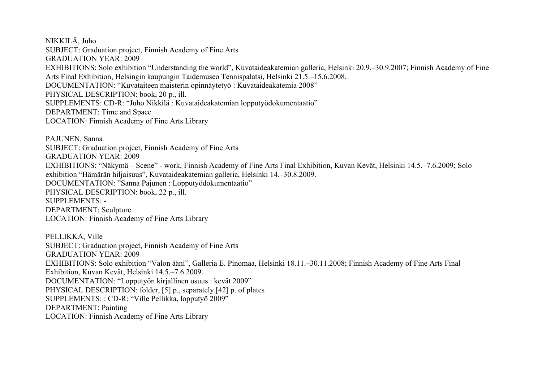NIKKILÄ, Juho SUBJECT: Graduation project, Finnish Academy of Fine Arts GRADUATION YEAR: 2009 EXHIBITIONS: Solo exhibition "Understanding the world", Kuvataideakatemian galleria, Helsinki 20.9.–30.9.2007; Finnish Academy of Fine Arts Final Exhibition, Helsingin kaupungin Taidemuseo Tennispalatsi, Helsinki 21.5.–15.6.2008. DOCUMENTATION: "Kuvataiteen maisterin opinnäytetyö : Kuvataideakatemia 2008" PHYSICAL DESCRIPTION: book, 20 p., ill. SUPPLEMENTS: CD-R: "Juho Nikkilä : Kuvataideakatemian lopputyödokumentaatio" DEPARTMENT: Time and Space LOCATION: Finnish Academy of Fine Arts Library

PAJUNEN, Sanna SUBJECT: Graduation project, Finnish Academy of Fine Arts GRADUATION YEAR: 2009 EXHIBITIONS: "Näkymä – Scene" - work, Finnish Academy of Fine Arts Final Exhibition, Kuvan Kevät, Helsinki 14.5.–7.6.2009; Solo exhibition "Hämärän hiljaisuus", Kuvataideakatemian galleria, Helsinki 14.–30.8.2009. DOCUMENTATION: "Sanna Pajunen : Lopputyödokumentaatio" PHYSICAL DESCRIPTION: book, 22 p., ill. SUPPLEMENTS: - DEPARTMENT: Sculpture LOCATION: Finnish Academy of Fine Arts Library

PELLIKKA, Ville SUBJECT: Graduation project, Finnish Academy of Fine Arts GRADUATION YEAR: 2009 EXHIBITIONS: Solo exhibition "Valon ääni", Galleria E. Pinomaa, Helsinki 18.11.–30.11.2008; Finnish Academy of Fine Arts Final Exhibition, Kuvan Kevät, Helsinki 14.5.–7.6.2009. DOCUMENTATION: "Lopputyön kirjallinen osuus : kevät 2009" PHYSICAL DESCRIPTION: folder, [5] p., separately [42] p. of plates SUPPLEMENTS: : CD-R: "Ville Pellikka, lopputyö 2009" DEPARTMENT: Painting LOCATION: Finnish Academy of Fine Arts Library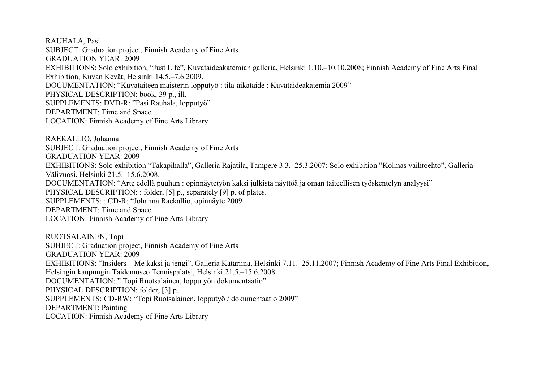RAUHALA, Pasi SUBJECT: Graduation project, Finnish Academy of Fine Arts GRADUATION YEAR: 2009 EXHIBITIONS: Solo exhibition, "Just Life", Kuvataideakatemian galleria, Helsinki 1.10.–10.10.2008; Finnish Academy of Fine Arts Final Exhibition, Kuvan Kevät, Helsinki 14.5.–7.6.2009. DOCUMENTATION: "Kuvataiteen maisterin lopputyö : tila-aikataide : Kuvataideakatemia 2009" PHYSICAL DESCRIPTION: book, 39 p., ill. SUPPLEMENTS: DVD-R: "Pasi Rauhala, lopputyö" DEPARTMENT: Time and Space LOCATION: Finnish Academy of Fine Arts Library

RAEKALLIO, Johanna SUBJECT: Graduation project, Finnish Academy of Fine Arts GRADUATION YEAR: 2009 EXHIBITIONS: Solo exhibition "Takapihalla", Galleria Rajatila, Tampere 3.3.–25.3.2007; Solo exhibition "Kolmas vaihtoehto", Galleria Välivuosi, Helsinki 21.5.–15.6.2008. DOCUMENTATION: "Arte edellä puuhun : opinnäytetyön kaksi julkista näyttöä ja oman taiteellisen työskentelyn analyysi" PHYSICAL DESCRIPTION: : folder, [5] p., separately [9] p. of plates. SUPPLEMENTS: : CD-R: "Johanna Raekallio, opinnäyte 2009 DEPARTMENT: Time and Space LOCATION: Finnish Academy of Fine Arts Library

RUOTSALAINEN, Topi SUBJECT: Graduation project, Finnish Academy of Fine Arts GRADUATION YEAR: 2009 EXHIBITIONS: "Insiders – Me kaksi ja jengi", Galleria Katariina, Helsinki 7.11.–25.11.2007; Finnish Academy of Fine Arts Final Exhibition, Helsingin kaupungin Taidemuseo Tennispalatsi, Helsinki 21.5.–15.6.2008. DOCUMENTATION: " Topi Ruotsalainen, lopputyön dokumentaatio" PHYSICAL DESCRIPTION: folder, [3] p. SUPPLEMENTS: CD-RW: "Topi Ruotsalainen, lopputyö / dokumentaatio 2009" DEPARTMENT: Painting LOCATION: Finnish Academy of Fine Arts Library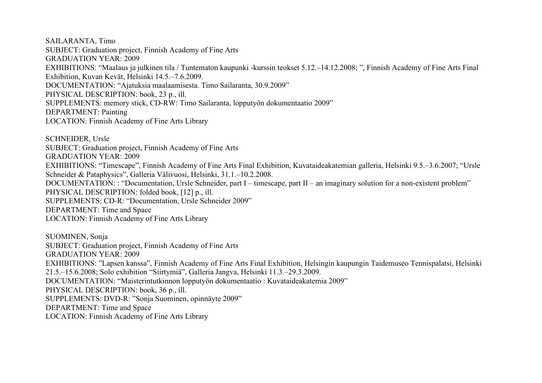SAILARANTA, Timo SUBJECT: Graduation project, Finnish Academy of Fine Arts GRADUATION YEAR: 2009 EXHIBITIONS: "Maalaus ja julkinen tila / Tuntematon kaupunki -kurssin teokset 5.12.–14.12.2008; ", Finnish Academy of Fine Arts Final Exhibition, Kuvan Kevät, Helsinki 14.5.–7.6.2009. DOCUMENTATION: "Ajatuksia maalaamisesta. Timo Sailaranta, 30.9.2009" PHYSICAL DESCRIPTION: book, 23 p., ill. SUPPLEMENTS: memory stick, CD-RW: Timo Sailaranta, lopputyön dokumentaatio 2009" DEPARTMENT: Painting LOCATION: Finnish Academy of Fine Arts Library

SCHNEIDER, Ursle SUBJECT: Graduation project, Finnish Academy of Fine Arts GRADUATION YEAR: 2009 EXHIBITIONS: "Timescape", Finnish Academy of Fine Arts Final Exhibition, Kuvataideakatemian galleria, Helsinki 9.5.–3.6.2007; "Ursle Schneider & Pataphysics", Galleria Välivuosi, Helsinki, 31.1.–10.2.2008. DOCUMENTATION: : "Documentation, Ursle Schneider, part I – timescape, part II – an imaginary solution for a non-existent problem" PHYSICAL DESCRIPTION: folded book, [12] p., ill. SUPPLEMENTS: CD-R: "Documentation, Ursle Schneider 2009" DEPARTMENT: Time and Space LOCATION: Finnish Academy of Fine Arts Library

SUOMINEN, Sonja SUBJECT: Graduation project, Finnish Academy of Fine Arts GRADUATION YEAR: 2009 EXHIBITIONS: "Lapsen kanssa", Finnish Academy of Fine Arts Final Exhibition, Helsingin kaupungin Taidemuseo Tennispalatsi, Helsinki 21.5.–15.6.2008; Solo exhibition "Siirtymiä", Galleria Jangva, Helsinki 11.3.–29.3.2009. DOCUMENTATION: "Maisterintutkinnon lopputyön dokumentaatio : Kuvataideakatemia 2009" PHYSICAL DESCRIPTION: book, 36 p., ill. SUPPLEMENTS: DVD-R: "Sonja Suominen, opinnäyte 2009" DEPARTMENT: Time and Space LOCATION: Finnish Academy of Fine Arts Library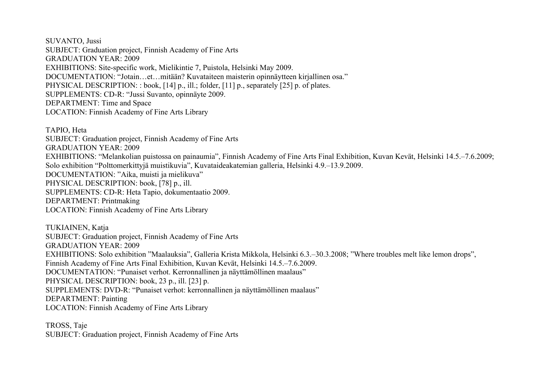SUVANTO, Jussi SUBJECT: Graduation project, Finnish Academy of Fine Arts GRADUATION YEAR: 2009 EXHIBITIONS: Site-specific work, Mielikintie 7, Puistola, Helsinki May 2009. DOCUMENTATION: "Jotain…et…mitään? Kuvataiteen maisterin opinnäytteen kirjallinen osa." PHYSICAL DESCRIPTION: : book. [14] p., ill.; folder, [11] p., separately [25] p. of plates. SUPPLEMENTS: CD-R: "Jussi Suvanto, opinnäyte 2009. DEPARTMENT: Time and Space LOCATION: Finnish Academy of Fine Arts Library

TAPIO, Heta SUBJECT: Graduation project, Finnish Academy of Fine Arts GRADUATION YEAR: 2009 EXHIBITIONS: "Melankolian puistossa on painaumia", Finnish Academy of Fine Arts Final Exhibition, Kuvan Kevät, Helsinki 14.5.–7.6.2009; Solo exhibition "Polttomerkittyjä muistikuvia", Kuvataideakatemian galleria, Helsinki 4.9.–13.9.2009. DOCUMENTATION: "Aika, muisti ja mielikuva" PHYSICAL DESCRIPTION: book, [78] p., ill. SUPPLEMENTS: CD-R: Heta Tapio, dokumentaatio 2009. DEPARTMENT: Printmaking LOCATION: Finnish Academy of Fine Arts Library

TUKIAINEN, Katja SUBJECT: Graduation project, Finnish Academy of Fine Arts GRADUATION YEAR: 2009 EXHIBITIONS: Solo exhibition "Maalauksia", Galleria Krista Mikkola, Helsinki 6.3.–30.3.2008; "Where troubles melt like lemon drops", Finnish Academy of Fine Arts Final Exhibition, Kuvan Kevät, Helsinki 14.5.–7.6.2009. DOCUMENTATION: "Punaiset verhot. Kerronnallinen ja näyttämöllinen maalaus" PHYSICAL DESCRIPTION: book, 23 p., ill. [23] p. SUPPLEMENTS: DVD-R: "Punaiset verhot: kerronnallinen ja näyttämöllinen maalaus" DEPARTMENT: Painting LOCATION: Finnish Academy of Fine Arts Library

TROSS, Taje SUBJECT: Graduation project, Finnish Academy of Fine Arts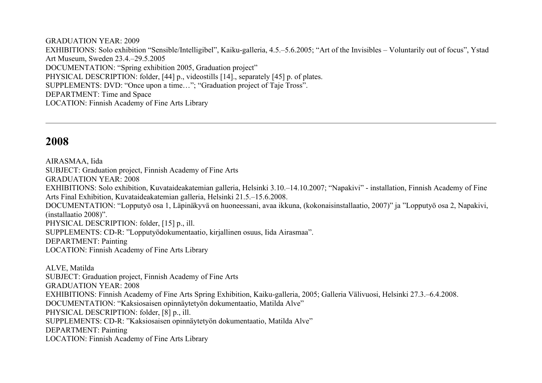GRADUATION YEAR: 2009 EXHIBITIONS: Solo exhibition "Sensible/Intelligibel", Kaiku-galleria, 4.5.–5.6.2005; "Art of the Invisibles – Voluntarily out of focus", Ystad Art Museum, Sweden 23.4.–29.5.2005 DOCUMENTATION: "Spring exhibition 2005, Graduation project" PHYSICAL DESCRIPTION: folder, [44] p., videostills [14]., separately [45] p. of plates. SUPPLEMENTS: DVD: "Once upon a time…"; "Graduation project of Taje Tross". DEPARTMENT: Time and Space LOCATION: Finnish Academy of Fine Arts Library

# **2008**

AIRASMAA, Iida SUBJECT: Graduation project, Finnish Academy of Fine Arts GRADUATION YEAR: 2008 EXHIBITIONS: Solo exhibition, Kuvataideakatemian galleria, Helsinki 3.10.–14.10.2007; "Napakivi" - installation, Finnish Academy of Fine Arts Final Exhibition, Kuvataideakatemian galleria, Helsinki 21.5.–15.6.2008. DOCUMENTATION: "Lopputyö osa 1, Läpinäkyvä on huoneessani, avaa ikkuna, (kokonaisinstallaatio, 2007)" ja "Lopputyö osa 2, Napakivi, (installaatio 2008)". PHYSICAL DESCRIPTION: folder, [15] p., ill. SUPPLEMENTS: CD-R: "Lopputyödokumentaatio, kirjallinen osuus, Iida Airasmaa". DEPARTMENT: Painting LOCATION: Finnish Academy of Fine Arts Library

ALVE, Matilda SUBJECT: Graduation project, Finnish Academy of Fine Arts GRADUATION YEAR: 2008 EXHIBITIONS: Finnish Academy of Fine Arts Spring Exhibition, Kaiku-galleria, 2005; Galleria Välivuosi, Helsinki 27.3.–6.4.2008. DOCUMENTATION: "Kaksiosaisen opinnäytetyön dokumentaatio, Matilda Alve" PHYSICAL DESCRIPTION: folder, [8] p., ill. SUPPLEMENTS: CD-R: "Kaksiosaisen opinnäytetyön dokumentaatio, Matilda Alve" DEPARTMENT: Painting LOCATION: Finnish Academy of Fine Arts Library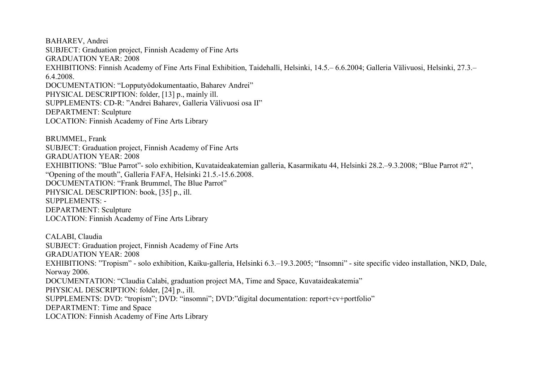BAHAREV, Andrei SUBJECT: Graduation project, Finnish Academy of Fine Arts GRADUATION YEAR: 2008 EXHIBITIONS: Finnish Academy of Fine Arts Final Exhibition, Taidehalli, Helsinki, 14.5.– 6.6.2004; Galleria Välivuosi, Helsinki, 27.3.– 6.4.2008. DOCUMENTATION: "Lopputyödokumentaatio, Baharev Andrei" PHYSICAL DESCRIPTION: folder, [13] p., mainly ill. SUPPLEMENTS: CD-R: "Andrei Baharev, Galleria Välivuosi osa II" DEPARTMENT: Sculpture LOCATION: Finnish Academy of Fine Arts Library

BRUMMEL, Frank SUBJECT: Graduation project, Finnish Academy of Fine Arts GRADUATION YEAR: 2008 EXHIBITIONS: "Blue Parrot"- solo exhibition, Kuvataideakatemian galleria, Kasarmikatu 44, Helsinki 28.2.–9.3.2008; "Blue Parrot #2", "Opening of the mouth", Galleria FAFA, Helsinki 21.5.-15.6.2008. DOCUMENTATION: "Frank Brummel, The Blue Parrot" PHYSICAL DESCRIPTION: book, [35] p., ill. SUPPLEMENTS: - DEPARTMENT: Sculpture LOCATION: Finnish Academy of Fine Arts Library

CALABI, Claudia SUBJECT: Graduation project, Finnish Academy of Fine Arts GRADUATION YEAR: 2008 EXHIBITIONS: "Tropism" - solo exhibition, Kaiku-galleria, Helsinki 6.3.–19.3.2005; "Insomni" - site specific video installation, NKD, Dale, Norway 2006. DOCUMENTATION: "Claudia Calabi, graduation project MA, Time and Space, Kuvataideakatemia" PHYSICAL DESCRIPTION: folder, [24] p., ill. SUPPLEMENTS: DVD: "tropism"; DVD: "insomni"; DVD:"digital documentation: report+cv+portfolio" DEPARTMENT: Time and Space LOCATION: Finnish Academy of Fine Arts Library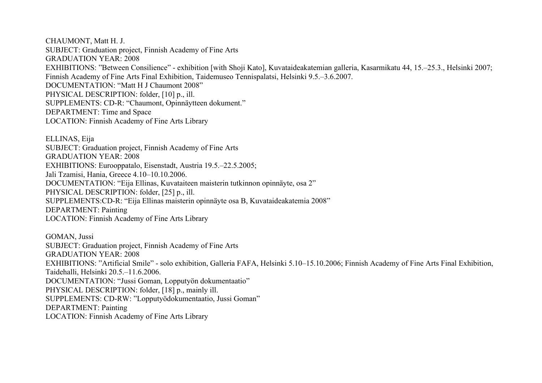CHAUMONT, Matt H. J. SUBJECT: Graduation project, Finnish Academy of Fine Arts GRADUATION YEAR: 2008 EXHIBITIONS: "Between Consilience" - exhibition [with Shoji Kato], Kuvataideakatemian galleria, Kasarmikatu 44, 15.–25.3., Helsinki 2007; Finnish Academy of Fine Arts Final Exhibition, Taidemuseo Tennispalatsi, Helsinki 9.5.–3.6.2007. DOCUMENTATION: "Matt H J Chaumont 2008" PHYSICAL DESCRIPTION: folder, [10] p., ill. SUPPLEMENTS: CD-R: "Chaumont, Opinnäytteen dokument." DEPARTMENT: Time and Space LOCATION: Finnish Academy of Fine Arts Library

ELLINAS, Eija SUBJECT: Graduation project, Finnish Academy of Fine Arts GRADUATION YEAR: 2008 EXHIBITIONS: Eurooppatalo, Eisenstadt, Austria 19.5.–22.5.2005; Jali Tzamisi, Hania, Greece 4.10–10.10.2006. DOCUMENTATION: "Eija Ellinas, Kuvataiteen maisterin tutkinnon opinnäyte, osa 2" PHYSICAL DESCRIPTION: folder, [25] p., ill. SUPPLEMENTS:CD-R: "Eija Ellinas maisterin opinnäyte osa B, Kuvataideakatemia 2008" DEPARTMENT: Painting LOCATION: Finnish Academy of Fine Arts Library

GOMAN, Jussi SUBJECT: Graduation project, Finnish Academy of Fine Arts GRADUATION YEAR: 2008 EXHIBITIONS: "Artificial Smile" - solo exhibition, Galleria FAFA, Helsinki 5.10–15.10.2006; Finnish Academy of Fine Arts Final Exhibition, Taidehalli, Helsinki 20.5.–11.6.2006. DOCUMENTATION: "Jussi Goman, Lopputyön dokumentaatio" PHYSICAL DESCRIPTION: folder, [18] p., mainly ill. SUPPLEMENTS: CD-RW: "Lopputyödokumentaatio, Jussi Goman" DEPARTMENT: Painting LOCATION: Finnish Academy of Fine Arts Library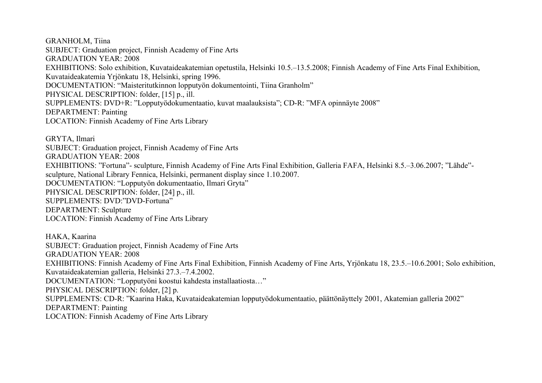GRANHOLM, Tiina SUBJECT: Graduation project, Finnish Academy of Fine Arts GRADUATION YEAR: 2008 EXHIBITIONS: Solo exhibition, Kuvataideakatemian opetustila, Helsinki 10.5.–13.5.2008; Finnish Academy of Fine Arts Final Exhibition, Kuvataideakatemia Yrjönkatu 18, Helsinki, spring 1996. DOCUMENTATION: "Maisteritutkinnon lopputyön dokumentointi, Tiina Granholm" PHYSICAL DESCRIPTION: folder, [15] p., ill. SUPPLEMENTS: DVD+R: "Lopputyödokumentaatio, kuvat maalauksista"; CD-R: "MFA opinnäyte 2008" DEPARTMENT: Painting LOCATION: Finnish Academy of Fine Arts Library

GRYTA, Ilmari SUBJECT: Graduation project, Finnish Academy of Fine Arts GRADUATION YEAR: 2008 EXHIBITIONS: "Fortuna"- sculpture, Finnish Academy of Fine Arts Final Exhibition, Galleria FAFA, Helsinki 8.5.–3.06.2007; "Lähde" sculpture, National Library Fennica, Helsinki, permanent display since 1.10.2007. DOCUMENTATION: "Lopputyön dokumentaatio, Ilmari Gryta" PHYSICAL DESCRIPTION: folder, [24] p., ill. SUPPLEMENTS: DVD:"DVD-Fortuna" DEPARTMENT: Sculpture LOCATION: Finnish Academy of Fine Arts Library

HAKA, Kaarina SUBJECT: Graduation project, Finnish Academy of Fine Arts GRADUATION YEAR: 2008 EXHIBITIONS: Finnish Academy of Fine Arts Final Exhibition, Finnish Academy of Fine Arts, Yrjönkatu 18, 23.5.–10.6.2001; Solo exhibition, Kuvataideakatemian galleria, Helsinki 27.3.–7.4.2002. DOCUMENTATION: "Lopputyöni koostui kahdesta installaatiosta…" PHYSICAL DESCRIPTION: folder, [2] p. SUPPLEMENTS: CD-R: "Kaarina Haka, Kuvataideakatemian lopputyödokumentaatio, päättönäyttely 2001, Akatemian galleria 2002" DEPARTMENT: Painting LOCATION: Finnish Academy of Fine Arts Library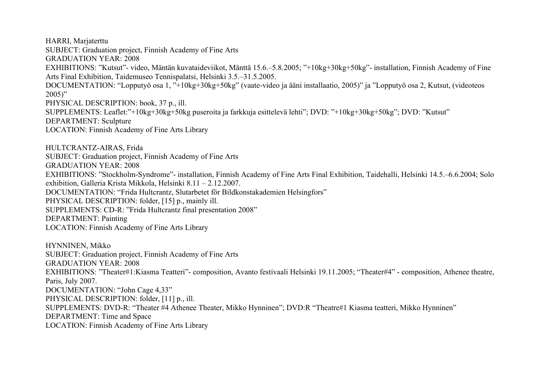HARRI, Marjaterttu SUBJECT: Graduation project, Finnish Academy of Fine Arts GRADUATION YEAR: 2008 EXHIBITIONS: "Kutsut"- video, Mäntän kuvataideviikot, Mänttä 15.6.–5.8.2005; "+10kg+30kg+50kg"- installation, Finnish Academy of Fine Arts Final Exhibition, Taidemuseo Tennispalatsi, Helsinki 3.5.–31.5.2005. DOCUMENTATION: "Lopputyö osa 1, "+10kg+30kg+50kg" (vaate-video ja ääni installaatio, 2005)" ja "Lopputyö osa 2, Kutsut, (videoteos  $2005$ " PHYSICAL DESCRIPTION: book, 37 p., ill. SUPPLEMENTS: Leaflet:"+10kg+30kg+50kg puseroita ja farkkuja esittelevä lehti"; DVD: "+10kg+30kg+50kg"; DVD: "Kutsut" DEPARTMENT: Sculpture LOCATION: Finnish Academy of Fine Arts Library HULTCRANTZ-AIRAS, Frida SUBJECT: Graduation project, Finnish Academy of Fine Arts GRADUATION YEAR: 2008 EXHIBITIONS: "Stockholm-Syndrome"- installation, Finnish Academy of Fine Arts Final Exhibition, Taidehalli, Helsinki 14.5.–6.6.2004; Solo exhibition, Galleria Krista Mikkola, Helsinki 8.11 – 2.12.2007. DOCUMENTATION: "Frida Hultcrantz, Slutarbetet för Bildkonstakademien Helsingfors" PHYSICAL DESCRIPTION: folder, [15] p., mainly ill. SUPPLEMENTS: CD-R: "Frida Hultcrantz final presentation 2008" DEPARTMENT: Painting LOCATION: Finnish Academy of Fine Arts Library HYNNINEN, Mikko SUBJECT: Graduation project, Finnish Academy of Fine Arts GRADUATION YEAR: 2008 EXHIBITIONS: "Theater#1:Kiasma Teatteri"- composition, Avanto festivaali Helsinki 19.11.2005; "Theater#4" - composition, Athenee theatre, Paris, July 2007. DOCUMENTATION: "John Cage 4,33"

PHYSICAL DESCRIPTION: folder, [11] p., ill.

SUPPLEMENTS: DVD-R: "Theater #4 Athenee Theater, Mikko Hynninen"; DVD:R "Theatre#1 Kiasma teatteri, Mikko Hynninen"

DEPARTMENT: Time and Space

LOCATION: Finnish Academy of Fine Arts Library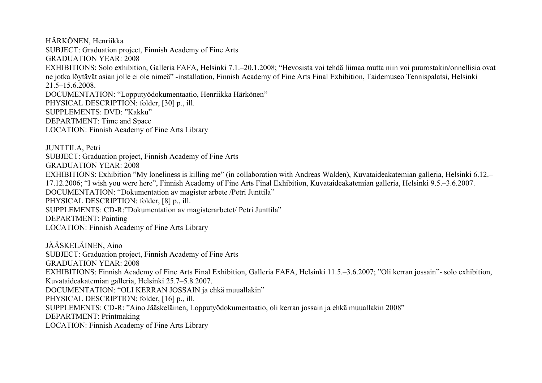HÄRKÖNEN, Henriikka SUBJECT: Graduation project, Finnish Academy of Fine Arts GRADUATION YEAR: 2008 EXHIBITIONS: Solo exhibition, Galleria FAFA, Helsinki 7.1.–20.1.2008; "Hevosista voi tehdä liimaa mutta niin voi puurostakin/onnellisia ovat ne jotka löytävät asian jolle ei ole nimeä" -installation, Finnish Academy of Fine Arts Final Exhibition, Taidemuseo Tennispalatsi, Helsinki 21.5–15.6.2008. DOCUMENTATION: "Lopputyödokumentaatio, Henriikka Härkönen" PHYSICAL DESCRIPTION: folder, [30] p., ill. SUPPLEMENTS: DVD: "Kakku" DEPARTMENT: Time and Space LOCATION: Finnish Academy of Fine Arts Library JUNTTILA, Petri SUBJECT: Graduation project, Finnish Academy of Fine Arts GRADUATION YEAR: 2008 EXHIBITIONS: Exhibition "My loneliness is killing me" (in collaboration with Andreas Walden), Kuvataideakatemian galleria, Helsinki 6.12.– 17.12.2006; "I wish you were here", Finnish Academy of Fine Arts Final Exhibition, Kuvataideakatemian galleria, Helsinki 9.5.–3.6.2007. DOCUMENTATION: "Dokumentation av magister arbete /Petri Junttila" PHYSICAL DESCRIPTION: folder, [8] p., ill. SUPPLEMENTS: CD-R:"Dokumentation av magisterarbetet/ Petri Junttila" DEPARTMENT: Painting LOCATION: Finnish Academy of Fine Arts Library

JÄÄSKELÄINEN, Aino SUBJECT: Graduation project, Finnish Academy of Fine Arts GRADUATION YEAR: 2008 EXHIBITIONS: Finnish Academy of Fine Arts Final Exhibition, Galleria FAFA, Helsinki 11.5.–3.6.2007; "Oli kerran jossain"- solo exhibition, Kuvataideakatemian galleria, Helsinki 25.7–5.8.2007. DOCUMENTATION: "OLI KERRAN JOSSAIN ja ehkä muuallakin" PHYSICAL DESCRIPTION: folder, [16] p., ill. SUPPLEMENTS: CD-R: "Aino Jääskeläinen, Lopputyödokumentaatio, oli kerran jossain ja ehkä muuallakin 2008" DEPARTMENT: Printmaking LOCATION: Finnish Academy of Fine Arts Library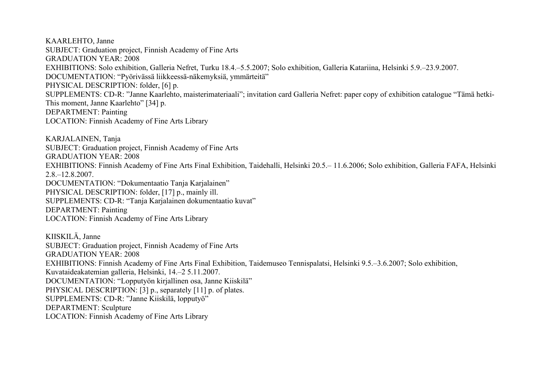KAARLEHTO, Janne SUBJECT: Graduation project, Finnish Academy of Fine Arts GRADUATION YEAR: 2008 EXHIBITIONS: Solo exhibition, Galleria Nefret, Turku 18.4.–5.5.2007; Solo exhibition, Galleria Katariina, Helsinki 5.9.–23.9.2007. DOCUMENTATION: "Pyörivässä liikkeessä-näkemyksiä, ymmärteitä" PHYSICAL DESCRIPTION: folder, [6] p. SUPPLEMENTS: CD-R: "Janne Kaarlehto, maisterimateriaali"; invitation card Galleria Nefret: paper copy of exhibition catalogue "Tämä hetki-This moment, Janne Kaarlehto" [34] p. DEPARTMENT: Painting LOCATION: Finnish Academy of Fine Arts Library

KARJALAINEN, Tanja SUBJECT: Graduation project, Finnish Academy of Fine Arts GRADUATION YEAR: 2008 EXHIBITIONS: Finnish Academy of Fine Arts Final Exhibition, Taidehalli, Helsinki 20.5.– 11.6.2006; Solo exhibition, Galleria FAFA, Helsinki 2.8.–12.8.2007. DOCUMENTATION: "Dokumentaatio Tanja Karjalainen" PHYSICAL DESCRIPTION: folder, [17] p., mainly ill. SUPPLEMENTS: CD-R: "Tanja Karjalainen dokumentaatio kuvat" DEPARTMENT: Painting LOCATION: Finnish Academy of Fine Arts Library

KIISKILÄ, Janne SUBJECT: Graduation project, Finnish Academy of Fine Arts GRADUATION YEAR: 2008 EXHIBITIONS: Finnish Academy of Fine Arts Final Exhibition, Taidemuseo Tennispalatsi, Helsinki 9.5.–3.6.2007; Solo exhibition, Kuvataideakatemian galleria, Helsinki, 14.–2 5.11.2007. DOCUMENTATION: "Lopputyön kirjallinen osa, Janne Kiiskilä" PHYSICAL DESCRIPTION: [3] p., separately [11] p. of plates. SUPPLEMENTS: CD-R: "Janne Kiiskilä, lopputyö" DEPARTMENT: Sculpture LOCATION: Finnish Academy of Fine Arts Library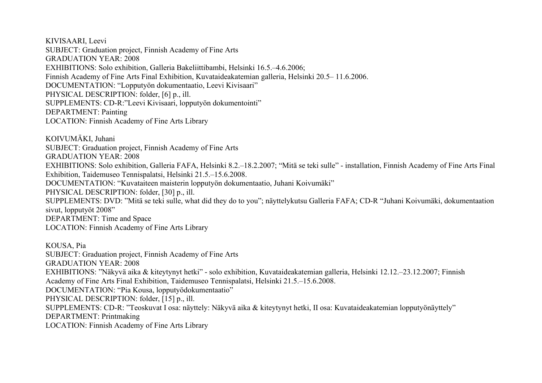KIVISAARI, Leevi SUBJECT: Graduation project, Finnish Academy of Fine Arts GRADUATION YEAR: 2008 EXHIBITIONS: Solo exhibition, Galleria Bakeliittibambi, Helsinki 16.5.–4.6.2006; Finnish Academy of Fine Arts Final Exhibition, Kuvataideakatemian galleria, Helsinki 20.5– 11.6.2006. DOCUMENTATION: "Lopputyön dokumentaatio, Leevi Kivisaari" PHYSICAL DESCRIPTION: folder, [6] p., ill. SUPPLEMENTS: CD-R:"Leevi Kivisaari, lopputyön dokumentointi" DEPARTMENT: Painting LOCATION: Finnish Academy of Fine Arts Library

KOIVUMÄKI, Juhani SUBJECT: Graduation project, Finnish Academy of Fine Arts GRADUATION YEAR: 2008 EXHIBITIONS: Solo exhibition, Galleria FAFA, Helsinki 8.2.–18.2.2007; "Mitä se teki sulle" - installation, Finnish Academy of Fine Arts Final Exhibition, Taidemuseo Tennispalatsi, Helsinki 21.5.–15.6.2008. DOCUMENTATION: "Kuvataiteen maisterin lopputyön dokumentaatio, Juhani Koivumäki" PHYSICAL DESCRIPTION: folder, [30] p., ill. SUPPLEMENTS: DVD: "Mitä se teki sulle, what did they do to you"; näyttelykutsu Galleria FAFA; CD-R "Juhani Koivumäki, dokumentaation sivut, lopputyöt 2008" DEPARTMENT: Time and Space LOCATION: Finnish Academy of Fine Arts Library

KOUSA, Pia SUBJECT: Graduation project, Finnish Academy of Fine Arts GRADUATION YEAR: 2008 EXHIBITIONS: "Näkyvä aika & kiteytynyt hetki" - solo exhibition, Kuvataideakatemian galleria, Helsinki 12.12.–23.12.2007; Finnish Academy of Fine Arts Final Exhibition, Taidemuseo Tennispalatsi, Helsinki 21.5.–15.6.2008. DOCUMENTATION: "Pia Kousa, lopputyödokumentaatio" PHYSICAL DESCRIPTION: folder, [15] p., ill. SUPPLEMENTS: CD-R: "Teoskuvat I osa: näyttely: Näkyvä aika & kiteytynyt hetki, II osa: Kuvataideakatemian lopputyönäyttely" DEPARTMENT: Printmaking LOCATION: Finnish Academy of Fine Arts Library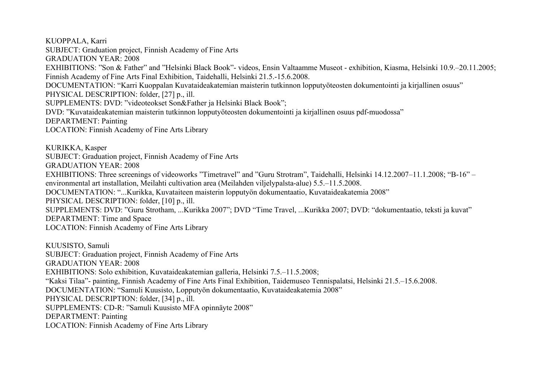KUOPPALA, Karri SUBJECT: Graduation project, Finnish Academy of Fine Arts GRADUATION YEAR: 2008 EXHIBITIONS: "Son & Father" and "Helsinki Black Book"- videos, Ensin Valtaamme Museot - exhibition, Kiasma, Helsinki 10.9.–20.11.2005; Finnish Academy of Fine Arts Final Exhibition, Taidehalli, Helsinki 21.5.-15.6.2008. DOCUMENTATION: "Karri Kuoppalan Kuvataideakatemian maisterin tutkinnon lopputyöteosten dokumentointi ja kirjallinen osuus" PHYSICAL DESCRIPTION: folder, [27] p., ill. SUPPLEMENTS: DVD: "videoteokset Son&Father ja Helsinki Black Book"; DVD: "Kuvataideakatemian maisterin tutkinnon lopputyöteosten dokumentointi ja kirjallinen osuus pdf-muodossa" DEPARTMENT: Painting LOCATION: Finnish Academy of Fine Arts Library KURIKKA, Kasper SUBJECT: Graduation project, Finnish Academy of Fine Arts GRADUATION YEAR: 2008 EXHIBITIONS: Three screenings of videoworks "Timetravel" and "Guru Strotram", Taidehalli, Helsinki 14.12.2007–11.1.2008; "B-16" – environmental art installation, Meilahti cultivation area (Meilahden viljelypalsta-alue) 5.5.–11.5.2008. DOCUMENTATION: "...Kurikka, Kuvataiteen maisterin lopputyön dokumentaatio, Kuvataideakatemia 2008" PHYSICAL DESCRIPTION: folder, [10] p., ill. SUPPLEMENTS: DVD: "Guru Strotham, ...Kurikka 2007"; DVD "Time Travel, ...Kurikka 2007; DVD: "dokumentaatio, teksti ja kuvat" DEPARTMENT: Time and Space LOCATION: Finnish Academy of Fine Arts Library KUUSISTO, Samuli SUBJECT: Graduation project, Finnish Academy of Fine Arts

GRADUATION YEAR: 2008

EXHIBITIONS: Solo exhibition, Kuvataideakatemian galleria, Helsinki 7.5.–11.5.2008;

"Kaksi Tilaa"- painting, Finnish Academy of Fine Arts Final Exhibition, Taidemuseo Tennispalatsi, Helsinki 21.5.–15.6.2008.

DOCUMENTATION: "Samuli Kuusisto, Lopputyön dokumentaatio, Kuvataideakatemia 2008"

PHYSICAL DESCRIPTION: folder, [34] p., ill.

SUPPLEMENTS: CD-R: "Samuli Kuusisto MFA opinnäyte 2008"

DEPARTMENT: Painting

LOCATION: Finnish Academy of Fine Arts Library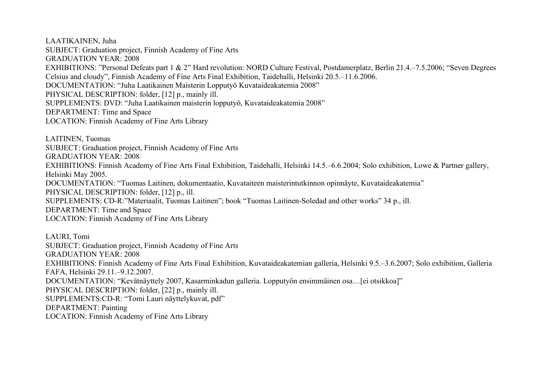LAATIKAINEN, Juha SUBJECT: Graduation project, Finnish Academy of Fine Arts GRADUATION YEAR: 2008 EXHIBITIONS: "Personal Defeats part 1 & 2" Hard revolution: NORD Culture Festival, Postdamerplatz, Berlin 21.4.–7.5.2006; "Seven Degrees Celsius and cloudy", Finnish Academy of Fine Arts Final Exhibition, Taidehalli, Helsinki 20.5.–11.6.2006. DOCUMENTATION: "Juha Laatikainen Maisterin Lopputyö Kuvataideakatemia 2008" PHYSICAL DESCRIPTION: folder, [12] p., mainly ill. SUPPLEMENTS: DVD: "Juha Laatikainen maisterin lopputyö, Kuvataideakatemia 2008" DEPARTMENT: Time and Space LOCATION: Finnish Academy of Fine Arts Library

LAITINEN, Tuomas SUBJECT: Graduation project, Finnish Academy of Fine Arts GRADUATION YEAR: 2008 EXHIBITIONS: Finnish Academy of Fine Arts Final Exhibition, Taidehalli, Helsinki 14.5.–6.6.2004; Solo exhibition, Lowe & Partner gallery, Helsinki May 2005. DOCUMENTATION: "Tuomas Laitinen, dokumentaatio, Kuvataiteen maisterintutkinnon opinnäyte, Kuvataideakatemia" PHYSICAL DESCRIPTION: folder, [12] p., ill. SUPPLEMENTS: CD-R:"Materiaalit, Tuomas Laitinen"; book "Tuomas Laitinen-Soledad and other works" 34 p., ill. DEPARTMENT: Time and Space LOCATION: Finnish Academy of Fine Arts Library

LAURI, Tomi SUBJECT: Graduation project, Finnish Academy of Fine Arts GRADUATION YEAR: 2008 EXHIBITIONS: Finnish Academy of Fine Arts Final Exhibition, Kuvataideakatemian galleria, Helsinki 9.5.–3.6.2007; Solo exhibition, Galleria FAFA, Helsinki 29.11.–9.12.2007. DOCUMENTATION: "Kevätnäyttely 2007, Kasarminkadun galleria. Lopputyön ensimmäinen osa…[ei otsikkoa]" PHYSICAL DESCRIPTION: folder, [22] p., mainly ill. SUPPLEMENTS:CD-R: "Tomi Lauri näyttelykuvat, pdf" DEPARTMENT: Painting LOCATION: Finnish Academy of Fine Arts Library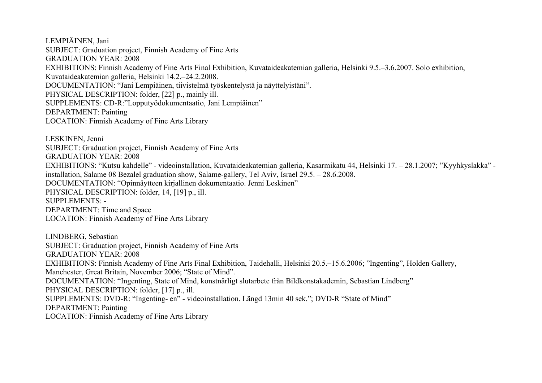LEMPIÄINEN, Jani SUBJECT: Graduation project, Finnish Academy of Fine Arts GRADUATION YEAR: 2008 EXHIBITIONS: Finnish Academy of Fine Arts Final Exhibition, Kuvataideakatemian galleria, Helsinki 9.5.–3.6.2007. Solo exhibition, Kuvataideakatemian galleria, Helsinki 14.2.–24.2.2008. DOCUMENTATION: "Jani Lempiäinen, tiivistelmä työskentelystä ja näyttelyistäni". PHYSICAL DESCRIPTION: folder, [22] p., mainly ill. SUPPLEMENTS: CD-R:"Lopputyödokumentaatio, Jani Lempiäinen" DEPARTMENT: Painting LOCATION: Finnish Academy of Fine Arts Library

LESKINEN, Jenni SUBJECT: Graduation project, Finnish Academy of Fine Arts GRADUATION YEAR: 2008 EXHIBITIONS: "Kutsu kahdelle" - videoinstallation, Kuvataideakatemian galleria, Kasarmikatu 44, Helsinki 17. – 28.1.2007; "Kyyhkyslakka" installation, Salame 08 Bezalel graduation show, Salame-gallery, Tel Aviv, Israel 29.5. – 28.6.2008. DOCUMENTATION: "Opinnäytteen kirjallinen dokumentaatio. Jenni Leskinen" PHYSICAL DESCRIPTION: folder, 14, [19] p., ill. SUPPLEMENTS: - DEPARTMENT: Time and Space LOCATION: Finnish Academy of Fine Arts Library

LINDBERG, Sebastian SUBJECT: Graduation project, Finnish Academy of Fine Arts GRADUATION YEAR: 2008 EXHIBITIONS: Finnish Academy of Fine Arts Final Exhibition, Taidehalli, Helsinki 20.5.–15.6.2006; "Ingenting", Holden Gallery, Manchester, Great Britain, November 2006; "State of Mind". DOCUMENTATION: "Ingenting, State of Mind, konstnärligt slutarbete från Bildkonstakademin, Sebastian Lindberg" PHYSICAL DESCRIPTION: folder, [17] p., ill. SUPPLEMENTS: DVD-R: "Ingenting- en" - videoinstallation. Längd 13min 40 sek."; DVD-R "State of Mind" DEPARTMENT: Painting LOCATION: Finnish Academy of Fine Arts Library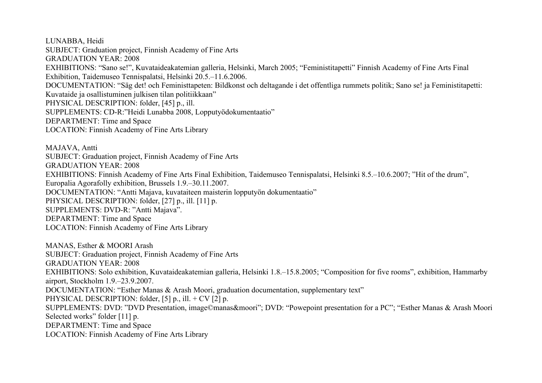LUNABBA, Heidi SUBJECT: Graduation project, Finnish Academy of Fine Arts GRADUATION YEAR: 2008 EXHIBITIONS: "Sano se!", Kuvataideakatemian galleria, Helsinki, March 2005; "Feministitapetti" Finnish Academy of Fine Arts Final Exhibition, Taidemuseo Tennispalatsi, Helsinki 20.5.–11.6.2006. DOCUMENTATION: "Säg det! och Feministtapeten: Bildkonst och deltagande i det offentliga rummets politik; Sano se! ja Feministitapetti: Kuvataide ja osallistuminen julkisen tilan politiikkaan" PHYSICAL DESCRIPTION: folder, [45] p., ill. SUPPLEMENTS: CD-R:"Heidi Lunabba 2008, Lopputyödokumentaatio" DEPARTMENT: Time and Space LOCATION: Finnish Academy of Fine Arts Library MAJAVA, Antti SUBJECT: Graduation project, Finnish Academy of Fine Arts

EXHIBITIONS: Finnish Academy of Fine Arts Final Exhibition, Taidemuseo Tennispalatsi, Helsinki 8.5.–10.6.2007; "Hit of the drum",

GRADUATION YEAR: 2008

DEPARTMENT: Time and Space

Europalia Agorafolly exhibition, Brussels 1.9.–30.11.2007.

PHYSICAL DESCRIPTION: folder, [27] p., ill. [11] p.

SUPPLEMENTS: DVD-R: "Antti Majava".

DOCUMENTATION: "Antti Majava, kuvataiteen maisterin lopputyön dokumentaatio"

LOCATION: Finnish Academy of Fine Arts Library MANAS, Esther & MOORI Arash SUBJECT: Graduation project, Finnish Academy of Fine Arts GRADUATION YEAR: 2008 EXHIBITIONS: Solo exhibition, Kuvataideakatemian galleria, Helsinki 1.8.–15.8.2005; "Composition for five rooms", exhibition, Hammarby airport, Stockholm 1.9.–23.9.2007. DOCUMENTATION: "Esther Manas & Arash Moori, graduation documentation, supplementary text" PHYSICAL DESCRIPTION: folder, [5] p., ill. + CV [2] p. SUPPLEMENTS: DVD: "DVD Presentation, image©manas&moori"; DVD: "Powepoint presentation for a PC"; "Esther Manas & Arash Moori Selected works" folder [11] p. DEPARTMENT: Time and Space LOCATION: Finnish Academy of Fine Arts Library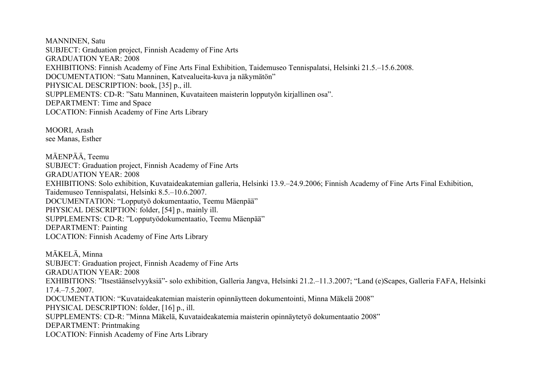MANNINEN, Satu SUBJECT: Graduation project, Finnish Academy of Fine Arts GRADUATION YEAR: 2008 EXHIBITIONS: Finnish Academy of Fine Arts Final Exhibition, Taidemuseo Tennispalatsi, Helsinki 21.5.–15.6.2008. DOCUMENTATION: "Satu Manninen, Katvealueita-kuva ja näkymätön" PHYSICAL DESCRIPTION: book, [35] p., ill. SUPPLEMENTS: CD-R: "Satu Manninen, Kuvataiteen maisterin lopputyön kirjallinen osa". DEPARTMENT: Time and Space LOCATION: Finnish Academy of Fine Arts Library

MOORI, Arash see Manas, Esther

MÄENPÄÄ, Teemu SUBJECT: Graduation project, Finnish Academy of Fine Arts GRADUATION YEAR: 2008 EXHIBITIONS: Solo exhibition, Kuvataideakatemian galleria, Helsinki 13.9.–24.9.2006; Finnish Academy of Fine Arts Final Exhibition, Taidemuseo Tennispalatsi, Helsinki 8.5.–10.6.2007. DOCUMENTATION: "Lopputyö dokumentaatio, Teemu Mäenpää" PHYSICAL DESCRIPTION: folder, [54] p., mainly ill. SUPPLEMENTS: CD-R: "Lopputyödokumentaatio, Teemu Mäenpää" DEPARTMENT: Painting LOCATION: Finnish Academy of Fine Arts Library

MÄKELÄ, Minna SUBJECT: Graduation project, Finnish Academy of Fine Arts GRADUATION YEAR: 2008 EXHIBITIONS: "Itsestäänselvyyksiä"- solo exhibition, Galleria Jangva, Helsinki 21.2.–11.3.2007; "Land (e)Scapes, Galleria FAFA, Helsinki 17.4.–7.5.2007. DOCUMENTATION: "Kuvataideakatemian maisterin opinnäytteen dokumentointi, Minna Mäkelä 2008" PHYSICAL DESCRIPTION: folder, [16] p., ill. SUPPLEMENTS: CD-R: "Minna Mäkelä, Kuvataideakatemia maisterin opinnäytetyö dokumentaatio 2008" DEPARTMENT: Printmaking LOCATION: Finnish Academy of Fine Arts Library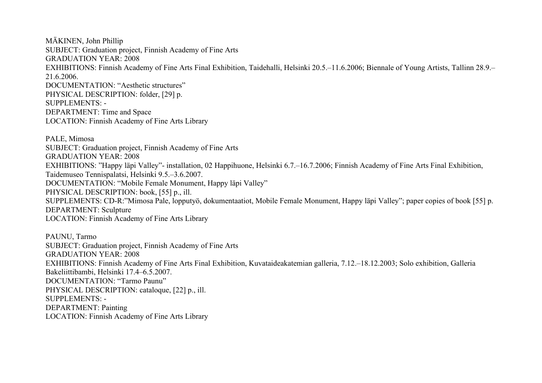MÄKINEN, John Phillip SUBJECT: Graduation project, Finnish Academy of Fine Arts GRADUATION YEAR: 2008 EXHIBITIONS: Finnish Academy of Fine Arts Final Exhibition, Taidehalli, Helsinki 20.5.–11.6.2006; Biennale of Young Artists, Tallinn 28.9.– 21.6.2006. DOCUMENTATION: "Aesthetic structures" PHYSICAL DESCRIPTION: folder, [29] p. SUPPLEMENTS: - DEPARTMENT: Time and Space LOCATION: Finnish Academy of Fine Arts Library

PALE, Mimosa SUBJECT: Graduation project, Finnish Academy of Fine Arts GRADUATION YEAR: 2008 EXHIBITIONS: "Happy läpi Valley"- installation, 02 Happihuone, Helsinki 6.7.–16.7.2006; Finnish Academy of Fine Arts Final Exhibition, Taidemuseo Tennispalatsi, Helsinki 9.5.–3.6.2007. DOCUMENTATION: "Mobile Female Monument, Happy läpi Valley" PHYSICAL DESCRIPTION: book, [55] p., ill. SUPPLEMENTS: CD-R:"Mimosa Pale, lopputyö, dokumentaatiot, Mobile Female Monument, Happy läpi Valley"; paper copies of book [55] p. DEPARTMENT: Sculpture LOCATION: Finnish Academy of Fine Arts Library

PAUNU, Tarmo SUBJECT: Graduation project, Finnish Academy of Fine Arts GRADUATION YEAR: 2008 EXHIBITIONS: Finnish Academy of Fine Arts Final Exhibition, Kuvataideakatemian galleria, 7.12.–18.12.2003; Solo exhibition, Galleria Bakeliittibambi, Helsinki 17.4–6.5.2007. DOCUMENTATION: "Tarmo Paunu" PHYSICAL DESCRIPTION: cataloque, [22] p., ill. SUPPLEMENTS: - DEPARTMENT: Painting LOCATION: Finnish Academy of Fine Arts Library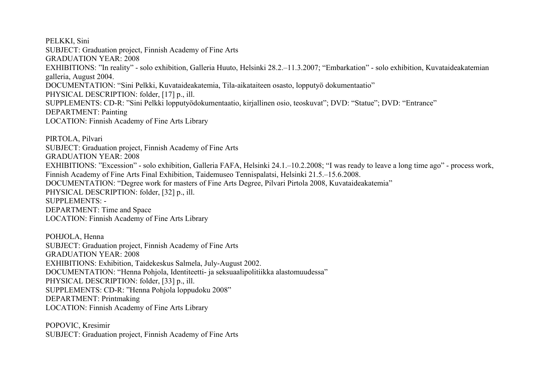PELKKI, Sini SUBJECT: Graduation project, Finnish Academy of Fine Arts GRADUATION YEAR: 2008 EXHIBITIONS: "In reality" - solo exhibition, Galleria Huuto, Helsinki 28.2.–11.3.2007; "Embarkation" - solo exhibition, Kuvataideakatemian galleria, August 2004. DOCUMENTATION: "Sini Pelkki, Kuvataideakatemia, Tila-aikataiteen osasto, lopputyö dokumentaatio" PHYSICAL DESCRIPTION: folder, [17] p., ill. SUPPLEMENTS: CD-R: "Sini Pelkki lopputyödokumentaatio, kirjallinen osio, teoskuvat"; DVD: "Statue"; DVD: "Entrance" DEPARTMENT: Painting LOCATION: Finnish Academy of Fine Arts Library

PIRTOLA, Pilvari SUBJECT: Graduation project, Finnish Academy of Fine Arts GRADUATION YEAR: 2008 EXHIBITIONS: "Excession" - solo exhibition, Galleria FAFA, Helsinki 24.1.–10.2.2008; "I was ready to leave a long time ago" - process work, Finnish Academy of Fine Arts Final Exhibition, Taidemuseo Tennispalatsi, Helsinki 21.5.–15.6.2008. DOCUMENTATION: "Degree work for masters of Fine Arts Degree, Pilvari Pirtola 2008, Kuvataideakatemia" PHYSICAL DESCRIPTION: folder, [32] p., ill. SUPPLEMENTS: - DEPARTMENT: Time and Space LOCATION: Finnish Academy of Fine Arts Library

POHJOLA, Henna SUBJECT: Graduation project, Finnish Academy of Fine Arts GRADUATION YEAR: 2008 EXHIBITIONS: Exhibition, Taidekeskus Salmela, July-August 2002. DOCUMENTATION: "Henna Pohjola, Identiteetti- ja seksuaalipolitiikka alastomuudessa" PHYSICAL DESCRIPTION: folder, [33] p., ill. SUPPLEMENTS: CD-R: "Henna Pohjola loppudoku 2008" DEPARTMENT: Printmaking LOCATION: Finnish Academy of Fine Arts Library

POPOVIC, Kresimir SUBJECT: Graduation project, Finnish Academy of Fine Arts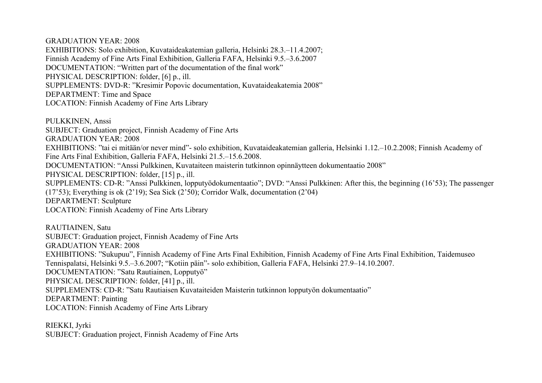GRADUATION YEAR: 2008 EXHIBITIONS: Solo exhibition, Kuvataideakatemian galleria, Helsinki 28.3.–11.4.2007; Finnish Academy of Fine Arts Final Exhibition, Galleria FAFA, Helsinki 9.5.–3.6.2007 DOCUMENTATION: "Written part of the documentation of the final work" PHYSICAL DESCRIPTION: folder, [6] p., ill. SUPPLEMENTS: DVD-R: "Kresimir Popovic documentation, Kuvataideakatemia 2008" DEPARTMENT: Time and Space LOCATION: Finnish Academy of Fine Arts Library

PULKKINEN, Anssi SUBJECT: Graduation project, Finnish Academy of Fine Arts GRADUATION YEAR: 2008 EXHIBITIONS: "tai ei mitään/or never mind"- solo exhibition, Kuvataideakatemian galleria, Helsinki 1.12.–10.2.2008; Finnish Academy of Fine Arts Final Exhibition, Galleria FAFA, Helsinki 21.5.–15.6.2008. DOCUMENTATION: "Anssi Pulkkinen, Kuvataiteen maisterin tutkinnon opinnäytteen dokumentaatio 2008" PHYSICAL DESCRIPTION: folder, [15] p., ill. SUPPLEMENTS: CD-R: "Anssi Pulkkinen, lopputyödokumentaatio"; DVD: "Anssi Pulkkinen: After this, the beginning (16'53); The passenger (17'53); Everything is ok (2'19); Sea Sick (2'50); Corridor Walk, documentation (2'04) DEPARTMENT: Sculpture LOCATION: Finnish Academy of Fine Arts Library

RAUTIAINEN, Satu SUBJECT: Graduation project, Finnish Academy of Fine Arts GRADUATION YEAR: 2008 EXHIBITIONS: "Sukupuu", Finnish Academy of Fine Arts Final Exhibition, Finnish Academy of Fine Arts Final Exhibition, Taidemuseo Tennispalatsi, Helsinki 9.5.–3.6.2007; "Kotiin päin"- solo exhibition, Galleria FAFA, Helsinki 27.9–14.10.2007. DOCUMENTATION: "Satu Rautiainen, Lopputyö" PHYSICAL DESCRIPTION: folder, [41] p., ill. SUPPLEMENTS: CD-R: "Satu Rautiaisen Kuvataiteiden Maisterin tutkinnon lopputyön dokumentaatio" DEPARTMENT: Painting LOCATION: Finnish Academy of Fine Arts Library

RIEKKI, Jyrki SUBJECT: Graduation project, Finnish Academy of Fine Arts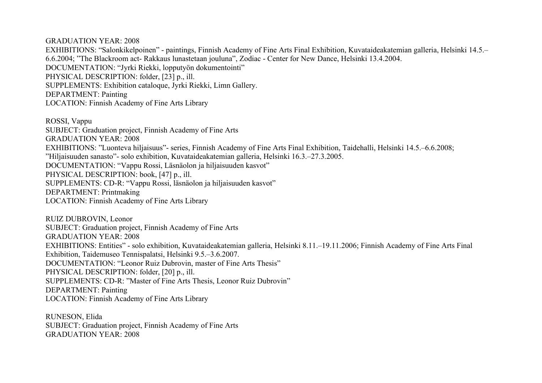GRADUATION YEAR: 2008 EXHIBITIONS: "Salonkikelpoinen" - paintings, Finnish Academy of Fine Arts Final Exhibition, Kuvataideakatemian galleria, Helsinki 14.5.– 6.6.2004; "The Blackroom act- Rakkaus lunastetaan jouluna", Zodiac - Center for New Dance, Helsinki 13.4.2004. DOCUMENTATION: "Jyrki Riekki, lopputyön dokumentointi" PHYSICAL DESCRIPTION: folder, [23] p., ill. SUPPLEMENTS: Exhibition cataloque, Jyrki Riekki, Limn Gallery. DEPARTMENT: Painting LOCATION: Finnish Academy of Fine Arts Library

ROSSI, Vappu SUBJECT: Graduation project, Finnish Academy of Fine Arts GRADUATION YEAR: 2008 EXHIBITIONS: "Luonteva hiljaisuus"- series, Finnish Academy of Fine Arts Final Exhibition, Taidehalli, Helsinki 14.5.–6.6.2008; "Hiljaisuuden sanasto"- solo exhibition, Kuvataideakatemian galleria, Helsinki 16.3.–27.3.2005. DOCUMENTATION: "Vappu Rossi, Läsnäolon ja hiljaisuuden kasvot" PHYSICAL DESCRIPTION: book, [47] p., ill. SUPPLEMENTS: CD-R: "Vappu Rossi, läsnäolon ja hiljaisuuden kasvot" DEPARTMENT: Printmaking LOCATION: Finnish Academy of Fine Arts Library

RUIZ DUBROVIN, Leonor SUBJECT: Graduation project, Finnish Academy of Fine Arts GRADUATION YEAR: 2008 EXHIBITIONS: Entities" - solo exhibition, Kuvataideakatemian galleria, Helsinki 8.11.–19.11.2006; Finnish Academy of Fine Arts Final Exhibition, Taidemuseo Tennispalatsi, Helsinki 9.5.–3.6.2007. DOCUMENTATION: "Leonor Ruiz Dubrovin, master of Fine Arts Thesis" PHYSICAL DESCRIPTION: folder, [20] p., ill. SUPPLEMENTS: CD-R: "Master of Fine Arts Thesis, Leonor Ruiz Dubrovin" DEPARTMENT: Painting LOCATION: Finnish Academy of Fine Arts Library

RUNESON, Elida SUBJECT: Graduation project, Finnish Academy of Fine Arts GRADUATION YEAR: 2008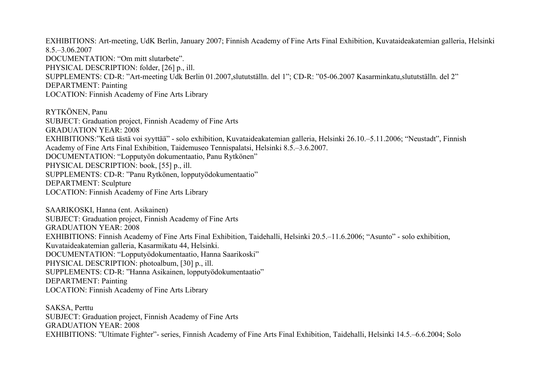EXHIBITIONS: Art-meeting, UdK Berlin, January 2007; Finnish Academy of Fine Arts Final Exhibition, Kuvataideakatemian galleria, Helsinki 8.5.–3.06.2007 DOCUMENTATION: "Om mitt slutarbete". PHYSICAL DESCRIPTION: folder, [26] p., ill. SUPPLEMENTS: CD-R: "Art-meeting Udk Berlin 01.2007,slututställn. del 1"; CD-R: "05-06.2007 Kasarminkatu,slututställn. del 2" DEPARTMENT: Painting LOCATION: Finnish Academy of Fine Arts Library

RYTKÖNEN, Panu SUBJECT: Graduation project, Finnish Academy of Fine Arts GRADUATION YEAR: 2008 EXHIBITIONS:"Ketä tästä voi syyttää" - solo exhibition, Kuvataideakatemian galleria, Helsinki 26.10.–5.11.2006; "Neustadt", Finnish Academy of Fine Arts Final Exhibition, Taidemuseo Tennispalatsi, Helsinki 8.5.–3.6.2007. DOCUMENTATION: "Lopputyön dokumentaatio, Panu Rytkönen" PHYSICAL DESCRIPTION: book, [55] p., ill. SUPPLEMENTS: CD-R: "Panu Rytkönen, lopputyödokumentaatio" DEPARTMENT: Sculpture LOCATION: Finnish Academy of Fine Arts Library

SAARIKOSKI, Hanna (ent. Asikainen) SUBJECT: Graduation project, Finnish Academy of Fine Arts GRADUATION YEAR: 2008 EXHIBITIONS: Finnish Academy of Fine Arts Final Exhibition, Taidehalli, Helsinki 20.5.–11.6.2006; "Asunto" - solo exhibition, Kuvataideakatemian galleria, Kasarmikatu 44, Helsinki. DOCUMENTATION: "Lopputyödokumentaatio, Hanna Saarikoski" PHYSICAL DESCRIPTION: photoalbum, [30] p., ill. SUPPLEMENTS: CD-R: "Hanna Asikainen, lopputyödokumentaatio" DEPARTMENT: Painting LOCATION: Finnish Academy of Fine Arts Library

SAKSA, Perttu SUBJECT: Graduation project, Finnish Academy of Fine Arts GRADUATION YEAR: 2008 EXHIBITIONS: "Ultimate Fighter"- series, Finnish Academy of Fine Arts Final Exhibition, Taidehalli, Helsinki 14.5.–6.6.2004; Solo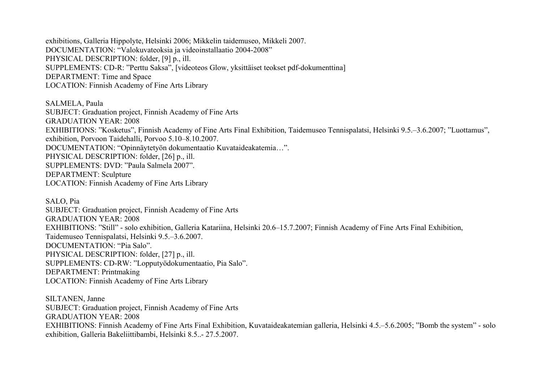exhibitions, Galleria Hippolyte, Helsinki 2006; Mikkelin taidemuseo, Mikkeli 2007. DOCUMENTATION: "Valokuvateoksia ja videoinstallaatio 2004-2008" PHYSICAL DESCRIPTION: folder, [9] p., ill. SUPPLEMENTS: CD-R: "Perttu Saksa", [videoteos Glow, yksittäiset teokset pdf-dokumenttina] DEPARTMENT: Time and Space LOCATION: Finnish Academy of Fine Arts Library

SALMELA, Paula SUBJECT: Graduation project, Finnish Academy of Fine Arts GRADUATION YEAR: 2008 EXHIBITIONS: "Kosketus", Finnish Academy of Fine Arts Final Exhibition, Taidemuseo Tennispalatsi, Helsinki 9.5.–3.6.2007; "Luottamus", exhibition, Porvoon Taidehalli, Porvoo 5.10–8.10.2007. DOCUMENTATION: "Opinnäytetyön dokumentaatio Kuvataideakatemia…". PHYSICAL DESCRIPTION: folder, [26] p., ill. SUPPLEMENTS: DVD: "Paula Salmela 2007". DEPARTMENT: Sculpture LOCATION: Finnish Academy of Fine Arts Library

SALO, Pia SUBJECT: Graduation project, Finnish Academy of Fine Arts GRADUATION YEAR: 2008 EXHIBITIONS: "Still" - solo exhibition, Galleria Katariina, Helsinki 20.6–15.7.2007; Finnish Academy of Fine Arts Final Exhibition, Taidemuseo Tennispalatsi, Helsinki 9.5.–3.6.2007. DOCUMENTATION: "Pia Salo". PHYSICAL DESCRIPTION: folder, [27] p., ill. SUPPLEMENTS: CD-RW: "Lopputyödokumentaatio, Pia Salo". DEPARTMENT: Printmaking LOCATION: Finnish Academy of Fine Arts Library

SILTANEN, Janne SUBJECT: Graduation project, Finnish Academy of Fine Arts GRADUATION YEAR: 2008 EXHIBITIONS: Finnish Academy of Fine Arts Final Exhibition, Kuvataideakatemian galleria, Helsinki 4.5.–5.6.2005; "Bomb the system" - solo exhibition, Galleria Bakeliittibambi, Helsinki 8.5..- 27.5.2007.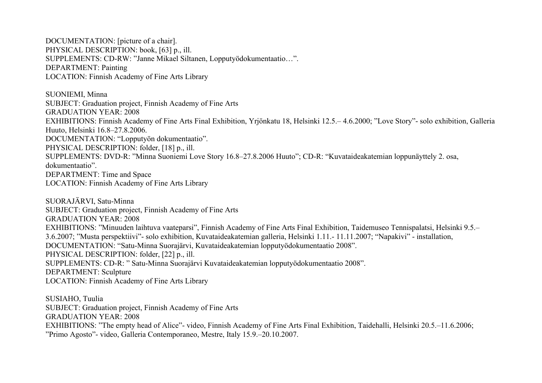DOCUMENTATION: [picture of a chair]. PHYSICAL DESCRIPTION: book, [63] p., ill. SUPPLEMENTS: CD-RW: "Janne Mikael Siltanen, Lopputyödokumentaatio…". DEPARTMENT: Painting LOCATION: Finnish Academy of Fine Arts Library

SUONIEMI, Minna SUBJECT: Graduation project, Finnish Academy of Fine Arts GRADUATION YEAR: 2008 EXHIBITIONS: Finnish Academy of Fine Arts Final Exhibition, Yrjönkatu 18, Helsinki 12.5.– 4.6.2000; "Love Story"- solo exhibition, Galleria Huuto, Helsinki 16.8–27.8.2006. DOCUMENTATION: "Lopputyön dokumentaatio". PHYSICAL DESCRIPTION: folder, [18] p., ill. SUPPLEMENTS: DVD-R: "Minna Suoniemi Love Story 16.8–27.8.2006 Huuto"; CD-R: "Kuvataideakatemian loppunäyttely 2. osa, dokumentaatio". DEPARTMENT: Time and Space LOCATION: Finnish Academy of Fine Arts Library

SUORAJÄRVI, Satu-Minna SUBJECT: Graduation project, Finnish Academy of Fine Arts GRADUATION YEAR: 2008 EXHIBITIONS: "Minuuden laihtuva vaateparsi", Finnish Academy of Fine Arts Final Exhibition, Taidemuseo Tennispalatsi, Helsinki 9.5.– 3.6.2007; "Musta perspektiivi"- solo exhibition, Kuvataideakatemian galleria, Helsinki 1.11.- 11.11.2007; "Napakivi" - installation, DOCUMENTATION: "Satu-Minna Suorajärvi, Kuvataideakatemian lopputyödokumentaatio 2008". PHYSICAL DESCRIPTION: folder, [22] p., ill. SUPPLEMENTS: CD-R: " Satu-Minna Suorajärvi Kuvataideakatemian lopputyödokumentaatio 2008". DEPARTMENT: Sculpture LOCATION: Finnish Academy of Fine Arts Library

SUSIAHO, Tuulia SUBJECT: Graduation project, Finnish Academy of Fine Arts GRADUATION YEAR: 2008 EXHIBITIONS: "The empty head of Alice"- video, Finnish Academy of Fine Arts Final Exhibition, Taidehalli, Helsinki 20.5.–11.6.2006; "Primo Agosto"- video, Galleria Contemporaneo, Mestre, Italy 15.9.–20.10.2007.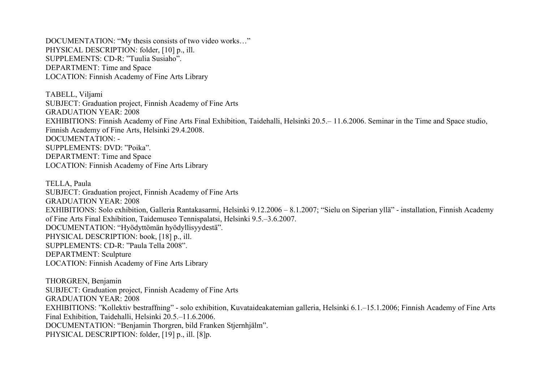DOCUMENTATION: "My thesis consists of two video works…" PHYSICAL DESCRIPTION: folder, [10] p., ill. SUPPLEMENTS: CD-R: "Tuulia Susiaho". DEPARTMENT: Time and Space LOCATION: Finnish Academy of Fine Arts Library

TABELL, Viljami SUBJECT: Graduation project, Finnish Academy of Fine Arts GRADUATION YEAR: 2008 EXHIBITIONS: Finnish Academy of Fine Arts Final Exhibition, Taidehalli, Helsinki 20.5.– 11.6.2006. Seminar in the Time and Space studio, Finnish Academy of Fine Arts, Helsinki 29.4.2008. DOCUMENTATION: - SUPPLEMENTS: DVD: "Poika". DEPARTMENT: Time and Space LOCATION: Finnish Academy of Fine Arts Library

TELLA, Paula SUBJECT: Graduation project, Finnish Academy of Fine Arts GRADUATION YEAR: 2008 EXHIBITIONS: Solo exhibition, Galleria Rantakasarmi, Helsinki 9.12.2006 – 8.1.2007; "Sielu on Siperian yllä" - installation, Finnish Academy of Fine Arts Final Exhibition, Taidemuseo Tennispalatsi, Helsinki 9.5.–3.6.2007. DOCUMENTATION: "Hyödyttömän hyödyllisyydestä". PHYSICAL DESCRIPTION: book, [18] p., ill. SUPPLEMENTS: CD-R: "Paula Tella 2008". DEPARTMENT: Sculpture LOCATION: Finnish Academy of Fine Arts Library

THORGREN, Benjamin SUBJECT: Graduation project, Finnish Academy of Fine Arts GRADUATION YEAR: 2008 EXHIBITIONS: "Kollektiv bestraffning" - solo exhibition, Kuvataideakatemian galleria, Helsinki 6.1.–15.1.2006; Finnish Academy of Fine Arts Final Exhibition, Taidehalli, Helsinki 20.5.–11.6.2006. DOCUMENTATION: "Benjamin Thorgren, bild Franken Stjernhjälm". PHYSICAL DESCRIPTION: folder, [19] p., ill. [8] p.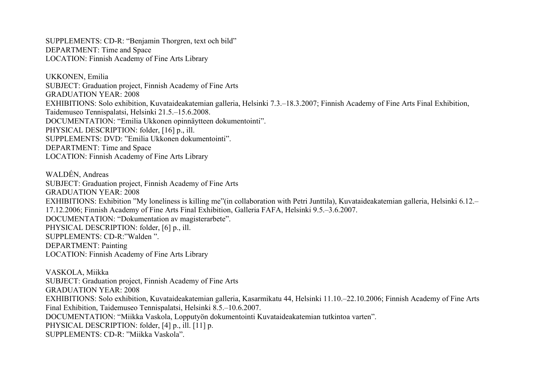SUPPLEMENTS: CD-R: "Benjamin Thorgren, text och bild" DEPARTMENT: Time and Space LOCATION: Finnish Academy of Fine Arts Library

UKKONEN, Emilia SUBJECT: Graduation project, Finnish Academy of Fine Arts GRADUATION YEAR: 2008 EXHIBITIONS: Solo exhibition, Kuvataideakatemian galleria, Helsinki 7.3.–18.3.2007; Finnish Academy of Fine Arts Final Exhibition, Taidemuseo Tennispalatsi, Helsinki 21.5.–15.6.2008. DOCUMENTATION: "Emilia Ukkonen opinnäytteen dokumentointi". PHYSICAL DESCRIPTION: folder, [16] p., ill. SUPPLEMENTS: DVD: "Emilia Ukkonen dokumentointi". DEPARTMENT: Time and Space LOCATION: Finnish Academy of Fine Arts Library

WALDÉN, Andreas SUBJECT: Graduation project, Finnish Academy of Fine Arts GRADUATION YEAR: 2008 EXHIBITIONS: Exhibition "My loneliness is killing me"(in collaboration with Petri Junttila), Kuvataideakatemian galleria, Helsinki 6.12.– 17.12.2006; Finnish Academy of Fine Arts Final Exhibition, Galleria FAFA, Helsinki 9.5.–3.6.2007. DOCUMENTATION: "Dokumentation av magisterarbete". PHYSICAL DESCRIPTION: folder, [6] p., ill. SUPPLEMENTS: CD-R:"Walden ". DEPARTMENT: Painting LOCATION: Finnish Academy of Fine Arts Library

VASKOLA, Miikka SUBJECT: Graduation project, Finnish Academy of Fine Arts GRADUATION YEAR: 2008 EXHIBITIONS: Solo exhibition, Kuvataideakatemian galleria, Kasarmikatu 44, Helsinki 11.10.–22.10.2006; Finnish Academy of Fine Arts Final Exhibition, Taidemuseo Tennispalatsi, Helsinki 8.5.–10.6.2007. DOCUMENTATION: "Miikka Vaskola, Lopputyön dokumentointi Kuvataideakatemian tutkintoa varten". PHYSICAL DESCRIPTION: folder, [4] p., ill. [11] p. SUPPLEMENTS: CD-R: "Miikka Vaskola".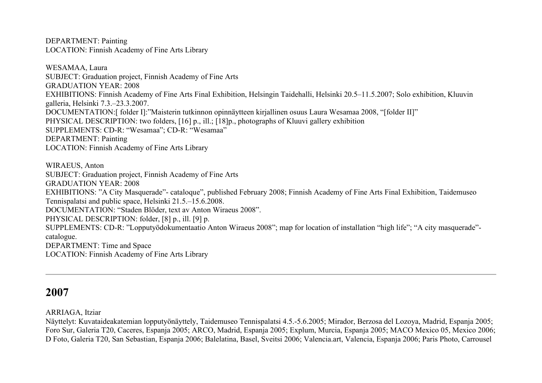DEPARTMENT: Painting LOCATION: Finnish Academy of Fine Arts Library

WESAMAA, Laura SUBJECT: Graduation project, Finnish Academy of Fine Arts GRADUATION YEAR: 2008 EXHIBITIONS: Finnish Academy of Fine Arts Final Exhibition, Helsingin Taidehalli, Helsinki 20.5–11.5.2007; Solo exhibition, Kluuvin galleria, Helsinki 7.3.–23.3.2007. DOCUMENTATION:[ folder I]:"Maisterin tutkinnon opinnäytteen kirjallinen osuus Laura Wesamaa 2008, "[folder II]" PHYSICAL DESCRIPTION: two folders, [16] p., ill.; [18] p., photographs of Kluuvi gallery exhibition SUPPLEMENTS: CD-R: "Wesamaa"; CD-R: "Wesamaa" DEPARTMENT: Painting LOCATION: Finnish Academy of Fine Arts Library

WIRAEUS, Anton SUBJECT: Graduation project, Finnish Academy of Fine Arts GRADUATION YEAR: 2008 EXHIBITIONS: "A City Masquerade"- cataloque", published February 2008; Finnish Academy of Fine Arts Final Exhibition, Taidemuseo Tennispalatsi and public space, Helsinki 21.5.–15.6.2008. DOCUMENTATION: "Staden Blöder, text av Anton Wiraeus 2008". PHYSICAL DESCRIPTION: folder, [8] p., ill. [9] p. SUPPLEMENTS: CD-R: "Lopputyödokumentaatio Anton Wiraeus 2008"; map for location of installation "high life"; "A city masquerade" catalogue. DEPARTMENT: Time and Space LOCATION: Finnish Academy of Fine Arts Library

# **2007**

ARRIAGA, Itziar

Näyttelyt: Kuvataideakatemian lopputyönäyttely, Taidemuseo Tennispalatsi 4.5.-5.6.2005; Mirador, Berzosa del Lozoya, Madrid, Espanja 2005; Foro Sur, Galeria T20, Caceres, Espanja 2005; ARCO, Madrid, Espanja 2005; Explum, Murcia, Espanja 2005; MACO Mexico 05, Mexico 2006; D Foto, Galeria T20, San Sebastian, Espanja 2006; Balelatina, Basel, Sveitsi 2006; Valencia.art, Valencia, Espanja 2006; Paris Photo, Carrousel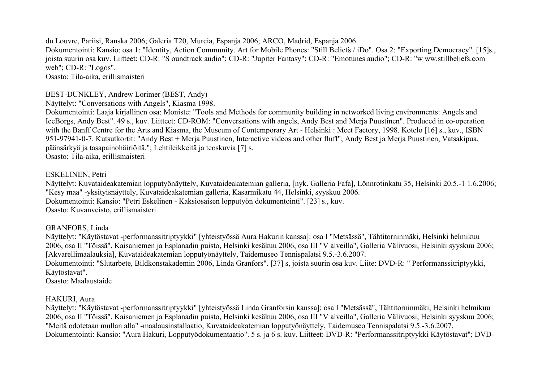du Louvre, Pariisi, Ranska 2006; Galeria T20, Murcia, Espanja 2006; ARCO, Madrid, Espanja 2006. Dokumentointi: Kansio: osa 1: "Identity, Action Community. Art for Mobile Phones: "Still Beliefs / iDo". Osa 2: "Exporting Democracy". [15]s., joista suurin osa kuv. Liitteet: CD-R: "S oundtrack audio"; CD-R: "Jupiter Fantasy"; CD-R: "Emotunes audio"; CD-R: "w ww.stillbeliefs.com web"; CD-R: "Logos". Osasto: Tila-aika, erillismaisteri

#### BEST-DUNKLEY, Andrew Lorimer (BEST, Andy)

Näyttelyt: "Conversations with Angels", Kiasma 1998.

Dokumentointi: Laaja kirjallinen osa: Moniste: "Tools and Methods for community building in networked living environments: Angels and IceBorgs, Andy Best". 49 s., kuv. Liitteet: CD-ROM: "Conversations with angels, Andy Best and Merja Puustinen". Produced in co-operation with the Banff Centre for the Arts and Kiasma, the Museum of Contemporary Art - Helsinki : Meet Factory, 1998. Kotelo [16] s., kuv., ISBN 951-97941-0-7. Kutsutkortit: "Andy Best + Merja Puustinen, Interactive videos and other fluff"; Andy Best ja Merja Puustinen, Vatsakipua, päänsärkyä ja tasapainohäiriöitä."; Lehtileikkeitä ja teoskuvia [7] s. Osasto: Tila-aika, erillismaisteri

#### ESKELINEN, Petri

Näyttelyt: Kuvataideakatemian lopputyönäyttely, Kuvataideakatemian galleria, [nyk. Galleria Fafa], Lönnrotinkatu 35, Helsinki 20.5.-1 1.6.2006; "Kesy maa" -yksityisnäyttely, Kuvataideakatemian galleria, Kasarmikatu 44, Helsinki, syyskuu 2006. Dokumentointi: Kansio: "Petri Eskelinen - Kaksiosaisen lopputyön dokumentointi". [23] s., kuv. Osasto: Kuvanveisto, erillismaisteri

## GRANFORS, Linda

Näyttelyt: "Käytöstavat -performanssitriptyykki" [yhteistyössä Aura Hakurin kanssa]: osa I "Metsässä", Tähtitorninmäki, Helsinki helmikuu 2006, osa II "Töissä", Kaisaniemen ja Esplanadin puisto, Helsinki kesäkuu 2006, osa III "V alveilla", Galleria Välivuosi, Helsinki syyskuu 2006; [Akvarellimaalauksia], Kuvataideakatemian lopputyönäyttely, Taidemuseo Tennispalatsi 9.5.-3.6.2007. Dokumentointi: "Slutarbete, Bildkonstakademin 2006, Linda Granfors". [37] s, joista suurin osa kuv. Liite: DVD-R: " Performanssitriptyykki,

Käytöstavat".

Osasto: Maalaustaide

# HAKURI, Aura

Näyttelyt: "Käytöstavat -performanssitriptyykki" [yhteistyössä Linda Granforsin kanssa]: osa I "Metsässä", Tähtitorninmäki, Helsinki helmikuu 2006, osa II "Töissä", Kaisaniemen ja Esplanadin puisto, Helsinki kesäkuu 2006, osa III "V alveilla", Galleria Välivuosi, Helsinki syyskuu 2006; "Meitä odotetaan mullan alla" -maalausinstallaatio, Kuvataideakatemian lopputyönäyttely, Taidemuseo Tennispalatsi 9.5.-3.6.2007. Dokumentointi: Kansio: "Aura Hakuri, Lopputyödokumentaatio". 5 s. ja 6 s. kuv. Liitteet: DVD-R: "Performanssitriptyykki Käytöstavat"; DVD-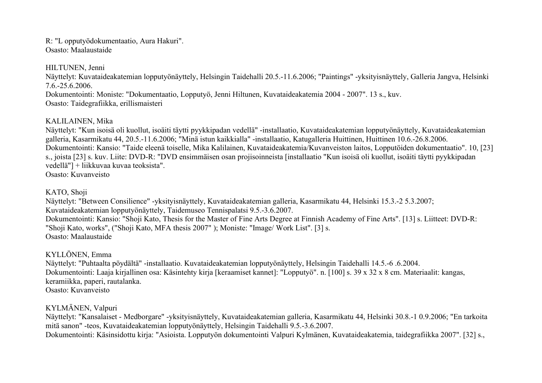R: "L opputyödokumentaatio, Aura Hakuri". Osasto: Maalaustaide

HILTUNEN, Jenni

Näyttelyt: Kuvataideakatemian lopputyönäyttely, Helsingin Taidehalli 20.5.-11.6.2006; "Paintings" -yksityisnäyttely, Galleria Jangva, Helsinki 7.6.-25.6.2006.

Dokumentointi: Moniste: "Dokumentaatio, Lopputyö, Jenni Hiltunen, Kuvataideakatemia 2004 - 2007". 13 s., kuv. Osasto: Taidegrafiikka, erillismaisteri

# KALILAINEN, Mika

Näyttelyt: "Kun isoisä oli kuollut, isoäiti täytti pyykkipadan vedellä" -installaatio, Kuvataideakatemian lopputyönäyttely, Kuvataideakatemian galleria, Kasarmikatu 44, 20.5.-11.6.2006; "Minä istun kaikkialla" -installaatio, Katugalleria Huittinen, Huittinen 10.6.-26.8.2006. Dokumentointi: Kansio: "Taide eleenä toiselle, Mika Kalilainen, Kuvataideakatemia/Kuvanveiston laitos, Lopputöiden dokumentaatio". 10, [23] s., joista [23] s. kuv. Liite: DVD-R: "DVD ensimmäisen osan projisoinneista [installaatio "Kun isoisä oli kuollut, isoäiti täytti pyykkipadan vedellä"] + liikkuvaa kuvaa teoksista". Osasto: Kuvanveisto

## KATO, Shoji

Näyttelyt: "Between Consilience" -yksityisnäyttely, Kuvataideakatemian galleria, Kasarmikatu 44, Helsinki 15.3.-2 5.3.2007; Kuvataideakatemian lopputyönäyttely, Taidemuseo Tennispalatsi 9.5.-3.6.2007. Dokumentointi: Kansio: "Shoji Kato, Thesis for the Master of Fine Arts Degree at Finnish Academy of Fine Arts". [13] s. Liitteet: DVD-R: "Shoji Kato, works", ("Shoji Kato, MFA thesis 2007" ); Moniste: "Image/ Work List". [3] s. Osasto: Maalaustaide

# KYLLÖNEN, Emma

Näyttelyt: "Puhtaalta pöydältä" -installaatio. Kuvataideakatemian lopputyönäyttely, Helsingin Taidehalli 14.5.-6 .6.2004. Dokumentointi: Laaja kirjallinen osa: Käsintehty kirja [keraamiset kannet]: "Lopputyö". n. [100] s. 39 x 32 x 8 cm. Materiaalit: kangas, keramiikka, paperi, rautalanka. Osasto: Kuvanveisto

KYLMÄNEN, Valpuri

Näyttelyt: "Kansalaiset - Medborgare" -yksityisnäyttely, Kuvataideakatemian galleria, Kasarmikatu 44, Helsinki 30.8.-1 0.9.2006; "En tarkoita mitä sanon" -teos, Kuvataideakatemian lopputyönäyttely, Helsingin Taidehalli 9.5.-3.6.2007. Dokumentointi: Käsinsidottu kirja: "Asioista. Lopputyön dokumentointi Valpuri Kylmänen, Kuvataideakatemia, taidegrafiikka 2007". [32] s.,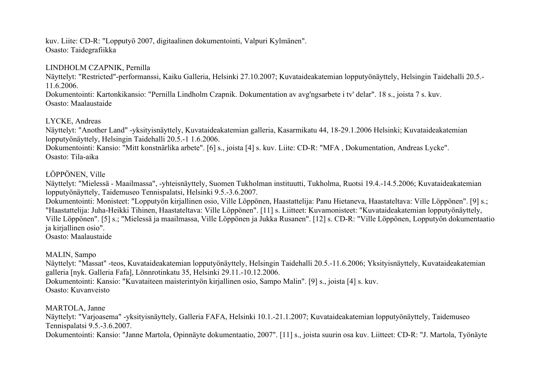kuv. Liite: CD-R: "Lopputyö 2007, digitaalinen dokumentointi, Valpuri Kylmänen". Osasto: Taidegrafiikka

#### LINDHOLM CZAPNIK, Pernilla

Näyttelyt: "Restricted"-performanssi, Kaiku Galleria, Helsinki 27.10.2007; Kuvataideakatemian lopputyönäyttely, Helsingin Taidehalli 20.5.- 11.6.2006.

Dokumentointi: Kartonkikansio: "Pernilla Lindholm Czapnik. Dokumentation av avg'ngsarbete i tv' delar". 18 s., joista 7 s. kuv. Osasto: Maalaustaide

LYCKE, Andreas

Näyttelyt: "Another Land" -yksityisnäyttely, Kuvataideakatemian galleria, Kasarmikatu 44, 18-29.1.2006 Helsinki; Kuvataideakatemian lopputyönäyttely, Helsingin Taidehalli 20.5.-1 1.6.2006.

Dokumentointi: Kansio: "Mitt konstnärlika arbete". [6] s., joista [4] s. kuv. Liite: CD-R: "MFA , Dokumentation, Andreas Lycke". Osasto: Tila-aika

# LÖPPÖNEN, Ville

Näyttelyt: "Mielessä - Maailmassa", -yhteisnäyttely, Suomen Tukholman instituutti, Tukholma, Ruotsi 19.4.-14.5.2006; Kuvataideakatemian lopputyönäyttely, Taidemuseo Tennispalatsi, Helsinki 9.5.-3.6.2007.

Dokumentointi: Monisteet: "Lopputyön kirjallinen osio, Ville Löppönen, Haastattelija: Panu Hietaneva, Haastateltava: Ville Löppönen". [9] s.; "Haastattelija: Juha-Heikki Tihinen, Haastateltava: Ville Löppönen". [11] s. Liitteet: Kuvamonisteet: "Kuvataideakatemian lopputyönäyttely, Ville Löppönen". [5] s.; "Mielessä ja maailmassa, Ville Löppönen ja Jukka Rusanen". [12] s. CD-R: "Ville Löppönen, Lopputyön dokumentaatio ja kirjallinen osio".

Osasto: Maalaustaide

MALIN, Sampo

Näyttelyt: "Massat" -teos, Kuvataideakatemian lopputyönäyttely, Helsingin Taidehalli 20.5.-11.6.2006; Yksityisnäyttely, Kuvataideakatemian galleria [nyk. Galleria Fafa], Lönnrotinkatu 35, Helsinki 29.11.-10.12.2006. Dokumentointi: Kansio: "Kuvataiteen maisterintyön kirjallinen osio, Sampo Malin". [9] s., joista [4] s. kuv. Osasto: Kuvanveisto

MARTOLA, Janne

Näyttelyt: "Varjoasema" -yksityisnäyttely, Galleria FAFA, Helsinki 10.1.-21.1.2007; Kuvataideakatemian lopputyönäyttely, Taidemuseo Tennispalatsi 9.5.-3.6.2007.

Dokumentointi: Kansio: "Janne Martola, Opinnäyte dokumentaatio, 2007". [11] s., joista suurin osa kuv. Liitteet: CD-R: "J. Martola, Työnäyte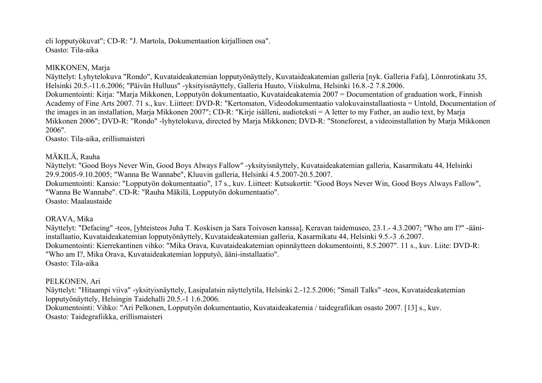eli lopputyökuvat"; CD-R: "J. Martola, Dokumentaation kirjallinen osa". Osasto: Tila-aika

## MIKKONEN, Marja

Näyttelyt: Lyhytelokuva "Rondo", Kuvataideakatemian lopputyönäyttely, Kuvataideakatemian galleria [nyk. Galleria Fafa], Lönnrotinkatu 35, Helsinki 20.5.-11.6.2006; "Päivän Hulluus" -yksityisnäyttely, Galleria Huuto, Viiskulma, Helsinki 16.8.-2 7.8.2006. Dokumentointi: Kirja: "Marja Mikkonen, Lopputyön dokumentaatio, Kuvataideakatemia 2007 = Documentation of graduation work, Finnish Academy of Fine Arts 2007. 71 s., kuv. Liitteet: DVD-R: "Kertomaton, Videodokumentaatio valokuvainstallaatiosta = Untold, Documentation of the images in an installation, Marja Mikkonen 2007"; CD-R: "Kirje isälleni, audioteksti = A letter to my Father, an audio text, by Marja Mikkonen 2006"; DVD-R: "Rondo" -lyhytelokuva, directed by Marja Mikkonen; DVD-R: "Stoneforest, a videoinstallation by Marja Mikkonen 2006".

Osasto: Tila-aika, erillismaisteri

# MÄKILÄ, Rauha

Näyttelyt: "Good Boys Never Win, Good Boys Always Fallow" -yksityisnäyttely, Kuvataideakatemian galleria, Kasarmikatu 44, Helsinki 29.9.2005-9.10.2005; "Wanna Be Wannabe", Kluuvin galleria, Helsinki 4.5.2007-20.5.2007.

Dokumentointi: Kansio: "Lopputyön dokumentaatio", 17 s., kuv. Liitteet: Kutsukortit: "Good Boys Never Win, Good Boys Always Fallow", "Wanna Be Wannabe". CD-R: "Rauha Mäkilä, Lopputyön dokumentaatio".

Osasto: Maalaustaide

## ORAVA, Mika

Näyttelyt: "Defacing" -teos, [yhteisteos Juha T. Koskisen ja Sara Toivosen kanssa], Keravan taidemuseo, 23.1.- 4.3.2007; "Who am I?" -ääniinstallaatio, Kuvataideakatemian lopputyönäyttely, Kuvataideakatemian galleria, Kasarmikatu 44, Helsinki 9.5.-3 .6.2007. Dokumentointi: Kierrekantinen vihko: "Mika Orava, Kuvataideakatemian opinnäytteen dokumentointi, 8.5.2007". 11 s., kuv. Liite: DVD-R: "Who am I?, Mika Orava, Kuvataideakatemian lopputyö, ääni-installaatio". Osasto: Tila-aika

## PELKONEN, Ari

Näyttelyt: "Hitaampi viiva" -yksityisnäyttely, Lasipalatsin näyttelytila, Helsinki 2.-12.5.2006; "Small Talks" -teos, Kuvataideakatemian lopputyönäyttely, Helsingin Taidehalli 20.5.-1 1.6.2006.

Dokumentointi: Vihko: "Ari Pelkonen, Lopputyön dokumentaatio, Kuvataideakatemia / taidegrafiikan osasto 2007. [13] s., kuv. Osasto: Taidegrafiikka, erillismaisteri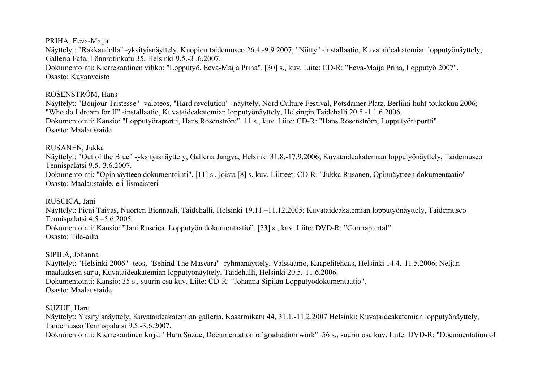PRIHA, Eeva-Maija

Näyttelyt: "Rakkaudella" -yksityisnäyttely, Kuopion taidemuseo 26.4.-9.9.2007; "Niitty" -installaatio, Kuvataideakatemian lopputyönäyttely, Galleria Fafa, Lönnrotinkatu 35, Helsinki 9.5.-3 .6.2007. Dokumentointi: Kierrekantinen vihko: "Lopputyö, Eeva-Maija Priha". [30] s., kuv. Liite: CD-R: "Eeva-Maija Priha, Lopputyö 2007". Osasto: Kuvanveisto

# ROSENSTRÖM, Hans

Näyttelyt: "Bonjour Tristesse" -valoteos, "Hard revolution" -näyttely, Nord Culture Festival, Potsdamer Platz, Berliini huht-toukokuu 2006; "Who do I dream for II" -installaatio, Kuvataideakatemian lopputyönäyttely, Helsingin Taidehalli 20.5.-1 1.6.2006. Dokumentointi: Kansio: "Lopputyöraportti, Hans Rosenström". 11 s., kuv. Liite: CD-R: "Hans Rosenström, Lopputyöraportti". Osasto: Maalaustaide

# RUSANEN, Jukka

Näyttelyt: "Out of the Blue" -yksityisnäyttely, Galleria Jangva, Helsinki 31.8.-17.9.2006; Kuvataideakatemian lopputyönäyttely, Taidemuseo Tennispalatsi 9.5.-3.6.2007.

Dokumentointi: "Opinnäytteen dokumentointi". [11] s., joista [8] s. kuv. Liitteet: CD-R: "Jukka Rusanen, Opinnäytteen dokumentaatio" Osasto: Maalaustaide, erillismaisteri

RUSCICA, Jani

Näyttelyt: Pieni Taivas, Nuorten Biennaali, Taidehalli, Helsinki 19.11.–11.12.2005; Kuvataideakatemian lopputyönäyttely, Taidemuseo Tennispalatsi 4.5.–5.6.2005. Dokumentointi: Kansio: "Jani Ruscica. Lopputyön dokumentaatio". [23] s., kuv. Liite: DVD-R: "Contrapuntal". Osasto: Tila-aika

SIPILÄ, Johanna

Näyttelyt: "Helsinki 2006" -teos, "Behind The Mascara" -ryhmänäyttely, Valssaamo, Kaapelitehdas, Helsinki 14.4.-11.5.2006; Neljän maalauksen sarja, Kuvataideakatemian lopputyönäyttely, Taidehalli, Helsinki 20.5.-11.6.2006. Dokumentointi: Kansio: 35 s., suurin osa kuv. Liite: CD-R: "Johanna Sipilän Lopputyödokumentaatio". Osasto: Maalaustaide

SUZUE, Haru

Näyttelyt: Yksityisnäyttely, Kuvataideakatemian galleria, Kasarmikatu 44, 31.1.-11.2.2007 Helsinki; Kuvataideakatemian lopputyönäyttely, Taidemuseo Tennispalatsi 9.5.-3.6.2007. Dokumentointi: Kierrekantinen kirja: "Haru Suzue, Documentation of graduation work". 56 s., suurin osa kuv. Liite: DVD-R: "Documentation of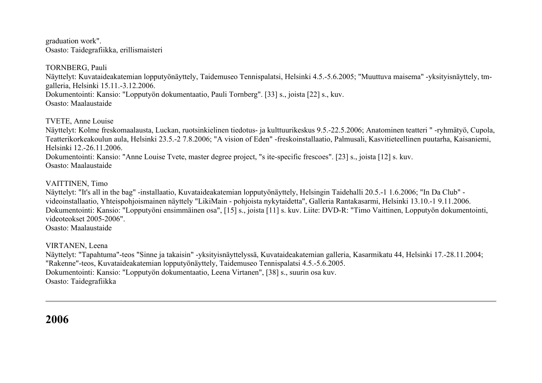graduation work". Osasto: Taidegrafiikka, erillismaisteri

TORNBERG, Pauli Näyttelyt: Kuvataideakatemian lopputyönäyttely, Taidemuseo Tennispalatsi, Helsinki 4.5.-5.6.2005; "Muuttuva maisema" -yksityisnäyttely, tmgalleria, Helsinki 15.11.-3.12.2006. Dokumentointi: Kansio: "Lopputyön dokumentaatio, Pauli Tornberg". [33] s., joista [22] s., kuv. Osasto: Maalaustaide

TVETE, Anne Louise

Näyttelyt: Kolme freskomaalausta, Luckan, ruotsinkielinen tiedotus- ja kulttuurikeskus 9.5.-22.5.2006; Anatominen teatteri " -ryhmätyö, Cupola, Teatterikorkeakoulun aula, Helsinki 23.5.-2 7.8.2006; "A vision of Eden" -freskoinstallaatio, Palmusali, Kasvitieteellinen puutarha, Kaisaniemi, Helsinki 12.-26.11.2006. Dokumentointi: Kansio: "Anne Louise Tvete, master degree project, "s ite-specific frescoes". [23] s., joista [12] s. kuv. Osasto: Maalaustaide

VAITTINEN, Timo

Näyttelyt: "It's all in the bag" -installaatio, Kuvataideakatemian lopputyönäyttely, Helsingin Taidehalli 20.5.-1 1.6.2006; "In Da Club" videoinstallaatio, Yhteispohjoismainen näyttely "LikiMain - pohjoista nykytaidetta", Galleria Rantakasarmi, Helsinki 13.10.-1 9.11.2006. Dokumentointi: Kansio: "Lopputyöni ensimmäinen osa", [15] s., joista [11] s. kuv. Liite: DVD-R: "Timo Vaittinen, Lopputyön dokumentointi, videoteokset 2005-2006".

Osasto: Maalaustaide

VIRTANEN, Leena Näyttelyt: "Tapahtuma"-teos "Sinne ja takaisin" -yksityisnäyttelyssä, Kuvataideakatemian galleria, Kasarmikatu 44, Helsinki 17.-28.11.2004; "Rakenne"-teos, Kuvataideakatemian lopputyönäyttely, Taidemuseo Tennispalatsi 4.5.-5.6.2005. Dokumentointi: Kansio: "Lopputyön dokumentaatio, Leena Virtanen", [38] s., suurin osa kuv. Osasto: Taidegrafiikka

**2006**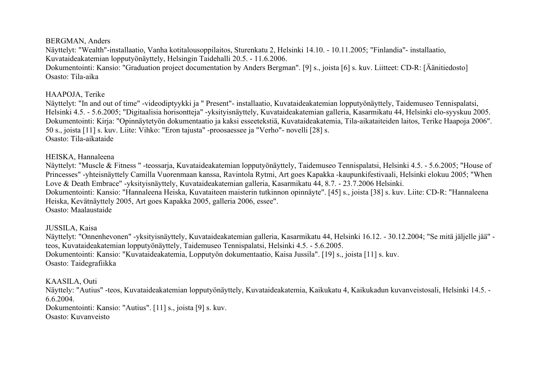#### BERGMAN, Anders

Näyttelyt: "Wealth"-installaatio, Vanha kotitalousoppilaitos, Sturenkatu 2, Helsinki 14.10. - 10.11.2005; "Finlandia"- installaatio, Kuvataideakatemian lopputyönäyttely, Helsingin Taidehalli 20.5. - 11.6.2006.

Dokumentointi: Kansio: "Graduation project documentation by Anders Bergman". [9] s., joista [6] s. kuv. Liitteet: CD-R: [Äänitiedosto] Osasto: Tila-aika

## HAAPOJA, Terike

Näyttelyt: "In and out of time" -videodiptyykki ja " Present"- installaatio, Kuvataideakatemian lopputyönäyttely, Taidemuseo Tennispalatsi, Helsinki 4.5. - 5.6.2005; "Digitaalisia horisontteja" -yksityisnäyttely, Kuvataideakatemian galleria, Kasarmikatu 44, Helsinki elo-syyskuu 2005. Dokumentointi: Kirja: "Opinnäytetyön dokumentaatio ja kaksi esseetekstiä, Kuvataideakatemia, Tila-aikataiteiden laitos, Terike Haapoja 2006". 50 s., joista [11] s. kuv. Liite: Vihko: "Eron tajusta" -proosaessee ja "Verho"- novelli [28] s. Osasto: Tila-aikataide

## HEISKA, Hannaleena

Näyttelyt: "Muscle & Fitness " -teossarja, Kuvataideakatemian lopputyönäyttely, Taidemuseo Tennispalatsi, Helsinki 4.5. - 5.6.2005; "House of Princesses" -yhteisnäyttely Camilla Vuorenmaan kanssa, Ravintola Rytmi, Art goes Kapakka -kaupunkifestivaali, Helsinki elokuu 2005; "When Love & Death Embrace" -yksityisnäyttely, Kuvataideakatemian galleria, Kasarmikatu 44, 8.7. - 23.7.2006 Helsinki. Dokumentointi: Kansio: "Hannaleena Heiska, Kuvataiteen maisterin tutkinnon opinnäyte". [45] s., joista [38] s. kuv. Liite: CD-R: "Hannaleena

Heiska, Kevätnäyttely 2005, Art goes Kapakka 2005, galleria 2006, essee".

Osasto: Maalaustaide

# JUSSILA, Kaisa

Näyttelyt: "Onnenhevonen" -yksityisnäyttely, Kuvataideakatemian galleria, Kasarmikatu 44, Helsinki 16.12. - 30.12.2004; "Se mitä jäljelle jää" teos, Kuvataideakatemian lopputyönäyttely, Taidemuseo Tennispalatsi, Helsinki 4.5. - 5.6.2005. Dokumentointi: Kansio: "Kuvataideakatemia, Lopputyön dokumentaatio, Kaisa Jussila". [19] s., joista [11] s. kuv. Osasto: Taidegrafiikka

## KAASILA, Outi

Näyttely: "Autius" -teos, Kuvataideakatemian lopputyönäyttely, Kuvataideakatemia, Kaikukatu 4, Kaikukadun kuvanveistosali, Helsinki 14.5. - 6.6.2004. Dokumentointi: Kansio: "Autius". [11] s., joista [9] s. kuv.

Osasto: Kuvanveisto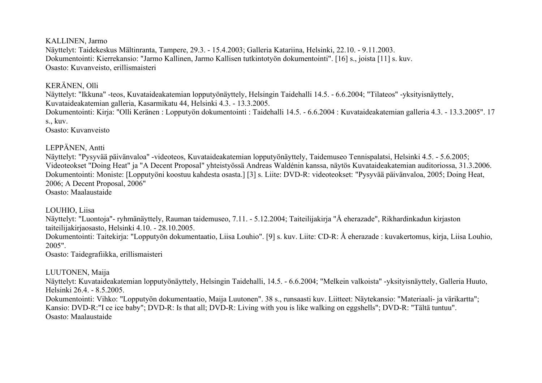## KALLINEN, Jarmo

Näyttelyt: Taidekeskus Mältinranta, Tampere, 29.3. - 15.4.2003; Galleria Katariina, Helsinki, 22.10. - 9.11.2003. Dokumentointi: Kierrekansio: "Jarmo Kallinen, Jarmo Kallisen tutkintotyön dokumentointi". [16] s., joista [11] s. kuv. Osasto: Kuvanveisto, erillismaisteri

## KERÄNEN, Olli

Näyttelyt: "Ikkuna" -teos, Kuvataideakatemian lopputyönäyttely, Helsingin Taidehalli 14.5. - 6.6.2004; "Tilateos" -yksityisnäyttely, Kuvataideakatemian galleria, Kasarmikatu 44, Helsinki 4.3. - 13.3.2005. Dokumentointi: Kirja: "Olli Keränen : Lopputyön dokumentointi : Taidehalli 14.5. - 6.6.2004 : Kuvataideakatemian galleria 4.3. - 13.3.2005". 17 s., kuv.

Osasto: Kuvanveisto

# LEPPÄNEN, Antti

Näyttelyt: "Pysyvää päivänvaloa" -videoteos, Kuvataideakatemian lopputyönäyttely, Taidemuseo Tennispalatsi, Helsinki 4.5. - 5.6.2005; Videoteokset "Doing Heat" ja "A Decent Proposal" yhteistyössä Andreas Waldénin kanssa, näytös Kuvataideakatemian auditoriossa, 31.3.2006. Dokumentointi: Moniste: [Lopputyöni koostuu kahdesta osasta.] [3] s. Liite: DVD-R: videoteokset: "Pysyvää päivänvaloa, 2005; Doing Heat, 2006; A Decent Proposal, 2006" Osasto: Maalaustaide

## LOUHIO, Liisa

Näyttelyt: "Luontoja"- ryhmänäyttely, Rauman taidemuseo, 7.11. - 5.12.2004; Taiteilijakirja "Å eherazade", Rikhardinkadun kirjaston taiteilijakirjaosasto, Helsinki 4.10. - 28.10.2005. Dokumentointi: Taitekirja: "Lopputyön dokumentaatio, Liisa Louhio". [9] s. kuv. Liite: CD-R: Å eherazade : kuvakertomus, kirja, Liisa Louhio,

2005".

Osasto: Taidegrafiikka, erillismaisteri

# LUUTONEN, Maija

Näyttelyt: Kuvataideakatemian lopputyönäyttely, Helsingin Taidehalli, 14.5. - 6.6.2004; "Melkein valkoista" -yksityisnäyttely, Galleria Huuto, Helsinki 26.4. - 8.5.2005.

Dokumentointi: Vihko: "Lopputyön dokumentaatio, Maija Luutonen". 38 s., runsaasti kuv. Liitteet: Näytekansio: "Materiaali- ja värikartta"; Kansio: DVD-R:"I ce ice baby"; DVD-R: Is that all; DVD-R: Living with you is like walking on eggshells"; DVD-R: "Tältä tuntuu". Osasto: Maalaustaide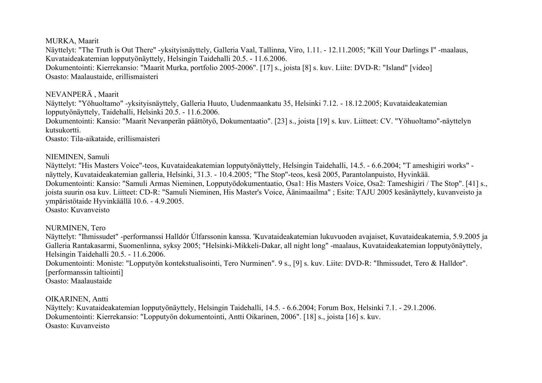## MURKA, Maarit

Näyttelyt: "The Truth is Out There" -yksityisnäyttely, Galleria Vaal, Tallinna, Viro, 1.11. - 12.11.2005; "Kill Your Darlings I" -maalaus, Kuvataideakatemian lopputyönäyttely, Helsingin Taidehalli 20.5. - 11.6.2006.

Dokumentointi: Kierrekansio: "Maarit Murka, portfolio 2005-2006". [17] s., joista [8] s. kuv. Liite: DVD-R: "Island" [video] Osasto: Maalaustaide, erillismaisteri

## NEVANPERÄ , Maarit

Näyttelyt: "Yöhuoltamo" -yksityisnäyttely, Galleria Huuto, Uudenmaankatu 35, Helsinki 7.12. - 18.12.2005; Kuvataideakatemian lopputyönäyttely, Taidehalli, Helsinki 20.5. - 11.6.2006.

Dokumentointi: Kansio: "Maarit Nevanperän päättötyö, Dokumentaatio". [23] s., joista [19] s. kuv. Liitteet: CV. "Yöhuoltamo"-näyttelyn kutsukortti.

Osasto: Tila-aikataide, erillismaisteri

## NIEMINEN, Samuli

Näyttelyt: "His Masters Voice"-teos, Kuvataideakatemian lopputyönäyttely, Helsingin Taidehalli, 14.5. - 6.6.2004; "T ameshigiri works" näyttely, Kuvataideakatemian galleria, Helsinki, 31.3. - 10.4.2005; "The Stop"-teos, kesä 2005, Parantolanpuisto, Hyvinkää. Dokumentointi: Kansio: "Samuli Armas Nieminen, Lopputyödokumentaatio, Osa1: His Masters Voice, Osa2: Tameshigiri / The Stop". [41] s., joista suurin osa kuv. Liitteet: CD-R: "Samuli Nieminen, His Master's Voice, Äänimaailma" ; Esite: TAJU 2005 kesänäyttely, kuvanveisto ja ympäristötaide Hyvinkäällä 10.6. - 4.9.2005.

Osasto: Kuvanveisto

# NURMINEN, Tero

Näyttelyt: "Ihmissudet" -performanssi Halldór Úlfarssonin kanssa. 'Kuvataideakatemian lukuvuoden avajaiset, Kuvataideakatemia, 5.9.2005 ja Galleria Rantakasarmi, Suomenlinna, syksy 2005; "Helsinki-Mikkeli-Dakar, all night long" -maalaus, Kuvataideakatemian lopputyönäyttely, Helsingin Taidehalli 20.5. - 11.6.2006. Dokumentointi: Moniste: "Lopputyön kontekstualisointi, Tero Nurminen". 9 s., [9] s. kuv. Liite: DVD-R: "Ihmissudet, Tero & Halldor". [performanssin taltiointi]

Osasto: Maalaustaide

OIKARINEN, Antti

Näyttely: Kuvataideakatemian lopputyönäyttely, Helsingin Taidehalli, 14.5. - 6.6.2004; Forum Box, Helsinki 7.1. - 29.1.2006. Dokumentointi: Kierrekansio: "Lopputyön dokumentointi, Antti Oikarinen, 2006". [18] s., joista [16] s. kuv. Osasto: Kuvanveisto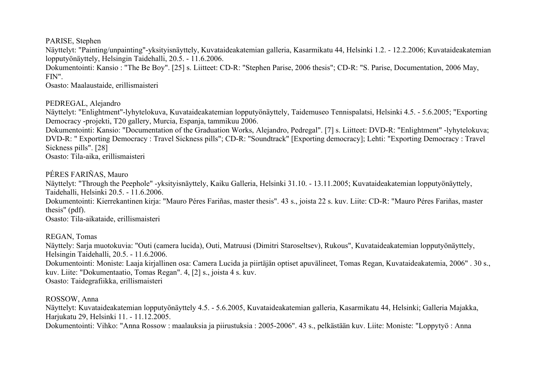PARISE, Stephen

Näyttelyt: "Painting/unpainting"-yksityisnäyttely, Kuvataideakatemian galleria, Kasarmikatu 44, Helsinki 1.2. - 12.2.2006; Kuvataideakatemian lopputyönäyttely, Helsingin Taidehalli, 20.5. - 11.6.2006.

Dokumentointi: Kansio : "The Be Boy". [25] s. Liitteet: CD-R: "Stephen Parise, 2006 thesis"; CD-R: "S. Parise, Documentation, 2006 May, FIN".

Osasto: Maalaustaide, erillismaisteri

PEDREGAL, Alejandro

Näyttelyt: "Enlightment"-lyhytelokuva, Kuvataideakatemian lopputyönäyttely, Taidemuseo Tennispalatsi, Helsinki 4.5. - 5.6.2005; "Exporting Democracy -projekti, T20 gallery, Murcia, Espanja, tammikuu 2006.

Dokumentointi: Kansio: "Documentation of the Graduation Works, Alejandro, Pedregal". [7] s. Liitteet: DVD-R: "Enlightment" -lyhytelokuva; DVD-R: " Exporting Democracy : Travel Sickness pills"; CD-R: "Soundtrack" [Exporting democracy]; Lehti: "Exporting Democracy : Travel Sickness pills". [28]

Osasto: Tila-aika, erillismaisteri

PÉRES FARIÑAS, Mauro

Näyttelyt: "Through the Peephole" -yksityisnäyttely, Kaiku Galleria, Helsinki 31.10. - 13.11.2005; Kuvataideakatemian lopputyönäyttely, Taidehalli, Helsinki 20.5. - 11.6.2006.

Dokumentointi: Kierrekantinen kirja: "Mauro Péres Fariñas, master thesis". 43 s., joista 22 s. kuv. Liite: CD-R: "Mauro Péres Fariñas, master thesis" (pdf).

Osasto: Tila-aikataide, erillismaisteri

REGAN, Tomas

Näyttely: Sarja muotokuvia: "Outi (camera lucida), Outi, Matruusi (Dimitri Staroseltsev), Rukous", Kuvataideakatemian lopputyönäyttely, Helsingin Taidehalli, 20.5. - 11.6.2006. Dokumentointi: Moniste: Laaja kirjallinen osa: Camera Lucida ja piirtäjän optiset apuvälineet, Tomas Regan, Kuvataideakatemia, 2006" . 30 s., kuv. Liite: "Dokumentaatio, Tomas Regan". 4, [2] s., joista 4 s. kuv. Osasto: Taidegrafiikka, erillismaisteri

ROSSOW, Anna

Näyttelyt: Kuvataideakatemian lopputyönäyttely 4.5. - 5.6.2005, Kuvataideakatemian galleria, Kasarmikatu 44, Helsinki; Galleria Majakka, Harjukatu 29, Helsinki 11. - 11.12.2005.

Dokumentointi: Vihko: "Anna Rossow : maalauksia ja piirustuksia : 2005-2006". 43 s., pelkästään kuv. Liite: Moniste: "Loppytyö : Anna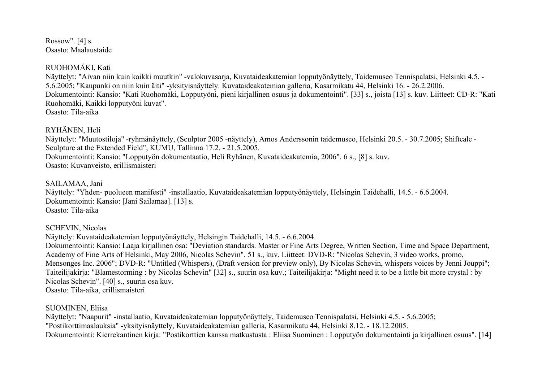Rossow". [4] s. Osasto: Maalaustaide

# RUOHOMÄKI, Kati

Näyttelyt: "Aivan niin kuin kaikki muutkin" -valokuvasarja, Kuvataideakatemian lopputyönäyttely, Taidemuseo Tennispalatsi, Helsinki 4.5. - 5.6.2005; "Kaupunki on niin kuin äiti" -yksityisnäyttely. Kuvataideakatemian galleria, Kasarmikatu 44, Helsinki 16. - 26.2.2006. Dokumentointi: Kansio: "Kati Ruohomäki, Lopputyöni, pieni kirjallinen osuus ja dokumentointi". [33] s., joista [13] s. kuv. Liitteet: CD-R: "Kati Ruohomäki, Kaikki lopputyöni kuvat". Osasto: Tila-aika

RYHÄNEN, Heli

Näyttelyt: "Muutostiloja" -ryhmänäyttely, (Sculptor 2005 -näyttely), Amos Anderssonin taidemuseo, Helsinki 20.5. - 30.7.2005; Shiftcale - Sculpture at the Extended Field", KUMU, Tallinna 17.2. - 21.5.2005. Dokumentointi: Kansio: "Lopputyön dokumentaatio, Heli Ryhänen, Kuvataideakatemia, 2006". 6 s., [8] s. kuv. Osasto: Kuvanveisto, erillismaisteri

## SAILAMAA, Jani

Näyttely: "Yhden- puolueen manifesti" -installaatio, Kuvataideakatemian lopputyönäyttely, Helsingin Taidehalli, 14.5. - 6.6.2004. Dokumentointi: Kansio: [Jani Sailamaa]. [13] s. Osasto: Tila-aika

## SCHEVIN, Nicolas

Näyttely: Kuvataideakatemian lopputyönäyttely, Helsingin Taidehalli, 14.5. - 6.6.2004.

Dokumentointi: Kansio: Laaja kirjallinen osa: "Deviation standards. Master or Fine Arts Degree, Written Section, Time and Space Department, Academy of Fine Arts of Helsinki, May 2006, Nicolas Schevin". 51 s., kuv. Liitteet: DVD-R: "Nicolas Schevin, 3 video works, promo, Mensonges Inc. 2006"; DVD-R: "Untitled (Whispers), (Draft version for preview only), By Nicolas Schevin, whispers voices by Jenni Jouppi"; Taiteilijakirja: "Blamestorming : by Nicolas Schevin" [32] s., suurin osa kuv.; Taiteilijakirja: "Might need it to be a little bit more crystal : by Nicolas Schevin". [40] s., suurin osa kuv.

Osasto: Tila-aika, erillismaisteri

## SUOMINEN, Eliisa

Näyttelyt: "Naapurit" -installaatio, Kuvataideakatemian lopputyönäyttely, Taidemuseo Tennispalatsi, Helsinki 4.5. - 5.6.2005; "Postikorttimaalauksia" -yksityisnäyttely, Kuvataideakatemian galleria, Kasarmikatu 44, Helsinki 8.12. - 18.12.2005. Dokumentointi: Kierrekantinen kirja: "Postikorttien kanssa matkustusta : Eliisa Suominen : Lopputyön dokumentointi ja kirjallinen osuus". [14]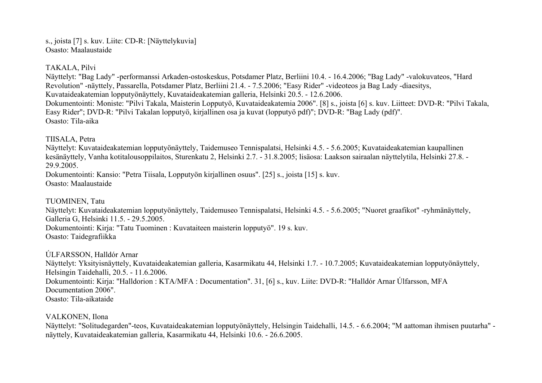s., joista [7] s. kuv. Liite: CD-R: [Näyttelykuvia] Osasto: Maalaustaide

#### TAKALA, Pilvi

Näyttelyt: "Bag Lady" -performanssi Arkaden-ostoskeskus, Potsdamer Platz, Berliini 10.4. - 16.4.2006; "Bag Lady" -valokuvateos, "Hard Revolution" -näyttely, Passarella, Potsdamer Platz, Berliini 21.4. - 7.5.2006; "Easy Rider" -videoteos ja Bag Lady -diaesitys, Kuvataideakatemian lopputyönäyttely, Kuvataideakatemian galleria, Helsinki 20.5. - 12.6.2006. Dokumentointi: Moniste: "Pilvi Takala, Maisterin Lopputyö, Kuvataideakatemia 2006". [8] s., joista [6] s. kuv. Liitteet: DVD-R: "Pilvi Takala, Easy Rider"; DVD-R: "Pilvi Takalan lopputyö, kirjallinen osa ja kuvat (lopputyö pdf)"; DVD-R: "Bag Lady (pdf)". Osasto: Tila-aika

## TIISALA, Petra

Näyttelyt: Kuvataideakatemian lopputyönäyttely, Taidemuseo Tennispalatsi, Helsinki 4.5. - 5.6.2005; Kuvataideakatemian kaupallinen kesänäyttely, Vanha kotitalousoppilaitos, Sturenkatu 2, Helsinki 2.7. - 31.8.2005; lisäosa: Laakson sairaalan näyttelytila, Helsinki 27.8. -29.9.2005.

Dokumentointi: Kansio: "Petra Tiisala, Lopputyön kirjallinen osuus". [25] s., joista [15] s. kuv. Osasto: Maalaustaide

## TUOMINEN, Tatu

Näyttelyt: Kuvataideakatemian lopputyönäyttely, Taidemuseo Tennispalatsi, Helsinki 4.5. - 5.6.2005; "Nuoret graafikot" -ryhmänäyttely, Galleria G, Helsinki 11.5. - 29.5.2005.

Dokumentointi: Kirja: "Tatu Tuominen : Kuvataiteen maisterin lopputyö". 19 s. kuv. Osasto: Taidegrafiikka

ÚLFARSSON, Halldór Arnar

Näyttelyt: Yksityisnäyttely, Kuvataideakatemian galleria, Kasarmikatu 44, Helsinki 1.7. - 10.7.2005; Kuvataideakatemian lopputyönäyttely, Helsingin Taidehalli, 20.5. - 11.6.2006. Dokumentointi: Kirja: "Halldorion : KTA/MFA : Documentation". 31, [6] s., kuv. Liite: DVD-R: "Halldór Arnar Úlfarsson, MFA Documentation 2006". Osasto: Tila-aikataide

## VALKONEN, Ilona

Näyttelyt: "Solitudegarden"-teos, Kuvataideakatemian lopputyönäyttely, Helsingin Taidehalli, 14.5. - 6.6.2004; "M aattoman ihmisen puutarha" näyttely, Kuvataideakatemian galleria, Kasarmikatu 44, Helsinki 10.6. - 26.6.2005.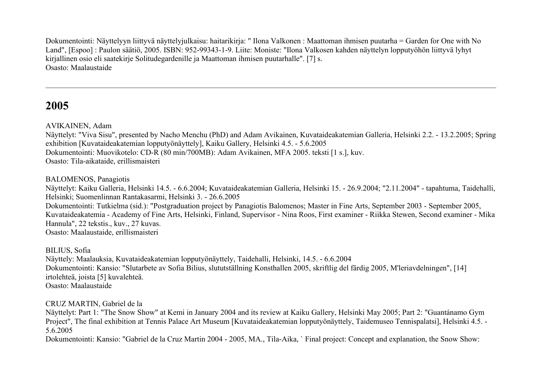Dokumentointi: Näyttelyyn liittyvä näyttelyjulkaisu: haitarikirja: " Ilona Valkonen : Maattoman ihmisen puutarha = Garden for One with No Land", [Espoo] : Paulon säätiö, 2005. ISBN: 952-99343-1-9. Liite: Moniste: "Ilona Valkosen kahden näyttelyn lopputyöhön liittyvä lyhyt kirjallinen osio eli saatekirje Solitudegardenille ja Maattoman ihmisen puutarhalle". [7] s. Osasto: Maalaustaide

# **2005**

AVIKAINEN, Adam

Näyttelyt: "Viva Sisu", presented by Nacho Menchu (PhD) and Adam Avikainen, Kuvataideakatemian Galleria, Helsinki 2.2. - 13.2.2005; Spring exhibition [Kuvataideakatemian lopputyönäyttely], Kaiku Gallery, Helsinki 4.5. - 5.6.2005 Dokumentointi: Muovikotelo: CD-R (80 min/700MB): Adam Avikainen, MFA 2005. teksti [1 s.], kuv. Osasto: Tila-aikataide, erillismaisteri

BALOMENOS, Panagiotis

Näyttelyt: Kaiku Galleria, Helsinki 14.5. - 6.6.2004; Kuvataideakatemian Galleria, Helsinki 15. - 26.9.2004; "2.11.2004" - tapahtuma, Taidehalli, Helsinki; Suomenlinnan Rantakasarmi, Helsinki 3. - 26.6.2005 Dokumentointi: Tutkielma (sid.): "Postgraduation project by Panagiotis Balomenos; Master in Fine Arts, September 2003 - September 2005, Kuvataideakatemia - Academy of Fine Arts, Helsinki, Finland, Supervisor - Nina Roos, First examiner - Riikka Stewen, Second examiner - Mika Hannula", 22 tekstis., kuv., 27 kuvas. Osasto: Maalaustaide, erillismaisteri

BILIUS, Sofia

Näyttely: Maalauksia, Kuvataideakatemian lopputyönäyttely, Taidehalli, Helsinki, 14.5. - 6.6.2004 Dokumentointi: Kansio: "Slutarbete av Sofia Bilius, slututställning Konsthallen 2005, skriftlig del färdig 2005, M'leriavdelningen", [14] irtolehteä, joista [5] kuvalehteä. Osasto: Maalaustaide

CRUZ MARTIN, Gabriel de la

Näyttelyt: Part 1: "The Snow Show" at Kemi in January 2004 and its review at Kaiku Gallery, Helsinki May 2005; Part 2: "Guantánamo Gym Project", The final exhibition at Tennis Palace Art Museum [Kuvataideakatemian lopputyönäyttely, Taidemuseo Tennispalatsi], Helsinki 4.5. - 5.6.2005

Dokumentointi: Kansio: "Gabriel de la Cruz Martin 2004 - 2005, MA., Tila-Aika, ` Final project: Concept and explanation, the Snow Show: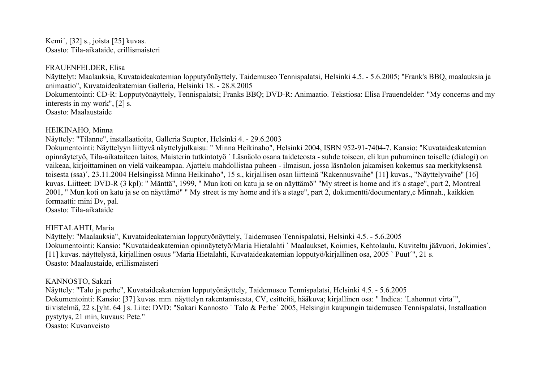Kemi´, [32] s., joista [25] kuvas. Osasto: Tila-aikataide, erillismaisteri

#### FRAUENFELDER, Elisa

Näyttelyt: Maalauksia, Kuvataideakatemian lopputyönäyttely, Taidemuseo Tennispalatsi, Helsinki 4.5. - 5.6.2005; "Frank's BBQ, maalauksia ja animaatio", Kuvataideakatemian Galleria, Helsinki 18. - 28.8.2005 Dokumentointi: CD-R: Lopputyönäyttely, Tennispalatsi; Franks BBQ; DVD-R: Animaatio. Tekstiosa: Elisa Frauendelder: "My concerns and my interests in my work", [2] s. Osasto: Maalaustaide

#### HEIKINAHO, Minna

Näyttely: "Tilanne", installaatioita, Galleria Scuptor, Helsinki 4. - 29.6.2003

Dokumentointi: Näyttelyyn liittyvä näyttelyjulkaisu: " Minna Heikinaho", Helsinki 2004, ISBN 952-91-7404-7. Kansio: "Kuvataideakatemian opinnäytetyö, Tila-aikataiteen laitos, Maisterin tutkintotyö ` Läsnäolo osana taideteosta - suhde toiseen, eli kun puhuminen toiselle (dialogi) on vaikeaa, kirjoittaminen on vielä vaikeampaa. Ajattelu mahdollistaa puheen - ilmaisun, jossa läsnäolon jakamisen kokemus saa merkityksensä toisesta (ssa)´, 23.11.2004 Helsingissä Minna Heikinaho", 15 s., kirjallisen osan liitteinä "Rakennusvaihe" [11] kuvas., "Näyttelyvaihe" [16] kuvas. Liitteet: DVD-R (3 kpl): " Mänttä", 1999, " Mun koti on katu ja se on näyttämö" "My street is home and it's a stage", part 2, Montreal 2001, " Mun koti on katu ja se on näyttämö" " My street is my home and it's a stage", part 2, dokumentti/documentary,c Minnah., kaikkien formaatti: mini Dv, pal.

Osasto: Tila-aikataide

## HIETALAHTI, Maria

Näyttely: "Maalauksia", Kuvataideakatemian lopputyönäyttely, Taidemuseo Tennispalatsi, Helsinki 4.5. - 5.6.2005 Dokumentointi: Kansio: "Kuvataideakatemian opinnäytetyö/Maria Hietalahti ` Maalaukset, Koimies, Kehtolaulu, Kuviteltu jäävuori, Jokimies´, [11] kuvas. näyttelystä, kirjallinen osuus "Maria Hietalahti, Kuvataideakatemian lopputyö/kirjallinen osa, 2005 ` Puut´", 21 s. Osasto: Maalaustaide, erillismaisteri

#### KANNOSTO, Sakari

Näyttely: "Talo ja perhe", Kuvataideakatemian lopputyönäyttely, Taidemuseo Tennispalatsi, Helsinki 4.5. - 5.6.2005 Dokumentointi: Kansio: [37] kuvas. mm. näyttelyn rakentamisesta, CV, esitteitä, hääkuva; kirjallinen osa: " Indica: `Lahonnut virta´", tiivistelmä, 22 s.[yht. 64 ] s. Liite: DVD: "Sakari Kannosto ` Talo & Perhe´ 2005, Helsingin kaupungin taidemuseo Tennispalatsi, Installaation pystytys, 21 min, kuvaus: Pete." Osasto: Kuvanveisto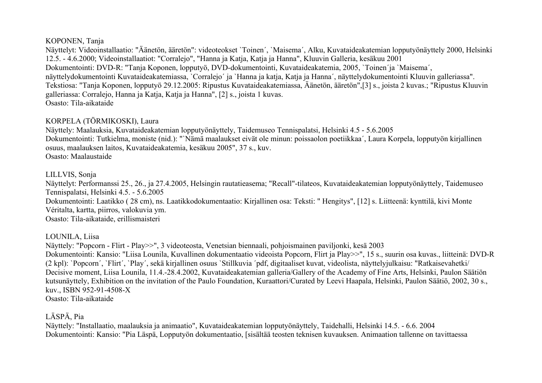## KOPONEN, Tanja

Näyttelyt: Videoinstallaatio: "Äänetön, ääretön": videoteokset `Toinen´, `Maisema´, Alku, Kuvataideakatemian lopputyönäyttely 2000, Helsinki 12.5. - 4.6.2000; Videoinstallaatiot: "Corralejo", "Hanna ja Katja, Katja ja Hanna", Kluuvin Galleria, kesäkuu 2001 Dokumentointi: DVD-R: "Tanja Koponen, lopputyö, DVD-dokumentointi, Kuvataideakatemia, 2005, `Toinen´ja `Maisema´, näyttelydokumentointi Kuvataideakatemiassa, `Corralejo´ ja `Hanna ja katja, Katja ja Hanna´, näyttelydokumentointi Kluuvin galleriassa". Tekstiosa: "Tanja Koponen, lopputyö 29.12.2005: Ripustus Kuvataideakatemiassa, Äänetön, ääretön",[3] s., joista 2 kuvas.; "Ripustus Kluuvin galleriassa: Corralejo, Hanna ja Katja, Katja ja Hanna", [2] s., joista 1 kuvas. Osasto: Tila-aikataide

# KORPELA (TÖRMIKOSKI), Laura

Näyttely: Maalauksia, Kuvataideakatemian lopputyönäyttely, Taidemuseo Tennispalatsi, Helsinki 4.5 - 5.6.2005 Dokumentointi: Tutkielma, moniste (nid.): "`Nämä maalaukset eivät ole minun: poissaolon poetiikkaa´, Laura Korpela, lopputyön kirjallinen osuus, maalauksen laitos, Kuvataideakatemia, kesäkuu 2005", 37 s., kuv. Osasto: Maalaustaide

# LILLVIS, Sonja

Näyttelyt: Performanssi 25., 26., ja 27.4.2005, Helsingin rautatieasema; "Recall"-tilateos, Kuvataideakatemian lopputyönäyttely, Taidemuseo Tennispalatsi, Helsinki 4.5. - 5.6.2005 Dokumentointi: Laatikko ( 28 cm), ns. Laatikkodokumentaatio: Kirjallinen osa: Teksti: " Hengitys", [12] s. Liitteenä: kynttilä, kivi Monte Véritalta, kartta, piirros, valokuvia ym. Osasto: Tila-aikataide, erillismaisteri

# LOUNILA, Liisa

Näyttely: "Popcorn - Flirt - Play>>", 3 videoteosta, Venetsian biennaali, pohjoismainen paviljonki, kesä 2003 Dokumentointi: Kansio: "Liisa Lounila, Kuvallinen dokumentaatio videoista Popcorn, Flirt ja Play>>", 15 s., suurin osa kuvas., liitteinä: DVD-R (2 kpl): `Popcorn´, `Flirt´, `Play´, sekä kirjallinen osuus `Stillkuvia ´pdf, digitaaliset kuvat, videolista, näyttelyjulkaisu: "Ratkaisevahetki/ Decisive moment, Liisa Lounila, 11.4.-28.4.2002, Kuvataideakatemian galleria/Gallery of the Academy of Fine Arts, Helsinki, Paulon Säätiön kutsunäyttely, Exhibition on the invitation of the Paulo Foundation, Kuraattori/Curated by Leevi Haapala, Helsinki, Paulon Säätiö, 2002, 30 s., kuv., ISBN 952-91-4508-X Osasto: Tila-aikataide

# LÄSPÄ, Pia

Näyttely: "Installaatio, maalauksia ja animaatio", Kuvataideakatemian lopputyönäyttely, Taidehalli, Helsinki 14.5. - 6.6. 2004 Dokumentointi: Kansio: "Pia Läspä, Lopputyön dokumentaatio, [sisältää teosten teknisen kuvauksen. Animaation tallenne on tavittaessa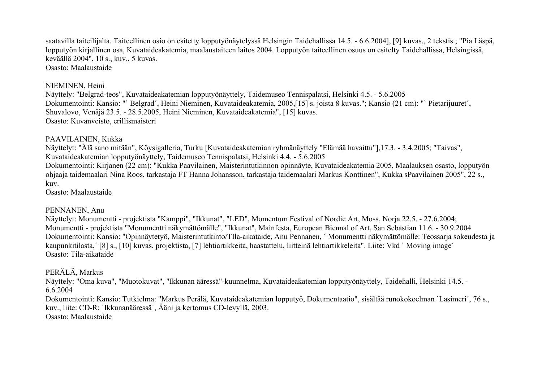saatavilla taiteilijalta. Taiteellinen osio on esitetty lopputyönäytelyssä Helsingin Taidehallissa 14.5. - 6.6.2004], [9] kuvas., 2 tekstis.; "Pia Läspä, lopputyön kirjallinen osa, Kuvataideakatemia, maalaustaiteen laitos 2004. Lopputyön taiteellinen osuus on esitelty Taidehallissa, Helsingissä, keväällä 2004", 10 s., kuv., 5 kuvas. Osasto: Maalaustaide

#### NIEMINEN, Heini

Näyttely: "Belgrad-teos", Kuvataideakatemian lopputyönäyttely, Taidemuseo Tennispalatsi, Helsinki 4.5. - 5.6.2005 Dokumentointi: Kansio: "` Belgrad´, Heini Nieminen, Kuvataideakatemia, 2005,[15] s. joista 8 kuvas."; Kansio (21 cm): "` Pietarijuuret´, Shuvalovo, Venäjä 23.5. - 28.5.2005, Heini Nieminen, Kuvataideakatemia", [15] kuvas. Osasto: Kuvanveisto, erillismaisteri

#### PAAVILAINEN, Kukka

Näyttelyt: "Älä sano mitään", Köysigalleria, Turku [Kuvataideakatemian ryhmänäyttely "Elämää havaittu"],17.3. - 3.4.2005; "Taivas", Kuvataideakatemian lopputyönäyttely, Taidemuseo Tennispalatsi, Helsinki 4.4. - 5.6.2005 Dokumentointi: Kirjanen (22 cm): "Kukka Paavilainen, Maisterintutkinnon opinnäyte, Kuvataideakatemia 2005, Maalauksen osasto, lopputyön ohjaaja taidemaalari Nina Roos, tarkastaja FT Hanna Johansson, tarkastaja taidemaalari Markus Konttinen", Kukka sPaavilainen 2005", 22 s., kuv.

Osasto: Maalaustaide

#### PENNANEN, Anu

Näyttelyt: Monumentti - projektista "Kamppi", "Ikkunat", "LED", Momentum Festival of Nordic Art, Moss, Norja 22.5. - 27.6.2004; Monumentti - projektista "Monumentti näkymättömälle", "Ikkunat", Mainfesta, European Biennal of Art, San Sebastian 11.6. - 30.9.2004 Dokumentointi: Kansio: "Opinnäytetyö, Maisterintutkinto/TIla-aikataide, Anu Pennanen, ´ Monumentti näkymättömälle: Teossarja sokeudesta ja kaupunkitilasta,´ [8] s., [10] kuvas. projektista, [7] lehtiartikkeita, haastattelu, liitteinä lehtiartikkeleita". Liite: Vkd ` Moving image´ Osasto: Tila-aikataide

#### PERÄLÄ, Markus

Näyttely: "Oma kuva", "Muotokuvat", "Ikkunan ääressä"-kuunnelma, Kuvataideakatemian lopputyönäyttely, Taidehalli, Helsinki 14.5. - 6.6.2004

Dokumentointi: Kansio: Tutkielma: "Markus Perälä, Kuvataideakatemian lopputyö, Dokumentaatio", sisältää runokokoelman `Lasimeri´, 76 s., kuv., liite: CD-R: `Ikkunanääressä´, Ääni ja kertomus CD-levyllä, 2003. Osasto: Maalaustaide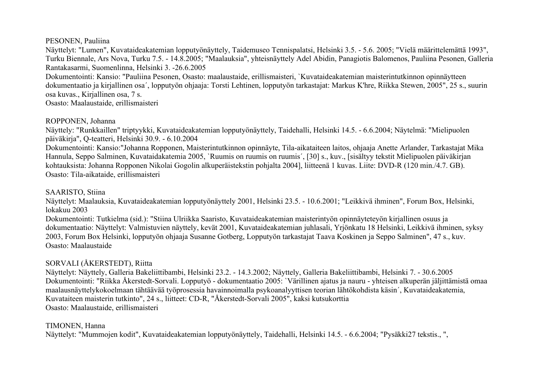PESONEN, Pauliina

Näyttelyt: "Lumen", Kuvataideakatemian lopputyönäyttely, Taidemuseo Tennispalatsi, Helsinki 3.5. - 5.6. 2005; "Vielä määrittelemättä 1993", Turku Biennale, Ars Nova, Turku 7.5. - 14.8.2005; "Maalauksia", yhteisnäyttely Adel Abidin, Panagiotis Balomenos, Pauliina Pesonen, Galleria Rantakasarmi, Suomenlinna, Helsinki 3. -26.6.2005 Dokumentointi: Kansio: "Pauliina Pesonen, Osasto: maalaustaide, erillismaisteri, `Kuvataideakatemian maisterintutkinnon opinnäytteen

dokumentaatio ja kirjallinen osa´, lopputyön ohjaaja: Torsti Lehtinen, lopputyön tarkastajat: Markus K'hre, Riikka Stewen, 2005", 25 s., suurin osa kuvas., Kirjallinen osa, 7 s.

Osasto: Maalaustaide, erillismaisteri

# ROPPONEN, Johanna

Näyttely: "Runkkaillen" triptyykki, Kuvataideakatemian lopputyönäyttely, Taidehalli, Helsinki 14.5. - 6.6.2004; Näytelmä: "Mielipuolen päiväkirja", Q-teatteri, Helsinki 30.9. - 6.10.2004

Dokumentointi: Kansio:"Johanna Ropponen, Maisterintutkinnon opinnäyte, Tila-aikataiteen laitos, ohjaaja Anette Arlander, Tarkastajat Mika Hannula, Seppo Salminen, Kuvataidakatemia 2005, `Ruumis on ruumis on ruumis´, [30] s., kuv., [sisältyy tekstit Mielipuolen päiväkirjan kohtauksista: Johanna Ropponen Nikolai Gogolin alkuperäistekstin pohjalta 2004], liitteenä 1 kuvas. Liite: DVD-R (120 min./4.7. GB). Osasto: Tila-aikataide, erillismaisteri

# SAARISTO, Stiina

Näyttelyt: Maalauksia, Kuvataideakatemian lopputyönäyttely 2001, Helsinki 23.5. - 10.6.2001; "Leikkivä ihminen", Forum Box, Helsinki, lokakuu 2003

Dokumentointi: Tutkielma (sid.): "Stiina Ulriikka Saaristo, Kuvataideakatemian maisterintyön opinnäyteteyön kirjallinen osuus ja dokumentaatio: Näyttelyt: Valmistuvien näyttely, kevät 2001, Kuvataideakatemian juhlasali, Yrjönkatu 18 Helsinki, Leikkivä ihminen, syksy 2003, Forum Box Helsinki, lopputyön ohjaaja Susanne Gotberg, Lopputyön tarkastajat Taava Koskinen ja Seppo Salminen", 47 s., kuv. Osasto: Maalaustaide

# SORVALI (ÅKERSTEDT), Riitta

Näyttelyt: Näyttely, Galleria Bakeliittibambi, Helsinki 23.2. - 14.3.2002; Näyttely, Galleria Bakeliittibambi, Helsinki 7. - 30.6.2005 Dokumentointi: "Riikka Åkerstedt-Sorvali. Lopputyö - dokumentaatio 2005: `Värillinen ajatus ja nauru - yhteisen alkuperän jäljittämistä omaa maalausnäyttelykokoelmaan tähtäävää työprosessia havainnoimalla psykoanalyyttisen teorian lähtökohdista käsin´, Kuvataideakatemia, Kuvataiteen maisterin tutkinto", 24 s., liitteet: CD-R, "Åkerstedt-Sorvali 2005", kaksi kutsukorttia Osasto: Maalaustaide, erillismaisteri

# TIMONEN, Hanna

Näyttelyt: "Mummojen kodit", Kuvataideakatemian lopputyönäyttely, Taidehalli, Helsinki 14.5. - 6.6.2004; "Pysäkki27 tekstis., ",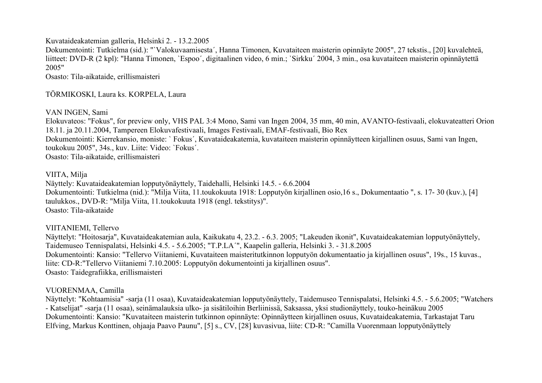Kuvataideakatemian galleria, Helsinki 2. - 13.2.2005

Dokumentointi: Tutkielma (sid.): "`Valokuvaamisesta´, Hanna Timonen, Kuvataiteen maisterin opinnäyte 2005", 27 tekstis., [20] kuvalehteä, liitteet: DVD-R (2 kpl): "Hanna Timonen, `Espoo´, digitaalinen video, 6 min.; `Sirkku´ 2004, 3 min., osa kuvataiteen maisterin opinnäytettä 2005"

Osasto: Tila-aikataide, erillismaisteri

# TÖRMIKOSKI, Laura ks. KORPELA, Laura

## VAN INGEN, Sami

Elokuvateos: "Fokus", for preview only, VHS PAL 3:4 Mono, Sami van Ingen 2004, 35 mm, 40 min, AVANTO-festivaali, elokuvateatteri Orion 18.11. ja 20.11.2004, Tampereen Elokuvafestivaali, Images Festivaali, EMAF-festivaali, Bio Rex Dokumentointi: Kierrekansio, moniste: ` Fokus´, Kuvataideakatemia, kuvataiteen maisterin opinnäytteen kirjallinen osuus, Sami van Ingen, toukokuu 2005", 34s., kuv. Liite: Video: `Fokus´. Osasto: Tila-aikataide, erillismaisteri

#### VIITA, Milja

Näyttely: Kuvataideakatemian lopputyönäyttely, Taidehalli, Helsinki 14.5. - 6.6.2004 Dokumentointi: Tutkielma (nid.): "Milja Viita, 11.toukokuuta 1918: Lopputyön kirjallinen osio,16 s., Dokumentaatio ", s. 17- 30 (kuv.), [4] taulukkos., DVD-R: "Milja Viita, 11.toukokuuta 1918 (engl. tekstitys)". Osasto: Tila-aikataide

VIITANIEMI, Tellervo

Näyttelyt: "Hoitosarja", Kuvataideakatemian aula, Kaikukatu 4, 23.2. - 6.3. 2005; "Lakeuden ikonit", Kuvataideakatemian lopputyönäyttely, Taidemuseo Tennispalatsi, Helsinki 4.5. - 5.6.2005; "T.P.LA´", Kaapelin galleria, Helsinki 3. - 31.8.2005 Dokumentointi: Kansio: "Tellervo Viitaniemi, Kuvataiteen maisteritutkinnon lopputyön dokumentaatio ja kirjallinen osuus", 19s., 15 kuvas., liite: CD-R:"Tellervo Viitaniemi 7.10.2005: Lopputyön dokumentointi ja kirjallinen osuus". Osasto: Taidegrafiikka, erillismaisteri

# VUORENMAA, Camilla

Näyttelyt: "Kohtaamisia" -sarja (11 osaa), Kuvataideakatemian lopputyönäyttely, Taidemuseo Tennispalatsi, Helsinki 4.5. - 5.6.2005; "Watchers - Katselijat" -sarja (11 osaa), seinämalauksia ulko- ja sisätiloihin Berliinissä, Saksassa, yksi studionäyttely, touko-heinäkuu 2005 Dokumentointi: Kansio: "Kuvataiteen maisterin tutkinnon opinnäyte: Opinnäytteen kirjallinen osuus, Kuvataideakatemia, Tarkastajat Taru Elfving, Markus Konttinen, ohjaaja Paavo Paunu", [5] s., CV, [28] kuvasivua, liite: CD-R: "Camilla Vuorenmaan lopputyönäyttely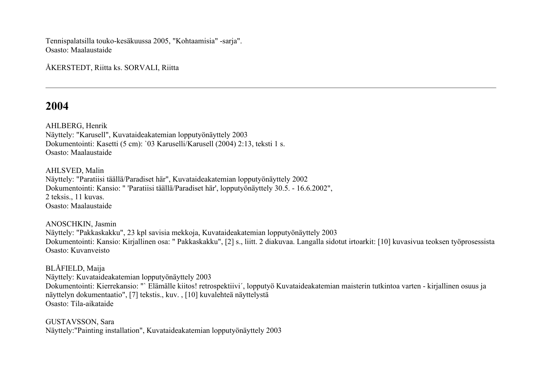Tennispalatsilla touko-kesäkuussa 2005, "Kohtaamisia" -sarja". Osasto: Maalaustaide

ÅKERSTEDT, Riitta ks. SORVALI, Riitta

# **2004**

AHLBERG, Henrik Näyttely: "Karusell", Kuvataideakatemian lopputyönäyttely 2003 Dokumentointi: Kasetti (5 cm): `03 Karuselli/Karusell (2004) 2:13, teksti 1 s. Osasto: Maalaustaide

AHLSVED, Malin Näyttely: "Paratiisi täällä/Paradiset här", Kuvataideakatemian lopputyönäyttely 2002 Dokumentointi: Kansio: " 'Paratiisi täällä/Paradiset här', lopputyönäyttely 30.5. - 16.6.2002", 2 teksis., 11 kuvas. Osasto: Maalaustaide

ANOSCHKIN, Jasmin Näyttely: "Pakkaskakku", 23 kpl savisia mekkoja, Kuvataideakatemian lopputyönäyttely 2003 Dokumentointi: Kansio: Kirjallinen osa: " Pakkaskakku", [2] s., liitt. 2 diakuvaa. Langalla sidotut irtoarkit: [10] kuvasivua teoksen työprosessista Osasto: Kuvanveisto

BLÅFIELD, Maija Näyttely: Kuvataideakatemian lopputyönäyttely 2003 Dokumentointi: Kierrekansio: "` Elämälle kiitos! retrospektiivi´, lopputyö Kuvataideakatemian maisterin tutkintoa varten - kirjallinen osuus ja näyttelyn dokumentaatio", [7] tekstis., kuv. , [10] kuvalehteä näyttelystä Osasto: Tila-aikataide

GUSTAVSSON, Sara Näyttely:"Painting installation", Kuvataideakatemian lopputyönäyttely 2003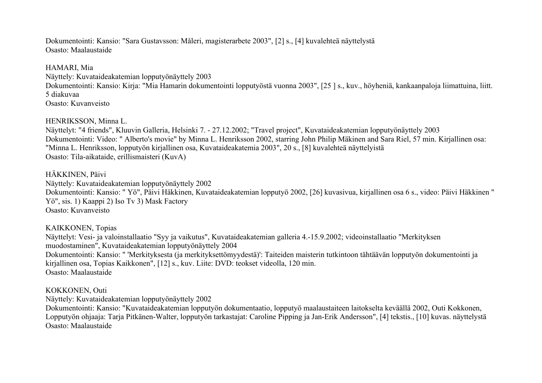Dokumentointi: Kansio: "Sara Gustavsson: Måleri, magisterarbete 2003", [2] s., [4] kuvalehteä näyttelystä Osasto: Maalaustaide

HAMARI, Mia Näyttely: Kuvataideakatemian lopputyönäyttely 2003 Dokumentointi: Kansio: Kirja: "Mia Hamarin dokumentointi lopputyöstä vuonna 2003", [25 ] s., kuv., höyheniä, kankaanpaloja liimattuina, liitt. 5 diakuvaa Osasto: Kuvanveisto

HENRIKSSON, Minna L.

Näyttelyt: "4 friends", Kluuvin Galleria, Helsinki 7. - 27.12.2002; "Travel project", Kuvataideakatemian lopputyönäyttely 2003 Dokumentointi: Video: " Alberto's movie" by Minna L. Henriksson 2002, starring John Philip Mäkinen and Sara Riel, 57 min. Kirjallinen osa: "Minna L. Henriksson, lopputyön kirjallinen osa, Kuvataideakatemia 2003", 20 s., [8] kuvalehteä näyttelyistä Osasto: Tila-aikataide, erillismaisteri (KuvA)

### HÄKKINEN, Päivi

Näyttely: Kuvataideakatemian lopputyönäyttely 2002 Dokumentointi: Kansio: " Yö", Päivi Häkkinen, Kuvataideakatemian lopputyö 2002, [26] kuvasivua, kirjallinen osa 6 s., video: Päivi Häkkinen " Yö", sis. 1) Kaappi 2) Iso Tv 3) Mask Factory Osasto: Kuvanveisto

## KAIKKONEN, Topias

Näyttelyt: Vesi- ja valoinstallaatio "Syy ja vaikutus", Kuvataideakatemian galleria 4.-15.9.2002; videoinstallaatio "Merkityksen muodostaminen", Kuvataideakatemian lopputyönäyttely 2004 Dokumentointi: Kansio: " 'Merkityksesta (ja merkityksettömyydestä)': Taiteiden maisterin tutkintoon tähtäävän lopputyön dokumentointi ja kirjallinen osa, Topias Kaikkonen", [12] s., kuv. Liite: DVD: teokset videolla, 120 min. Osasto: Maalaustaide

#### KOKKONEN, Outi

Näyttely: Kuvataideakatemian lopputyönäyttely 2002

Dokumentointi: Kansio: "Kuvataideakatemian lopputyön dokumentaatio, lopputyö maalaustaiteen laitokselta keväällä 2002, Outi Kokkonen, Lopputyön ohjaaja: Tarja Pitkänen-Walter, lopputyön tarkastajat: Caroline Pipping ja Jan-Erik Andersson", [4] tekstis., [10] kuvas. näyttelystä Osasto: Maalaustaide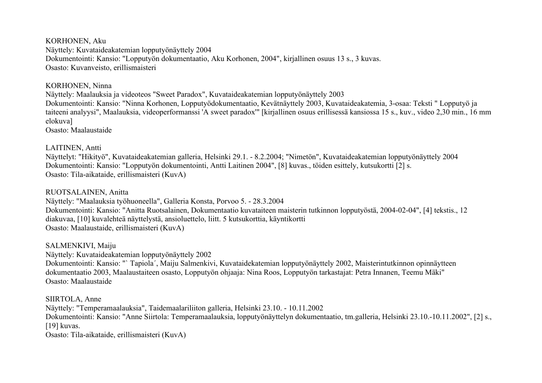KORHONEN, Aku Näyttely: Kuvataideakatemian lopputyönäyttely 2004 Dokumentointi: Kansio: "Lopputyön dokumentaatio, Aku Korhonen, 2004", kirjallinen osuus 13 s., 3 kuvas. Osasto: Kuvanveisto, erillismaisteri

#### KORHONEN, Ninna

Näyttely: Maalauksia ja videoteos "Sweet Paradox", Kuvataideakatemian lopputyönäyttely 2003 Dokumentointi: Kansio: "Ninna Korhonen, Lopputyödokumentaatio, Kevätnäyttely 2003, Kuvataideakatemia, 3-osaa: Teksti " Lopputyö ja taiteeni analyysi", Maalauksia, videoperformanssi 'A sweet paradox'" [kirjallinen osuus erillisessä kansiossa 15 s., kuv., video 2,30 min., 16 mm elokuva]

Osasto: Maalaustaide

## LAITINEN, Antti

Näyttelyt: "Hikityö", Kuvataideakatemian galleria, Helsinki 29.1. - 8.2.2004; "Nimetön", Kuvataideakatemian lopputyönäyttely 2004 Dokumentointi: Kansio: "Lopputyön dokumentointi, Antti Laitinen 2004", [8] kuvas., töiden esittely, kutsukortti [2] s. Osasto: Tila-aikataide, erillismaisteri (KuvA)

RUOTSALAINEN, Anitta

Näyttely: "Maalauksia työhuoneella", Galleria Konsta, Porvoo 5. - 28.3.2004 Dokumentointi: Kansio: "Anitta Ruotsalainen, Dokumentaatio kuvataiteen maisterin tutkinnon lopputyöstä, 2004-02-04", [4] tekstis., 12 diakuvaa, [10] kuvalehteä näyttelystä, ansioluettelo, liitt. 5 kutsukorttia, käyntikortti Osasto: Maalaustaide, erillismaisteri (KuvA)

SALMENKIVI, Maiju Näyttely: Kuvataideakatemian lopputyönäyttely 2002 Dokumentointi: Kansio: "` Tapiola´, Maiju Salmenkivi, Kuvataidekatemian lopputyönäyttely 2002, Maisterintutkinnon opinnäytteen dokumentaatio 2003, Maalaustaiteen osasto, Lopputyön ohjaaja: Nina Roos, Lopputyön tarkastajat: Petra Innanen, Teemu Mäki" Osasto: Maalaustaide

SIIRTOLA, Anne Näyttely: "Temperamaalauksia", Taidemaalariliiton galleria, Helsinki 23.10. - 10.11.2002 Dokumentointi: Kansio: "Anne Siirtola: Temperamaalauksia, lopputyönäyttelyn dokumentaatio, tm.galleria, Helsinki 23.10.-10.11.2002", [2] s., [19] kuvas. Osasto: Tila-aikataide, erillismaisteri (KuvA)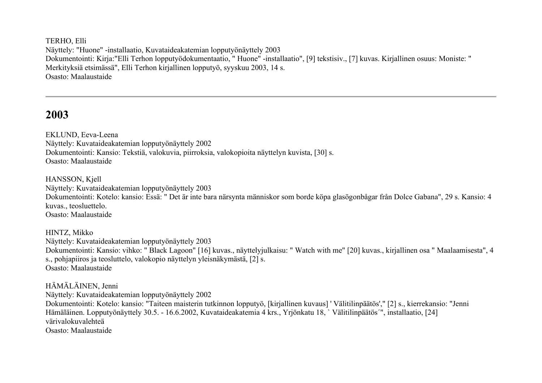TERHO, Elli Näyttely: "Huone" -installaatio, Kuvataideakatemian lopputyönäyttely 2003 Dokumentointi: Kirja:"Elli Terhon lopputyödokumentaatio, " Huone" -installaatio", [9] tekstisiv., [7] kuvas. Kirjallinen osuus: Moniste: " Merkityksiä etsimässä", Elli Terhon kirjallinen lopputyö, syyskuu 2003, 14 s. Osasto: Maalaustaide

# **2003**

EKLUND, Eeva-Leena Näyttely: Kuvataideakatemian lopputyönäyttely 2002 Dokumentointi: Kansio: Tekstiä, valokuvia, piirroksia, valokopioita näyttelyn kuvista, [30] s. Osasto: Maalaustaide

HANSSON, Kjell Näyttely: Kuvataideakatemian lopputyönäyttely 2003 Dokumentointi: Kotelo: kansio: Essä: " Det är inte bara närsynta människor som borde köpa glasögonbågar från Dolce Gabana", 29 s. Kansio: 4 kuvas., teosluettelo. Osasto: Maalaustaide

HINTZ, Mikko Näyttely: Kuvataideakatemian lopputyönäyttely 2003 Dokumentointi: Kansio: vihko: " Black Lagoon" [16] kuvas., näyttelyjulkaisu: " Watch with me" [20] kuvas., kirjallinen osa " Maalaamisesta", 4 s., pohjapiiros ja teosluttelo, valokopio näyttelyn yleisnäkymästä, [2] s. Osasto: Maalaustaide

# HÄMÄLÄINEN, Jenni

Näyttely: Kuvataideakatemian lopputyönäyttely 2002

Dokumentointi: Kotelo: kansio: "Taiteen maisterin tutkinnon lopputyö, [kirjallinen kuvaus] ' Välitilinpäätös'," [2] s., kierrekansio: "Jenni Hämäläinen. Lopputyönäyttely 30.5. - 16.6.2002, Kuvataideakatemia 4 krs., Yrjönkatu 18, ` Välitilinpäätös´", installaatio, [24] värivalokuvalehteä Osasto: Maalaustaide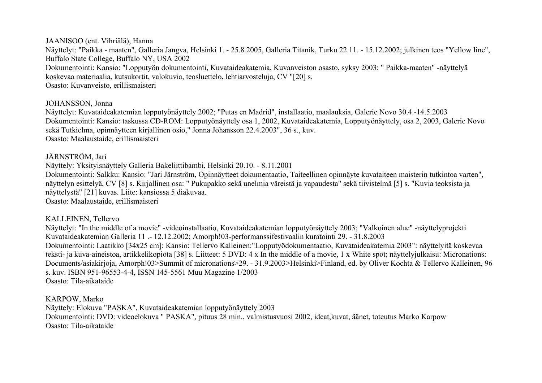#### JAANISOO (ent. Vihriälä), Hanna

Näyttelyt: "Paikka - maaten", Galleria Jangva, Helsinki 1. - 25.8.2005, Galleria Titanik, Turku 22.11. - 15.12.2002; julkinen teos "Yellow line", Buffalo State College, Buffalo NY, USA 2002 Dokumentointi: Kansio: "Lopputyön dokumentointi, Kuvataideakatemia, Kuvanveiston osasto, syksy 2003: " Paikka-maaten" -näyttelyä koskevaa materiaalia, kutsukortit, valokuvia, teosluettelo, lehtiarvosteluja, CV "[20] s. Osasto: Kuvanveisto, erillismaisteri

#### JOHANSSON, Jonna

Näyttelyt: Kuvataideakatemian lopputyönäyttely 2002; "Putas en Madrid", installaatio, maalauksia, Galerie Novo 30.4.-14.5.2003 Dokumentointi: Kansio: taskussa CD-ROM: Lopputyönäyttely osa 1, 2002, Kuvataideakatemia, Lopputyönäyttely, osa 2, 2003, Galerie Novo sekä Tutkielma, opinnäytteen kirjallinen osio," Jonna Johansson 22.4.2003", 36 s., kuv. Osasto: Maalaustaide, erillismaisteri

# JÄRNSTRÖM, Jari

Näyttely: Yksityisnäyttely Galleria Bakeliittibambi, Helsinki 20.10. - 8.11.2001

Dokumentointi: Salkku: Kansio: "Jari Järnström, Opinnäytteet dokumentaatio, Taiteellinen opinnäyte kuvataiteen maisterin tutkintoa varten", näyttelyn esittelyä, CV [8] s. Kirjallinen osa: " Pukupakko sekä unelmia väreistä ja vapaudesta" sekä tiivistelmä [5] s. "Kuvia teoksista ja näyttelystä" [21] kuvas. Liite: kansiossa 5 diakuvaa. Osasto: Maalaustaide, erillismaisteri

# KALLEINEN, Tellervo

Näyttelyt: "In the middle of a movie" -videoinstallaatio, Kuvataideakatemian lopputyönäyttely 2003; "Valkoinen alue" -näyttelyprojekti Kuvataideakatemian Galleria 11 .- 12.12.2002; Amorph!03-performanssifestivaalin kuratointi 29. - 31.8.2003 Dokumentointi: Laatikko [34x25 cm]: Kansio: Tellervo Kalleinen:"Lopputyödokumentaatio, Kuvataideakatemia 2003": näyttelyitä koskevaa teksti- ja kuva-aineistoa, artikkelikopiota [38] s. Liitteet: 5 DVD: 4 x In the middle of a movie, 1 x White spot; näyttelyjulkaisu: Micronations: Documents/asiakirjoja, Amorph!03>Summit of micronations>29. - 31.9.2003>Helsinki>Finland, ed. by Oliver Kochta & Tellervo Kalleinen, 96 s. kuv. ISBN 951-96553-4-4, ISSN 145-5561 Muu Magazine 1/2003 Osasto: Tila-aikataide

KARPOW, Marko Näyttely: Elokuva "PASKA", Kuvataideakatemian lopputyönäyttely 2003 Dokumentointi: DVD: videoelokuva " PASKA", pituus 28 min., valmistusvuosi 2002, ideat,kuvat, äänet, toteutus Marko Karpow Osasto: Tila-aikataide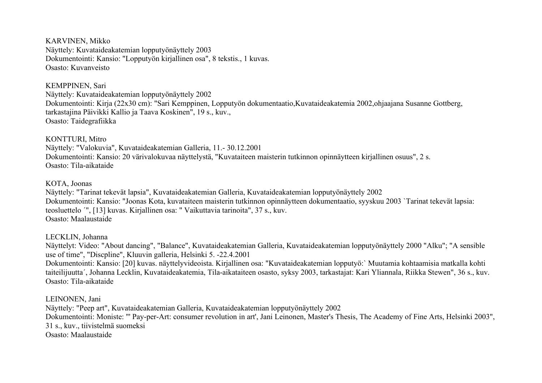KARVINEN, Mikko Näyttely: Kuvataideakatemian lopputyönäyttely 2003 Dokumentointi: Kansio: "Lopputyön kirjallinen osa", 8 tekstis., 1 kuvas. Osasto: Kuvanveisto

KEMPPINEN, Sari

Näyttely: Kuvataideakatemian lopputyönäyttely 2002 Dokumentointi: Kirja (22x30 cm): "Sari Kemppinen, Lopputyön dokumentaatio,Kuvataideakatemia 2002,ohjaajana Susanne Gottberg, tarkastajina Päivikki Kallio ja Taava Koskinen", 19 s., kuv., Osasto: Taidegrafiikka

KONTTURI, Mitro

Näyttely: "Valokuvia", Kuvataideakatemian Galleria, 11.- 30.12.2001 Dokumentointi: Kansio: 20 värivalokuvaa näyttelystä, "Kuvataiteen maisterin tutkinnon opinnäytteen kirjallinen osuus", 2 s. Osasto: Tila-aikataide

KOTA, Joonas

Näyttely: "Tarinat tekevät lapsia", Kuvataideakatemian Galleria, Kuvataideakatemian lopputyönäyttely 2002 Dokumentointi: Kansio: "Joonas Kota, kuvataiteen maisterin tutkinnon opinnäytteen dokumentaatio, syyskuu 2003 `Tarinat tekevät lapsia: teosluettelo ´", [13] kuvas. Kirjallinen osa: " Vaikuttavia tarinoita", 37 s., kuv. Osasto: Maalaustaide

LECKLIN, Johanna

Näyttelyt: Video: "About dancing", "Balance", Kuvataideakatemian Galleria, Kuvataideakatemian lopputyönäyttely 2000 "Alku"; "A sensible use of time", "Discpline", Kluuvin galleria, Helsinki 5. -22.4.2001

Dokumentointi: Kansio: [20] kuvas. näyttelyvideoista. Kirjallinen osa: "Kuvataideakatemian lopputyö:` Muutamia kohtaamisia matkalla kohti taiteilijuutta´, Johanna Lecklin, Kuvataideakatemia, Tila-aikataiteen osasto, syksy 2003, tarkastajat: Kari Yliannala, Riikka Stewen", 36 s., kuv. Osasto: Tila-aikataide

LEINONEN, Jani

Näyttely: "Peep art", Kuvataideakatemian Galleria, Kuvataideakatemian lopputyönäyttely 2002 Dokumentointi: Moniste: "' Pay-per-Art: consumer revolution in art', Jani Leinonen, Master's Thesis, The Academy of Fine Arts, Helsinki 2003", 31 s., kuv., tiivistelmä suomeksi Osasto: Maalaustaide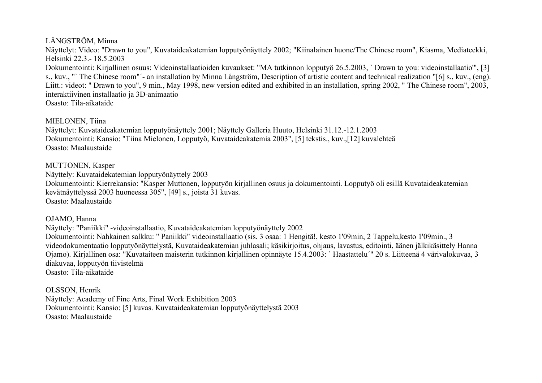### LÅNGSTRÖM, Minna

Näyttelyt: Video: "Drawn to you", Kuvataideakatemian lopputyönäyttely 2002; "Kiinalainen huone/The Chinese room", Kiasma, Mediateekki, Helsinki 22.3.- 18.5.2003

Dokumentointi: Kirjallinen osuus: Videoinstallaatioiden kuvaukset: "MA tutkinnon lopputyö 26.5.2003, ` Drawn to you: videoinstallaatio'", [3] s., kuv., "` The Chinese room"´- an installation by Minna Långström, Description of artistic content and technical realization "[6] s., kuv., (eng). Liitt.: videot: " Drawn to you", 9 min., May 1998, new version edited and exhibited in an installation, spring 2002, " The Chinese room", 2003, interaktiivinen installaatio ja 3D-animaatio

Osasto: Tila-aikataide

# MIELONEN, Tiina

Näyttelyt: Kuvataideakatemian lopputyönäyttely 2001; Näyttely Galleria Huuto, Helsinki 31.12.-12.1.2003 Dokumentointi: Kansio: "Tiina Mielonen, Lopputyö, Kuvataideakatemia 2003", [5] tekstis., kuv.,[12] kuvalehteä Osasto: Maalaustaide

# MUTTONEN, Kasper

Näyttely: Kuvataidekatemian lopputyönäyttely 2003

Dokumentointi: Kierrekansio: "Kasper Muttonen, lopputyön kirjallinen osuus ja dokumentointi. Lopputyö oli esillä Kuvataideakatemian kevätnäyttelyssä 2003 huoneessa 305", [49] s., joista 31 kuvas. Osasto: Maalaustaide

# OJAMO, Hanna

Näyttely: "Paniikki" -videoinstallaatio, Kuvataideakatemian lopputyönäyttely 2002 Dokumentointi: Nahkainen salkku: " Paniikki" videoinstallaatio (sis. 3 osaa: 1 Hengitä!, kesto 1'09min, 2 Tappelu,kesto 1'09min., 3 videodokumentaatio lopputyönäyttelystä, Kuvataideakatemian juhlasali; käsikirjoitus, ohjaus, lavastus, editointi, äänen jälkikäsittely Hanna Ojamo). Kirjallinen osa: "Kuvataiteen maisterin tutkinnon kirjallinen opinnäyte 15.4.2003: ` Haastattelu´" 20 s. Liitteenä 4 värivalokuvaa, 3 diakuvaa, lopputyön tiivistelmä Osasto: Tila-aikataide

OLSSON, Henrik Näyttely: Academy of Fine Arts, Final Work Exhibition 2003 Dokumentointi: Kansio: [5] kuvas. Kuvataideakatemian lopputyönäyttelystä 2003 Osasto: Maalaustaide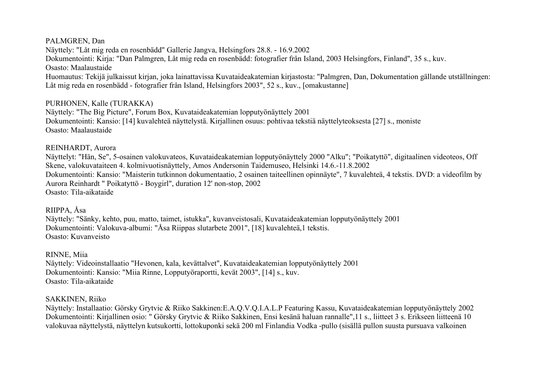#### PALMGREN, Dan

Näyttely: "Låt mig reda en rosenbädd" Gallerie Jangva, Helsingfors 28.8. - 16.9.2002 Dokumentointi: Kirja: "Dan Palmgren, Låt mig reda en rosenbädd: fotografier från Island, 2003 Helsingfors, Finland", 35 s., kuv. Osasto: Maalaustaide Huomautus: Tekijä julkaissut kirjan, joka lainattavissa Kuvataideakatemian kirjastosta: "Palmgren, Dan, Dokumentation gällande utställningen: Låt mig reda en rosenbädd - fotografier från Island, Helsingfors 2003", 52 s., kuv., [omakustanne]

#### PURHONEN, Kalle (TURAKKA)

Näyttely: "The Big Picture", Forum Box, Kuvataideakatemian lopputyönäyttely 2001 Dokumentointi: Kansio: [14] kuvalehteä näyttelystä. Kirjallinen osuus: pohtivaa tekstiä näyttelyteoksesta [27] s., moniste Osasto: Maalaustaide

#### REINHARDT, Aurora

Näyttelyt: "Hän, Se", 5-osainen valokuvateos, Kuvataideakatemian lopputyönäyttely 2000 "Alku"; "Poikatyttö", digitaalinen videoteos, Off Skene, valokuvataiteen 4. kolmivuotisnäyttely, Amos Andersonin Taidemuseo, Helsinki 14.6.-11.8.2002 Dokumentointi: Kansio: "Maisterin tutkinnon dokumentaatio, 2 osainen taiteellinen opinnäyte", 7 kuvalehteä, 4 tekstis. DVD: a videofilm by Aurora Reinhardt " Poikatyttö - Boygirl", duration 12' non-stop, 2002 Osasto: Tila-aikataide

#### RIIPPA, Åsa

Näyttely: "Sänky, kehto, puu, matto, taimet, istukka", kuvanveistosali, Kuvataideakatemian lopputyönäyttely 2001 Dokumentointi: Valokuva-albumi: "Åsa Riippas slutarbete 2001", [18] kuvalehteä,1 tekstis. Osasto: Kuvanveisto

RINNE, Miia Näyttely: Videoinstallaatio "Hevonen, kala, kevättalvet", Kuvataideakatemian lopputyönäyttely 2001 Dokumentointi: Kansio: "Miia Rinne, Lopputyöraportti, kevät 2003", [14] s., kuv. Osasto: Tila-aikataide

#### SAKKINEN, Riiko

Näyttely: Installaatio: Görsky Grytvic & Riiko Sakkinen:E.A.Q.V.Q.I.A.L.P Featuring Kassu, Kuvataideakatemian lopputyönäyttely 2002 Dokumentointi: Kirjallinen osio: " Görsky Grytvic & Riiko Sakkinen, Ensi kesänä haluan rannalle",11 s., liitteet 3 s. Erikseen liitteenä 10 valokuvaa näyttelystä, näyttelyn kutsukortti, lottokuponki sekä 200 ml Finlandia Vodka -pullo (sisällä pullon suusta pursuava valkoinen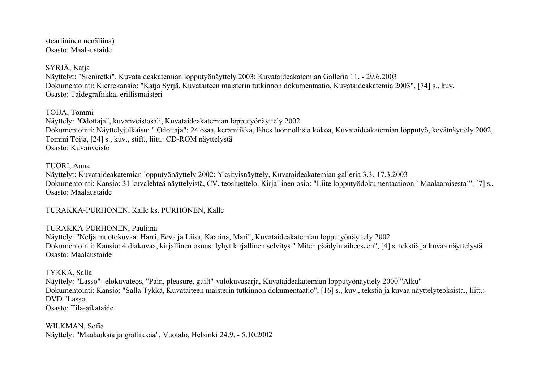steariininen nenäliina) Osasto: Maalaustaide

SYRJÄ, Katia

Näyttelyt: "Sieniretki". Kuvataideakatemian lopputyönäyttely 2003; Kuvataideakatemian Galleria 11. - 29.6.2003 Dokumentointi: Kierrekansio: "Katja Syrjä, Kuvataiteen maisterin tutkinnon dokumentaatio, Kuvataideakatemia 2003", [74] s., kuv. Osasto: Taidegrafiikka, erillismaisteri

TOIJA, Tommi

Näyttely: "Odottaja", kuvanveistosali, Kuvataideakatemian lopputyönäyttely 2002 Dokumentointi: Näyttelyjulkaisu: " Odottaja": 24 osaa, keramiikka, lähes luonnollista kokoa, Kuvataideakatemian lopputyö, kevätnäyttely 2002, Tommi Toija, [24] s., kuv., stift., liitt.: CD-ROM näyttelystä Osasto: Kuvanveisto

TUORI, Anna

Näyttelyt: Kuvataideakatemian lopputyönäyttely 2002; Yksityisnäyttely, Kuvataideakatemian galleria 3.3.-17.3.2003 Dokumentointi: Kansio: 31 kuvalehteä näyttelyistä, CV, teosluettelo. Kirjallinen osio: "Liite lopputyödokumentaatioon ` Maalaamisesta´", [7] s., Osasto: Maalaustaide

TURAKKA-PURHONEN, Kalle ks. PURHONEN, Kalle

# TURAKKA-PURHONEN, Pauliina

Näyttely: "Neljä muotokuvaa: Harri, Eeva ja Liisa, Kaarina, Mari", Kuvataideakatemian lopputyönäyttely 2002 Dokumentointi: Kansio: 4 diakuvaa, kirjallinen osuus: lyhyt kirjallinen selvitys " Miten päädyin aiheeseen", [4] s. tekstiä ja kuvaa näyttelystä Osasto: Maalaustaide

TYKKÄ, Salla

Näyttely: "Lasso" -elokuvateos, "Pain, pleasure, guilt"-valokuvasarja, Kuvataideakatemian lopputyönäyttely 2000 "Alku" Dokumentointi: Kansio: "Salla Tykkä, Kuvataiteen maisterin tutkinnon dokumentaatio", [16] s., kuv., tekstiä ja kuvaa näyttelyteoksista., liitt.: DVD "Lasso. Osasto: Tila-aikataide

WILKMAN, Sofia Näyttely: "Maalauksia ja grafiikkaa", Vuotalo, Helsinki 24.9. - 5.10.2002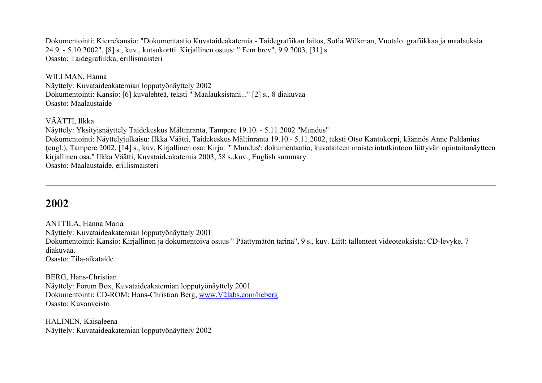Dokumentointi: Kierrekansio: "Dokumentaatio Kuvataideakatemia - Taidegrafiikan laitos, Sofia Wilkman, Vuotalo. grafiikkaa ja maalauksia 24.9. - 5.10.2002", [8] s., kuv., kutsukortti. Kirjallinen osuus: " Fem brev", 9.9.2003, [31] s. Osasto: Taidegrafiikka, erillismaisteri

WILLMAN, Hanna Näyttely: Kuvataideakatemian lopputyönäyttely 2002 Dokumentointi: Kansio: [6] kuvalehteä, teksti " Maalauksistani..." [2] s., 8 diakuvaa Osasto: Maalaustaide

# VÄÄTTI, Ilkka

Näyttely: Yksityisnäyttely Taidekeskus Mältinranta, Tampere 19.10. - 5.11.2002 "Mundus" Dokumentointi: Näyttelyjulkaisu: Ilkka Väätti, Taidekeskus Mältinranta 19.10.- 5.11.2002, teksti Otso Kantokorpi, käännös Anne Paldanius (engl.), Tampere 2002, [14] s., kuv. Kirjallinen osa: Kirja: "' Mundus': dokumentaatio, kuvataiteen maisterintutkintoon liittyvän opintaitonäytteen kirjallinen osa," Ilkka Väätti, Kuvataideakatemia 2003, 58 s.,kuv., English summary Osasto: Maalaustaide, erillismaisteri

# **2002**

ANTTILA, Hanna Maria Näyttely: Kuvataideakatemian lopputyönäyttely 2001 Dokumentointi: Kansio: Kirjallinen ja dokumentoiva osuus " Päättymätön tarina", 9 s., kuv. Liitt: tallenteet videoteoksista: CD-levyke, 7 diakuvaa.

Osasto: Tila-aikataide

BERG, Hans-Christian Näyttely: Forum Box, Kuvataideakatemian lopputyönäyttely 2001 Dokumentointi: CD-ROM: Hans-Christian Berg, [www.V2labs.com/hcberg](http://www.v2labs.com/hcberg) Osasto: Kuvanveisto

HALINEN, Kaisaleena Näyttely: Kuvataideakatemian lopputyönäyttely 2002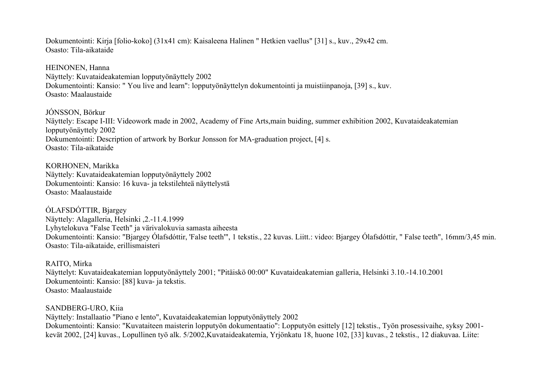Dokumentointi: Kirja [folio-koko] (31x41 cm): Kaisaleena Halinen " Hetkien vaellus" [31] s., kuv., 29x42 cm. Osasto: Tila-aikataide

HEINONEN, Hanna Näyttely: Kuvataideakatemian lopputyönäyttely 2002 Dokumentointi: Kansio: " You live and learn": lopputyönäyttelyn dokumentointi ja muistiinpanoja, [39] s., kuv. Osasto: Maalaustaide

JÓNSSON, Börkur Näyttely: Escape I-III: Videowork made in 2002, Academy of Fine Arts,main buiding, summer exhibition 2002, Kuvataideakatemian lopputyönäyttely 2002 Dokumentointi: Description of artwork by Borkur Jonsson for MA-graduation project, [4] s. Osasto: Tila-aikataide

KORHONEN, Marikka Näyttely: Kuvataideakatemian lopputyönäyttely 2002 Dokumentointi: Kansio: 16 kuva- ja tekstilehteä näyttelystä Osasto: Maalaustaide

ÓLAFSDÓTTIR, Bjargey Näyttely: Alagalleria, Helsinki ,2.-11.4.1999 Lyhytelokuva "False Teeth" ja värivalokuvia samasta aiheesta Dokumentointi: Kansio: "Bjargey Ólafsdóttir, 'False teeth'", 1 tekstis., 22 kuvas. Liitt.: video: Bjargey Ólafsdóttir, " False teeth", 16mm/3,45 min. Osasto: Tila-aikataide, erillismaisteri

RAITO, Mirka Näyttelyt: Kuvataideakatemian lopputyönäyttely 2001; "Pitäiskö 00:00" Kuvataideakatemian galleria, Helsinki 3.10.-14.10.2001 Dokumentointi: Kansio: [88] kuva- ja tekstis. Osasto: Maalaustaide

SANDBERG-URO, Kiia Näyttely: Installaatio "Piano e lento", Kuvataideakatemian lopputyönäyttely 2002 Dokumentointi: Kansio: "Kuvataiteen maisterin lopputyön dokumentaatio": Lopputyön esittely [12] tekstis., Työn prosessivaihe, syksy 2001 kevät 2002, [24] kuvas., Lopullinen työ alk. 5/2002,Kuvataideakatemia, Yrjönkatu 18, huone 102, [33] kuvas., 2 tekstis., 12 diakuvaa. Liite: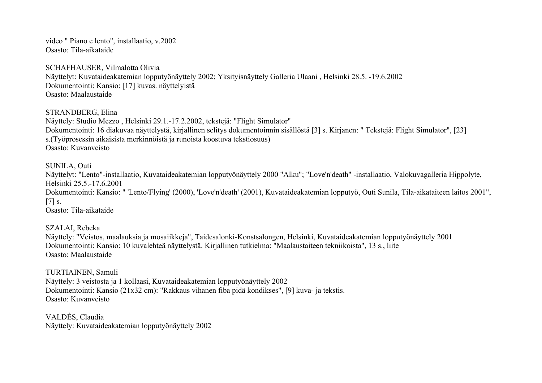video " Piano e lento", installaatio, v.2002 Osasto: Tila-aikataide

SCHAFHAUSER, Vilmalotta Olivia Näyttelyt: Kuvataideakatemian lopputyönäyttely 2002; Yksityisnäyttely Galleria Ulaani , Helsinki 28.5. -19.6.2002 Dokumentointi: Kansio: [17] kuvas. näyttelyistä Osasto: Maalaustaide

STRANDBERG, Elina

Näyttely: Studio Mezzo , Helsinki 29.1.-17.2.2002, tekstejä: "Flight Simulator" Dokumentointi: 16 diakuvaa näyttelystä, kirjallinen selitys dokumentoinnin sisällöstä [3] s. Kirjanen: " Tekstejä: Flight Simulator", [23] s.(Työprosessin aikaisista merkinnöistä ja runoista koostuva tekstiosuus) Osasto: Kuvanveisto

SUNILA, Outi

Näyttelyt: "Lento"-installaatio, Kuvataideakatemian lopputyönäyttely 2000 "Alku"; "Love'n'death" -installaatio, Valokuvagalleria Hippolyte, Helsinki 25.5.-17.6.2001 Dokumentointi: Kansio: " 'Lento/Flying' (2000), 'Love'n'death' (2001), Kuvataideakatemian lopputyö, Outi Sunila, Tila-aikataiteen laitos 2001",  $[7]$  s. Osasto: Tila-aikataide

SZALAI, Rebeka Näyttely: "Veistos, maalauksia ja mosaiikkeja", Taidesalonki-Konstsalongen, Helsinki, Kuvataideakatemian lopputyönäyttely 2001 Dokumentointi: Kansio: 10 kuvalehteä näyttelystä. Kirjallinen tutkielma: "Maalaustaiteen tekniikoista", 13 s., liite Osasto: Maalaustaide

TURTIAINEN, Samuli Näyttely: 3 veistosta ja 1 kollaasi, Kuvataideakatemian lopputyönäyttely 2002 Dokumentointi: Kansio (21x32 cm): "Rakkaus vihanen fiba pidä kondikses", [9] kuva- ja tekstis. Osasto: Kuvanveisto

VALDÉS, Claudia Näyttely: Kuvataideakatemian lopputyönäyttely 2002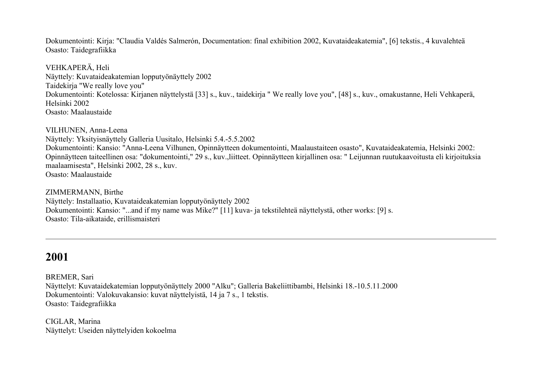Dokumentointi: Kirja: "Claudia Valdés Salmerón, Documentation: final exhibition 2002, Kuvataideakatemia", [6] tekstis., 4 kuvalehteä Osasto: Taidegrafiikka

VEHKAPERÄ, Heli Näyttely: Kuvataideakatemian lopputyönäyttely 2002 Taidekirja "We really love you" Dokumentointi: Kotelossa: Kirjanen näyttelystä [33] s., kuv., taidekirja " We really love you", [48] s., kuv., omakustanne, Heli Vehkaperä, Helsinki 2002 Osasto: Maalaustaide

VILHUNEN, Anna-Leena Näyttely: Yksityisnäyttely Galleria Uusitalo, Helsinki 5.4.-5.5.2002 Dokumentointi: Kansio: "Anna-Leena Vilhunen, Opinnäytteen dokumentointi, Maalaustaiteen osasto", Kuvataideakatemia, Helsinki 2002: Opinnäytteen taiteellinen osa: "dokumentointi," 29 s., kuv.,liitteet. Opinnäytteen kirjallinen osa: " Leijunnan ruutukaavoitusta eli kirjoituksia maalaamisesta", Helsinki 2002, 28 s., kuv. Osasto: Maalaustaide

ZIMMERMANN, Birthe Näyttely: Installaatio, Kuvataideakatemian lopputyönäyttely 2002 Dokumentointi: Kansio: "...and if my name was Mike?" [11] kuva- ja tekstilehteä näyttelystä, other works: [9] s. Osasto: Tila-aikataide, erillismaisteri

# **2001**

BREMER, Sari Näyttelyt: Kuvataidekatemian lopputyönäyttely 2000 "Alku"; Galleria Bakeliittibambi, Helsinki 18.-10.5.11.2000 Dokumentointi: Valokuvakansio: kuvat näyttelyistä, 14 ja 7 s., 1 tekstis.

Osasto: Taidegrafiikka

CIGLAR, Marina Näyttelyt: Useiden näyttelyiden kokoelma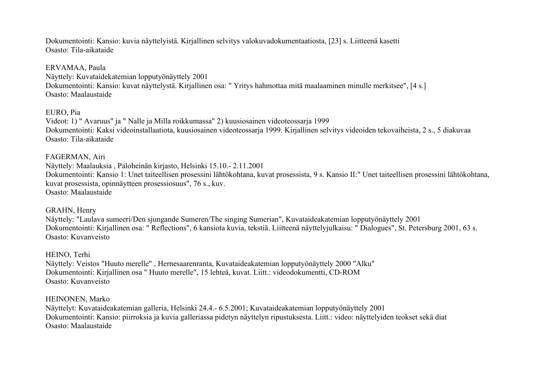Dokumentointi: Kansio: kuvia näyttelyistä. Kirjallinen selvitys valokuvadokumentaatiosta, [23] s. Liitteenä kasetti Osasto: Tila-aikataide

#### ERVAMAA, Paula

Näyttely: Kuvataidekatemian lopputyönäyttely 2001 Dokumentointi: Kansio: kuvat näyttelystä. Kirjallinen osa: " Yritys hahmottaa mitä maalaaminen minulle merkitsee", [4 s.] Osasto: Maalaustaide

#### EURO, Pia

Videot: 1) " Avaruus" ja " Nalle ja Milla roikkumassa" 2) kuusiosainen videoteossarja 1999 Dokumentointi: Kaksi videoinstallaatiota, kuusiosainen videoteossarja 1999. Kirjallinen selvitys videoiden tekovaiheista, 2 s., 5 diakuvaa Osasto: Tila-aikataide

#### FAGERMAN, Airi

Näyttely: Maalauksia , Paloheinän kirjasto, Helsinki 15.10.- 2.11.2001 Dokumentointi: Kansio 1: Unet taiteellisen prosessini lähtökohtana, kuvat prosessista, 9 s. Kansio II:" Unet taiteellisen prosessini lähtökohtana, kuvat prosessista, opinnäytteen prosessiosuus", 76 s., kuv. Osasto: Maalaustaide

#### GRAHN, Henry

Näyttely: "Laulava sumeeri/Den sjungande Sumeren/The singing Sumerian", Kuvataideakatemian lopputyönäyttely 2001 Dokumentointi: Kirjallinen osa: " Reflections", 6 kansiota kuvia, tekstiä. Liitteenä näyttelyjulkaisu: " Dialogues", St. Petersburg 2001, 63 s. Osasto: Kuvanveisto

#### HEINO, Terhi

Näyttely: Veistos "Huuto merelle" , Hernesaarenranta, Kuvataideakatemian lopputyönäyttely 2000 "Alku" Dokumentointi: Kirjallinen osa " Huuto merelle", 15 lehteä, kuvat. Liitt.: videodokumentti, CD-ROM Osasto: Kuvanveisto

#### HEINONEN, Marko

Näyttelyt: Kuvataideakatemian galleria, Helsinki 24.4.- 6.5.2001; Kuvataideakatemian lopputyönäyttely 2001 Dokumentointi: Kansio: piirroksia ja kuvia galleriassa pidetyn näyttelyn ripustuksesta. Liitt.: video: näyttelyiden teokset sekä diat Osasto: Maalaustaide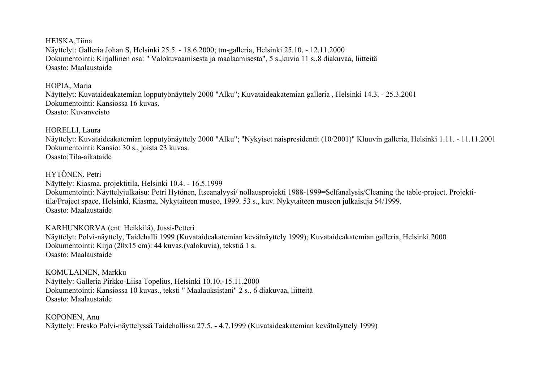HEISKA,Tiina Näyttelyt: Galleria Johan S, Helsinki 25.5. - 18.6.2000; tm-galleria, Helsinki 25.10. - 12.11.2000 Dokumentointi: Kirjallinen osa: " Valokuvaamisesta ja maalaamisesta", 5 s.,kuvia 11 s.,8 diakuvaa, liitteitä Osasto: Maalaustaide

#### HOPIA, Maria

Näyttelyt: Kuvataideakatemian lopputyönäyttely 2000 "Alku"; Kuvataideakatemian galleria , Helsinki 14.3. - 25.3.2001 Dokumentointi: Kansiossa 16 kuvas. Osasto: Kuvanveisto

HORELLI, Laura

Näyttelyt: Kuvataideakatemian lopputyönäyttely 2000 "Alku"; "Nykyiset naispresidentit (10/2001)" Kluuvin galleria, Helsinki 1.11. - 11.11.2001 Dokumentointi: Kansio: 30 s., joista 23 kuvas. Osasto:Tila-aikataide

#### HYTÖNEN, Petri

Näyttely: Kiasma, projektitila, Helsinki 10.4. - 16.5.1999

Dokumentointi: Näyttelyjulkaisu: Petri Hytönen, Itseanalyysi/ nollausprojekti 1988-1999=Selfanalysis/Cleaning the table-project. Projektitila/Project space. Helsinki, Kiasma, Nykytaiteen museo, 1999. 53 s., kuv. Nykytaiteen museon julkaisuja 54/1999. Osasto: Maalaustaide

KARHUNKORVA (ent. Heikkilä), Jussi-Petteri Näyttelyt: Polvi-näyttely, Taidehalli 1999 (Kuvataideakatemian kevätnäyttely 1999); Kuvataideakatemian galleria, Helsinki 2000 Dokumentointi: Kirja (20x15 cm): 44 kuvas.(valokuvia), tekstiä 1 s. Osasto: Maalaustaide

KOMULAINEN, Markku Näyttely: Galleria Pirkko-Liisa Topelius, Helsinki 10.10.-15.11.2000 Dokumentointi: Kansiossa 10 kuvas., teksti " Maalauksistani" 2 s., 6 diakuvaa, liitteitä Osasto: Maalaustaide

KOPONEN, Anu Näyttely: Fresko Polvi-näyttelyssä Taidehallissa 27.5. - 4.7.1999 (Kuvataideakatemian kevätnäyttely 1999)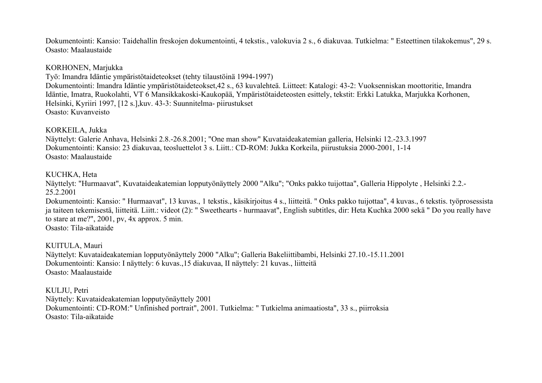Dokumentointi: Kansio: Taidehallin freskojen dokumentointi, 4 tekstis., valokuvia 2 s., 6 diakuvaa. Tutkielma: " Esteettinen tilakokemus", 29 s. Osasto: Maalaustaide

#### KORHONEN, Marjukka

Työ: Imandra Idäntie ympäristötaideteokset (tehty tilaustöinä 1994-1997)

Dokumentointi: Imandra Idäntie ympäristötaideteokset,42 s., 63 kuvalehteä. Liitteet: Katalogi: 43-2: Vuoksenniskan moottoritie, Imandra Idäntie, Imatra, Ruokolahti, VT 6 Mansikkakoski-Kaukopää, Ympäristötaideteosten esittely, tekstit: Erkki Latukka, Marjukka Korhonen, Helsinki, Kyriiri 1997, [12 s.],kuv. 43-3: Suunnitelma- piirustukset Osasto: Kuvanveisto

#### KORKEILA, Jukka

Näyttelyt: Galerie Anhava, Helsinki 2.8.-26.8.2001; "One man show" Kuvataideakatemian galleria, Helsinki 12.-23.3.1997 Dokumentointi: Kansio: 23 diakuvaa, teosluettelot 3 s. Liitt.: CD-ROM: Jukka Korkeila, piirustuksia 2000-2001, 1-14 Osasto: Maalaustaide

#### KUCHKA, Heta

Näyttelyt: "Hurmaavat", Kuvataideakatemian lopputyönäyttely 2000 "Alku"; "Onks pakko tuijottaa", Galleria Hippolyte , Helsinki 2.2.- 25.2.2001

Dokumentointi: Kansio: " Hurmaavat", 13 kuvas., 1 tekstis., käsikirjoitus 4 s., liitteitä. " Onks pakko tuijottaa", 4 kuvas., 6 tekstis. työprosessista ja taiteen tekemisestä, liitteitä. Liitt.: videot (2): " Sweethearts - hurmaavat", English subtitles, dir: Heta Kuchka 2000 sekä " Do you really have to stare at me?", 2001, pv, 4x approx. 5 min.

Osasto: Tila-aikataide

KUITULA, Mauri Näyttelyt: Kuvataideakatemian lopputyönäyttely 2000 "Alku"; Galleria Bakeliittibambi, Helsinki 27.10.-15.11.2001 Dokumentointi: Kansio: I näyttely: 6 kuvas.,15 diakuvaa, II näyttely: 21 kuvas., liitteitä Osasto: Maalaustaide

KULJU, Petri Näyttely: Kuvataideakatemian lopputyönäyttely 2001 Dokumentointi: CD-ROM:" Unfinished portrait", 2001. Tutkielma: " Tutkielma animaatiosta", 33 s., piirroksia Osasto: Tila-aikataide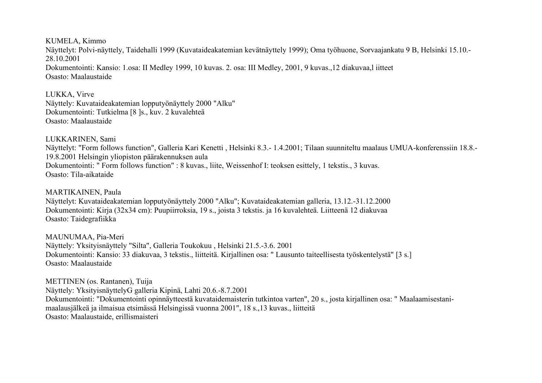KUMELA, Kimmo Näyttelyt: Polvi-näyttely, Taidehalli 1999 (Kuvataideakatemian kevätnäyttely 1999); Oma työhuone, Sorvaajankatu 9 B, Helsinki 15.10.- 28.10.2001 Dokumentointi: Kansio: 1.osa: II Medley 1999, 10 kuvas. 2. osa: III Medley, 2001, 9 kuvas.,12 diakuvaa,l iitteet Osasto: Maalaustaide

LUKKA, Virve Näyttely: Kuvataideakatemian lopputyönäyttely 2000 "Alku" Dokumentointi: Tutkielma [8 ]s., kuv. 2 kuvalehteä Osasto: Maalaustaide

LUKKARINEN, Sami Näyttelyt: "Form follows function", Galleria Kari Kenetti , Helsinki 8.3.- 1.4.2001; Tilaan suunniteltu maalaus UMUA-konferenssiin 18.8.- 19.8.2001 Helsingin yliopiston päärakennuksen aula Dokumentointi: " Form follows function" : 8 kuvas., liite, Weissenhof I: teoksen esittely, 1 tekstis., 3 kuvas. Osasto: Tila-aikataide

MARTIKAINEN, Paula Näyttelyt: Kuvataideakatemian lopputyönäyttely 2000 "Alku"; Kuvataideakatemian galleria, 13.12.-31.12.2000 Dokumentointi: Kirja (32x34 cm): Puupiirroksia, 19 s., joista 3 tekstis. ja 16 kuvalehteä. Liitteenä 12 diakuvaa Osasto: Taidegrafiikka

MAUNUMAA, Pia-Meri Näyttely: Yksityisnäyttely "Silta", Galleria Toukokuu , Helsinki 21.5.-3.6. 2001 Dokumentointi: Kansio: 33 diakuvaa, 3 tekstis., liitteitä. Kirjallinen osa: " Lausunto taiteellisesta työskentelystä" [3 s.] Osasto: Maalaustaide

METTINEN (os. Rantanen), Tuija Näyttely: YksityisnäyttelyG galleria Kipinä, Lahti 20.6.-8.7.2001 Dokumentointi: "Dokumentointi opinnäytteestä kuvataidemaisterin tutkintoa varten", 20 s., josta kirjallinen osa: " Maalaamisestanimaalausjälkeä ja ilmaisua etsimässä Helsingissä vuonna 2001", 18 s.,13 kuvas., liitteitä Osasto: Maalaustaide, erillismaisteri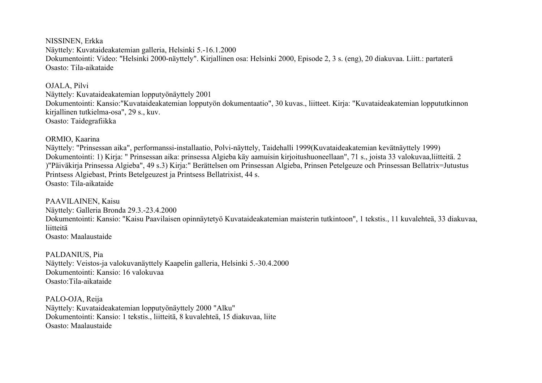NISSINEN, Erkka Näyttely: Kuvataideakatemian galleria, Helsinki 5.-16.1.2000 Dokumentointi: Video: "Helsinki 2000-näyttely". Kirjallinen osa: Helsinki 2000, Episode 2, 3 s. (eng), 20 diakuvaa. Liitt.: partaterä Osasto: Tila-aikataide

OJALA, Pilvi

Näyttely: Kuvataideakatemian lopputyönäyttely 2001 Dokumentointi: Kansio:"Kuvataideakatemian lopputyön dokumentaatio", 30 kuvas., liitteet. Kirja: "Kuvataideakatemian loppututkinnon kirjallinen tutkielma-osa", 29 s., kuv. Osasto: Taidegrafiikka

ORMIO, Kaarina

Näyttely: "Prinsessan aika", performanssi-installaatio, Polvi-näyttely, Taidehalli 1999(Kuvataideakatemian kevätnäyttely 1999) Dokumentointi: 1) Kirja: " Prinsessan aika: prinsessa Algieba käy aamuisin kirjoitushuoneellaan", 71 s., joista 33 valokuvaa,liitteitä. 2 )"Päiväkirja Prinsessa Algieba", 49 s.3) Kirja:" Berättelsen om Prinsessan Algieba, Prinsen Petelgeuze och Prinsessan Bellatrix=Jutustus Printsess Algiebast, Prints Betelgeuzest ja Printsess Bellatrixist, 44 s. Osasto: Tila-aikataide

PAAVILAINEN, Kaisu Näyttely: Galleria Bronda 29.3.-23.4.2000 Dokumentointi: Kansio: "Kaisu Paavilaisen opinnäytetyö Kuvataideakatemian maisterin tutkintoon", 1 tekstis., 11 kuvalehteä, 33 diakuvaa, liitteitä Osasto: Maalaustaide

PALDANIUS, Pia Näyttely: Veistos-ja valokuvanäyttely Kaapelin galleria, Helsinki 5.-30.4.2000 Dokumentointi: Kansio: 16 valokuvaa Osasto:Tila-aikataide

PALO-OJA, Reija Näyttely: Kuvataideakatemian lopputyönäyttely 2000 "Alku" Dokumentointi: Kansio: 1 tekstis., liitteitä, 8 kuvalehteä, 15 diakuvaa, liite Osasto: Maalaustaide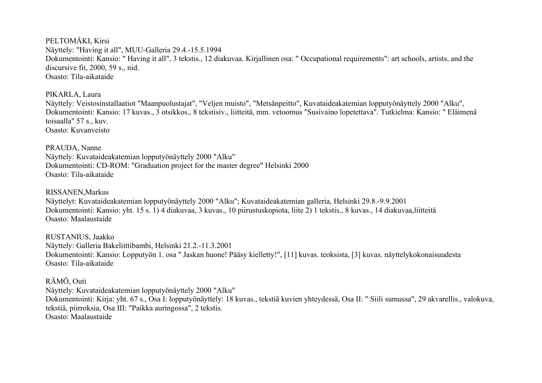PELTOMÄKI, Kirsi Näyttely: "Having it all", MUU-Galleria 29.4.-15.5.1994 Dokumentointi: Kansio: " Having it all", 3 tekstis., 12 diakuvaa. Kirjallinen osa: " Occupational requirements": art schools, artists, and the discursive fit, 2000, 59 s., nid. Osasto: Tila-aikataide

PIKARLA, Laura

Näyttely: Veistosinstallaatiot "Maanpuolustajat", "Veljen muisto", "Metsänpeitto", Kuvataideakatemian lopputyönäyttely 2000 "Alku", Dokumentointi: Kansio: 17 kuvas., 3 otsikkos., 8 tekstisiv., liitteitä, mm. vetoomus "Susivaino lopetettava". Tutkielma: Kansio: " Eläimenä toisaalla" 57 s., kuv. Osasto: Kuvanveisto

PRAUDA, Nanne

Näyttely: Kuvataideakatemian lopputyönäyttely 2000 "Alku" Dokumentointi: CD-ROM: "Graduation project for the master degree" Helsinki 2000 Osasto: Tila-aikataide

RISSANEN,Markus

Näyttelyt: Kuvataideakatemian lopputyönäyttely 2000 "Alku"; Kuvataideakatemian galleria, Helsinki 29.8.-9.9.2001 Dokumentointi: Kansio: yht. 15 s. 1) 4 diakuvaa, 3 kuvas., 10 piirustuskopiota, liite 2) 1 tekstis., 8 kuvas., 14 diakuvaa,liitteitä Osasto: Maalaustaide

RUSTANIUS, Jaakko Näyttely: Galleria Bakeliittibambi, Helsinki 21.2.-11.3.2001 Dokumentointi: Kansio: Lopputyön 1. osa " Jaskan huone! Pääsy kielletty!", [11] kuvas. teoksista, [3] kuvas. näyttelykokonaisuudesta Osasto: Tila-aikataide

RÄMÖ, Outi

Näyttely: Kuvataideakatemian lopputyönäyttely 2000 "Alku" Dokumentointi: Kirja: yht. 67 s., Osa I: lopputyönäyttely: 18 kuvas., tekstiä kuvien yhteydessä, Osa II: " Siili sumussa", 29 akvarellis., valokuva, tekstiä, piirroksia, Osa III: "Paikka auringossa", 2 tekstis. Osasto: Maalaustaide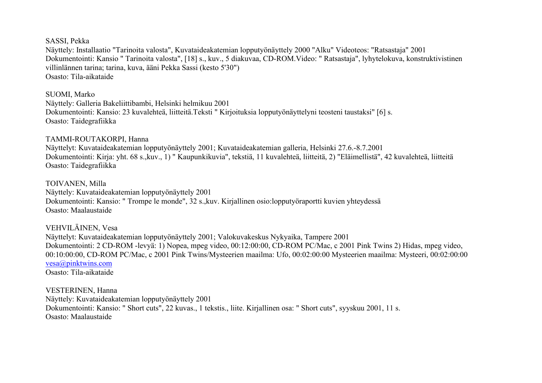#### SASSI, Pekka

Näyttely: Installaatio "Tarinoita valosta", Kuvataideakatemian lopputyönäyttely 2000 "Alku" Videoteos: "Ratsastaja" 2001 Dokumentointi: Kansio " Tarinoita valosta", [18] s., kuv., 5 diakuvaa, CD-ROM.Video: " Ratsastaja", lyhytelokuva, konstruktivistinen villinlännen tarina; tarina, kuva, ääni Pekka Sassi (kesto 5'30") Osasto: Tila-aikataide

SUOMI, Marko

Näyttely: Galleria Bakeliittibambi, Helsinki helmikuu 2001 Dokumentointi: Kansio: 23 kuvalehteä, liitteitä.Teksti " Kirjoituksia lopputyönäyttelyni teosteni taustaksi" [6] s. Osasto: Taidegrafiikka

## TAMMI-ROUTAKORPI, Hanna

Näyttelyt: Kuvataideakatemian lopputyönäyttely 2001; Kuvataideakatemian galleria, Helsinki 27.6.-8.7.2001 Dokumentointi: Kirja: yht. 68 s.,kuv., 1) " Kaupunkikuvia", tekstiä, 11 kuvalehteä, liitteitä, 2) "Eläimellistä", 42 kuvalehteä, liitteitä Osasto: Taidegrafiikka

TOIVANEN, Milla Näyttely: Kuvataideakatemian lopputyönäyttely 2001 Dokumentointi: Kansio: " Trompe le monde", 32 s.,kuv. Kirjallinen osio:lopputyöraportti kuvien yhteydessä Osasto: Maalaustaide

VEHVILÄINEN, Vesa Näyttelyt: Kuvataideakatemian lopputyönäyttely 2001; Valokuvakeskus Nykyaika, Tampere 2001 Dokumentointi: 2 CD-ROM -levyä: 1) Nopea, mpeg video, 00:12:00:00, CD-ROM PC/Mac, c 2001 Pink Twins 2) Hidas, mpeg video, 00:10:00:00, CD-ROM PC/Mac, c 2001 Pink Twins/Mysteerien maailma: Ufo, 00:02:00:00 Mysteerien maailma: Mysteeri, 00:02:00:00 [vesa@pinktwins.com](mailto:vesa@pinktwins.com)

Osasto: Tila-aikataide

VESTERINEN, Hanna Näyttely: Kuvataideakatemian lopputyönäyttely 2001 Dokumentointi: Kansio: " Short cuts", 22 kuvas., 1 tekstis., liite. Kirjallinen osa: " Short cuts", syyskuu 2001, 11 s. Osasto: Maalaustaide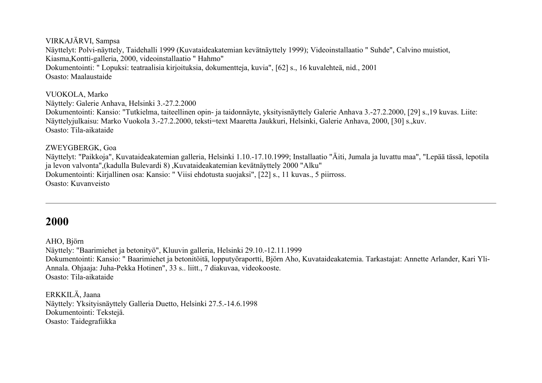VIRKAJÄRVI, Sampsa Näyttelyt: Polvi-näyttely, Taidehalli 1999 (Kuvataideakatemian kevätnäyttely 1999); Videoinstallaatio " Suhde", Calvino muistiot, Kiasma,Kontti-galleria, 2000, videoinstallaatio " Hahmo" Dokumentointi: " Lopuksi: teatraalisia kirjoituksia, dokumentteja, kuvia", [62] s., 16 kuvalehteä, nid., 2001 Osasto: Maalaustaide

VUOKOLA, Marko Näyttely: Galerie Anhava, Helsinki 3.-27.2.2000 Dokumentointi: Kansio: "Tutkielma, taiteellinen opin- ja taidonnäyte, yksityisnäyttely Galerie Anhava 3.-27.2.2000, [29] s.,19 kuvas. Liite: Näyttelyjulkaisu: Marko Vuokola 3.-27.2.2000, teksti=text Maaretta Jaukkuri, Helsinki, Galerie Anhava, 2000, [30] s.,kuv. Osasto: Tila-aikataide

#### ZWEYGBERGK, Goa

Näyttelyt: "Paikkoja", Kuvataideakatemian galleria, Helsinki 1.10.-17.10.1999; Installaatio "Äiti, Jumala ja luvattu maa", "Lepää tässä, lepotila ja levon valvonta",(kadulla Bulevardi 8) ,Kuvataideakatemian kevätnäyttely 2000 "Alku" Dokumentointi: Kirjallinen osa: Kansio: " Viisi ehdotusta suojaksi", [22] s., 11 kuvas., 5 piirross. Osasto: Kuvanveisto

# **2000**

AHO, Björn

Näyttely: "Baarimiehet ja betonityö", Kluuvin galleria, Helsinki 29.10.-12.11.1999

Dokumentointi: Kansio: " Baarimiehet ja betonitöitä, lopputyöraportti, Björn Aho, Kuvataideakatemia. Tarkastajat: Annette Arlander, Kari Yli-Annala. Ohjaaja: Juha-Pekka Hotinen", 33 s.. liitt., 7 diakuvaa, videokooste. Osasto: Tila-aikataide

ERKKILÄ, Jaana Näyttely: Yksityisnäyttely Galleria Duetto, Helsinki 27.5.-14.6.1998 Dokumentointi: Tekstejä. Osasto: Taidegrafiikka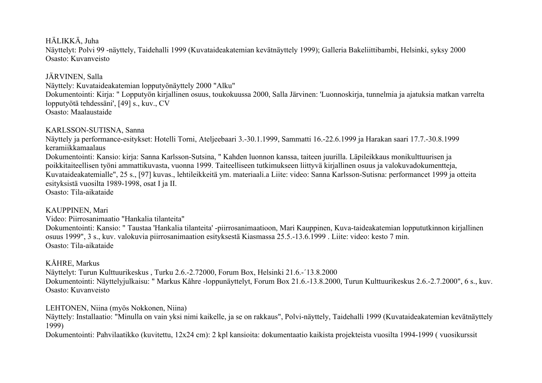HÄLIKKÄ, Juha

Näyttelyt: Polvi 99 -näyttely, Taidehalli 1999 (Kuvataideakatemian kevätnäyttely 1999); Galleria Bakeliittibambi, Helsinki, syksy 2000 Osasto: Kuvanveisto

JÄRVINEN, Salla

Näyttely: Kuvataideakatemian lopputyönäyttely 2000 "Alku" Dokumentointi: Kirja: " Lopputyön kirjallinen osuus, toukokuussa 2000, Salla Järvinen: 'Luonnoskirja, tunnelmia ja ajatuksia matkan varrelta lopputyötä tehdessäni', [49] s., kuv., CV Osasto: Maalaustaide

#### KARLSSON-SUTISNA, Sanna

Näyttely ja performance-esitykset: Hotelli Torni, Ateljeebaari 3.-30.1.1999, Sammatti 16.-22.6.1999 ja Harakan saari 17.7.-30.8.1999 keramiikkamaalaus

Dokumentointi: Kansio: kirja: Sanna Karlsson-Sutsina, " Kahden luonnon kanssa, taiteen juurilla. Läpileikkaus monikulttuurisen ja poikkitaiteellisen työni ammattikuvasta, vuonna 1999. Taiteelliseen tutkimukseen liittyvä kirjallinen osuus ja valokuvadokumentteja, Kuvataideakatemialle", 25 s., [97] kuvas., lehtileikkeitä ym. materiaali.a Liite: video: Sanna Karlsson-Sutisna: performancet 1999 ja otteita esityksistä vuosilta 1989-1998, osat I ja II.

Osasto: Tila-aikataide

## KAUPPINEN, Mari

Video: Piirrosanimaatio "Hankalia tilanteita"

Dokumentointi: Kansio: " Taustaa 'Hankalia tilanteita' -piirrosanimaatioon, Mari Kauppinen, Kuva-taideakatemian loppututkinnon kirjallinen osuus 1999", 3 s., kuv. valokuvia piirrosanimaation esityksestä Kiasmassa 25.5.-13.6.1999 . Liite: video: kesto 7 min. Osasto: Tila-aikataide

## KÅHRE, Markus

Näyttelyt: Turun Kulttuurikeskus , Turku 2.6.-2.72000, Forum Box, Helsinki 21.6.-´13.8.2000 Dokumentointi: Näyttelyjulkaisu: " Markus Kåhre -loppunäyttelyt, Forum Box 21.6.-13.8.2000, Turun Kulttuurikeskus 2.6.-2.7.2000", 6 s., kuv. Osasto: Kuvanveisto

LEHTONEN, Niina (myös Nokkonen, Niina)

Näyttely: Installaatio: "Minulla on vain yksi nimi kaikelle, ja se on rakkaus", Polvi-näyttely, Taidehalli 1999 (Kuvataideakatemian kevätnäyttely 1999)

Dokumentointi: Pahvilaatikko (kuvitettu, 12x24 cm): 2 kpl kansioita: dokumentaatio kaikista projekteista vuosilta 1994-1999 ( vuosikurssit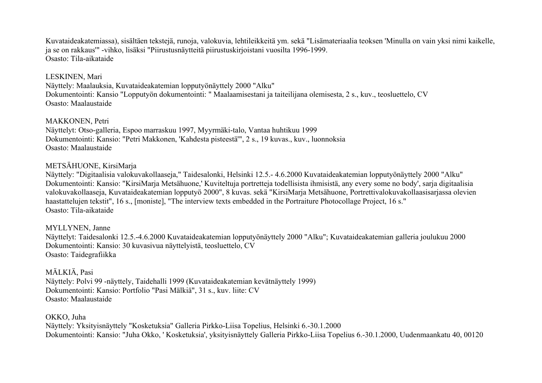Kuvataideakatemiassa), sisältäen tekstejä, runoja, valokuvia, lehtileikkeitä ym. sekä "Lisämateriaalia teoksen 'Minulla on vain yksi nimi kaikelle, ja se on rakkaus'" -vihko, lisäksi "Piirustusnäytteitä piirustuskirjoistani vuosilta 1996-1999. Osasto: Tila-aikataide

#### LESKINEN, Mari

Näyttely: Maalauksia, Kuvataideakatemian lopputyönäyttely 2000 "Alku" Dokumentointi: Kansio "Lopputyön dokumentointi: " Maalaamisestani ja taiteilijana olemisesta, 2 s., kuv., teosluettelo, CV Osasto: Maalaustaide

#### MAKKONEN, Petri

Näyttelyt: Otso-galleria, Espoo marraskuu 1997, Myyrmäki-talo, Vantaa huhtikuu 1999 Dokumentointi: Kansio: "Petri Makkonen, 'Kahdesta pisteestä'", 2 s., 19 kuvas., kuv., luonnoksia Osasto: Maalaustaide

#### METSÄHUONE, KirsiMarja

Näyttely: "Digitaalisia valokuvakollaaseja," Taidesalonki, Helsinki 12.5.- 4.6.2000 Kuvataideakatemian lopputyönäyttely 2000 "Alku" Dokumentointi: Kansio: "KirsiMarja Metsähuone,' Kuviteltuja portretteja todellisista ihmisistä, any every some no body', sarja digitaalisia valokuvakollaaseja, Kuvataideakatemian lopputyö 2000", 8 kuvas. sekä "KirsiMarja Metsähuone, Portrettivalokuvakollaasisarjassa olevien haastattelujen tekstit", 16 s., [moniste], "The interview texts embedded in the Portraiture Photocollage Project, 16 s." Osasto: Tila-aikataide

MYLLYNEN, Janne Näyttelyt: Taidesalonki 12.5.-4.6.2000 Kuvataideakatemian lopputyönäyttely 2000 "Alku"; Kuvataideakatemian galleria joulukuu 2000 Dokumentointi: Kansio: 30 kuvasivua näyttelyistä, teosluettelo, CV Osasto: Taidegrafiikka

MÄLKIÄ, Pasi Näyttely: Polvi 99 -näyttely, Taidehalli 1999 (Kuvataideakatemian kevätnäyttely 1999) Dokumentointi: Kansio: Portfolio "Pasi Mälkiä", 31 s., kuv. liite: CV Osasto: Maalaustaide

OKKO, Juha Näyttely: Yksityisnäyttely "Kosketuksia" Galleria Pirkko-Liisa Topelius, Helsinki 6.-30.1.2000 Dokumentointi: Kansio: "Juha Okko, ' Kosketuksia', yksityisnäyttely Galleria Pirkko-Liisa Topelius 6.-30.1.2000, Uudenmaankatu 40, 00120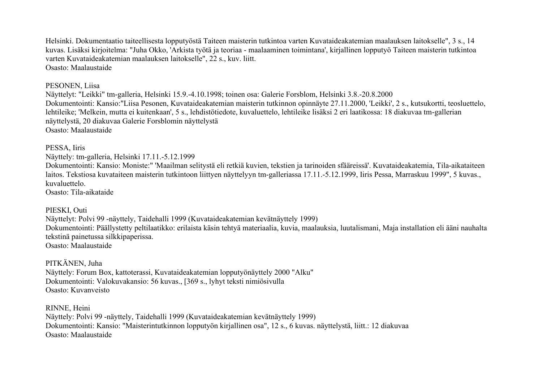Helsinki. Dokumentaatio taiteellisesta lopputyöstä Taiteen maisterin tutkintoa varten Kuvataideakatemian maalauksen laitokselle", 3 s., 14 kuvas. Lisäksi kirjoitelma: "Juha Okko, 'Arkista työtä ja teoriaa - maalaaminen toimintana', kirjallinen lopputyö Taiteen maisterin tutkintoa varten Kuvataideakatemian maalauksen laitokselle", 22 s., kuv. liitt. Osasto: Maalaustaide

#### PESONEN, Liisa

Näyttelyt: "Leikki" tm-galleria, Helsinki 15.9.-4.10.1998; toinen osa: Galerie Forsblom, Helsinki 3.8.-20.8.2000 Dokumentointi: Kansio:"Liisa Pesonen, Kuvataideakatemian maisterin tutkinnon opinnäyte 27.11.2000, 'Leikki', 2 s., kutsukortti, teosluettelo, lehtileike; 'Melkein, mutta ei kuitenkaan', 5 s., lehdistötiedote, kuvaluettelo, lehtileike lisäksi 2 eri laatikossa: 18 diakuvaa tm-gallerian näyttelystä, 20 diakuvaa Galerie Forsblomin näyttelystä Osasto: Maalaustaide

#### PESSA, Iiris

Näyttely: tm-galleria, Helsinki 17.11.-5.12.1999

Dokumentointi: Kansio: Moniste:" 'Maailman selitystä eli retkiä kuvien, tekstien ja tarinoiden sfääreissä'. Kuvataideakatemia, Tila-aikataiteen laitos. Tekstiosa kuvataiteen maisterin tutkintoon liittyen näyttelyyn tm-galleriassa 17.11.-5.12.1999, Iiris Pessa, Marraskuu 1999", 5 kuvas., kuvaluettelo.

Osasto: Tila-aikataide

#### PIESKI, Outi

Näyttelyt: Polvi 99 -näyttely, Taidehalli 1999 (Kuvataideakatemian kevätnäyttely 1999) Dokumentointi: Päällystetty peltilaatikko: erilaista käsin tehtyä materiaalia, kuvia, maalauksia, luutalismani, Maja installation eli ääni nauhalta tekstinä painetussa silkkipaperissa. Osasto: Maalaustaide

PITKÄNEN, Juha Näyttely: Forum Box, kattoterassi, Kuvataideakatemian lopputyönäyttely 2000 "Alku" Dokumentointi: Valokuvakansio: 56 kuvas., [369 s., lyhyt teksti nimiösivulla Osasto: Kuvanveisto

RINNE, Heini Näyttely: Polvi 99 -näyttely, Taidehalli 1999 (Kuvataideakatemian kevätnäyttely 1999) Dokumentointi: Kansio: "Maisterintutkinnon lopputyön kirjallinen osa", 12 s., 6 kuvas. näyttelystä, liitt.: 12 diakuvaa Osasto: Maalaustaide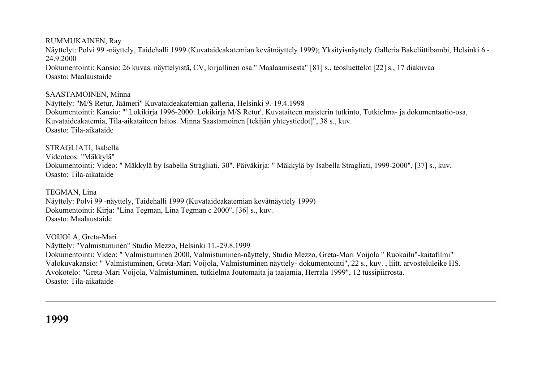RUMMUKAINEN, Ray Näyttelyt: Polvi 99 -näyttely, Taidehalli 1999 (Kuvataideakatemian kevätnäyttely 1999); Yksityisnäyttely Galleria Bakeliittibambi, Helsinki 6.- 24.9.2000 Dokumentointi: Kansio: 26 kuvas. näyttelyistä, CV, kirjallinen osa " Maalaamisesta" [81] s., teosluettelot [22] s., 17 diakuvaa Osasto: Maalaustaide

#### SAASTAMOINEN, Minna

Näyttely: "M/S Retur, Jäämeri" Kuvataideakatemian galleria, Helsinki 9.-19.4.1998 Dokumentointi: Kansio: "' Lokikirja 1996-2000: Lokikirja M/S Retur'. Kuvataiteen maisterin tutkinto, Tutkielma- ja dokumentaatio-osa, Kuvataideakatemia, Tila-aikataiteen laitos. Minna Saastamoinen [tekijän yhteystiedot]", 38 s., kuv. Osasto: Tila-aikataide

STRAGLIATI, Isabella

Videoteos: "Mäkkylä"

Dokumentointi: Video: " Mäkkylä by Isabella Stragliati, 30". Päiväkirja: " Mäkkylä by Isabella Stragliati, 1999-2000", [37] s., kuv. Osasto: Tila-aikataide

TEGMAN, Lina

Näyttely: Polvi 99 -näyttely, Taidehalli 1999 (Kuvataideakatemian kevätnäyttely 1999) Dokumentointi: Kirja: "Lina Tegman, Lina Tegman c 2000", [36] s., kuv. Osasto: Maalaustaide

VOIJOLA, Greta-Mari Näyttely: "Valmistuminen" Studio Mezzo, Helsinki 11.-29.8.1999 Dokumentointi: Video: " Valmistuminen 2000, Valmistuminen-näyttely, Studio Mezzo, Greta-Mari Voijola " Ruokailu"-kaitafilmi" Valokuvakansio: " Valmistuminen, Greta-Mari Voijola, Valmistuminen näyttely- dokumentointi", 22 s., kuv. , liitt. arvosteluleike HS. Avokotelo: "Greta-Mari Voijola, Valmistuminen, tutkielma Joutomaita ja taajamia, Herrala 1999", 12 tussipiirrosta. Osasto: Tila-aikataide

**1999**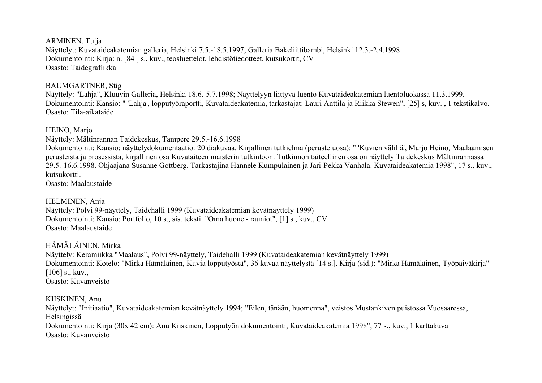ARMINEN, Tuija Näyttelyt: Kuvataideakatemian galleria, Helsinki 7.5.-18.5.1997; Galleria Bakeliittibambi, Helsinki 12.3.-2.4.1998 Dokumentointi: Kirja: n. [84 ] s., kuv., teosluettelot, lehdistötiedotteet, kutsukortit, CV Osasto: Taidegrafiikka

#### BAUMGARTNER, Stig

Näyttely: "Lahja", Kluuvin Galleria, Helsinki 18.6.-5.7.1998; Näyttelyyn liittyvä luento Kuvataideakatemian luentoluokassa 11.3.1999. Dokumentointi: Kansio: " 'Lahja', lopputyöraportti, Kuvataideakatemia, tarkastajat: Lauri Anttila ja Riikka Stewen", [25] s, kuv. , 1 tekstikalvo. Osasto: Tila-aikataide

HEINO, Marjo

Näyttely: Mältinrannan Taidekeskus, Tampere 29.5.-16.6.1998

Dokumentointi: Kansio: näyttelydokumentaatio: 20 diakuvaa. Kirjallinen tutkielma (perusteluosa): " 'Kuvien välillä', Marjo Heino, Maalaamisen perusteista ja prosessista, kirjallinen osa Kuvataiteen maisterin tutkintoon. Tutkinnon taiteellinen osa on näyttely Taidekeskus Mältinrannassa 29.5.-16.6.1998. Ohjaajana Susanne Gottberg. Tarkastajina Hannele Kumpulainen ja Jari-Pekka Vanhala. Kuvataideakatemia 1998", 17 s., kuv., kutsukortti.

Osasto: Maalaustaide

#### HELMINEN, Anja

Näyttely: Polvi 99-näyttely, Taidehalli 1999 (Kuvataideakatemian kevätnäyttely 1999) Dokumentointi: Kansio: Portfolio, 10 s., sis. teksti: "Oma huone - rauniot", [1] s., kuv., CV. Osasto: Maalaustaide

# HÄMÄLÄINEN, Mirka

Näyttely: Keramiikka "Maalaus", Polvi 99-näyttely, Taidehalli 1999 (Kuvataideakatemian kevätnäyttely 1999) Dokumentointi: Kotelo: "Mirka Hämäläinen, Kuvia lopputyöstä", 36 kuvaa näyttelystä [14 s.]. Kirja (sid.): "Mirka Hämäläinen, Työpäiväkirja" [106] s., kuv., Osasto: Kuvanveisto

#### KIISKINEN, Anu

Näyttelyt: "Initiaatio", Kuvataideakatemian kevätnäyttely 1994; "Eilen, tänään, huomenna", veistos Mustankiven puistossa Vuosaaressa, Helsingissä Dokumentointi: Kirja (30x 42 cm): Anu Kiiskinen, Lopputyön dokumentointi, Kuvataideakatemia 1998", 77 s., kuv., 1 karttakuva Osasto: Kuvanveisto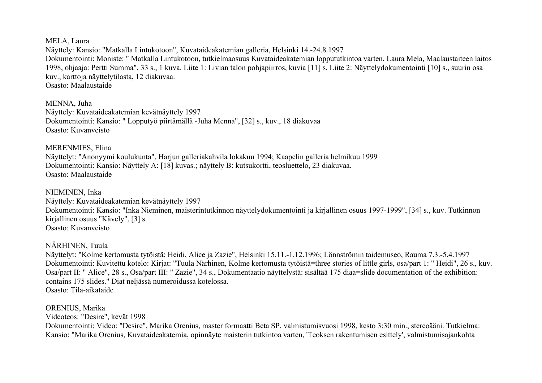MELA, Laura

Näyttely: Kansio: "Matkalla Lintukotoon", Kuvataideakatemian galleria, Helsinki 14.-24.8.1997 Dokumentointi: Moniste: " Matkalla Lintukotoon, tutkielmaosuus Kuvataideakatemian loppututkintoa varten, Laura Mela, Maalaustaiteen laitos 1998, ohjaaja: Pertti Summa", 33 s., 1 kuva. Liite 1: Livian talon pohjapiirros, kuvia [11] s. Liite 2: Näyttelydokumentointi [10] s., suurin osa kuv., karttoja näyttelytilasta, 12 diakuvaa. Osasto: Maalaustaide

MENNA, Juha Näyttely: Kuvataideakatemian kevätnäyttely 1997 Dokumentointi: Kansio: " Lopputyö piirtämällä -Juha Menna", [32] s., kuv., 18 diakuvaa Osasto: Kuvanveisto

MERENMIES, Elina

Näyttelyt: "Anonyymi koulukunta", Harjun galleriakahvila lokakuu 1994; Kaapelin galleria helmikuu 1999 Dokumentointi: Kansio: Näyttely A: [18] kuvas.; näyttely B: kutsukortti, teosluettelo, 23 diakuvaa. Osasto: Maalaustaide

NIEMINEN, Inka Näyttely: Kuvataideakatemian kevätnäyttely 1997 Dokumentointi: Kansio: "Inka Nieminen, maisterintutkinnon näyttelydokumentointi ja kirjallinen osuus 1997-1999", [34] s., kuv. Tutkinnon kirjallinen osuus "Kävely", [3] s. Osasto: Kuvanveisto

NÄRHINEN, Tuula

Näyttelyt: "Kolme kertomusta tytöistä: Heidi, Alice ja Zazie", Helsinki 15.11.-1.12.1996; Lönnströmin taidemuseo, Rauma 7.3.-5.4.1997 Dokumentointi: Kuvitettu kotelo: Kirjat: "Tuula Närhinen, Kolme kertomusta tytöistä=three stories of little girls, osa/part 1: " Heidi", 26 s., kuv. Osa/part II: " Alice", 28 s., Osa/part III: " Zazie", 34 s., Dokumentaatio näyttelystä: sisältää 175 diaa=slide documentation of the exhibition: contains 175 slides." Diat neljässä numeroidussa kotelossa. Osasto: Tila-aikataide

ORENIUS, Marika Videoteos: "Desire", kevät 1998 Dokumentointi: Video: "Desire", Marika Orenius, master formaatti Beta SP, valmistumisvuosi 1998, kesto 3:30 min., stereoääni. Tutkielma: Kansio: "Marika Orenius, Kuvataideakatemia, opinnäyte maisterin tutkintoa varten, 'Teoksen rakentumisen esittely', valmistumisajankohta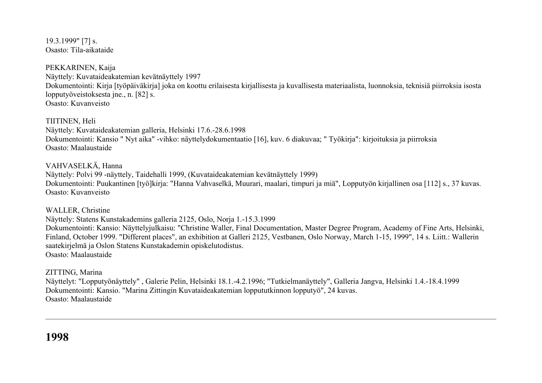19.3.1999" [7] s. Osasto: Tila-aikataide

PEKKARINEN, Kaija Näyttely: Kuvataideakatemian kevätnäyttely 1997 Dokumentointi: Kirja [työpäiväkirja] joka on koottu erilaisesta kirjallisesta ja kuvallisesta materiaalista, luonnoksia, teknisiä piirroksia isosta lopputyöveistoksesta jne., n. [82] s. Osasto: Kuvanveisto

TIITINEN, Heli Näyttely: Kuvataideakatemian galleria, Helsinki 17.6.-28.6.1998 Dokumentointi: Kansio " Nyt aika" -vihko: näyttelydokumentaatio [16], kuv. 6 diakuvaa; " Työkirja": kirjoituksia ja piirroksia Osasto: Maalaustaide

VAHVASELKÄ, Hanna Näyttely: Polvi 99 -näyttely, Taidehalli 1999, (Kuvataideakatemian kevätnäyttely 1999) Dokumentointi: Puukantinen [työ]kirja: "Hanna Vahvaselkä, Muurari, maalari, timpuri ja miä", Lopputyön kirjallinen osa [112] s., 37 kuvas. Osasto: Kuvanveisto

WALLER, Christine Näyttely: Statens Kunstakademins galleria 2125, Oslo, Norja 1.-15.3.1999 Dokumentointi: Kansio: Näyttelyjulkaisu: "Christine Waller, Final Documentation, Master Degree Program, Academy of Fine Arts, Helsinki, Finland, October 1999. "Different places", an exhibition at Galleri 2125, Vestbanen, Oslo Norway, March 1-15, 1999", 14 s. Liitt.: Wallerin saatekirjelmä ja Oslon Statens Kunstakademin opiskelutodistus. Osasto: Maalaustaide

ZITTING, Marina Näyttelyt: "Lopputyönäyttely" , Galerie Pelin, Helsinki 18.1.-4.2.1996; "Tutkielmanäyttely", Galleria Jangva, Helsinki 1.4.-18.4.1999 Dokumentointi: Kansio. "Marina Zittingin Kuvataideakatemian loppututkinnon lopputyö", 24 kuvas. Osasto: Maalaustaide

**1998**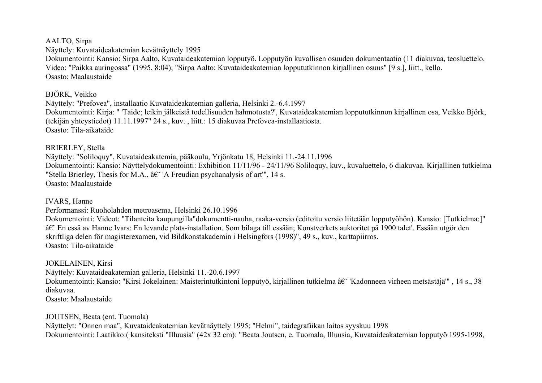#### AALTO, Sirpa

Näyttely: Kuvataideakatemian kevätnäyttely 1995

Dokumentointi: Kansio: Sirpa Aalto, Kuvataideakatemian lopputyö. Lopputyön kuvallisen osuuden dokumentaatio (11 diakuvaa, teosluettelo. Video: "Paikka auringossa" (1995, 8:04); "Sirpa Aalto: Kuvataideakatemian loppututkinnon kirjallinen osuus" [9 s.], liitt., kello. Osasto: Maalaustaide

### BJÖRK, Veikko

Näyttely: "Prefovea", installaatio Kuvataideakatemian galleria, Helsinki 2.-6.4.1997 Dokumentointi: Kirja: " 'Taide; leikin jälkeistä todellisuuden hahmotusta?', Kuvataideakatemian loppututkinnon kirjallinen osa, Veikko Björk, (tekijän yhteystiedot) 11.11.1997" 24 s., kuv. , liitt.: 15 diakuvaa Prefovea-installaatiosta. Osasto: Tila-aikataide

## BRIERLEY, Stella

Näyttely: "Soliloquy", Kuvataideakatemia, pääkoulu, Yrjönkatu 18, Helsinki 11.-24.11.1996 Dokumentointi: Kansio: Näyttelydokumentointi: Exhibition 11/11/96 - 24/11/96 Soliloquy, kuv., kuvaluettelo, 6 diakuvaa. Kirjallinen tutkielma "Stella Brierley, Thesis for M.A.,  $\hat{a}\hat{\epsilon}$ " A Freudian psychanalysis of art", 14 s. Osasto: Maalaustaide

#### IVARS, Hanne

Performanssi: Ruoholahden metroasema, Helsinki 26.10.1996

Dokumentointi: Videot: "Tilanteita kaupungilla"dokumentti-nauha, raaka-versio (editoitu versio liitetään lopputyöhön). Kansio: [Tutkielma:]" ' En essä av Hanne Ivars: En levande plats-installation. Som bilaga till essään; Konstverkets auktoritet på 1900 talet'. Essään utgör den skriftliga delen för magisterexamen, vid Bildkonstakademin i Helsingfors (1998)", 49 s., kuv., karttapiirros. Osasto: Tila-aikataide

#### JOKELAINEN, Kirsi

Näyttely: Kuvataideakatemian galleria, Helsinki 11.-20.6.1997

Dokumentointi: Kansio: "Kirsi Jokelainen: Maisterintutkintoni lopputyö, kirjallinen tutkielma  $\hat{a}\hat{\epsilon}$ "Kadonneen virheen metsästäjä'", 14 s., 38 diakuvaa.

Osasto: Maalaustaide

## JOUTSEN, Beata (ent. Tuomala)

Näyttelyt: "Onnen maa", Kuvataideakatemian kevätnäyttely 1995; "Helmi", taidegrafiikan laitos syyskuu 1998 Dokumentointi: Laatikko:( kansiteksti "Illuusia" (42x 32 cm): "Beata Joutsen, e. Tuomala, Illuusia, Kuvataideakatemian lopputyö 1995-1998,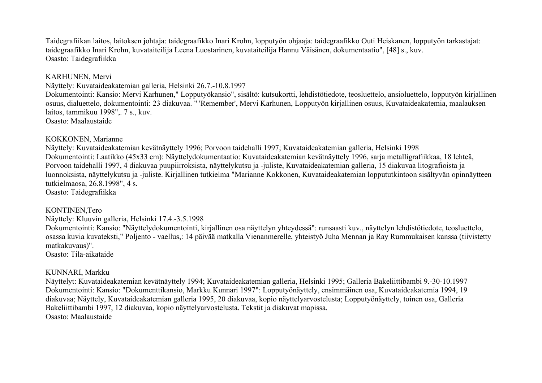Taidegrafiikan laitos, laitoksen johtaja: taidegraafikko Inari Krohn, lopputyön ohjaaja: taidegraafikko Outi Heiskanen, lopputyön tarkastajat: taidegraafikko Inari Krohn, kuvataiteilija Leena Luostarinen, kuvataiteilija Hannu Väisänen, dokumentaatio", [48] s., kuv. Osasto: Taidegrafiikka

#### KARHUNEN, Mervi

Näyttely: Kuvataideakatemian galleria, Helsinki 26.7.-10.8.1997

Dokumentointi: Kansio: Mervi Karhunen," Lopputyökansio", sisältö: kutsukortti, lehdistötiedote, teosluettelo, ansioluettelo, lopputyön kirjallinen osuus, dialuettelo, dokumentointi: 23 diakuvaa. " 'Remember', Mervi Karhunen, Lopputyön kirjallinen osuus, Kuvataideakatemia, maalauksen laitos, tammikuu 1998",. 7 s., kuv. Osasto: Maalaustaide

## KOKKONEN, Marianne

Näyttely: Kuvataideakatemian kevätnäyttely 1996; Porvoon taidehalli 1997; Kuvataideakatemian galleria, Helsinki 1998 Dokumentointi: Laatikko (45x33 cm): Näyttelydokumentaatio: Kuvataideakatemian kevätnäyttely 1996, sarja metalligrafiikkaa, 18 lehteä, Porvoon taidehalli 1997, 4 diakuvaa puupiirroksista, näyttelykutsu ja -juliste, Kuvataideakatemian galleria, 15 diakuvaa litografioista ja luonnoksista, näyttelykutsu ja -juliste. Kirjallinen tutkielma "Marianne Kokkonen, Kuvataideakatemian loppututkintoon sisältyvän opinnäytteen tutkielmaosa, 26.8.1998", 4 s.

Osasto: Taidegrafiikka

#### KONTINEN,Tero

Näyttely: Kluuvin galleria, Helsinki 17.4.-3.5.1998

Dokumentointi: Kansio: "Näyttelydokumentointi, kirjallinen osa näyttelyn yhteydessä": runsaasti kuv., näyttelyn lehdistötiedote, teosluettelo, osassa kuvia kuvateksti," Poljento - vaellus,: 14 päivää matkalla Vienanmerelle, yhteistyö Juha Mennan ja Ray Rummukaisen kanssa (tiivistetty matkakuvaus)".

Osasto: Tila-aikataide

## KUNNARI, Markku

Näyttelyt: Kuvataideakatemian kevätnäyttely 1994; Kuvataideakatemian galleria, Helsinki 1995; Galleria Bakeliittibambi 9.-30-10.1997 Dokumentointi: Kansio: "Dokumenttikansio, Markku Kunnari 1997": Lopputyönäyttely, ensimmäinen osa, Kuvataideakatemia 1994, 19 diakuvaa; Näyttely, Kuvataideakatemian galleria 1995, 20 diakuvaa, kopio näyttelyarvostelusta; Lopputyönäyttely, toinen osa, Galleria Bakeliittibambi 1997, 12 diakuvaa, kopio näyttelyarvostelusta. Tekstit ja diakuvat mapissa. Osasto: Maalaustaide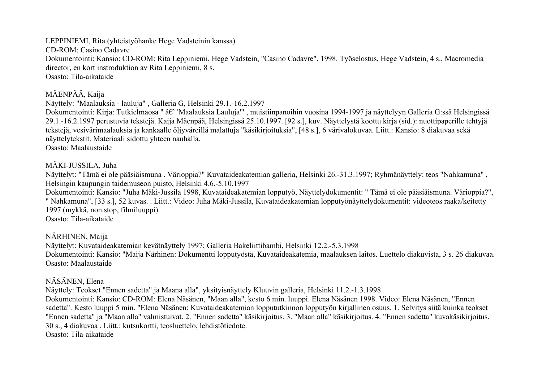LEPPINIEMI, Rita (yhteistyöhanke Hege Vadsteinin kanssa) CD-ROM: Casino Cadavre Dokumentointi: Kansio: CD-ROM: Rita Leppiniemi, Hege Vadstein, "Casino Cadavre". 1998. Työselostus, Hege Vadstein, 4 s., Macromedia director, en kort instroduktion av Rita Leppiniemi, 8 s. Osasto: Tila-aikataide

## MÄENPÄÄ, Kaija

Näyttely: "Maalauksia - lauluja" , Galleria G, Helsinki 29.1.-16.2.1997

Dokumentointi: Kirja: Tutkielmaosa " †"Maalauksia Lauluja'", muistiinpanoihin vuosina 1994-1997 ja näyttelyyn Galleria G:ssä Helsingissä 29.1.-16.2.1997 perustuvia tekstejä. Kaija Mäenpää, Helsingissä 25.10.1997. [92 s.], kuv. Näyttelystä koottu kirja (sid.): nuottipaperille tehtyjä tekstejä, vesivärimaalauksia ja kankaalle öljyväreillä malattuja "käsikirjoituksia", [48 s.], 6 värivalokuvaa. Liitt.: Kansio: 8 diakuvaa sekä näyttelytekstit. Materiaali sidottu yhteen nauhalla.

Osasto: Maalaustaide

## MÄKI-JUSSILA, Juha

Näyttelyt: "Tämä ei ole pääsiäismuna . Värioppia?" Kuvataideakatemian galleria, Helsinki 26.-31.3.1997; Ryhmänäyttely: teos "Nahkamuna" , Helsingin kaupungin taidemuseon puisto, Helsinki 4.6.-5.10.1997

Dokumentointi: Kansio: "Juha Mäki-Jussila 1998, Kuvataideakatemian lopputyö, Näyttelydokumentit: " Tämä ei ole pääsiäismuna. Värioppia?", " Nahkamuna", [33 s.], 52 kuvas. . Liitt.: Video: Juha Mäki-Jussila, Kuvataideakatemian lopputyönäyttelydokumentit: videoteos raaka/keitetty 1997 (mykkä, non.stop, filmiluuppi).

Osasto: Tila-aikataide

## NÄRHINEN, Maija

Näyttelyt: Kuvataideakatemian kevätnäyttely 1997; Galleria Bakeliittibambi, Helsinki 12.2.-5.3.1998 Dokumentointi: Kansio: "Maija Närhinen: Dokumentti lopputyöstä, Kuvataideakatemia, maalauksen laitos. Luettelo diakuvista, 3 s. 26 diakuvaa. Osasto: Maalaustaide

## NÄSÄNEN, Elena

Näyttely: Teokset "Ennen sadetta" ja Maana alla", yksityisnäyttely Kluuvin galleria, Helsinki 11.2.-1.3.1998 Dokumentointi: Kansio: CD-ROM: Elena Näsänen, "Maan alla", kesto 6 min. luuppi. Elena Näsänen 1998. Video: Elena Näsänen, "Ennen sadetta". Kesto luuppi 5 min. "Elena Näsänen: Kuvataideakatemian loppututkinnon lopputyön kirjallinen osuus. 1. Selvitys siitä kuinka teokset "Ennen sadetta" ja "Maan alla" valmistuivat. 2. "Ennen sadetta" käsikirjoitus. 3. "Maan alla" käsikirjoitus. 4. "Ennen sadetta" kuvakäsikirjoitus. 30 s., 4 diakuvaa . Liitt.: kutsukortti, teosluettelo, lehdistötiedote. Osasto: Tila-aikataide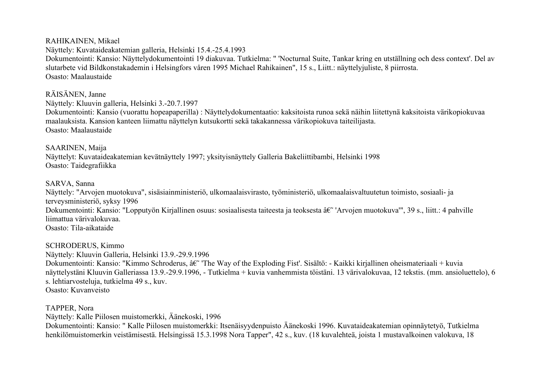RAHIKAINEN, Mikael

Näyttely: Kuvataideakatemian galleria, Helsinki 15.4.-25.4.1993 Dokumentointi: Kansio: Näyttelydokumentointi 19 diakuvaa. Tutkielma: " 'Nocturnal Suite, Tankar kring en utställning och dess context'. Del av slutarbete vid Bildkonstakademin i Helsingfors våren 1995 Michael Rahikainen", 15 s., Liitt.: näyttelyjuliste, 8 piirrosta. Osasto: Maalaustaide

RÄISÄNEN, Janne Näyttely: Kluuvin galleria, Helsinki 3.-20.7.1997 Dokumentointi: Kansio (vuorattu hopeapaperilla) : Näyttelydokumentaatio: kaksitoista runoa sekä näihin liitettynä kaksitoista värikopiokuvaa maalauksista. Kansion kanteen liimattu näyttelyn kutsukortti sekä takakannessa värikopiokuva taiteilijasta. Osasto: Maalaustaide

SAARINEN, Maija Näyttelyt: Kuvataideakatemian kevätnäyttely 1997; yksityisnäyttely Galleria Bakeliittibambi, Helsinki 1998 Osasto: Taidegrafiikka

#### SARVA, Sanna

Näyttely: "Arvojen muotokuva", sisäsiainministeriö, ulkomaalaisvirasto, työministeriö, ulkomaalaisvaltuutetun toimisto, sosiaali- ja terveysministeriö, syksy 1996 Dokumentointi: Kansio: "Lopputyön Kirjallinen osuus: sosiaalisesta taiteesta ja teoksesta †'Arvojen muotokuva'", 39 s., liitt.: 4 pahville liimattua värivalokuvaa. Osasto: Tila-aikataide

SCHRODERUS, Kimmo Näyttely: Kluuvin Galleria, Helsinki 13.9.-29.9.1996 Dokumentointi: Kansio: "Kimmo Schroderus,  $\hat{a}\hat{\epsilon}$ " The Way of the Exploding Fist'. Sisältö: - Kaikki kirjallinen oheismateriaali + kuvia näyttelystäni Kluuvin Galleriassa 13.9.-29.9.1996, - Tutkielma + kuvia vanhemmista töistäni. 13 värivalokuvaa, 12 tekstis. (mm. ansioluettelo), 6 s. lehtiarvosteluja, tutkielma 49 s., kuv. Osasto: Kuvanveisto

TAPPER, Nora

Näyttely: Kalle Piilosen muistomerkki, Äänekoski, 1996

Dokumentointi: Kansio: " Kalle Piilosen muistomerkki: Itsenäisyydenpuisto Äänekoski 1996. Kuvataideakatemian opinnäytetyö, Tutkielma henkilömuistomerkin veistämisestä. Helsingissä 15.3.1998 Nora Tapper", 42 s., kuv. (18 kuvalehteä, joista 1 mustavalkoinen valokuva, 18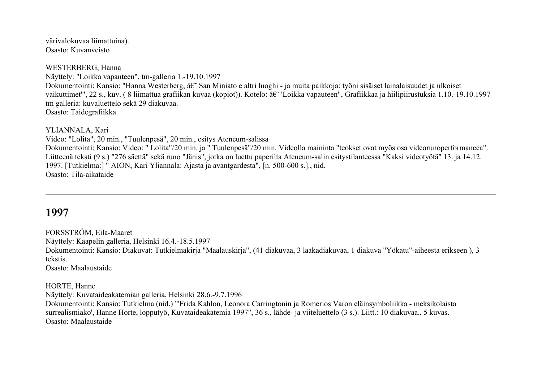värivalokuvaa liimattuina). Osasto: Kuvanveisto

WESTERBERG, Hanna Näyttely: "Loikka vapauteen", tm-galleria 1.-19.10.1997 Dokumentointi: Kansio: "Hanna Westerberg,  $\hat{a}\hat{\epsilon}$ " San Miniato e altri luoghi - ja muita paikkoja: työni sisäiset lainalaisuudet ja ulkoiset vaikuttimet'", 22 s., kuv. (8 liimattua grafiikan kuvaa (kopiot)). Kotelo: †"Loikka vapauteen', Grafiikkaa ja hiilipiirustuksia 1.10.-19.10.1997 tm galleria: kuvaluettelo sekä 29 diakuvaa. Osasto: Taidegrafiikka

YLIANNALA, Kari

Video: "Lolita", 20 min., "Tuulenpesä", 20 min., esitys Ateneum-salissa Dokumentointi: Kansio: Video: " Lolita"/20 min. ja " Tuulenpesä"/20 min. Videolla maininta "teokset ovat myös osa videorunoperformancea". Liitteenä teksti (9 s.) "276 säettä" sekä runo "Jänis", jotka on luettu paperilta Ateneum-salin esitystilanteessa "Kaksi videotyötä" 13. ja 14.12. 1997. [Tutkielma:] " AION, Kari Yliannala: Ajasta ja avantgardesta", [n. 500-600 s.]., nid. Osasto: Tila-aikataide

## **1997**

FORSSTRÖM, Eila-Maaret Näyttely: Kaapelin galleria, Helsinki 16.4.-18.5.1997 Dokumentointi: Kansio: Diakuvat: Tutkielmakirja "Maalauskirja", (41 diakuvaa, 3 laakadiakuvaa, 1 diakuva "Yökatu"-aiheesta erikseen ), 3 tekstis. Osasto: Maalaustaide

HORTE, Hanne

Näyttely: Kuvataideakatemian galleria, Helsinki 28.6.-9.7.1996

Dokumentointi: Kansio: Tutkielma (nid.) "'Frida Kahlon, Leonora Carringtonin ja Romerios Varon eläinsymboliikka - meksikolaista surrealismiako', Hanne Horte, lopputyö, Kuvataideakatemia 1997", 36 s., lähde- ja viiteluettelo (3 s.). Liitt.: 10 diakuvaa., 5 kuvas. Osasto: Maalaustaide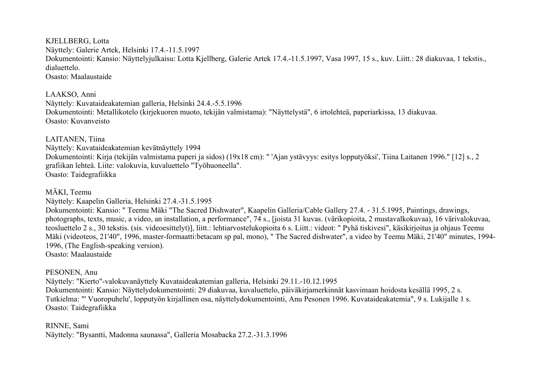KJELLBERG, Lotta Näyttely: Galerie Artek, Helsinki 17.4.-11.5.1997 Dokumentointi: Kansio: Näyttelyjulkaisu: Lotta Kjellberg, Galerie Artek 17.4.-11.5.1997, Vasa 1997, 15 s., kuv. Liitt.: 28 diakuvaa, 1 tekstis., dialuettelo. Osasto: Maalaustaide

LAAKSO, Anni Näyttely: Kuvataideakatemian galleria, Helsinki 24.4.-5.5.1996 Dokumentointi: Metallikotelo (kirjekuoren muoto, tekijän valmistama): "Näyttelystä", 6 irtolehteä, paperiarkissa, 13 diakuvaa. Osasto: Kuvanveisto

LAITANEN, Tiina Näyttely: Kuvataideakatemian kevätnäyttely 1994 Dokumentointi: Kirja (tekijän valmistama paperi ja sidos) (19x18 cm): " 'Ajan ystävyys: esitys lopputyöksi', Tiina Laitanen 1996." [12] s., 2 grafiikan lehteä. Liite: valokuvia, kuvaluettelo "Työhuoneella". Osasto: Taidegrafiikka

MÄKI, Teemu

Näyttely: Kaapelin Galleria, Helsinki 27.4.-31.5.1995

Dokumentointi: Kansio: " Teemu Mäki "The Sacred Dishwater", Kaapelin Galleria/Cable Gallery 27.4. - 31.5.1995, Paintings, drawings, photographs, texts, music, a video, an installation, a performance", 74 s., [joista 31 kuvas. (värikopioita, 2 mustavalkokuvaa), 16 värivalokuvaa, teosluettelo 2 s., 30 tekstis. (sis. videoesittelyt)], liitt.: lehtiarvostelukopioita 6 s. Liitt.: videot: " Pyhä tiskivesi", käsikirjoitus ja ohjaus Teemu Mäki (videoteos, 21'40", 1996, master-formaatti:betacam sp pal, mono), " The Sacred dishwater", a video by Teemu Mäki, 21'40" minutes, 1994- 1996, (The English-speaking version). Osasto: Maalaustaide

#### PESONEN, Anu

Näyttely: "Kierto"-valokuvanäyttely Kuvataideakatemian galleria, Helsinki 29.11.-10.12.1995 Dokumentointi: Kansio: Näyttelydokumentointi: 29 diakuvaa, kuvaluettelo, päiväkirjamerkinnät kasvimaan hoidosta kesällä 1995, 2 s. Tutkielma: "' Vuoropuhelu', lopputyön kirjallinen osa, näyttelydokumentointi, Anu Pesonen 1996. Kuvataideakatemia", 9 s. Lukijalle 1 s. Osasto: Taidegrafiikka

RINNE, Sami

Näyttely: "Bysantti, Madonna saunassa", Galleria Mosabacka 27.2.-31.3.1996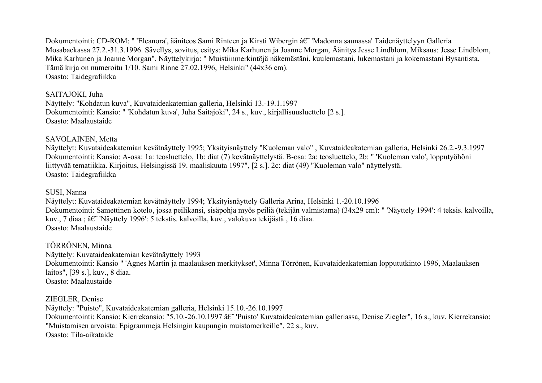Dokumentointi: CD-ROM: " 'Eleanora', ääniteos Sami Rinteen ja Kirsti Wibergin â $\varepsilon$ " 'Madonna saunassa' Taidenäyttelyyn Galleria Mosabackassa 27.2.-31.3.1996. Sävellys, sovitus, esitys: Mika Karhunen ja Joanne Morgan, Äänitys Jesse Lindblom, Miksaus: Jesse Lindblom, Mika Karhunen ja Joanne Morgan". Näyttelykirja: " Muistiinmerkintöjä näkemästäni, kuulemastani, lukemastani ja kokemastani Bysantista. Tämä kirja on numeroitu 1/10. Sami Rinne 27.02.1996, Helsinki" (44x36 cm). Osasto: Taidegrafiikka

#### SAITAJOKI, Juha

Näyttely: "Kohdatun kuva", Kuvataideakatemian galleria, Helsinki 13.-19.1.1997 Dokumentointi: Kansio: " 'Kohdatun kuva', Juha Saitajoki", 24 s., kuv., kirjallisuusluettelo [2 s.]. Osasto: Maalaustaide

#### SAVOLAINEN, Metta

Näyttelyt: Kuvataideakatemian kevätnäyttely 1995; Yksityisnäyttely "Kuoleman valo" , Kuvataideakatemian galleria, Helsinki 26.2.-9.3.1997 Dokumentointi: Kansio: A-osa: 1a: teosluettelo, 1b: diat (7) kevätnäyttelystä. B-osa: 2a: teosluettelo, 2b: " 'Kuoleman valo', lopputyöhöni liittyvää tematiikka. Kirjoitus, Helsingissä 19. maaliskuuta 1997", [2 s.]. 2c: diat (49) "Kuoleman valo" näyttelystä. Osasto: Taidegrafiikka

#### SUSI, Nanna

Näyttelyt: Kuvataideakatemian kevätnäyttely 1994; Yksityisnäyttely Galleria Arina, Helsinki 1.-20.10.1996 Dokumentointi: Samettinen kotelo, jossa peilikansi, sisäpohja myös peiliä (tekijän valmistama) (34x29 cm): " 'Näyttely 1994': 4 teksis. kalvoilla, kuv., 7 diaa ;  $\hat{a}\hat{\epsilon}$ " 'Näyttely 1996': 5 tekstis. kalvoilla, kuv., valokuva tekijästä , 16 diaa. Osasto: Maalaustaide

TÖRRÖNEN, Minna Näyttely: Kuvataideakatemian kevätnäyttely 1993 Dokumentointi: Kansio " 'Agnes Martin ja maalauksen merkitykset', Minna Törrönen, Kuvataideakatemian loppututkinto 1996, Maalauksen laitos", [39 s.], kuv., 8 diaa. Osasto: Maalaustaide

## ZIEGLER, Denise

Näyttely: "Puisto", Kuvataideakatemian galleria, Helsinki 15.10.-26.10.1997 Dokumentointi: Kansio: Kierrekansio: "5.10.-26.10.1997 â€" 'Puisto' Kuvataideakatemian galleriassa, Denise Ziegler", 16 s., kuv. Kierrekansio: "Muistamisen arvoista: Epigrammeja Helsingin kaupungin muistomerkeille", 22 s., kuv. Osasto: Tila-aikataide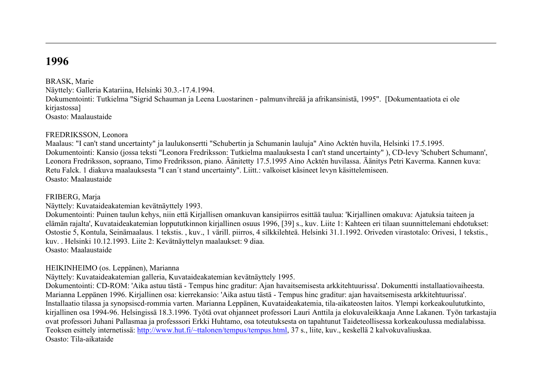# **1996**

BRASK, Marie

Näyttely: Galleria Katariina, Helsinki 30.3.-17.4.1994. Dokumentointi: Tutkielma "Sigrid Schauman ja Leena Luostarinen - palmunvihreää ja afrikansinistä, 1995". [Dokumentaatiota ei ole kirjastossa] Osasto: Maalaustaide

#### FREDRIKSSON, Leonora

Maalaus: "I can't stand uncertainty" ja laulukonsertti "Schubertin ja Schumanin lauluja" Aino Acktén huvila, Helsinki 17.5.1995. Dokumentointi: Kansio (jossa teksti "Leonora Fredriksson: Tutkielma maalauksesta I can't stand uncertainty" ), CD-levy 'Schubert Schumann', Leonora Fredriksson, sopraano, Timo Fredriksson, piano. Äänitetty 17.5.1995 Aino Acktén huvilassa. Äänitys Petri Kaverma. Kannen kuva: Retu Falck. 1 diakuva maalauksesta "I can´t stand uncertainty". Liitt.: valkoiset käsineet levyn käsittelemiseen. Osasto: Maalaustaide

#### FRIBERG, Marja

Näyttely: Kuvataideakatemian kevätnäyttely 1993.

Dokumentointi: Puinen taulun kehys, niin että Kirjallisen omankuvan kansipiirros esittää taulua: 'Kirjallinen omakuva: Ajatuksia taiteen ja elämän rajalta', Kuvataideakatemian loppututkinnon kirjallinen osuus 1996, [39] s., kuv. Liite 1: Kahteen eri tilaan suunnittelemani ehdotukset: Ostostie 5, Kontula, Seinämaalaus. 1 tekstis. , kuv., 1 värill. piirros, 4 silkkilehteä. Helsinki 31.1.1992. Oriveden virastotalo: Orivesi, 1 tekstis., kuv. . Helsinki 10.12.1993. Liite 2: Kevätnäyttelyn maalaukset: 9 diaa. Osasto: Maalaustaide

#### HEIKINHEIMO (os. Leppänen), Marianna

Näyttely: Kuvataideakatemian galleria, Kuvataideakatemian kevätnäyttely 1995.

Dokumentointi: CD-ROM: 'Aika astuu tästä - Tempus hinc graditur: Ajan havaitsemisesta arkkitehtuurissa'. Dokumentti installaatiovaiheesta. Marianna Leppänen 1996. Kirjallinen osa: kierrekansio: 'Aika astuu tästä - Tempus hinc graditur: ajan havaitsemisesta arkkitehtuurissa'. Installaatio tilassa ja synopsiscd-rommia varten. Marianna Leppänen, Kuvataideakatemia, tila-aikateosten laitos. Ylempi korkeakoulututkinto, kirjallinen osa 1994-96. Helsingissä 18.3.1996. Työtä ovat ohjanneet professori Lauri Anttila ja elokuvaleikkaaja Anne Lakanen. Työn tarkastajia ovat professori Juhani Pallasmaa ja professsori Erkki Huhtamo, osa toteutuksesta on tapahtunut Taideteollisessa korkeakoulussa medialabissa. Teoksen esittely internetissä: [http://www.hut.fi/~ttalonen/tempus/tempus.html,](http://www.hut.fi/%7Ettalonen/tempus/tempus.html) 37 s., liite, kuv., keskellä 2 kalvokuvaliuskaa. Osasto: Tila-aikataide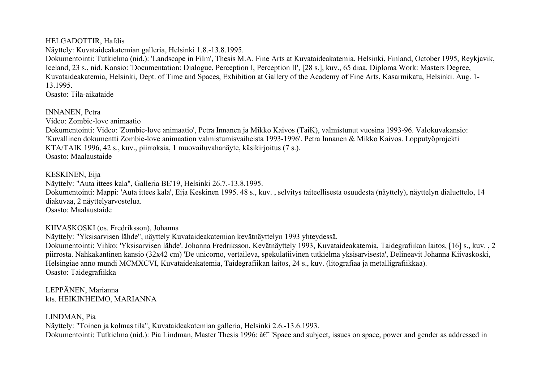## HELGADOTTIR, Hafdis

Näyttely: Kuvataideakatemian galleria, Helsinki 1.8.-13.8.1995.

Dokumentointi: Tutkielma (nid.): 'Landscape in Film', Thesis M.A. Fine Arts at Kuvataideakatemia. Helsinki, Finland, October 1995, Reykjavik, Iceland, 23 s., nid. Kansio: 'Documentation: Dialogue, Perception I, Perception II', [28 s.], kuv., 65 diaa. Diploma Work: Masters Degree, Kuvataideakatemia, Helsinki, Dept. of Time and Spaces, Exhibition at Gallery of the Academy of Fine Arts, Kasarmikatu, Helsinki. Aug. 1- 13.1995.

Osasto: Tila-aikataide

## INNANEN, Petra

Video: Zombie-love animaatio

Dokumentointi: Video: 'Zombie-love animaatio', Petra Innanen ja Mikko Kaivos (TaiK), valmistunut vuosina 1993-96. Valokuvakansio: 'Kuvallinen dokumentti Zombie-love animaation valmistumisvaiheista 1993-1996'. Petra Innanen & Mikko Kaivos. Lopputyöprojekti KTA/TAIK 1996, 42 s., kuv., piirroksia, 1 muovailuvahanäyte, käsikirjoitus (7 s.). Osasto: Maalaustaide

## KESKINEN, Eija

Näyttely: "Auta ittees kala", Galleria BE'19, Helsinki 26.7.-13.8.1995. Dokumentointi: Mappi: 'Auta ittees kala', Eija Keskinen 1995. 48 s., kuv. , selvitys taiteellisesta osuudesta (näyttely), näyttelyn dialuettelo, 14 diakuvaa, 2 näyttelyarvostelua. Osasto: Maalaustaide

## KIIVASKOSKI (os. Fredriksson), Johanna

Näyttely: "Yksisarvisen lähde", näyttely Kuvataideakatemian kevätnäyttelyn 1993 yhteydessä.

Dokumentointi: Vihko: 'Yksisarvisen lähde'. Johanna Fredriksson, Kevätnäyttely 1993, Kuvataideakatemia, Taidegrafiikan laitos, [16] s., kuv. , 2 piirrosta. Nahkakantinen kansio (32x42 cm) 'De unicorno, vertaileva, spekulatiivinen tutkielma yksisarvisesta', Delineavit Johanna Kiivaskoski, Helsingiae anno mundi MCMXCVI, Kuvataideakatemia, Taidegrafiikan laitos, 24 s., kuv. (litografiaa ja metalligrafiikkaa). Osasto: Taidegrafiikka

## LEPPÄNEN, Marianna kts. HEIKINHEIMO, MARIANNA

## LINDMAN, Pia

Näyttely: "Toinen ja kolmas tila", Kuvataideakatemian galleria, Helsinki 2.6.-13.6.1993. Dokumentointi: Tutkielma (nid.): Pia Lindman, Master Thesis 1996:  $\hat{a} \epsilon^{\gamma}$  'Space and subject, issues on space, power and gender as addressed in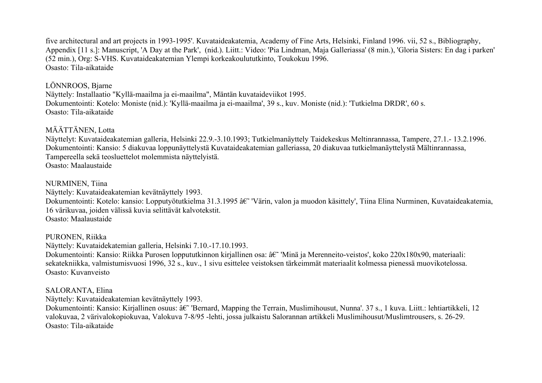five architectural and art projects in 1993-1995'. Kuvataideakatemia, Academy of Fine Arts, Helsinki, Finland 1996. vii, 52 s., Bibliography, Appendix [11 s.]: Manuscript, 'A Day at the Park', (nid.). Liitt.: Video: 'Pia Lindman, Maja Galleriassa' (8 min.), 'Gloria Sisters: En dag i parken' (52 min.), Org: S-VHS. Kuvataideakatemian Ylempi korkeakoulututkinto, Toukokuu 1996. Osasto: Tila-aikataide

## LÖNNROOS, Bjarne

Näyttely: Installaatio "Kyllä-maailma ja ei-maailma", Mäntän kuvataideviikot 1995. Dokumentointi: Kotelo: Moniste (nid.): 'Kyllä-maailma ja ei-maailma', 39 s., kuv. Moniste (nid.): 'Tutkielma DRDR', 60 s. Osasto: Tila-aikataide

## MÄÄTTÄNEN, Lotta

Näyttelyt: Kuvataideakatemian galleria, Helsinki 22.9.-3.10.1993; Tutkielmanäyttely Taidekeskus Meltinrannassa, Tampere, 27.1.- 13.2.1996. Dokumentointi: Kansio: 5 diakuvaa loppunäyttelystä Kuvataideakatemian galleriassa, 20 diakuvaa tutkielmanäyttelystä Mältinrannassa, Tampereella sekä teosluettelot molemmista näyttelyistä. Osasto: Maalaustaide

#### NURMINEN, Tiina

Näyttely: Kuvataideakatemian kevätnäyttely 1993.

Dokumentointi: Kotelo: kansio: Lopputyötutkielma 31.3.1995 †"Värin, valon ja muodon käsittely', Tiina Elina Nurminen, Kuvataideakatemia, 16 värikuvaa, joiden välissä kuvia selittävät kalvotekstit. Osasto: Maalaustaide

#### PURONEN, Riikka

Näyttely: Kuvataidekatemian galleria, Helsinki 7.10.-17.10.1993.

Dokumentointi: Kansio: Riikka Purosen loppututkinnon kirjallinen osa: †'Minä ja Merenneito-veistos', koko 220x180x90, materiaali: sekatekniikka, valmistumisvuosi 1996, 32 s., kuv., 1 sivu esittelee veistoksen tärkeimmät materiaalit kolmessa pienessä muovikotelossa. Osasto: Kuvanveisto

#### SALORANTA, Elina

Näyttely: Kuvataideakatemian kevätnäyttely 1993.

Dokumentointi: Kansio: Kirjallinen osuus:  $\hat{a}\hat{\epsilon}^*$  'Bernard, Mapping the Terrain, Muslimihousut, Nunna'. 37 s., 1 kuva. Liitt.: lehtiartikkeli, 12 valokuvaa, 2 värivalokopiokuvaa, Valokuva 7-8/95 -lehti, jossa julkaistu Salorannan artikkeli Muslimihousut/Muslimtrousers, s. 26-29. Osasto: Tila-aikataide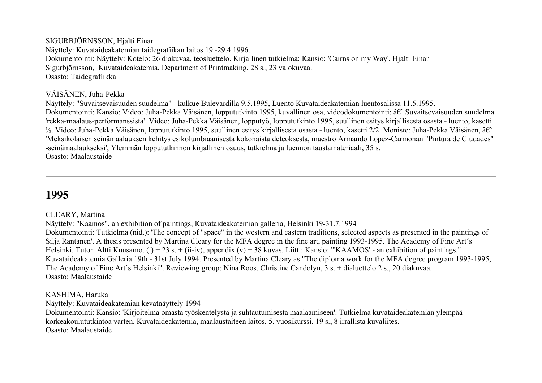## SIGURBJÖRNSSON, Hjalti Einar

Näyttely: Kuvataideakatemian taidegrafiikan laitos 19.-29.4.1996. Dokumentointi: Näyttely: Kotelo: 26 diakuvaa, teosluettelo. Kirjallinen tutkielma: Kansio: 'Cairns on my Way', Hjalti Einar Sigurbjörnsson, Kuvataideakatemia, Department of Printmaking, 28 s., 23 valokuvaa. Osasto: Taidegrafiikka

## VÄISÄNEN, Juha-Pekka

Näyttely: "Suvaitsevaisuuden suudelma" - kulkue Bulevardilla 9.5.1995, Luento Kuvataideakatemian luentosalissa 11.5.1995. Dokumentointi: Kansio: Video: Juha-Pekka Väisänen, loppututkinto 1995, kuvallinen osa, videodokumentointi: †Suvaitsevaisuuden suudelma 'rekka-maalaus-performanssista'. Video: Juha-Pekka Väisänen, lopputyö, loppututkinto 1995, suullinen esitys kirjallisesta osasta - luento, kasetti  $\frac{1}{2}$ . Video: Juha-Pekka Väisänen, loppututkinto 1995, suullinen esitys kirjallisesta osasta - luento, kasetti 2/2. Moniste: Juha-Pekka Väisänen, â $\varepsilon$ 'Meksikolaisen seinämaalauksen kehitys esikolumbiaanisesta kokonaistaideteoksesta, maestro Armando Lopez-Carmonan "Pintura de Ciudades" -seinämaalaukseksi', Ylemmän loppututkinnon kirjallinen osuus, tutkielma ja luennon taustamateriaali, 35 s. Osasto: Maalaustaide

# **1995**

## CLEARY, Martina

Näyttely: "Kaamos", an exhibition of paintings, Kuvataideakatemian galleria, Helsinki 19-31.7.1994

Dokumentointi: Tutkielma (nid.): 'The concept of "space" in the western and eastern traditions, selected aspects as presented in the paintings of Silja Rantanen'. A thesis presented by Martina Cleary for the MFA degree in the fine art, painting 1993-1995. The Academy of Fine Art´s Helsinki. Tutor: Altti Kuusamo. (i) + 23 s. + (ii-iv), appendix (v) + 38 kuvas. Liitt.: Kansio: "'KAAMOS' - an exhibition of paintings." Kuvataideakatemia Galleria 19th - 31st July 1994. Presented by Martina Cleary as "The diploma work for the MFA degree program 1993-1995, The Academy of Fine Art´s Helsinki". Reviewing group: Nina Roos, Christine Candolyn, 3 s. + dialuettelo 2 s., 20 diakuvaa. Osasto: Maalaustaide

## KASHIMA, Haruka

Näyttely: Kuvataideakatemian kevätnäyttely 1994

Dokumentointi: Kansio: 'Kirjoitelma omasta työskentelystä ja suhtautumisesta maalaamiseen'. Tutkielma kuvataideakatemian ylempää korkeakoulututkintoa varten. Kuvataideakatemia, maalaustaiteen laitos, 5. vuosikurssi, 19 s., 8 irrallista kuvaliites. Osasto: Maalaustaide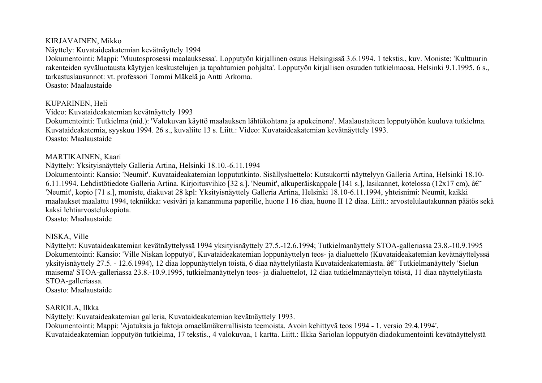#### KIRJAVAINEN, Mikko

Näyttely: Kuvataideakatemian kevätnäyttely 1994

Dokumentointi: Mappi: 'Muutosprosessi maalauksessa'. Lopputyön kirjallinen osuus Helsingissä 3.6.1994. 1 tekstis., kuv. Moniste: 'Kulttuurin rakenteiden syväluotausta käytyjen keskustelujen ja tapahtumien pohjalta'. Lopputyön kirjallisen osuuden tutkielmaosa. Helsinki 9.1.1995. 6 s., tarkastuslausunnot: vt. professori Tommi Mäkelä ja Antti Arkoma.

Osasto: Maalaustaide

## KUPARINEN, Heli

Video: Kuvataideakatemian kevätnäyttely 1993

Dokumentointi: Tutkielma (nid.): 'Valokuvan käyttö maalauksen lähtökohtana ja apukeinona'. Maalaustaiteen lopputyöhön kuuluva tutkielma. Kuvataideakatemia, syyskuu 1994. 26 s., kuvaliite 13 s. Liitt.: Video: Kuvataideakatemian kevätnäyttely 1993. Osasto: Maalaustaide

## MARTIKAINEN, Kaari

Näyttely: Yksityisnäyttely Galleria Artina, Helsinki 18.10.-6.11.1994

Dokumentointi: Kansio: 'Neumit'. Kuvataideakatemian loppututkinto. Sisällysluettelo: Kutsukortti näyttelyyn Galleria Artina, Helsinki 18.10- 6.11.1994. Lehdistötiedote Galleria Artina. Kirjoitusvihko [32 s.]. 'Neumit', alkuperäiskappale [141 s.], lasikannet, kotelossa (12x17 cm), â $\varepsilon$ 'Neumit', kopio [71 s.], moniste, diakuvat 28 kpl: Yksityisnäyttely Galleria Artina, Helsinki 18.10-6.11.1994, yhteisnimi: Neumit, kaikki maalaukset maalattu 1994, tekniikka: vesiväri ja kananmuna paperille, huone I 16 diaa, huone II 12 diaa. Liitt.: arvostelulautakunnan päätös sekä kaksi lehtiarvostelukopiota.

Osasto: Maalaustaide

## NISKA, Ville

Näyttelyt: Kuvataideakatemian kevätnäyttelyssä 1994 yksityisnäyttely 27.5.-12.6.1994; Tutkielmanäyttely STOA-galleriassa 23.8.-10.9.1995 Dokumentointi: Kansio: 'Ville Niskan lopputyö', Kuvataideakatemian loppunäyttelyn teos- ja dialuettelo (Kuvataideakatemian kevätnäyttelyssä yksityisnäyttely 27.5. - 12.6.1994), 12 diaa loppunäyttelyn töistä, 6 diaa näyttelytilasta Kuvataideakatemiasta. â $\epsilon$  Tutkielmanäyttely 'Sielun maisema' STOA-galleriassa 23.8.-10.9.1995, tutkielmanäyttelyn teos- ja dialuettelot, 12 diaa tutkielmanäyttelyn töistä, 11 diaa näyttelytilasta STOA-galleriassa.

Osasto: Maalaustaide

## SARIOLA, Ilkka

Näyttely: Kuvataideakatemian galleria, Kuvataideakatemian kevätnäyttely 1993.

Dokumentointi: Mappi: 'Ajatuksia ja faktoja omaelämäkerrallisista teemoista. Avoin kehittyvä teos 1994 - 1. versio 29.4.1994'. Kuvataideakatemian lopputyön tutkielma, 17 tekstis., 4 valokuvaa, 1 kartta. Liitt.: Ilkka Sariolan lopputyön diadokumentointi kevätnäyttelystä